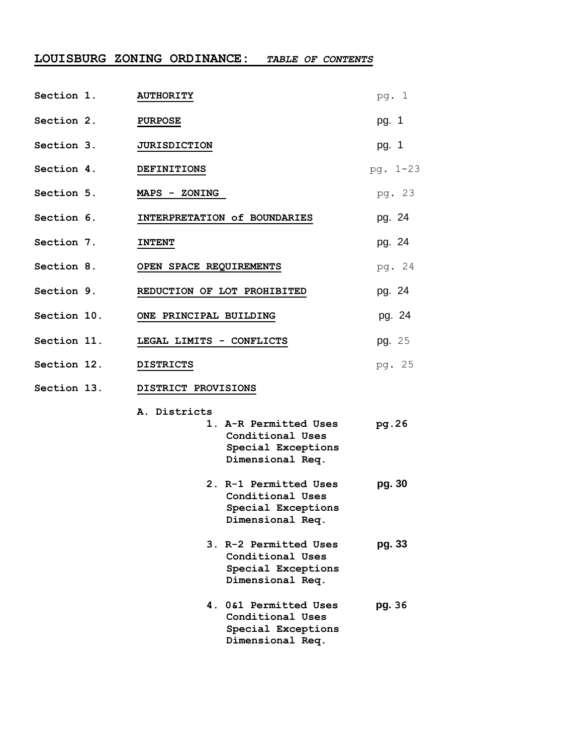# **LOUISBURG ZONING ORDINANCE:** *TABLE OF CONTENTS*

| Section 1.        | <b>AUTHORITY</b>                                                                                    | pg. 1    |
|-------------------|-----------------------------------------------------------------------------------------------------|----------|
| Section 2.        | <b>PURPOSE</b>                                                                                      | pg. 1    |
| Section 3.        | <b>JURISDICTION</b>                                                                                 | pg. 1    |
| Section 4.        | <b>DEFINITIONS</b>                                                                                  | pg. 1-23 |
| Section 5.        | MAPS - ZONING                                                                                       | pg. 23   |
| Section 6.        | INTERPRETATION of BOUNDARIES                                                                        | pg. 24   |
| <b>Section 7.</b> | <b>INTENT</b>                                                                                       | pg. 24   |
| Section 8.        | OPEN SPACE REQUIREMENTS                                                                             | pg. 24   |
| Section 9.        | REDUCTION OF LOT PROHIBITED                                                                         | pg. 24   |
| Section 10.       | ONE PRINCIPAL BUILDING                                                                              | pg. 24   |
| Section 11.       | LEGAL LIMITS - CONFLICTS                                                                            | pg. 25   |
| Section 12.       | <b>DISTRICTS</b>                                                                                    | pg. 25   |
| Section 13.       | DISTRICT PROVISIONS                                                                                 |          |
|                   | A. Districts<br>1. A-R Permitted Uses<br>Conditional Uses<br>Special Exceptions<br>Dimensional Req. | pg.26    |
|                   | 2. R-1 Permitted Uses<br>Conditional Uses<br>Special Exceptions<br>Dimensional Req.                 | pg. 30   |
|                   | 3. R-2 Permitted Uses<br>Conditional Uses<br>Special Exceptions<br>Dimensional Req.                 | pg. 33   |
|                   | 4. 0&1 Permitted Uses<br>Conditional Uses<br>Special Exceptions<br>Dimensional Req.                 | pg. 36   |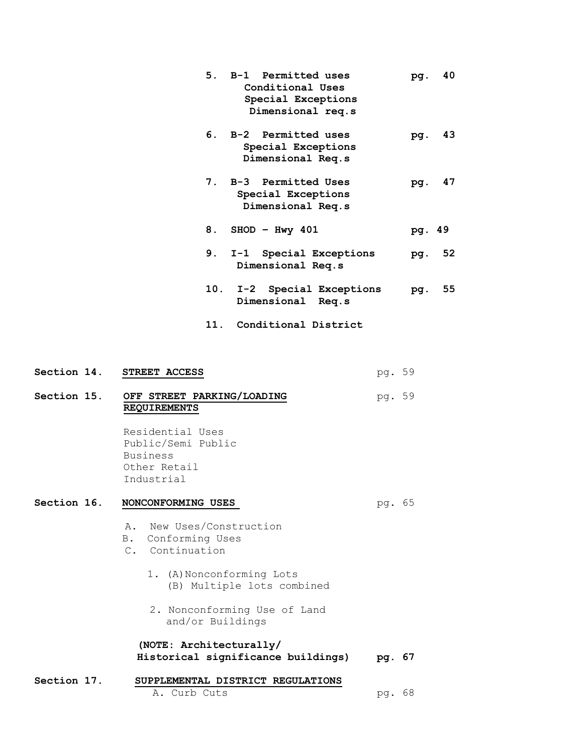| 5.  | B-1 Permitted uses<br>Conditional Uses<br>Special Exceptions<br>Dimensional req.s | pg.    | 40 |
|-----|-----------------------------------------------------------------------------------|--------|----|
| 6.  | B-2 Permitted uses<br>Special Exceptions<br>Dimensional Req.s                     | pq.    | 43 |
|     | 7. B-3 Permitted Uses<br>Special Exceptions<br>Dimensional Req.s                  | pq.    | 47 |
| 8.  | $SHOD - Hwy 401$                                                                  | pg. 49 |    |
|     | 9. I-1 Special Exceptions<br>Dimensional Req.s                                    | pg.    | 52 |
|     | 10. I-2 Special Exceptions<br>Dimensional Req.s                                   | pg.    | 55 |
| 11. | Conditional District                                                              |        |    |

**Section 14. STREET ACCESS** pg. 59 **Section 15. OFF STREET PARKING/LOADING** pg. 59 **REQUIREMENTS** Residential Uses Public/Semi Public Business Other Retail Industrial **Section 16. NONCONFORMING USES pg. 65**  A. New Uses/Construction B. Conforming Uses C. Continuation 1. (A) Nonconforming Lots (B) Multiple lots combined 2. Nonconforming Use of Land and/or Buildings **(NOTE: Architecturally/ Historical significance buildings) pg. 67 Section 17. SUPPLEMENTAL DISTRICT REGULATIONS** A. Curb Cuts pg. 68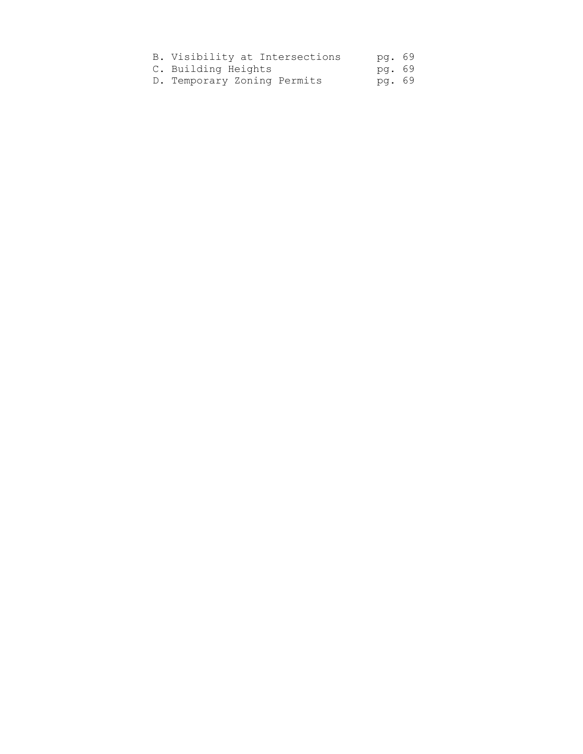| B. Visibility at Intersections | pg. 69 |  |
|--------------------------------|--------|--|
| C. Building Heights            | pg. 69 |  |
| D. Temporary Zoning Permits    | pg. 69 |  |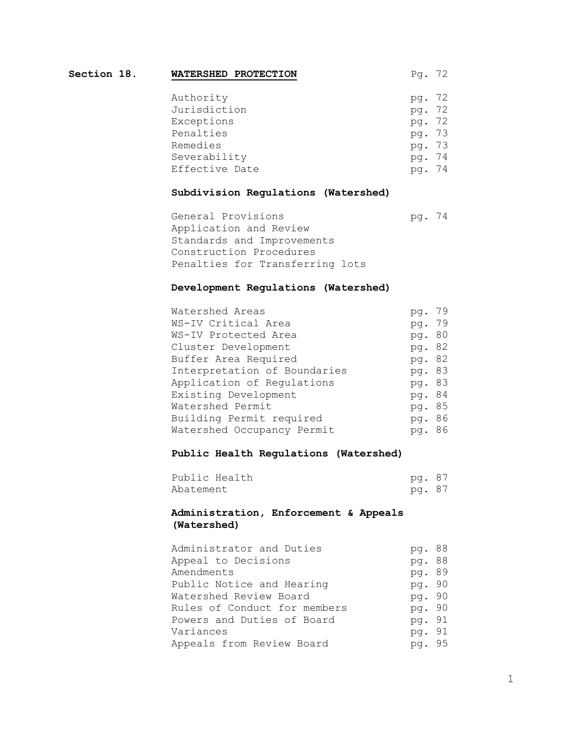| Section 18. | WATERSHED PROTECTION | Pg. 72 |     |
|-------------|----------------------|--------|-----|
|             | Authority            | pg. 72 |     |
|             | Jurisdiction         | pg. 72 |     |
|             | Exceptions           | pg. 72 |     |
|             | Penalties            | pg. 73 |     |
|             | Remedies             | pg. 73 |     |
|             | Severability         | pg. 74 |     |
|             | Effective Date       | pa.    | -74 |

## **Subdivision Regulations (Watershed)**

General Provisions by pg. 74 Application and Review Standards and Improvements Construction Procedures Penalties for Transferring lots

## **Development Regulations (Watershed)**

| Watershed Areas              | pq.    | 79  |
|------------------------------|--------|-----|
| WS-IV Critical Area          | pg. 79 |     |
| WS-IV Protected Area         | pq.    | -80 |
| Cluster Development          | pg. 82 |     |
| Buffer Area Required         | pg. 82 |     |
| Interpretation of Boundaries | pg. 83 |     |
| Application of Regulations   | pg. 83 |     |
| Existing Development         | pg. 84 |     |
| Watershed Permit             | pg. 85 |     |
| Building Permit required     | pq.    | 86  |
| Watershed Occupancy Permit   | pg. 86 |     |

#### **Public Health Regulations (Watershed)**

| Public Health | pg. 87 |  |
|---------------|--------|--|
| Abatement     | pg. 87 |  |

# **Administration, Enforcement & Appeals (Watershed)**

| Administrator and Duties     | pg. 88 |  |
|------------------------------|--------|--|
| Appeal to Decisions          | pg. 88 |  |
| Amendments                   | pg. 89 |  |
| Public Notice and Hearing    | pg. 90 |  |
| Watershed Review Board       | pg. 90 |  |
| Rules of Conduct for members | pg. 90 |  |
| Powers and Duties of Board   | pg. 91 |  |
| Variances                    | pg. 91 |  |
| Appeals from Review Board    | pg. 95 |  |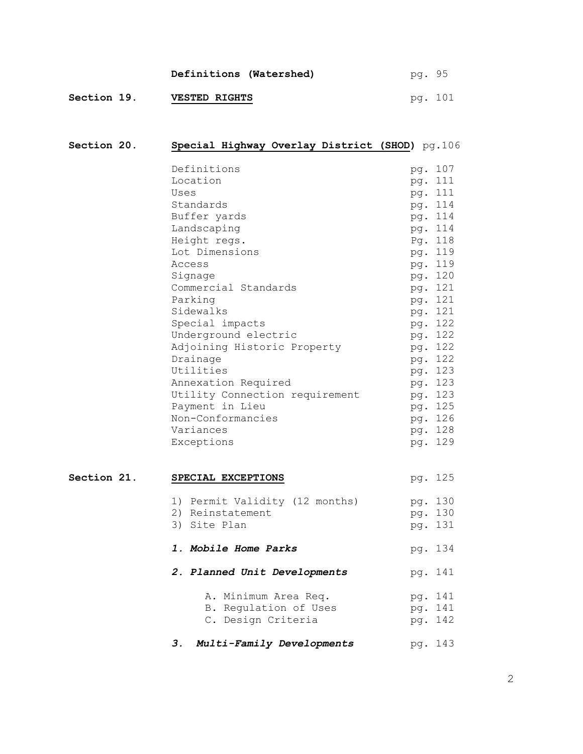|                    | Definitions (Watershed) | pg. 95  |  |
|--------------------|-------------------------|---------|--|
| <b>Section 19.</b> | <b>VESTED RIGHTS</b>    | pg. 101 |  |

| Section 20. |    | Special Highway Overlay District (SHOD) pg.106                         |                   |                               |
|-------------|----|------------------------------------------------------------------------|-------------------|-------------------------------|
|             |    | Definitions<br>Location<br>Uses                                        |                   | pg. 107<br>pg. 111<br>pg. 111 |
|             |    | Standards<br>Buffer yards                                              |                   | pg. 114<br>pg. 114            |
|             |    | Landscaping<br>Height regs.                                            |                   | pg. 114<br>Pg. 118            |
|             |    | Lot Dimensions<br>Access                                               |                   | pg. 119<br>pg. 119            |
|             |    | Signage<br>Commercial Standards                                        |                   | pg. 120<br>pg. 121            |
|             |    | Parking<br>Sidewalks<br>Special impacts                                |                   | pg. 121<br>pg. 121<br>pg. 122 |
|             |    | Underground electric<br>Adjoining Historic Property                    |                   | pg. 122<br>pg. 122            |
|             |    | Drainage<br>Utilities<br>Annexation Required                           |                   | pg. 122<br>pg. 123<br>pg. 123 |
|             |    | Utility Connection requirement<br>Payment in Lieu                      |                   | pg. 123<br>pg. 125            |
|             |    | Non-Conformancies<br>Variances<br>Exceptions                           |                   | pg. 126<br>pg. 128<br>pg. 129 |
| Section 21. |    | SPECIAL EXCEPTIONS                                                     |                   | pg. 125                       |
|             |    | 1) Permit Validity (12 months)<br>2) Reinstatement<br>3) Site Plan     |                   | pg. 130<br>pg. 130<br>pg. 131 |
|             |    | <i>1. Mobile Home Parks</i>                                            |                   | pg. 134                       |
|             |    | 2. Planned Unit Developments                                           |                   | pg. 141                       |
|             |    | A. Minimum Area Req.<br>Regulation of Uses<br>В.<br>C. Design Criteria | pg.<br>pg.<br>pg. | 141<br>141<br>142             |
|             | 3. | Multi-Family Developments                                              |                   | pg. 143                       |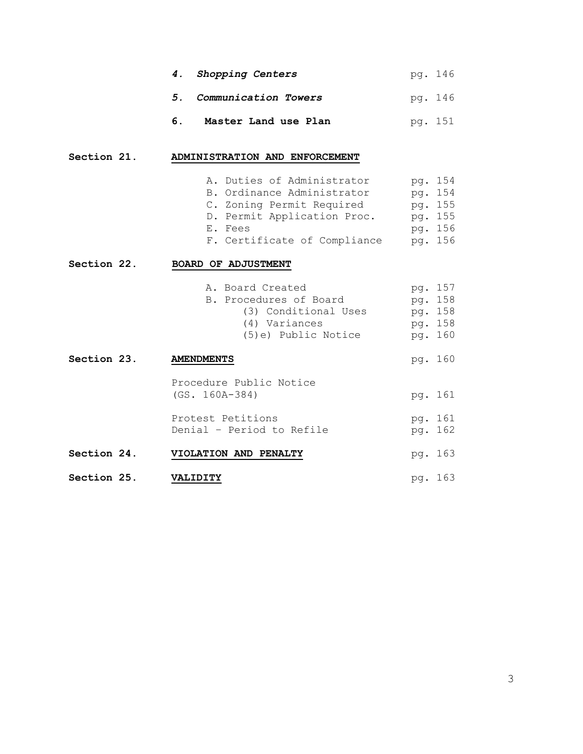|    | 4. Shopping Centers     | pg. 146 |
|----|-------------------------|---------|
|    | 5. Communication Towers | pg. 146 |
| 6. | Master Land use Plan    | pg. 151 |

# **Section 21. ADMINISTRATION AND ENFORCEMENT**

|             | A. Duties of Administrator<br>B. Ordinance Administrator<br>C. Zoning Permit Required<br>D. Permit Application Proc.<br>E. Fees<br>F. Certificate of Compliance | pg. 154<br>pg. 154<br>pg. 155<br>pg. 155<br>pg. 156<br>pg. 156 |  |
|-------------|-----------------------------------------------------------------------------------------------------------------------------------------------------------------|----------------------------------------------------------------|--|
| Section 22. | <b>BOARD OF ADJUSTMENT</b>                                                                                                                                      |                                                                |  |
|             | A. Board Created<br>B. Procedures of Board<br>(3) Conditional Uses<br>(4) Variances<br>(5)e) Public Notice                                                      | pg. 157<br>pg. 158<br>pg. 158<br>pg. 158<br>pg. 160            |  |
| Section 23. | <b>AMENDMENTS</b>                                                                                                                                               | pg. 160                                                        |  |
|             | Procedure Public Notice<br>$(GS. 160A-384)$<br>Protest Petitions                                                                                                | pg. 161<br>pg. 161                                             |  |
|             | Denial - Period to Refile                                                                                                                                       | pg. 162                                                        |  |
| Section 24. | VIOLATION AND PENALTY                                                                                                                                           | pg. 163                                                        |  |
| Section 25. | VALIDITY                                                                                                                                                        | pg. 163                                                        |  |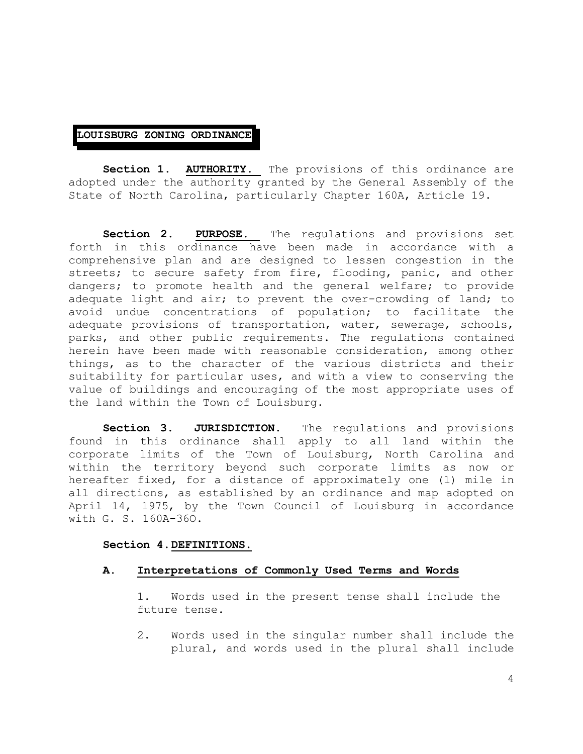## **LOUISBURG ZONING ORDINANCE**

**Section 1. AUTHORITY.** The provisions of this ordinance are adopted under the authority granted by the General Assembly of the State of North Carolina, particularly Chapter 160A, Article 19.

**Section 2. PURPOSE.** The regulations and provisions set forth in this ordinance have been made in accordance with a comprehensive plan and are designed to lessen congestion in the streets; to secure safety from fire, flooding, panic, and other dangers; to promote health and the general welfare; to provide adequate light and air; to prevent the over-crowding of land; to avoid undue concentrations of population; to facilitate the adequate provisions of transportation, water, sewerage, schools, parks, and other public requirements. The regulations contained herein have been made with reasonable consideration, among other things, as to the character of the various districts and their suitability for particular uses, and with a view to conserving the value of buildings and encouraging of the most appropriate uses of the land within the Town of Louisburg.

**Section 3. JURISDICTION.** The regulations and provisions found in this ordinance shall apply to all land within the corporate limits of the Town of Louisburg, North Carolina and within the territory beyond such corporate limits as now or hereafter fixed, for a distance of approximately one (l) mile in all directions, as established by an ordinance and map adopted on April 14, 1975, by the Town Council of Louisburg in accordance with G. S. 160A-36O.

## **Section 4.DEFINITIONS.**

## **A. Interpretations of Commonly Used Terms and Words**

1. Words used in the present tense shall include the future tense.

2. Words used in the singular number shall include the plural, and words used in the plural shall include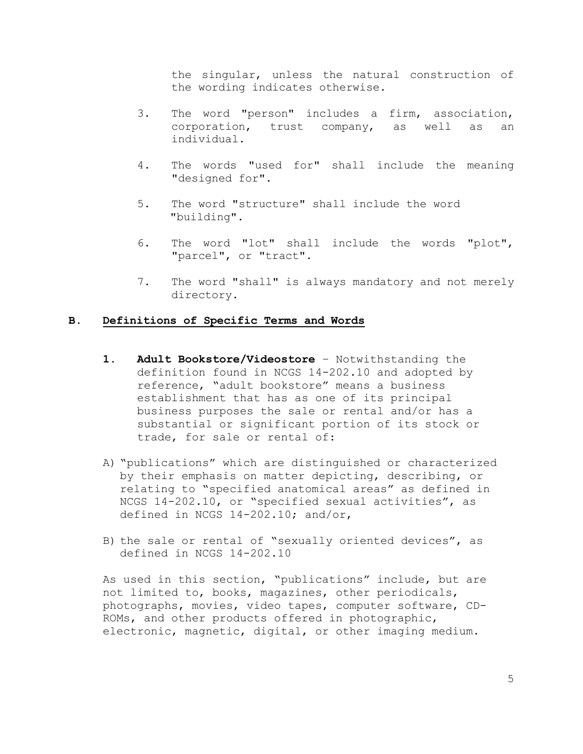the singular, unless the natural construction of the wording indicates otherwise.

- 3. The word "person" includes a firm, association, corporation, trust company, as well as an individual.
- 4. The words "used for" shall include the meaning "designed for".
- 5. The word "structure" shall include the word "building".
- 6. The word "lot" shall include the words "plot", "parcel", or "tract".
- 7. The word "shall" is always mandatory and not merely directory.

# **B. Definitions of Specific Terms and Words**

- **1. Adult Bookstore/Videostore** Notwithstanding the definition found in NCGS 14-202.10 and adopted by reference, "adult bookstore" means a business establishment that has as one of its principal business purposes the sale or rental and/or has a substantial or significant portion of its stock or trade, for sale or rental of:
- A) "publications" which are distinguished or characterized by their emphasis on matter depicting, describing, or relating to "specified anatomical areas" as defined in NCGS 14-202.10, or "specified sexual activities", as defined in NCGS 14-202.10; and/or,
- B) the sale or rental of "sexually oriented devices", as defined in NCGS 14-202.10

As used in this section, "publications" include, but are not limited to, books, magazines, other periodicals, photographs, movies, video tapes, computer software, CD-ROMs, and other products offered in photographic, electronic, magnetic, digital, or other imaging medium.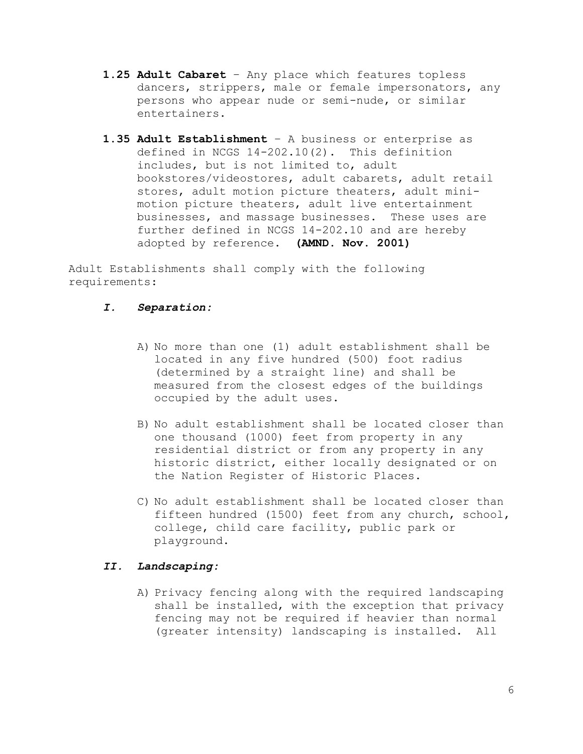- **1.25 Adult Cabaret** Any place which features topless dancers, strippers, male or female impersonators, any persons who appear nude or semi-nude, or similar entertainers.
- **1.35 Adult Establishment** A business or enterprise as defined in NCGS 14-202.10(2). This definition includes, but is not limited to, adult bookstores/videostores, adult cabarets, adult retail stores, adult motion picture theaters, adult minimotion picture theaters, adult live entertainment businesses, and massage businesses. These uses are further defined in NCGS 14-202.10 and are hereby adopted by reference. **(AMND. Nov. 2001)**

Adult Establishments shall comply with the following requirements:

# *I. Separation:*

- A) No more than one (1) adult establishment shall be located in any five hundred (500) foot radius (determined by a straight line) and shall be measured from the closest edges of the buildings occupied by the adult uses.
- B) No adult establishment shall be located closer than one thousand (1000) feet from property in any residential district or from any property in any historic district, either locally designated or on the Nation Register of Historic Places.
- C) No adult establishment shall be located closer than fifteen hundred (1500) feet from any church, school, college, child care facility, public park or playground.

# *II. Landscaping:*

A) Privacy fencing along with the required landscaping shall be installed, with the exception that privacy fencing may not be required if heavier than normal (greater intensity) landscaping is installed. All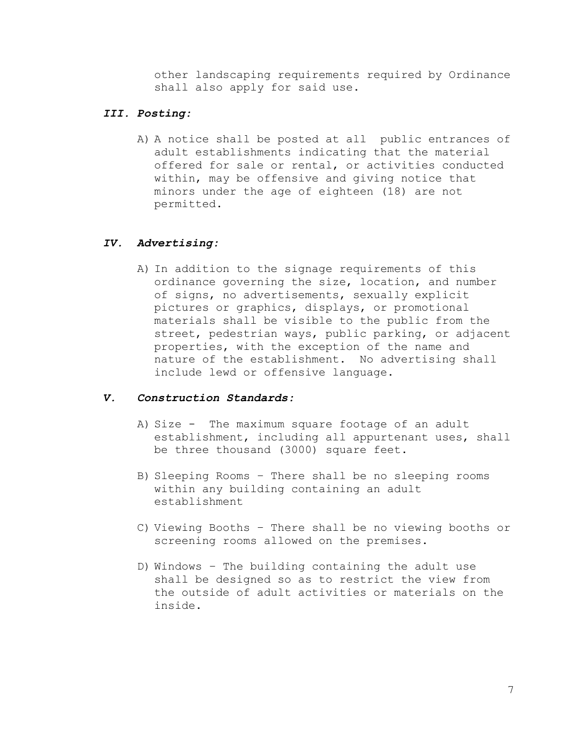other landscaping requirements required by Ordinance shall also apply for said use.

# *III. Posting:*

A) A notice shall be posted at all public entrances of adult establishments indicating that the material offered for sale or rental, or activities conducted within, may be offensive and giving notice that minors under the age of eighteen (18) are not permitted.

# *IV. Advertising:*

A) In addition to the signage requirements of this ordinance governing the size, location, and number of signs, no advertisements, sexually explicit pictures or graphics, displays, or promotional materials shall be visible to the public from the street, pedestrian ways, public parking, or adjacent properties, with the exception of the name and nature of the establishment. No advertising shall include lewd or offensive language.

# *V. Construction Standards:*

- A) Size The maximum square footage of an adult establishment, including all appurtenant uses, shall be three thousand (3000) square feet.
- B) Sleeping Rooms There shall be no sleeping rooms within any building containing an adult establishment
- C) Viewing Booths There shall be no viewing booths or screening rooms allowed on the premises.
- D) Windows The building containing the adult use shall be designed so as to restrict the view from the outside of adult activities or materials on the inside.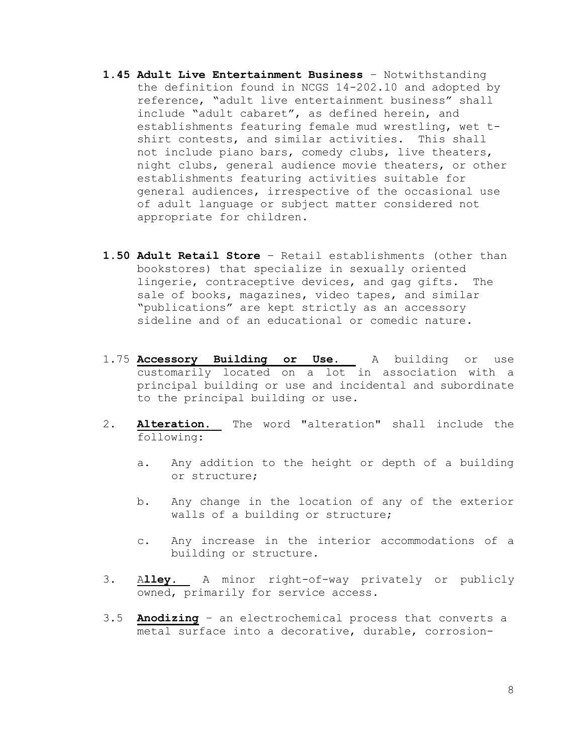- **1.45 Adult Live Entertainment Business** Notwithstanding the definition found in NCGS 14-202.10 and adopted by reference, "adult live entertainment business" shall include "adult cabaret", as defined herein, and establishments featuring female mud wrestling, wet tshirt contests, and similar activities. This shall not include piano bars, comedy clubs, live theaters, night clubs, general audience movie theaters, or other establishments featuring activities suitable for general audiences, irrespective of the occasional use of adult language or subject matter considered not appropriate for children.
- **1.50 Adult Retail Store** Retail establishments (other than bookstores) that specialize in sexually oriented lingerie, contraceptive devices, and gag gifts. The sale of books, magazines, video tapes, and similar "publications" are kept strictly as an accessory sideline and of an educational or comedic nature.
- 1.75 **Accessory Building or Use.** A building or use customarily located on a lot in association with a principal building or use and incidental and subordinate to the principal building or use.
- 2. **Alteration.** The word "alteration" shall include the following:
	- a. Any addition to the height or depth of a building or structure;
	- b. Any change in the location of any of the exterior walls of a building or structure;
	- c. Any increase in the interior accommodations of a building or structure.
- 3. A**lley.** A minor right-of-way privately or publicly owned, primarily for service access.
- 3.5 **Anodizing** an electrochemical process that converts a metal surface into a decorative, durable, corrosion-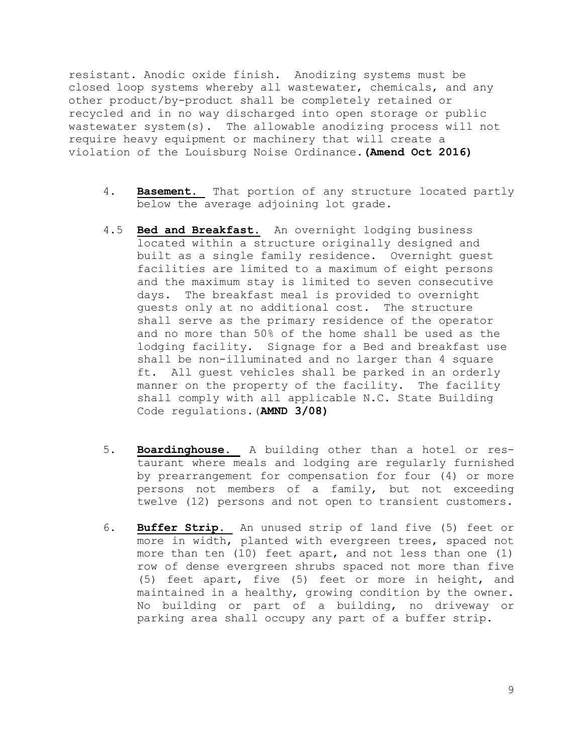resistant. Anodic oxide finish. Anodizing systems must be closed loop systems whereby all wastewater, chemicals, and any other product/by-product shall be completely retained or recycled and in no way discharged into open storage or public wastewater system(s). The allowable anodizing process will not require heavy equipment or machinery that will create a violation of the Louisburg Noise Ordinance.**(Amend Oct 2016)**

- 4. **Basement.** That portion of any structure located partly below the average adjoining lot grade.
- 4.5 **Bed and Breakfast.** An overnight lodging business located within a structure originally designed and built as a single family residence. Overnight guest facilities are limited to a maximum of eight persons and the maximum stay is limited to seven consecutive days. The breakfast meal is provided to overnight guests only at no additional cost. The structure shall serve as the primary residence of the operator and no more than 50% of the home shall be used as the lodging facility. Signage for a Bed and breakfast use shall be non-illuminated and no larger than 4 square ft. All guest vehicles shall be parked in an orderly manner on the property of the facility. The facility shall comply with all applicable N.C. State Building Code regulations.(**AMND 3/08)**
- 5. **Boardinghouse.** A building other than a hotel or restaurant where meals and lodging are regularly furnished by prearrangement for compensation for four (4) or more persons not members of a family, but not exceeding twelve (12) persons and not open to transient customers.
- 6. **Buffer Strip.** An unused strip of land five (5) feet or more in width, planted with evergreen trees, spaced not more than ten (10) feet apart, and not less than one (1) row of dense evergreen shrubs spaced not more than five (5) feet apart, five (5) feet or more in height, and maintained in a healthy, growing condition by the owner. No building or part of a building, no driveway or parking area shall occupy any part of a buffer strip.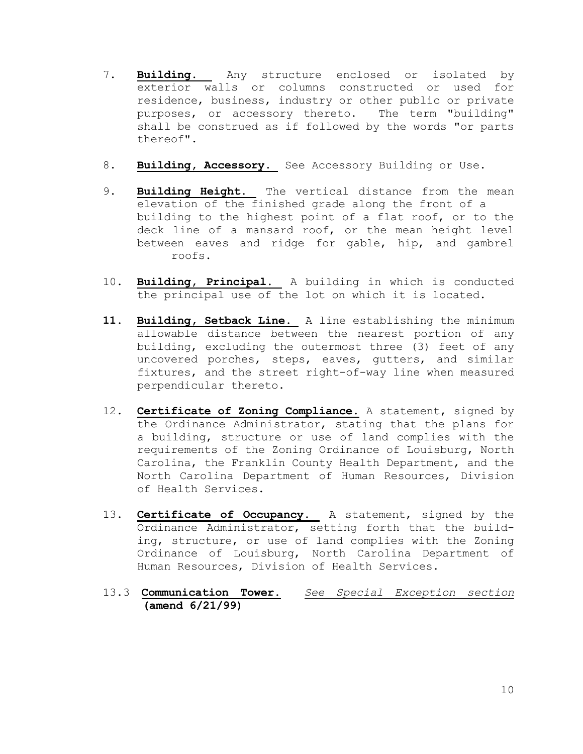- 7. **Building.** Any structure enclosed or isolated by exterior walls or columns constructed or used for residence, business, industry or other public or private purposes, or accessory thereto. The term "building" shall be construed as if followed by the words "or parts thereof".
- 8. **Building, Accessory.** See Accessory Building or Use.
- 9. **Building Height.** The vertical distance from the mean elevation of the finished grade along the front of a building to the highest point of a flat roof, or to the deck line of a mansard roof, or the mean height level between eaves and ridge for gable, hip, and gambrel roofs.
- 10. **Building, Principal.** A building in which is conducted the principal use of the lot on which it is located.
- **11. Building, Setback Line.** A line establishing the minimum allowable distance between the nearest portion of any building, excluding the outermost three (3) feet of any uncovered porches, steps, eaves, gutters, and similar fixtures, and the street right-of-way line when measured perpendicular thereto.
- 12. **Certificate of Zoning Compliance.** A statement, signed by the Ordinance Administrator, stating that the plans for a building, structure or use of land complies with the requirements of the Zoning Ordinance of Louisburg, North Carolina, the Franklin County Health Department, and the North Carolina Department of Human Resources, Division of Health Services.
- 13. **Certificate of Occupancy.** A statement, signed by the Ordinance Administrator, setting forth that the building, structure, or use of land complies with the Zoning Ordinance of Louisburg, North Carolina Department of Human Resources, Division of Health Services.
- 13.3 **Communication Tower.** *See Special Exception section* **(amend 6/21/99)**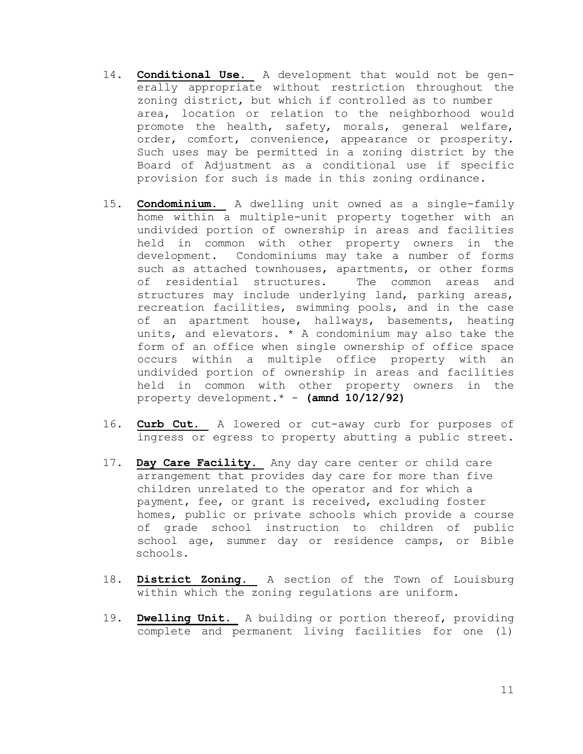- 14. **Conditional Use.** A development that would not be generally appropriate without restriction throughout the zoning district, but which if controlled as to number area, location or relation to the neighborhood would promote the health, safety, morals, general welfare, order, comfort, convenience, appearance or prosperity. Such uses may be permitted in a zoning district by the Board of Adjustment as a conditional use if specific provision for such is made in this zoning ordinance.
- 15. **Condominium.** A dwelling unit owned as a single-family home within a multiple-unit property together with an undivided portion of ownership in areas and facilities held in common with other property owners in the development. Condominiums may take a number of forms such as attached townhouses, apartments, or other forms of residential structures. The common areas and structures may include underlying land, parking areas, recreation facilities, swimming pools, and in the case of an apartment house, hallways, basements, heating units, and elevators. \* A condominium may also take the form of an office when single ownership of office space occurs within a multiple office property with an undivided portion of ownership in areas and facilities held in common with other property owners in the property development.\* - **(amnd 10/12/92)**
- 16. **Curb Cut.** A lowered or cut-away curb for purposes of ingress or egress to property abutting a public street.
- 17. **Day Care Facility.** Any day care center or child care arrangement that provides day care for more than five children unrelated to the operator and for which a payment, fee, or grant is received, excluding foster homes, public or private schools which provide a course of grade school instruction to children of public school age, summer day or residence camps, or Bible schools.
- 18. **District Zoning.** A section of the Town of Louisburg within which the zoning regulations are uniform.
- 19. **Dwelling Unit.** A building or portion thereof, providing complete and permanent living facilities for one (l)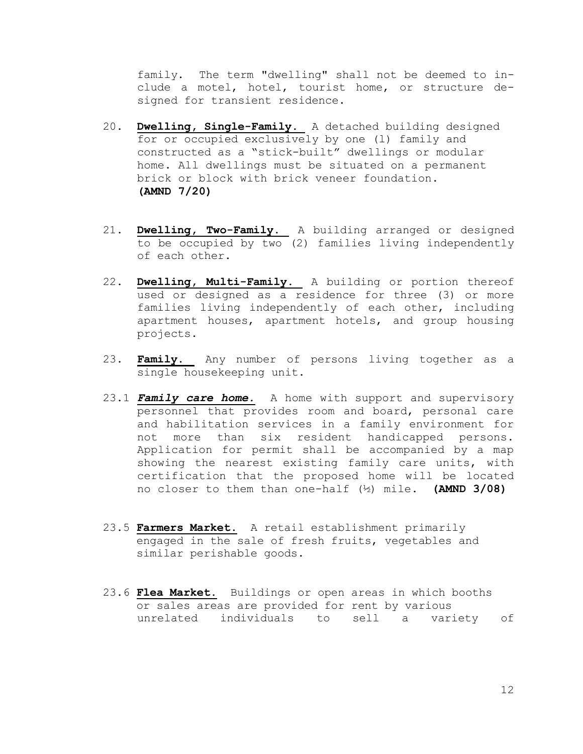family. The term "dwelling" shall not be deemed to include a motel, hotel, tourist home, or structure designed for transient residence.

- 20. **Dwelling, Single-Family.** A detached building designed for or occupied exclusively by one (l) family and constructed as a "stick-built" dwellings or modular home. All dwellings must be situated on a permanent brick or block with brick veneer foundation. **(AMND 7/20)**
- 21. **Dwelling, Two-Family.** A building arranged or designed to be occupied by two (2) families living independently of each other.
- 22. **Dwelling, Multi-Family.** A building or portion thereof used or designed as a residence for three (3) or more families living independently of each other, including apartment houses, apartment hotels, and group housing projects.
- 23. **Family.** Any number of persons living together as a single housekeeping unit.
- 23.1 *Family care home.* A home with support and supervisory personnel that provides room and board, personal care and habilitation services in a family environment for not more than six resident handicapped persons. Application for permit shall be accompanied by a map showing the nearest existing family care units, with certification that the proposed home will be located no closer to them than one-half (½) mile. **(AMND 3/08)**
- 23.5 **Farmers Market.** A retail establishment primarily engaged in the sale of fresh fruits, vegetables and similar perishable goods.
- 23.6 **Flea Market.** Buildings or open areas in which booths or sales areas are provided for rent by various unrelated individuals to sell a variety of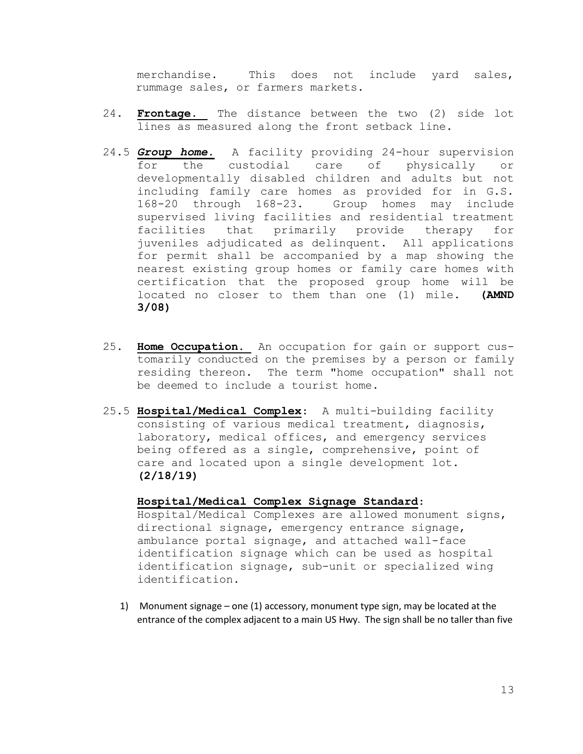merchandise. This does not include yard sales, rummage sales, or farmers markets.

- 24. **Frontage.** The distance between the two (2) side lot lines as measured along the front setback line.
- 24.5 *Group home.* A facility providing 24-hour supervision for the custodial care of physically or developmentally disabled children and adults but not including family care homes as provided for in G.S. 168-20 through 168-23. Group homes may include supervised living facilities and residential treatment facilities that primarily provide therapy for juveniles adjudicated as delinquent. All applications for permit shall be accompanied by a map showing the nearest existing group homes or family care homes with certification that the proposed group home will be located no closer to them than one (1) mile. **(AMND 3/08)**
- 25. **Home Occupation.** An occupation for gain or support customarily conducted on the premises by a person or family residing thereon. The term "home occupation" shall not be deemed to include a tourist home.
- 25.5 **Hospital/Medical Complex**: A multi-building facility consisting of various medical treatment, diagnosis, laboratory, medical offices, and emergency services being offered as a single, comprehensive, point of care and located upon a single development lot. **(2/18/19)**

## **Hospital/Medical Complex Signage Standard**:

Hospital/Medical Complexes are allowed monument signs, directional signage, emergency entrance signage, ambulance portal signage, and attached wall-face identification signage which can be used as hospital identification signage, sub-unit or specialized wing identification.

1) Monument signage – one (1) accessory, monument type sign, may be located at the entrance of the complex adjacent to a main US Hwy. The sign shall be no taller than five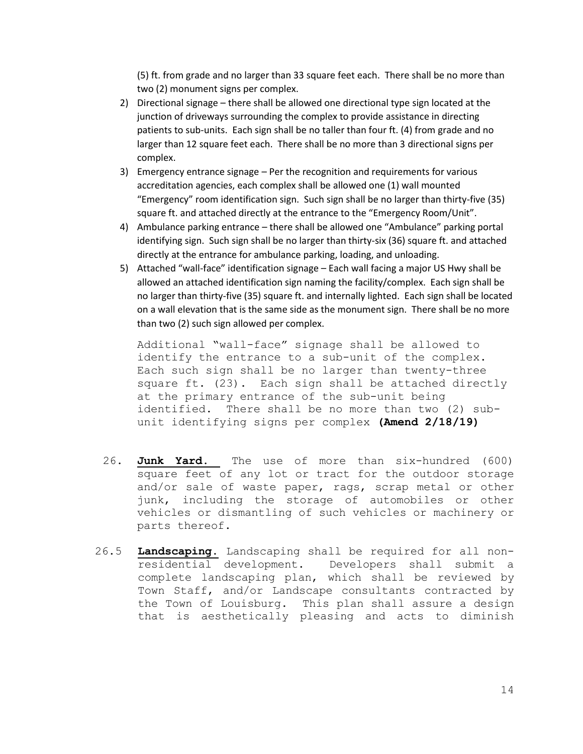(5) ft. from grade and no larger than 33 square feet each. There shall be no more than two (2) monument signs per complex.

- 2) Directional signage there shall be allowed one directional type sign located at the junction of driveways surrounding the complex to provide assistance in directing patients to sub-units. Each sign shall be no taller than four ft. (4) from grade and no larger than 12 square feet each. There shall be no more than 3 directional signs per complex.
- 3) Emergency entrance signage Per the recognition and requirements for various accreditation agencies, each complex shall be allowed one (1) wall mounted "Emergency" room identification sign. Such sign shall be no larger than thirty-five (35) square ft. and attached directly at the entrance to the "Emergency Room/Unit".
- 4) Ambulance parking entrance there shall be allowed one "Ambulance" parking portal identifying sign. Such sign shall be no larger than thirty-six (36) square ft. and attached directly at the entrance for ambulance parking, loading, and unloading.
- 5) Attached "wall-face" identification signage Each wall facing a major US Hwy shall be allowed an attached identification sign naming the facility/complex. Each sign shall be no larger than thirty-five (35) square ft. and internally lighted. Each sign shall be located on a wall elevation that is the same side as the monument sign. There shall be no more than two (2) such sign allowed per complex.

Additional "wall-face" signage shall be allowed to identify the entrance to a sub-unit of the complex. Each such sign shall be no larger than twenty-three square ft. (23). Each sign shall be attached directly at the primary entrance of the sub-unit being identified. There shall be no more than two (2) subunit identifying signs per complex **(Amend 2/18/19)**

- 26. **Junk Yard.** The use of more than six-hundred (600) square feet of any lot or tract for the outdoor storage and/or sale of waste paper, rags, scrap metal or other junk, including the storage of automobiles or other vehicles or dismantling of such vehicles or machinery or parts thereof.
- 26.5 **Landscaping.** Landscaping shall be required for all nonresidential development. Developers shall submit a complete landscaping plan, which shall be reviewed by Town Staff, and/or Landscape consultants contracted by the Town of Louisburg. This plan shall assure a design that is aesthetically pleasing and acts to diminish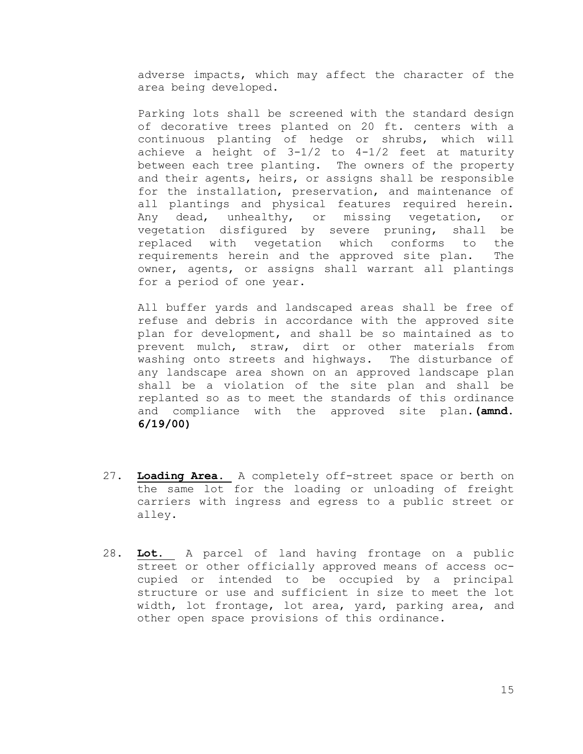adverse impacts, which may affect the character of the area being developed.

Parking lots shall be screened with the standard design of decorative trees planted on 20 ft. centers with a continuous planting of hedge or shrubs, which will achieve a height of 3-1/2 to 4-1/2 feet at maturity between each tree planting. The owners of the property and their agents, heirs, or assigns shall be responsible for the installation, preservation, and maintenance of all plantings and physical features required herein. Any dead, unhealthy, or missing vegetation, or vegetation disfigured by severe pruning, shall be replaced with vegetation which conforms to the requirements herein and the approved site plan. The owner, agents, or assigns shall warrant all plantings for a period of one year.

All buffer yards and landscaped areas shall be free of refuse and debris in accordance with the approved site plan for development, and shall be so maintained as to prevent mulch, straw, dirt or other materials from washing onto streets and highways. The disturbance of any landscape area shown on an approved landscape plan shall be a violation of the site plan and shall be replanted so as to meet the standards of this ordinance and compliance with the approved site plan.**(amnd. 6/19/00)**

- 27. **Loading Area.** A completely off-street space or berth on the same lot for the loading or unloading of freight carriers with ingress and egress to a public street or alley.
- 28. **Lot.** A parcel of land having frontage on a public street or other officially approved means of access occupied or intended to be occupied by a principal structure or use and sufficient in size to meet the lot width, lot frontage, lot area, yard, parking area, and other open space provisions of this ordinance.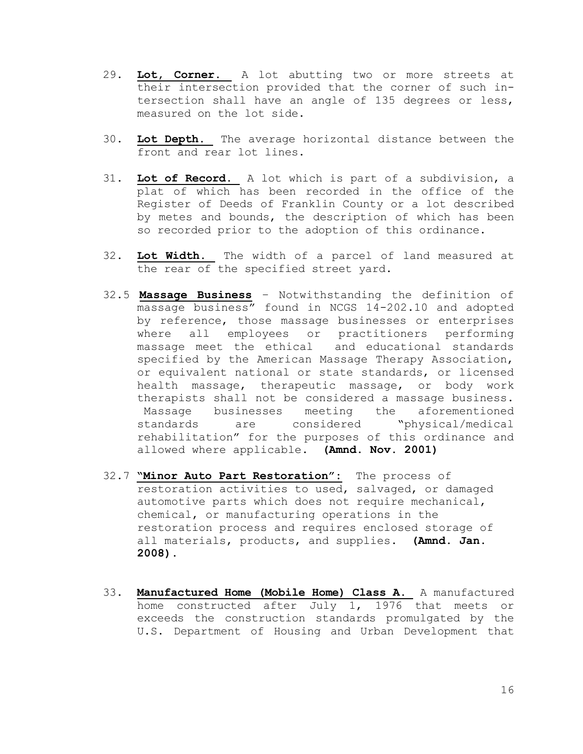- 29. **Lot, Corner.** A lot abutting two or more streets at their intersection provided that the corner of such intersection shall have an angle of 135 degrees or less, measured on the lot side.
- 30. **Lot Depth.** The average horizontal distance between the front and rear lot lines.
- 31. **Lot of Record.** A lot which is part of a subdivision, a plat of which has been recorded in the office of the Register of Deeds of Franklin County or a lot described by metes and bounds, the description of which has been so recorded prior to the adoption of this ordinance.
- 32. **Lot Width.** The width of a parcel of land measured at the rear of the specified street yard.
- 32.5 **Massage Business** Notwithstanding the definition of massage business" found in NCGS 14-202.10 and adopted by reference, those massage businesses or enterprises where all employees or practitioners performing massage meet the ethical and educational standards specified by the American Massage Therapy Association, or equivalent national or state standards, or licensed health massage, therapeutic massage, or body work therapists shall not be considered a massage business. Massage businesses meeting the aforementioned standards are considered "physical/medical rehabilitation" for the purposes of this ordinance and allowed where applicable. **(Amnd. Nov. 2001)**
- 32.7 **"Minor Auto Part Restoration":** The process of restoration activities to used, salvaged, or damaged automotive parts which does not require mechanical, chemical, or manufacturing operations in the restoration process and requires enclosed storage of all materials, products, and supplies. **(Amnd. Jan. 2008).**
- 33. **Manufactured Home (Mobile Home) Class A.** A manufactured home constructed after July 1, 1976 that meets or exceeds the construction standards promulgated by the U.S. Department of Housing and Urban Development that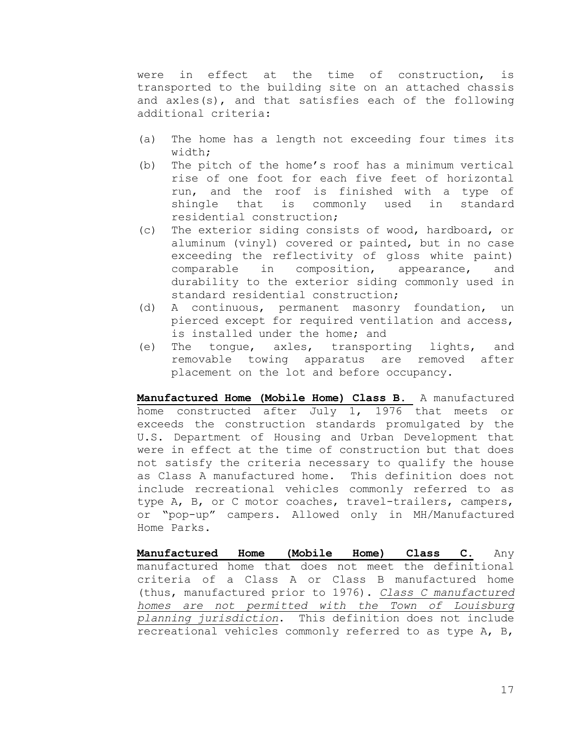were in effect at the time of construction, is transported to the building site on an attached chassis and axles(s), and that satisfies each of the following additional criteria:

- (a) The home has a length not exceeding four times its width;
- (b) The pitch of the home's roof has a minimum vertical rise of one foot for each five feet of horizontal run, and the roof is finished with a type of shingle that is commonly used in standard residential construction;
- (c) The exterior siding consists of wood, hardboard, or aluminum (vinyl) covered or painted, but in no case exceeding the reflectivity of gloss white paint) comparable in composition, appearance, and durability to the exterior siding commonly used in standard residential construction;
- (d) A continuous, permanent masonry foundation, un pierced except for required ventilation and access, is installed under the home; and
- (e) The tongue, axles, transporting lights, and removable towing apparatus are removed after placement on the lot and before occupancy.

**Manufactured Home (Mobile Home) Class B.** A manufactured home constructed after July 1, 1976 that meets or exceeds the construction standards promulgated by the U.S. Department of Housing and Urban Development that were in effect at the time of construction but that does not satisfy the criteria necessary to qualify the house as Class A manufactured home. This definition does not include recreational vehicles commonly referred to as type A, B, or C motor coaches, travel-trailers, campers, or "pop-up" campers. Allowed only in MH/Manufactured Home Parks.

**Manufactured Home (Mobile Home) Class C.** Any manufactured home that does not meet the definitional criteria of a Class A or Class B manufactured home (thus, manufactured prior to 1976). *Class C manufactured homes are not permitted with the Town of Louisburg planning jurisdiction*. This definition does not include recreational vehicles commonly referred to as type A, B,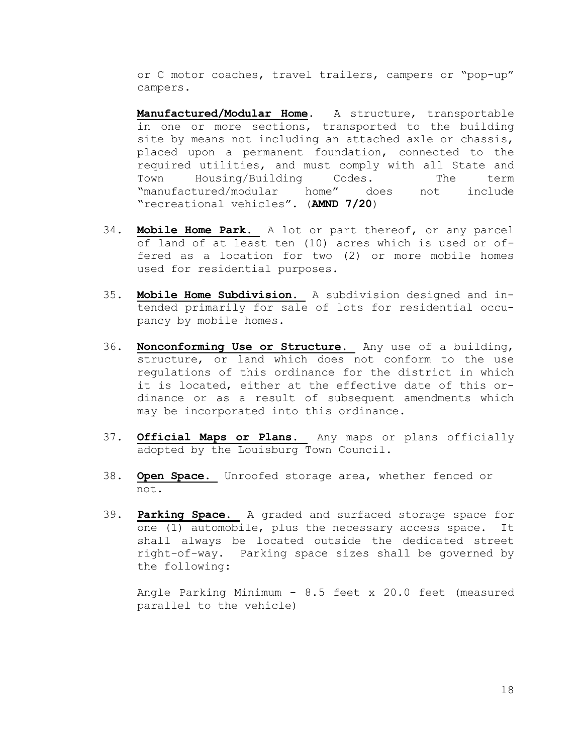or C motor coaches, travel trailers, campers or "pop-up" campers.

**Manufactured/Modular Home**. A structure, transportable in one or more sections, transported to the building site by means not including an attached axle or chassis, placed upon a permanent foundation, connected to the required utilities, and must comply with all State and Town Housing/Building Codes. The term "manufactured/modular home" does not include "recreational vehicles". (**AMND 7/20**)

- 34. **Mobile Home Park.** A lot or part thereof, or any parcel of land of at least ten (10) acres which is used or offered as a location for two (2) or more mobile homes used for residential purposes.
- 35. **Mobile Home Subdivision.** A subdivision designed and intended primarily for sale of lots for residential occupancy by mobile homes.
- 36. **Nonconforming Use or Structure.** Any use of a building, structure, or land which does not conform to the use regulations of this ordinance for the district in which it is located, either at the effective date of this ordinance or as a result of subsequent amendments which may be incorporated into this ordinance.
- 37. **Official Maps or Plans.** Any maps or plans officially adopted by the Louisburg Town Council.
- 38. **Open Space.** Unroofed storage area, whether fenced or not.
- 39. **Parking Space.** A graded and surfaced storage space for one (1) automobile, plus the necessary access space. It shall always be located outside the dedicated street right-of-way. Parking space sizes shall be governed by the following:

Angle Parking Minimum - 8.5 feet x 20.0 feet (measured parallel to the vehicle)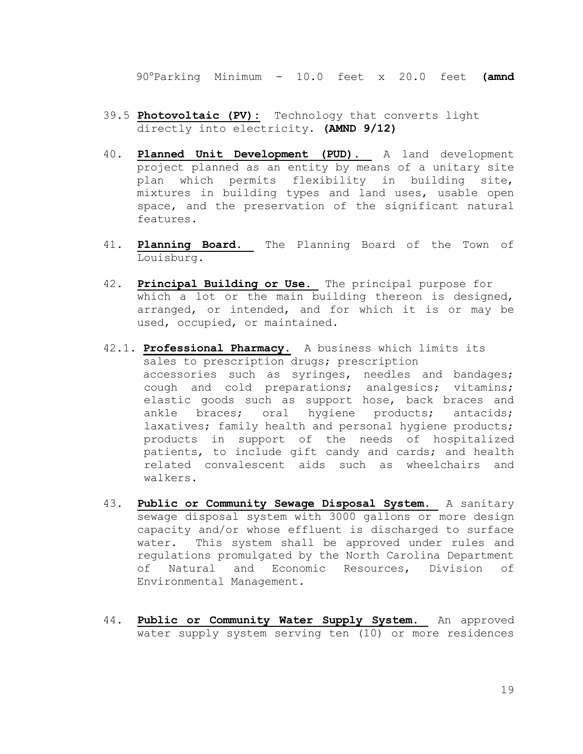90Parking Minimum - 10.0 feet x 20.0 feet **(amnd** 

- 39.5 **Photovoltaic (PV):** Technology that converts light directly into electricity. **(AMND 9/12)**
- 40. **Planned Unit Development (PUD).** A land development project planned as an entity by means of a unitary site plan which permits flexibility in building site, mixtures in building types and land uses, usable open space, and the preservation of the significant natural features.
- 41. **Planning Board.** The Planning Board of the Town of Louisburg.
- 42. **Principal Building or Use.** The principal purpose for which a lot or the main building thereon is designed, arranged, or intended, and for which it is or may be used, occupied, or maintained.
- 42.1. **Professional Pharmacy.** A business which limits its sales to prescription drugs; prescription accessories such as syringes, needles and bandages; cough and cold preparations; analgesics; vitamins; elastic goods such as support hose, back braces and ankle braces; oral hygiene products; antacids; laxatives; family health and personal hygiene products; products in support of the needs of hospitalized patients, to include gift candy and cards; and health related convalescent aids such as wheelchairs and walkers.
- 43. **Public or Community Sewage Disposal System.** A sanitary sewage disposal system with 3000 gallons or more design capacity and/or whose effluent is discharged to surface water. This system shall be approved under rules and regulations promulgated by the North Carolina Department of Natural and Economic Resources, Division of Environmental Management.
- 44. **Public or Community Water Supply System.** An approved water supply system serving ten (10) or more residences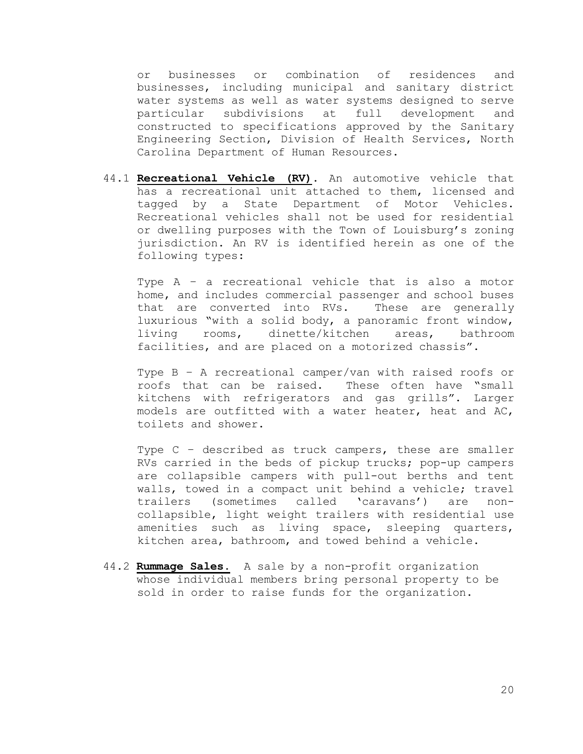or businesses or combination of residences and businesses, including municipal and sanitary district water systems as well as water systems designed to serve particular subdivisions at full development and constructed to specifications approved by the Sanitary Engineering Section, Division of Health Services, North Carolina Department of Human Resources.

44.1 **Recreational Vehicle (RV)**. An automotive vehicle that has a recreational unit attached to them, licensed and tagged by a State Department of Motor Vehicles. Recreational vehicles shall not be used for residential or dwelling purposes with the Town of Louisburg's zoning jurisdiction. An RV is identified herein as one of the following types:

Type A – a recreational vehicle that is also a motor home, and includes commercial passenger and school buses that are converted into RVs. These are generally luxurious "with a solid body, a panoramic front window, living rooms, dinette/kitchen areas, bathroom facilities, and are placed on a motorized chassis".

Type B – A recreational camper/van with raised roofs or roofs that can be raised. These often have "small kitchens with refrigerators and gas grills". Larger models are outfitted with a water heater, heat and AC, toilets and shower.

Type C – described as truck campers, these are smaller RVs carried in the beds of pickup trucks; pop-up campers are collapsible campers with pull-out berths and tent walls, towed in a compact unit behind a vehicle; travel trailers (sometimes called 'caravans') are noncollapsible, light weight trailers with residential use amenities such as living space, sleeping quarters, kitchen area, bathroom, and towed behind a vehicle.

44.2 **Rummage Sales.** A sale by a non-profit organization whose individual members bring personal property to be sold in order to raise funds for the organization.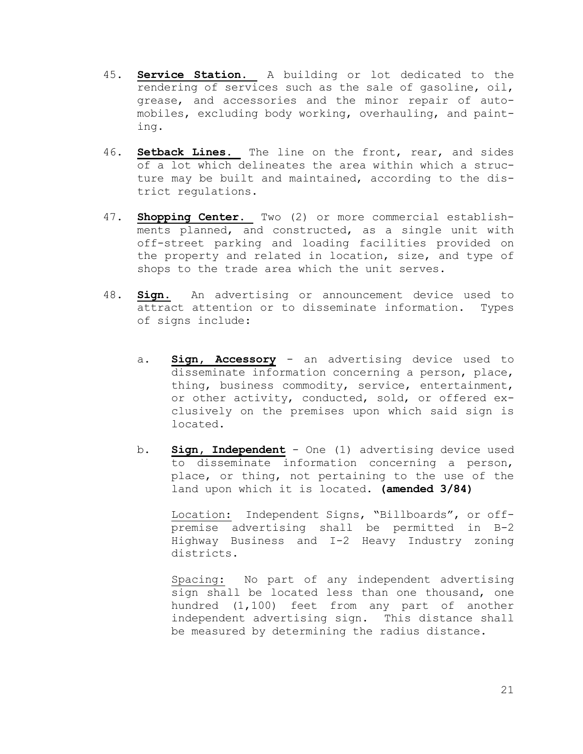- 45. **Service Station.** A building or lot dedicated to the rendering of services such as the sale of gasoline, oil, grease, and accessories and the minor repair of automobiles, excluding body working, overhauling, and painting.
- 46. **Setback Lines.** The line on the front, rear, and sides of a lot which delineates the area within which a structure may be built and maintained, according to the district regulations.
- 47. **Shopping Center.** Two (2) or more commercial establishments planned, and constructed, as a single unit with off-street parking and loading facilities provided on the property and related in location, size, and type of shops to the trade area which the unit serves.
- 48. **Sign.** An advertising or announcement device used to attract attention or to disseminate information. Types of signs include:
	- a. **Sign, Accessory** an advertising device used to disseminate information concerning a person, place, thing, business commodity, service, entertainment, or other activity, conducted, sold, or offered exclusively on the premises upon which said sign is located.
	- b. **Sign, Independent** One (1) advertising device used to disseminate information concerning a person, place, or thing, not pertaining to the use of the land upon which it is located. **(amended 3/84)**

Location: Independent Signs, "Billboards", or offpremise advertising shall be permitted in B-2 Highway Business and I-2 Heavy Industry zoning districts.

Spacing: No part of any independent advertising sign shall be located less than one thousand, one hundred (1,100) feet from any part of another independent advertising sign. This distance shall be measured by determining the radius distance.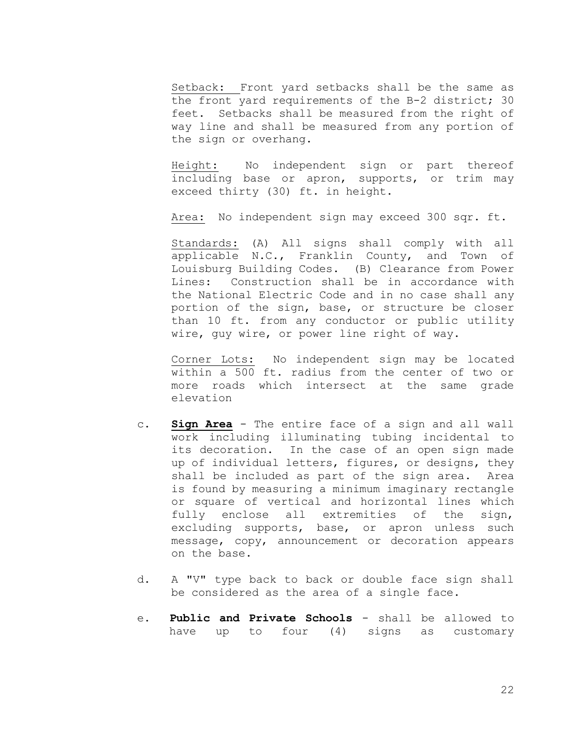Setback: Front yard setbacks shall be the same as the front yard requirements of the B-2 district; 30 feet. Setbacks shall be measured from the right of way line and shall be measured from any portion of the sign or overhang.

Height: No independent sign or part thereof including base or apron, supports, or trim may exceed thirty (30) ft. in height.

Area: No independent sign may exceed 300 sqr. ft.

Standards: (A) All signs shall comply with all applicable N.C., Franklin County, and Town of Louisburg Building Codes. (B) Clearance from Power Lines: Construction shall be in accordance with the National Electric Code and in no case shall any portion of the sign, base, or structure be closer than 10 ft. from any conductor or public utility wire, guy wire, or power line right of way.

Corner Lots: No independent sign may be located within a 500 ft. radius from the center of two or more roads which intersect at the same grade elevation

- c. **Sign Area** The entire face of a sign and all wall work including illuminating tubing incidental to its decoration. In the case of an open sign made up of individual letters, figures, or designs, they shall be included as part of the sign area. Area is found by measuring a minimum imaginary rectangle or square of vertical and horizontal lines which fully enclose all extremities of the sign, excluding supports, base, or apron unless such message, copy, announcement or decoration appears on the base.
- d. A "V" type back to back or double face sign shall be considered as the area of a single face.
- e. **Public and Private Schools** shall be allowed to have up to four (4) signs as customary

22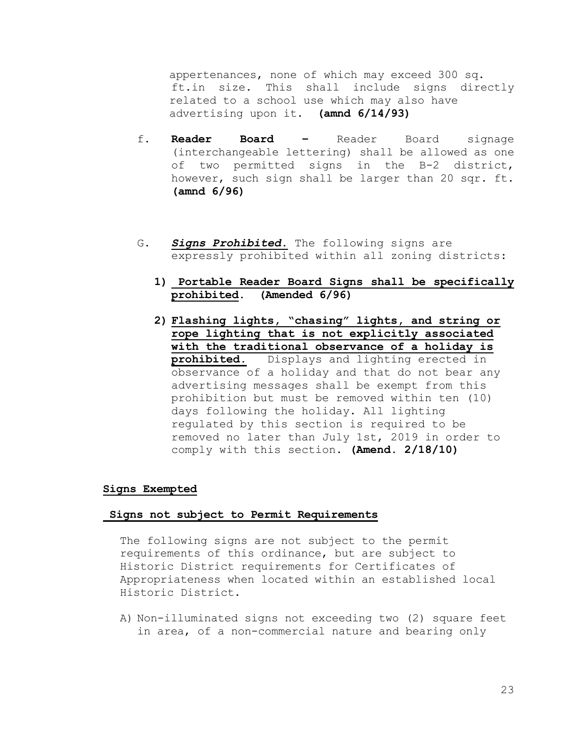appertenances, none of which may exceed 300 sq. ft.in size. This shall include signs directly related to a school use which may also have advertising upon it. **(amnd 6/14/93)**

- f. **Reader Board –** Reader Board signage (interchangeable lettering) shall be allowed as one of two permitted signs in the B-2 district, however, such sign shall be larger than 20 sqr. ft. **(amnd 6/96)**
- G. *Signs Prohibited.* The following signs are expressly prohibited within all zoning districts:
	- **1) Portable Reader Board Signs shall be specifically prohibited. (Amended 6/96)**
	- **2) Flashing lights, "chasing" lights, and string or rope lighting that is not explicitly associated with the traditional observance of a holiday is prohibited.** Displays and lighting erected in observance of a holiday and that do not bear any advertising messages shall be exempt from this prohibition but must be removed within ten (10) days following the holiday. All lighting regulated by this section is required to be removed no later than July 1st, 2019 in order to comply with this section. **(Amend. 2/18/10)**

# **Signs Exempted**

#### **Signs not subject to Permit Requirements**

The following signs are not subject to the permit requirements of this ordinance, but are subject to Historic District requirements for Certificates of Appropriateness when located within an established local Historic District.

A) Non-illuminated signs not exceeding two (2) square feet in area, of a non-commercial nature and bearing only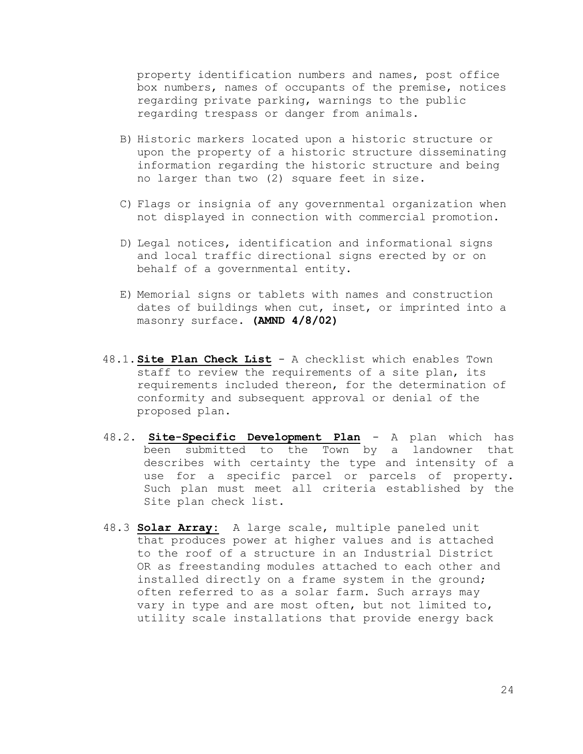property identification numbers and names, post office box numbers, names of occupants of the premise, notices regarding private parking, warnings to the public regarding trespass or danger from animals.

- B) Historic markers located upon a historic structure or upon the property of a historic structure disseminating information regarding the historic structure and being no larger than two (2) square feet in size.
- C) Flags or insignia of any governmental organization when not displayed in connection with commercial promotion.
- D) Legal notices, identification and informational signs and local traffic directional signs erected by or on behalf of a governmental entity.
- E) Memorial signs or tablets with names and construction dates of buildings when cut, inset, or imprinted into a masonry surface. **(AMND 4/8/02)**
- 48.1.**Site Plan Check List** A checklist which enables Town staff to review the requirements of a site plan, its requirements included thereon, for the determination of conformity and subsequent approval or denial of the proposed plan.
- 48.2. **Site-Specific Development Plan** A plan which has been submitted to the Town by a landowner that describes with certainty the type and intensity of a use for a specific parcel or parcels of property. Such plan must meet all criteria established by the Site plan check list.
- 48.3 **Solar Array:** A large scale, multiple paneled unit that produces power at higher values and is attached to the roof of a structure in an Industrial District OR as freestanding modules attached to each other and installed directly on a frame system in the ground; often referred to as a solar farm. Such arrays may vary in type and are most often, but not limited to, utility scale installations that provide energy back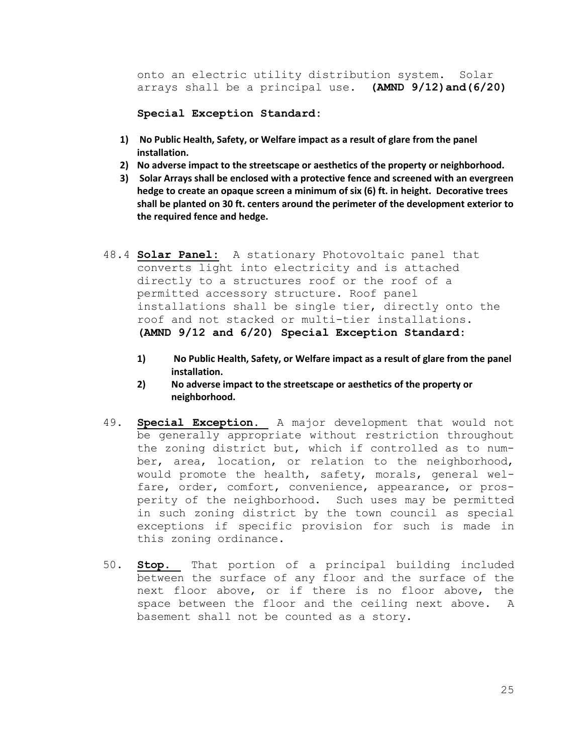onto an electric utility distribution system. Solar arrays shall be a principal use. **(AMND 9/12)and(6/20)**

**Special Exception Standard:**

- **1) No Public Health, Safety, or Welfare impact as a result of glare from the panel installation.**
- **2) No adverse impact to the streetscape or aesthetics of the property or neighborhood.**
- **3) Solar Arrays shall be enclosed with a protective fence and screened with an evergreen hedge to create an opaque screen a minimum of six (6) ft. in height. Decorative trees shall be planted on 30 ft. centers around the perimeter of the development exterior to the required fence and hedge.**
- 48.4 **Solar Panel:** A stationary Photovoltaic panel that converts light into electricity and is attached directly to a structures roof or the roof of a permitted accessory structure. Roof panel installations shall be single tier, directly onto the roof and not stacked or multi-tier installations. **(AMND 9/12 and 6/20) Special Exception Standard:**
	- **1) No Public Health, Safety, or Welfare impact as a result of glare from the panel installation.**
	- **2) No adverse impact to the streetscape or aesthetics of the property or neighborhood.**
- 49. **Special Exception.** A major development that would not be generally appropriate without restriction throughout the zoning district but, which if controlled as to number, area, location, or relation to the neighborhood, would promote the health, safety, morals, general welfare, order, comfort, convenience, appearance, or prosperity of the neighborhood. Such uses may be permitted in such zoning district by the town council as special exceptions if specific provision for such is made in this zoning ordinance.
- 50. **Stop.** That portion of a principal building included between the surface of any floor and the surface of the next floor above, or if there is no floor above, the space between the floor and the ceiling next above. A basement shall not be counted as a story.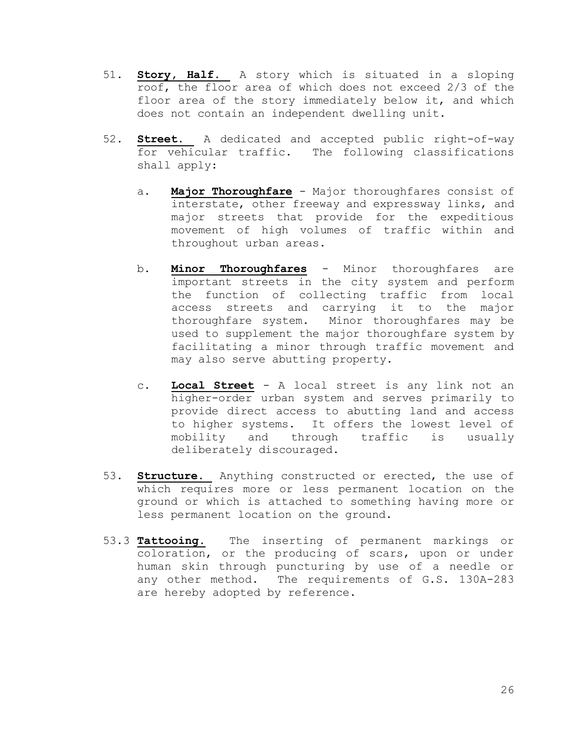- 51. **Story, Half.** A story which is situated in a sloping roof, the floor area of which does not exceed 2/3 of the floor area of the story immediately below it, and which does not contain an independent dwelling unit.
- 52. **Street.** A dedicated and accepted public right-of-way for vehicular traffic. The following classifications shall apply:
	- a. **Major Thoroughfare** Major thoroughfares consist of interstate, other freeway and expressway links, and major streets that provide for the expeditious movement of high volumes of traffic within and throughout urban areas.
	- b. **Minor Thoroughfares** Minor thoroughfares are important streets in the city system and perform the function of collecting traffic from local access streets and carrying it to the major thoroughfare system. Minor thoroughfares may be used to supplement the major thoroughfare system by facilitating a minor through traffic movement and may also serve abutting property.
	- c. **Local Street** A local street is any link not an higher-order urban system and serves primarily to provide direct access to abutting land and access to higher systems. It offers the lowest level of mobility and through traffic is usually deliberately discouraged.
- 53. **Structure.** Anything constructed or erected, the use of which requires more or less permanent location on the ground or which is attached to something having more or less permanent location on the ground.
- 53.3 **Tattooing.** The inserting of permanent markings or coloration, or the producing of scars, upon or under human skin through puncturing by use of a needle or any other method. The requirements of G.S. 130A-283 are hereby adopted by reference.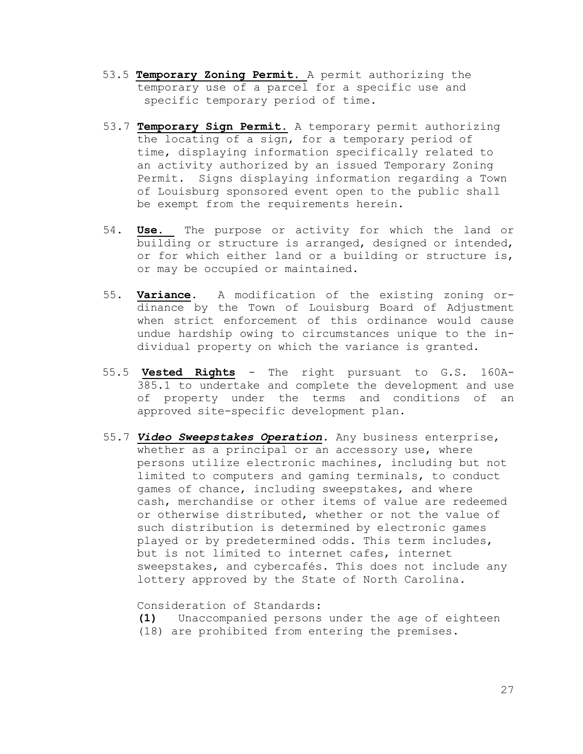- 53.5 **Temporary Zoning Permit.** A permit authorizing the temporary use of a parcel for a specific use and specific temporary period of time.
- 53.7 **Temporary Sign Permit.** A temporary permit authorizing the locating of a sign, for a temporary period of time, displaying information specifically related to an activity authorized by an issued Temporary Zoning Permit. Signs displaying information regarding a Town of Louisburg sponsored event open to the public shall be exempt from the requirements herein.
- 54. **Use.** The purpose or activity for which the land or building or structure is arranged, designed or intended, or for which either land or a building or structure is, or may be occupied or maintained.
- 55. **Variance.** A modification of the existing zoning ordinance by the Town of Louisburg Board of Adjustment when strict enforcement of this ordinance would cause undue hardship owing to circumstances unique to the individual property on which the variance is granted.
- 55.5 **Vested Rights** The right pursuant to G.S. 160A- 385.1 to undertake and complete the development and use of property under the terms and conditions of an approved site-specific development plan.
- 55.7 *Video Sweepstakes Operation.* Any business enterprise, whether as a principal or an accessory use, where persons utilize electronic machines, including but not limited to computers and gaming terminals, to conduct games of chance, including sweepstakes, and where cash, merchandise or other items of value are redeemed or otherwise distributed, whether or not the value of such distribution is determined by electronic games played or by predetermined odds. This term includes, but is not limited to internet cafes, internet sweepstakes, and cybercafés. This does not include any lottery approved by the State of North Carolina.

Consideration of Standards:

**(1)** Unaccompanied persons under the age of eighteen (18) are prohibited from entering the premises.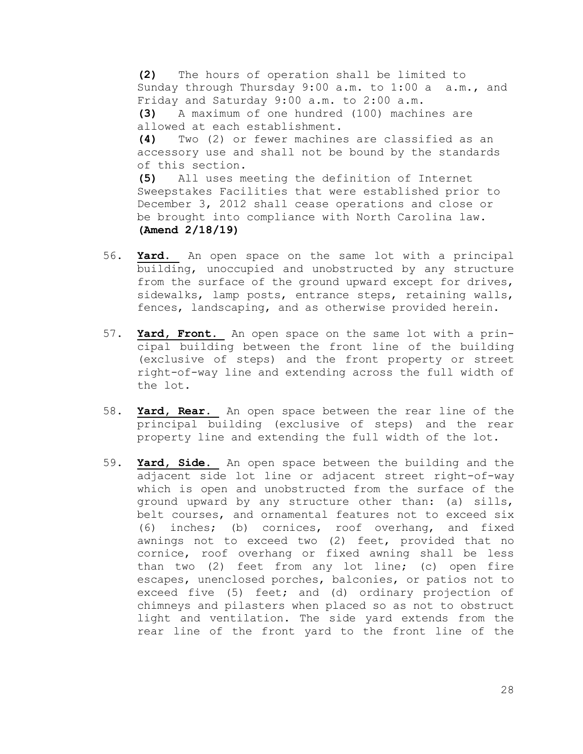**(2)** The hours of operation shall be limited to Sunday through Thursday 9:00 a.m. to 1:00 a a.m., and Friday and Saturday 9:00 a.m. to 2:00 a.m.

**(3)** A maximum of one hundred (100) machines are allowed at each establishment.

**(4)** Two (2) or fewer machines are classified as an accessory use and shall not be bound by the standards of this section.

**(5)** All uses meeting the definition of Internet Sweepstakes Facilities that were established prior to December 3, 2012 shall cease operations and close or be brought into compliance with North Carolina law. **(Amend 2/18/19)**

- 56. **Yard.** An open space on the same lot with a principal building, unoccupied and unobstructed by any structure from the surface of the ground upward except for drives, sidewalks, lamp posts, entrance steps, retaining walls, fences, landscaping, and as otherwise provided herein.
- 57. **Yard, Front.** An open space on the same lot with a principal building between the front line of the building (exclusive of steps) and the front property or street right-of-way line and extending across the full width of the lot.
- 58. **Yard, Rear.** An open space between the rear line of the principal building (exclusive of steps) and the rear property line and extending the full width of the lot.
- 59. **Yard, Side.** An open space between the building and the adjacent side lot line or adjacent street right-of-way which is open and unobstructed from the surface of the ground upward by any structure other than: (a) sills, belt courses, and ornamental features not to exceed six (6) inches; (b) cornices, roof overhang, and fixed awnings not to exceed two (2) feet, provided that no cornice, roof overhang or fixed awning shall be less than two (2) feet from any lot line; (c) open fire escapes, unenclosed porches, balconies, or patios not to exceed five (5) feet; and (d) ordinary projection of chimneys and pilasters when placed so as not to obstruct light and ventilation. The side yard extends from the rear line of the front yard to the front line of the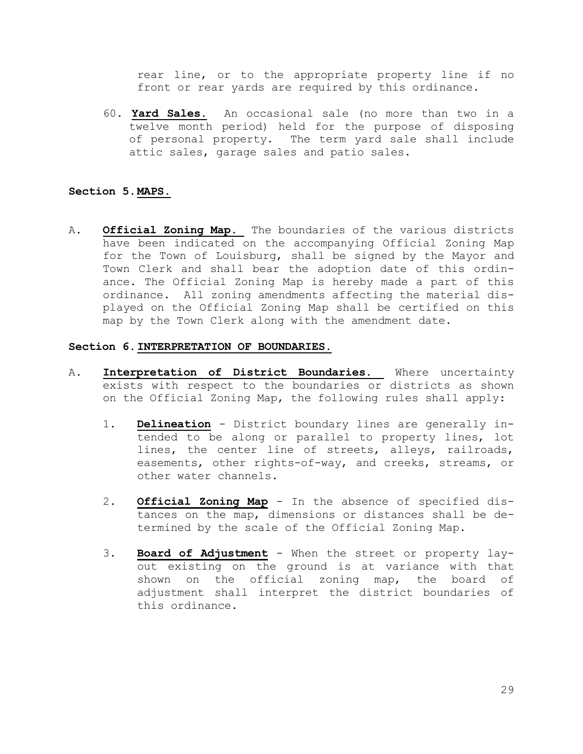rear line, or to the appropriate property line if no front or rear yards are required by this ordinance.

60. **Yard Sales.** An occasional sale (no more than two in a twelve month period) held for the purpose of disposing of personal property. The term yard sale shall include attic sales, garage sales and patio sales.

## **Section 5.MAPS.**

A. **Official Zoning Map.** The boundaries of the various districts have been indicated on the accompanying Official Zoning Map for the Town of Louisburg, shall be signed by the Mayor and Town Clerk and shall bear the adoption date of this ordinance. The Official Zoning Map is hereby made a part of this ordinance. All zoning amendments affecting the material displayed on the Official Zoning Map shall be certified on this map by the Town Clerk along with the amendment date.

#### **Section 6.INTERPRETATION OF BOUNDARIES.**

- A. **Interpretation of District Boundaries.** Where uncertainty exists with respect to the boundaries or districts as shown on the Official Zoning Map, the following rules shall apply:
	- 1. **Delineation** District boundary lines are generally intended to be along or parallel to property lines, lot lines, the center line of streets, alleys, railroads, easements, other rights-of-way, and creeks, streams, or other water channels.
	- 2. **Official Zoning Map** In the absence of specified distances on the map, dimensions or distances shall be determined by the scale of the Official Zoning Map.
	- 3. **Board of Adjustment** When the street or property layout existing on the ground is at variance with that shown on the official zoning map, the board of adjustment shall interpret the district boundaries of this ordinance.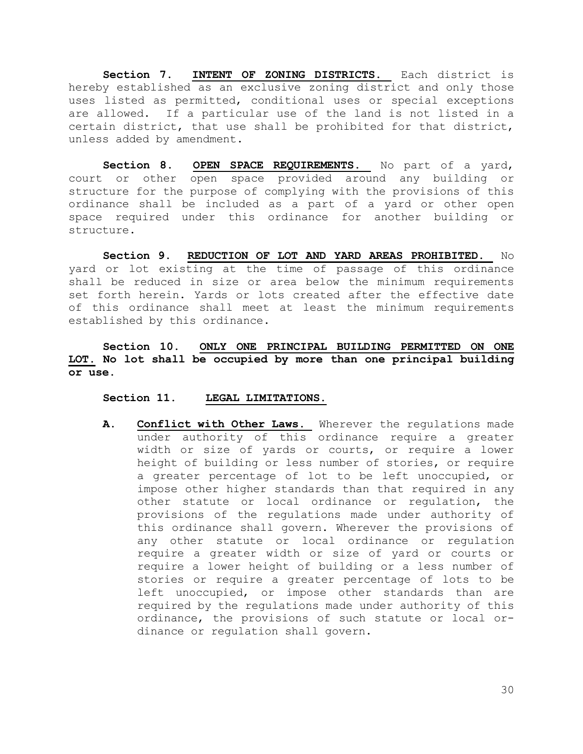**Section 7. INTENT OF ZONING DISTRICTS.** Each district is hereby established as an exclusive zoning district and only those uses listed as permitted, conditional uses or special exceptions are allowed. If a particular use of the land is not listed in a certain district, that use shall be prohibited for that district, unless added by amendment.

Section 8. OPEN SPACE REQUIREMENTS. No part of a yard, court or other open space provided around any building or structure for the purpose of complying with the provisions of this ordinance shall be included as a part of a yard or other open space required under this ordinance for another building or structure.

**Section 9. REDUCTION OF LOT AND YARD AREAS PROHIBITED.** No yard or lot existing at the time of passage of this ordinance shall be reduced in size or area below the minimum requirements set forth herein. Yards or lots created after the effective date of this ordinance shall meet at least the minimum requirements established by this ordinance.

**Section 10. ONLY ONE PRINCIPAL BUILDING PERMITTED ON ONE LOT. No lot shall be occupied by more than one principal building or use.**

## **Section 11. LEGAL LIMITATIONS.**

**A. Conflict with Other Laws.** Wherever the regulations made under authority of this ordinance require a greater width or size of yards or courts, or require a lower height of building or less number of stories, or require a greater percentage of lot to be left unoccupied, or impose other higher standards than that required in any other statute or local ordinance or regulation, the provisions of the regulations made under authority of this ordinance shall govern. Wherever the provisions of any other statute or local ordinance or regulation require a greater width or size of yard or courts or require a lower height of building or a less number of stories or require a greater percentage of lots to be left unoccupied, or impose other standards than are required by the regulations made under authority of this ordinance, the provisions of such statute or local ordinance or regulation shall govern.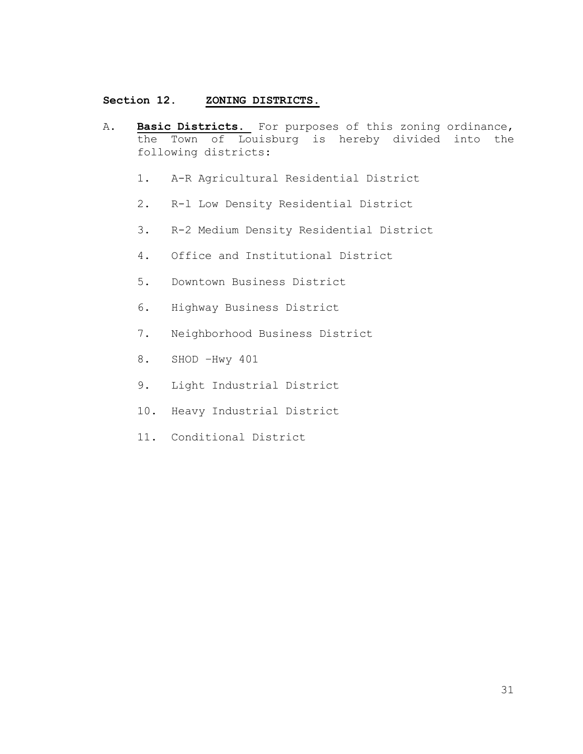# **Section 12. ZONING DISTRICTS.**

- A. **Basic Districts.** For purposes of this zoning ordinance, the Town of Louisburg is hereby divided into the following districts:
	- 1. A-R Agricultural Residential District
	- 2. R-l Low Density Residential District
	- 3. R-2 Medium Density Residential District
	- 4. Office and Institutional District
	- 5. Downtown Business District
	- 6. Highway Business District
	- 7. Neighborhood Business District
	- 8. SHOD –Hwy 401
	- 9. Light Industrial District
	- 10. Heavy Industrial District
	- 11. Conditional District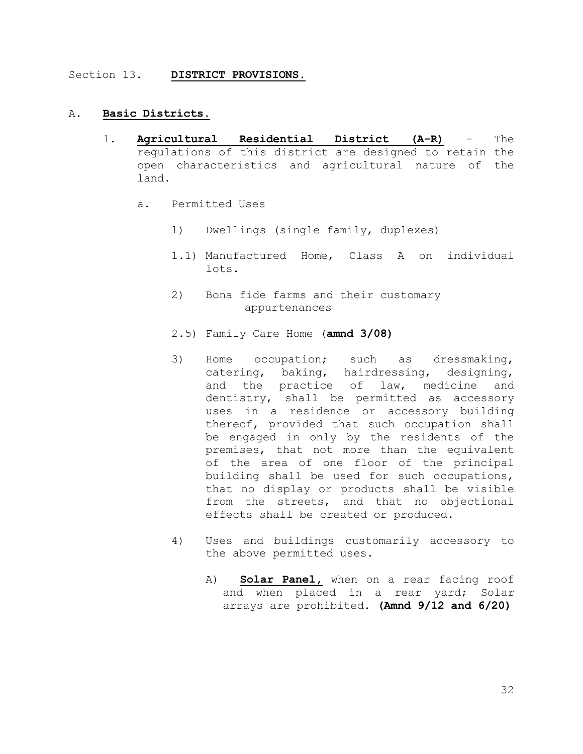#### Section 13. **DISTRICT PROVISIONS.**

## A. **Basic Districts.**

- 1. **Agricultural Residential District (A-R)** The regulations of this district are designed to retain the open characteristics and agricultural nature of the land.
	- a. Permitted Uses
		- l) Dwellings (single family, duplexes)
		- 1.1) Manufactured Home, Class A on individual lots.
		- 2) Bona fide farms and their customary appurtenances
		- 2.5) Family Care Home (**amnd 3/08)**
		- 3) Home occupation; such as dressmaking, catering, baking, hairdressing, designing, and the practice of law, medicine and dentistry, shall be permitted as accessory uses in a residence or accessory building thereof, provided that such occupation shall be engaged in only by the residents of the premises, that not more than the equivalent of the area of one floor of the principal building shall be used for such occupations, that no display or products shall be visible from the streets, and that no objectional effects shall be created or produced.
		- 4) Uses and buildings customarily accessory to the above permitted uses.
			- A) **Solar Panel,** when on a rear facing roof and when placed in a rear yard; Solar arrays are prohibited. **(Amnd 9/12 and 6/20)**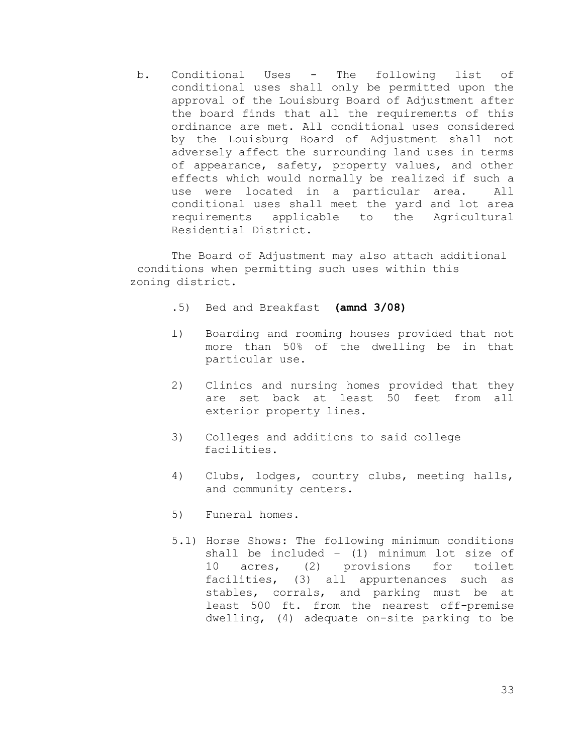b. Conditional Uses - The following list of conditional uses shall only be permitted upon the approval of the Louisburg Board of Adjustment after the board finds that all the requirements of this ordinance are met. All conditional uses considered by the Louisburg Board of Adjustment shall not adversely affect the surrounding land uses in terms of appearance, safety, property values, and other effects which would normally be realized if such a use were located in a particular area. All conditional uses shall meet the yard and lot area requirements applicable to the Agricultural Residential District.

The Board of Adjustment may also attach additional conditions when permitting such uses within this zoning district.

- .5) Bed and Breakfast **(amnd 3/08)**
- l) Boarding and rooming houses provided that not more than 50% of the dwelling be in that particular use.
- 2) Clinics and nursing homes provided that they are set back at least 50 feet from all exterior property lines.
- 3) Colleges and additions to said college facilities.
- 4) Clubs, lodges, country clubs, meeting halls, and community centers.
- 5) Funeral homes.
- 5.1) Horse Shows: The following minimum conditions shall be included – (1) minimum lot size of 10 acres, (2) provisions for toilet facilities, (3) all appurtenances such as stables, corrals, and parking must be at least 500 ft. from the nearest off-premise dwelling, (4) adequate on-site parking to be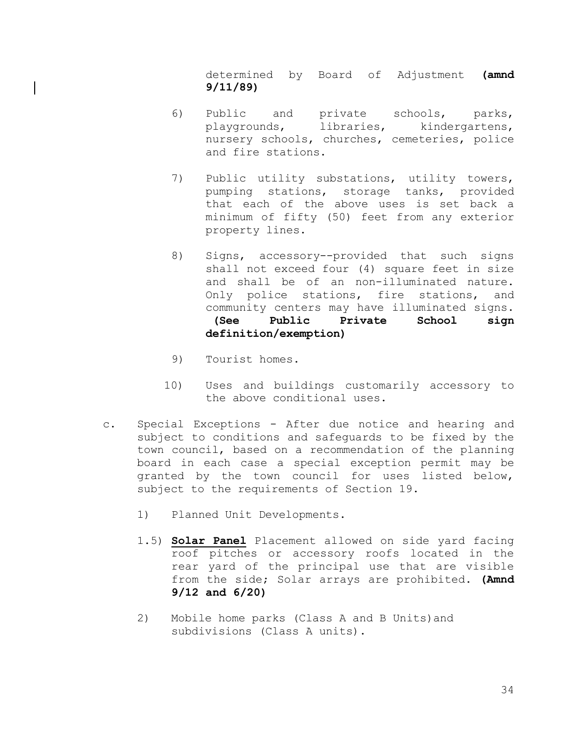determined by Board of Adjustment **(amnd 9/11/89)**

- 6) Public and private schools, parks, playgrounds, libraries, kindergartens, nursery schools, churches, cemeteries, police and fire stations.
- 7) Public utility substations, utility towers, pumping stations, storage tanks, provided that each of the above uses is set back a minimum of fifty (50) feet from any exterior property lines.
- 8) Signs, accessory--provided that such signs shall not exceed four (4) square feet in size and shall be of an non-illuminated nature. Only police stations, fire stations, and community centers may have illuminated signs. **(See Public Private School sign definition/exemption)**
- 9) Tourist homes.
- 10) Uses and buildings customarily accessory to the above conditional uses.
- c. Special Exceptions After due notice and hearing and subject to conditions and safeguards to be fixed by the town council, based on a recommendation of the planning board in each case a special exception permit may be granted by the town council for uses listed below, subject to the requirements of Section 19.
	- 1) Planned Unit Developments.
	- 1.5) **Solar Panel** Placement allowed on side yard facing roof pitches or accessory roofs located in the rear yard of the principal use that are visible from the side; Solar arrays are prohibited. **(Amnd 9/12 and 6/20)**
	- 2) Mobile home parks (Class A and B Units)and subdivisions (Class A units).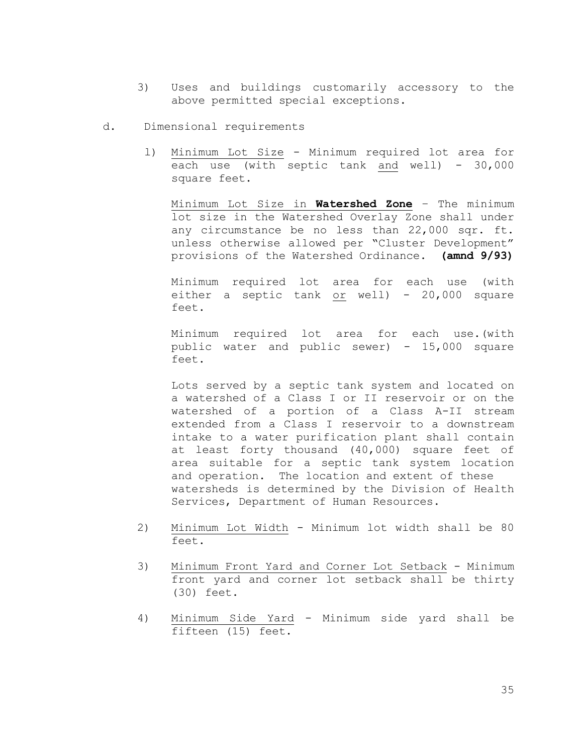- 3) Uses and buildings customarily accessory to the above permitted special exceptions.
- d. Dimensional requirements
	- l) Minimum Lot Size Minimum required lot area for each use (with septic tank and well)  $-30,000$ square feet.

Minimum Lot Size in **Watershed Zone** – The minimum lot size in the Watershed Overlay Zone shall under any circumstance be no less than 22,000 sqr. ft. unless otherwise allowed per "Cluster Development" provisions of the Watershed Ordinance. **(amnd 9/93)**

Minimum required lot area for each use (with either a septic tank or well) - 20,000 square feet.

Minimum required lot area for each use.(with public water and public sewer) - 15,000 square feet.

Lots served by a septic tank system and located on a watershed of a Class I or II reservoir or on the watershed of a portion of a Class A-II stream extended from a Class I reservoir to a downstream intake to a water purification plant shall contain at least forty thousand (40,000) square feet of area suitable for a septic tank system location and operation. The location and extent of these watersheds is determined by the Division of Health Services, Department of Human Resources.

- 2) Minimum Lot Width Minimum lot width shall be 80 feet.
- 3) Minimum Front Yard and Corner Lot Setback Minimum front yard and corner lot setback shall be thirty (30) feet.
- 4) Minimum Side Yard Minimum side yard shall be fifteen (15) feet.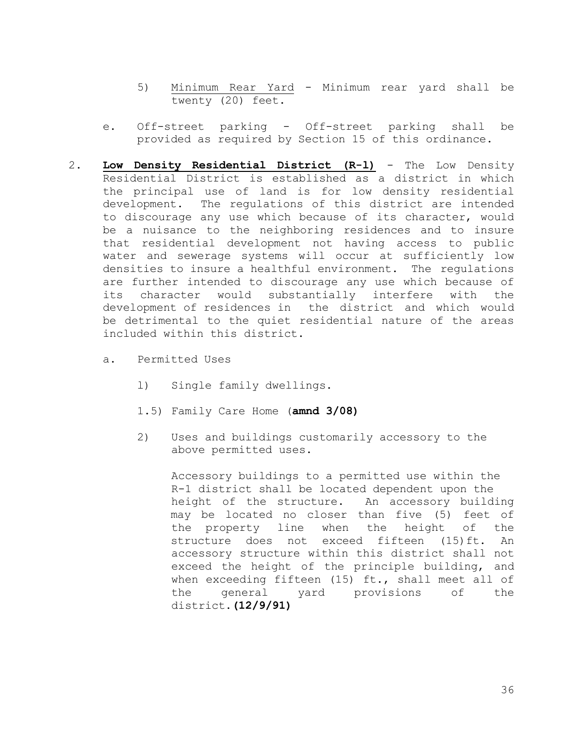- 5) Minimum Rear Yard Minimum rear yard shall be twenty (20) feet.
- e. Off-street parking Off-street parking shall be provided as required by Section 15 of this ordinance.
- 2. **Low Density Residential District (R-l)** The Low Density Residential District is established as a district in which the principal use of land is for low density residential development. The regulations of this district are intended to discourage any use which because of its character, would be a nuisance to the neighboring residences and to insure that residential development not having access to public water and sewerage systems will occur at sufficiently low densities to insure a healthful environment. The regulations are further intended to discourage any use which because of its character would substantially interfere with the development of residences in the district and which would be detrimental to the quiet residential nature of the areas included within this district.
	- a. Permitted Uses
		- l) Single family dwellings.
		- 1.5) Family Care Home (**amnd 3/08)**
		- 2) Uses and buildings customarily accessory to the above permitted uses.

Accessory buildings to a permitted use within the R-1 district shall be located dependent upon the height of the structure. An accessory building may be located no closer than five (5) feet of the property line when the height of the structure does not exceed fifteen (15)ft. An accessory structure within this district shall not exceed the height of the principle building, and when exceeding fifteen (15) ft., shall meet all of the general yard provisions of the district.**(12/9/91)**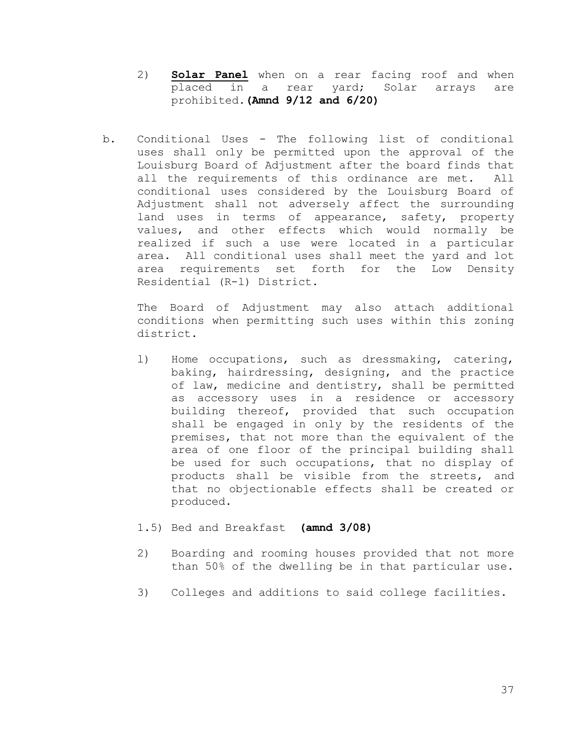- 2) **Solar Panel** when on a rear facing roof and when placed in a rear yard; Solar arrays are prohibited.**(Amnd 9/12 and 6/20)**
- b. Conditional Uses The following list of conditional uses shall only be permitted upon the approval of the Louisburg Board of Adjustment after the board finds that all the requirements of this ordinance are met. All conditional uses considered by the Louisburg Board of Adjustment shall not adversely affect the surrounding land uses in terms of appearance, safety, property values, and other effects which would normally be realized if such a use were located in a particular area. All conditional uses shall meet the yard and lot area requirements set forth for the Low Density Residential (R-l) District.

The Board of Adjustment may also attach additional conditions when permitting such uses within this zoning district.

- l) Home occupations, such as dressmaking, catering, baking, hairdressing, designing, and the practice of law, medicine and dentistry, shall be permitted as accessory uses in a residence or accessory building thereof, provided that such occupation shall be engaged in only by the residents of the premises, that not more than the equivalent of the area of one floor of the principal building shall be used for such occupations, that no display of products shall be visible from the streets, and that no objectionable effects shall be created or produced.
- 1.5) Bed and Breakfast **(amnd 3/08)**
- 2) Boarding and rooming houses provided that not more than 50% of the dwelling be in that particular use.
- 3) Colleges and additions to said college facilities.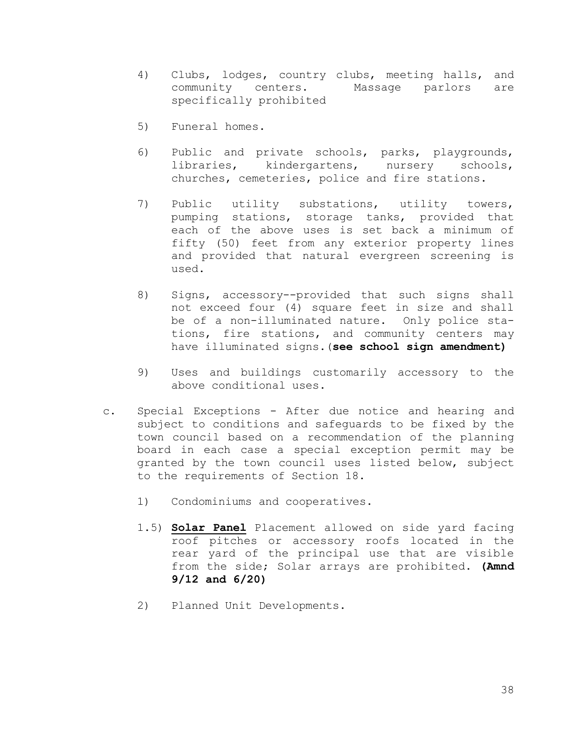- 4) Clubs, lodges, country clubs, meeting halls, and community centers. Massage parlors are specifically prohibited
- 5) Funeral homes.
- 6) Public and private schools, parks, playgrounds, libraries, kindergartens, nursery schools, churches, cemeteries, police and fire stations.
- 7) Public utility substations, utility towers, pumping stations, storage tanks, provided that each of the above uses is set back a minimum of fifty (50) feet from any exterior property lines and provided that natural evergreen screening is used.
- 8) Signs, accessory--provided that such signs shall not exceed four (4) square feet in size and shall be of a non-illuminated nature. Only police stations, fire stations, and community centers may have illuminated signs.(**see school sign amendment)**
- 9) Uses and buildings customarily accessory to the above conditional uses.
- c. Special Exceptions After due notice and hearing and subject to conditions and safeguards to be fixed by the town council based on a recommendation of the planning board in each case a special exception permit may be granted by the town council uses listed below, subject to the requirements of Section 18.
	- 1) Condominiums and cooperatives.
	- 1.5) **Solar Panel** Placement allowed on side yard facing roof pitches or accessory roofs located in the rear yard of the principal use that are visible from the side; Solar arrays are prohibited. **(Amnd 9/12 and 6/20)**
	- 2) Planned Unit Developments.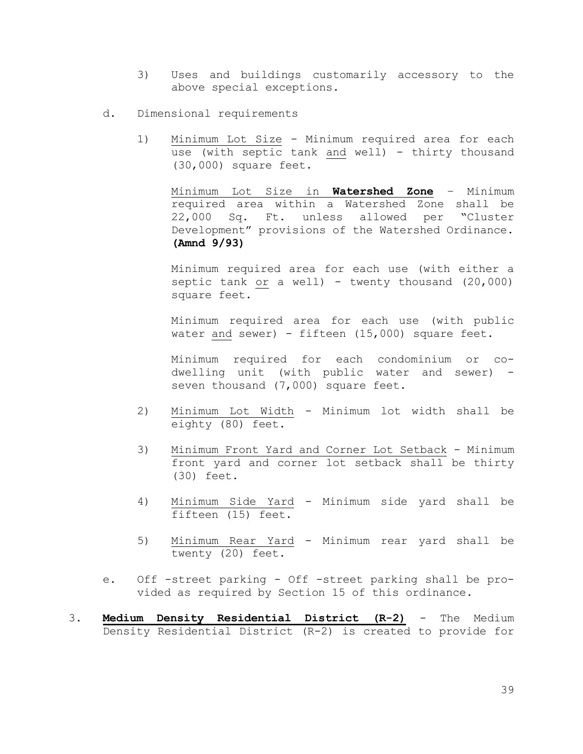- 3) Uses and buildings customarily accessory to the above special exceptions.
- d. Dimensional requirements
	- 1) Minimum Lot Size Minimum required area for each use (with septic tank and well) - thirty thousand (30,000) square feet.

Minimum Lot Size in **Watershed Zone** – Minimum required area within a Watershed Zone shall be 22,000 Sq. Ft. unless allowed per "Cluster Development" provisions of the Watershed Ordinance. **(Amnd 9/93)**

Minimum required area for each use (with either a septic tank or a well) - twenty thousand (20,000) square feet.

Minimum required area for each use (with public water and sewer) - fifteen (15,000) square feet.

Minimum required for each condominium or co dwelling unit (with public water and sewer) seven thousand (7,000) square feet.

- 2) Minimum Lot Width Minimum lot width shall be eighty (80) feet.
- 3) Minimum Front Yard and Corner Lot Setback Minimum front yard and corner lot setback shall be thirty (30) feet.
- 4) Minimum Side Yard Minimum side yard shall be fifteen (15) feet.
- 5) Minimum Rear Yard Minimum rear yard shall be twenty (20) feet.
- e. Off -street parking Off -street parking shall be provided as required by Section 15 of this ordinance.
- 3. **Medium Density Residential District (R-2)** The Medium Density Residential District (R-2) is created to provide for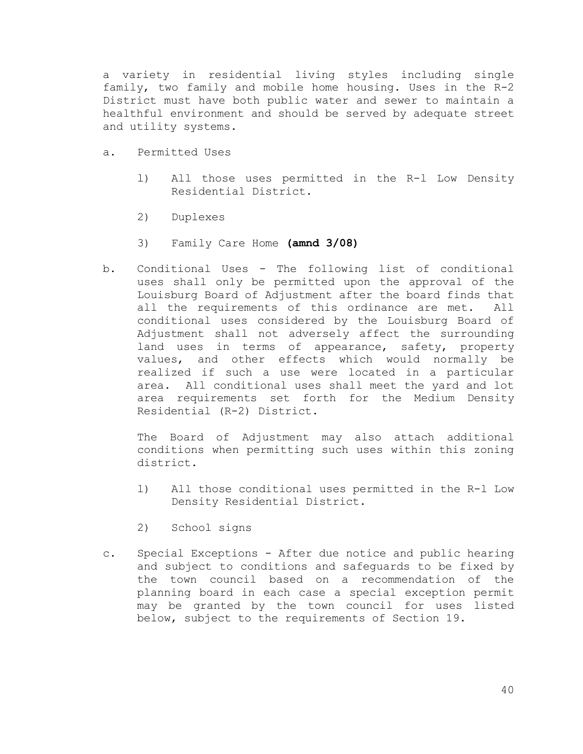a variety in residential living styles including single family, two family and mobile home housing. Uses in the R-2 District must have both public water and sewer to maintain a healthful environment and should be served by adequate street and utility systems.

- a. Permitted Uses
	- l) All those uses permitted in the R-l Low Density Residential District.
	- 2) Duplexes
	- 3) Family Care Home **(amnd 3/08)**
- b. Conditional Uses The following list of conditional uses shall only be permitted upon the approval of the Louisburg Board of Adjustment after the board finds that all the requirements of this ordinance are met. All conditional uses considered by the Louisburg Board of Adjustment shall not adversely affect the surrounding land uses in terms of appearance, safety, property values, and other effects which would normally be realized if such a use were located in a particular area. All conditional uses shall meet the yard and lot area requirements set forth for the Medium Density Residential (R-2) District.

The Board of Adjustment may also attach additional conditions when permitting such uses within this zoning district.

- l) All those conditional uses permitted in the R-l Low Density Residential District.
- 2) School signs
- c. Special Exceptions After due notice and public hearing and subject to conditions and safeguards to be fixed by the town council based on a recommendation of the planning board in each case a special exception permit may be granted by the town council for uses listed below, subject to the requirements of Section 19.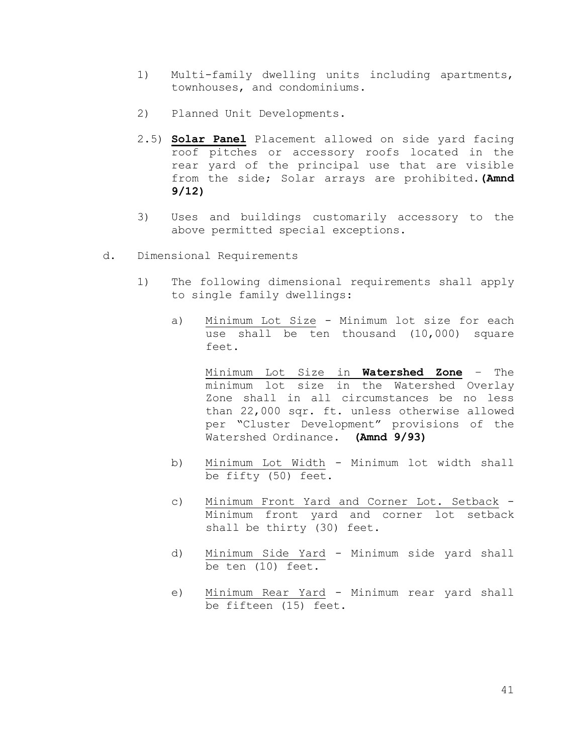- 1) Multi-family dwelling units including apartments, townhouses, and condominiums.
- 2) Planned Unit Developments.
- 2.5) **Solar Panel** Placement allowed on side yard facing roof pitches or accessory roofs located in the rear yard of the principal use that are visible from the side; Solar arrays are prohibited.**(Amnd 9/12)**
- 3) Uses and buildings customarily accessory to the above permitted special exceptions.
- d. Dimensional Requirements
	- 1) The following dimensional requirements shall apply to single family dwellings:
		- a) Minimum Lot Size Minimum lot size for each use shall be ten thousand (10,000) square feet.

Minimum Lot Size in **Watershed Zone** – The minimum lot size in the Watershed Overlay Zone shall in all circumstances be no less than 22,000 sqr. ft. unless otherwise allowed per "Cluster Development" provisions of the Watershed Ordinance. **(Amnd 9/93)**

- b) Minimum Lot Width Minimum lot width shall be fifty (50) feet.
- c) Minimum Front Yard and Corner Lot. Setback Minimum front yard and corner lot setback shall be thirty (30) feet.
- d) Minimum Side Yard Minimum side yard shall be ten (10) feet.
- e) Minimum Rear Yard Minimum rear yard shall be fifteen (15) feet.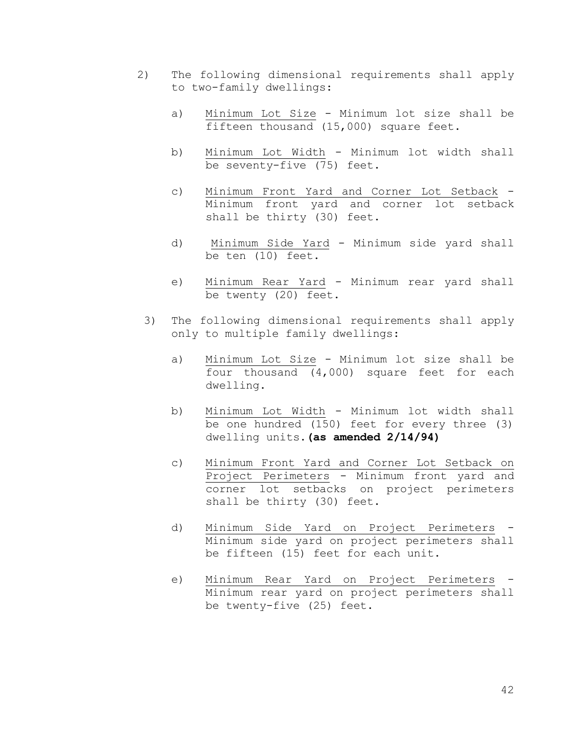- 2) The following dimensional requirements shall apply to two-family dwellings:
	- a) Minimum Lot Size Minimum lot size shall be fifteen thousand (15,000) square feet.
	- b) Minimum Lot Width Minimum lot width shall be seventy-five (75) feet.
	- c) Minimum Front Yard and Corner Lot Setback Minimum front yard and corner lot setback shall be thirty (30) feet.
	- d) Minimum Side Yard Minimum side yard shall be ten (10) feet.
	- e) Minimum Rear Yard Minimum rear yard shall be twenty (20) feet.
	- 3) The following dimensional requirements shall apply only to multiple family dwellings:
		- a) Minimum Lot Size Minimum lot size shall be four thousand (4,000) square feet for each dwelling.
		- b) Minimum Lot Width Minimum lot width shall be one hundred (150) feet for every three (3) dwelling units.**(as amended 2/14/94)**
		- c) Minimum Front Yard and Corner Lot Setback on Project Perimeters - Minimum front yard and corner lot setbacks on project perimeters shall be thirty (30) feet.
		- d) Minimum Side Yard on Project Perimeters Minimum side yard on project perimeters shall be fifteen (15) feet for each unit.
		- e) Minimum Rear Yard on Project Perimeters Minimum rear yard on project perimeters shall be twenty-five (25) feet.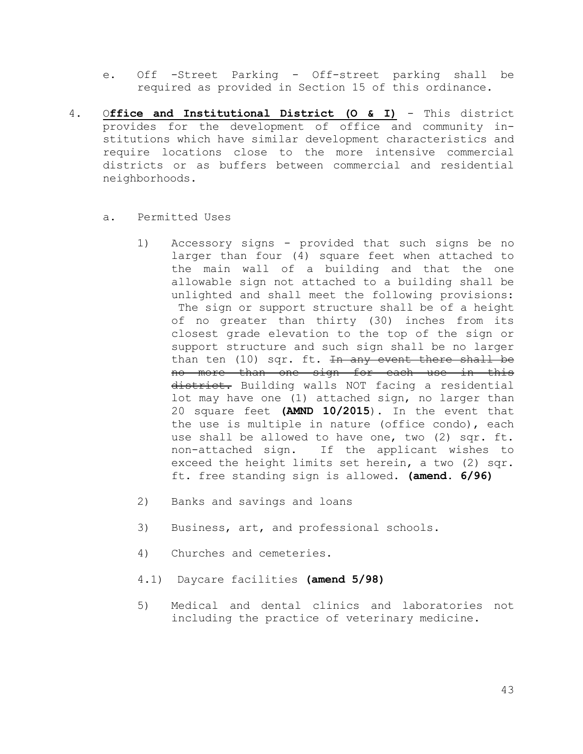- e. Off -Street Parking Off-street parking shall be required as provided in Section 15 of this ordinance.
- 4. O**ffice and Institutional District (O & I)** This district provides for the development of office and community institutions which have similar development characteristics and require locations close to the more intensive commercial districts or as buffers between commercial and residential neighborhoods.
	- a. Permitted Uses
		- 1) Accessory signs provided that such signs be no larger than four (4) square feet when attached to the main wall of a building and that the one allowable sign not attached to a building shall be unlighted and shall meet the following provisions: The sign or support structure shall be of a height of no greater than thirty (30) inches from its closest grade elevation to the top of the sign or support structure and such sign shall be no larger than ten (10) sqr. ft. In any event there shall be no more than one sign for each use in this district. Building walls NOT facing a residential lot may have one (1) attached sign, no larger than 20 square feet **(AMND 10/2015**). In the event that the use is multiple in nature (office condo), each use shall be allowed to have one, two (2) sqr. ft. non-attached sign. If the applicant wishes to exceed the height limits set herein, a two (2) sqr. ft. free standing sign is allowed. **(amend. 6/96)**
		- 2) Banks and savings and loans
		- 3) Business, art, and professional schools.
		- 4) Churches and cemeteries.
		- 4.1) Daycare facilities **(amend 5/98)**
		- 5) Medical and dental clinics and laboratories not including the practice of veterinary medicine.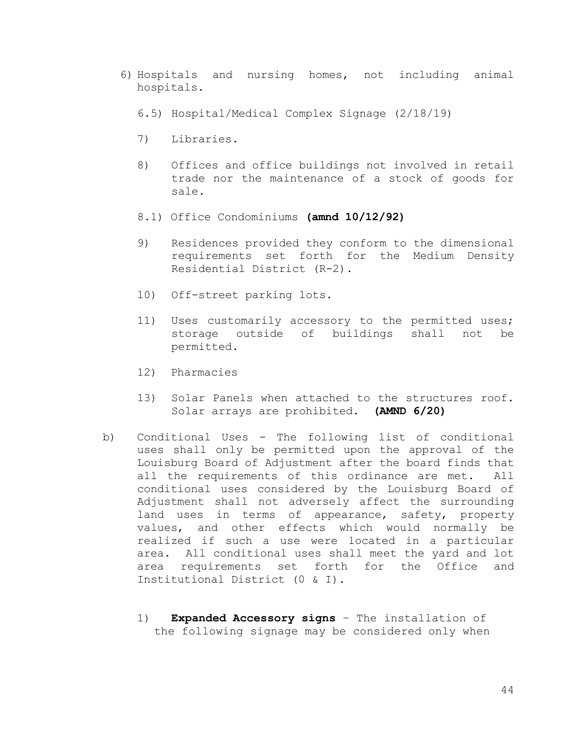- 6) Hospitals and nursing homes, not including animal hospitals.
	- 6.5) Hospital/Medical Complex Signage (2/18/19)
	- 7) Libraries.
	- 8) Offices and office buildings not involved in retail trade nor the maintenance of a stock of goods for sale.
	- 8.1) Office Condominiums **(amnd 10/12/92)**
	- 9) Residences provided they conform to the dimensional requirements set forth for the Medium Density Residential District (R-2).
	- 10) Off-street parking lots.
	- 11) Uses customarily accessory to the permitted uses; storage outside of buildings shall not be permitted.
	- 12) Pharmacies
	- 13) Solar Panels when attached to the structures roof. Solar arrays are prohibited. **(AMND 6/20)**
- b) Conditional Uses The following list of conditional uses shall only be permitted upon the approval of the Louisburg Board of Adjustment after the board finds that all the requirements of this ordinance are met. All conditional uses considered by the Louisburg Board of Adjustment shall not adversely affect the surrounding land uses in terms of appearance, safety, property values, and other effects which would normally be realized if such a use were located in a particular area. All conditional uses shall meet the yard and lot area requirements set forth for the Office and Institutional District (0 & I).
	- 1) **Expanded Accessory signs** The installation of the following signage may be considered only when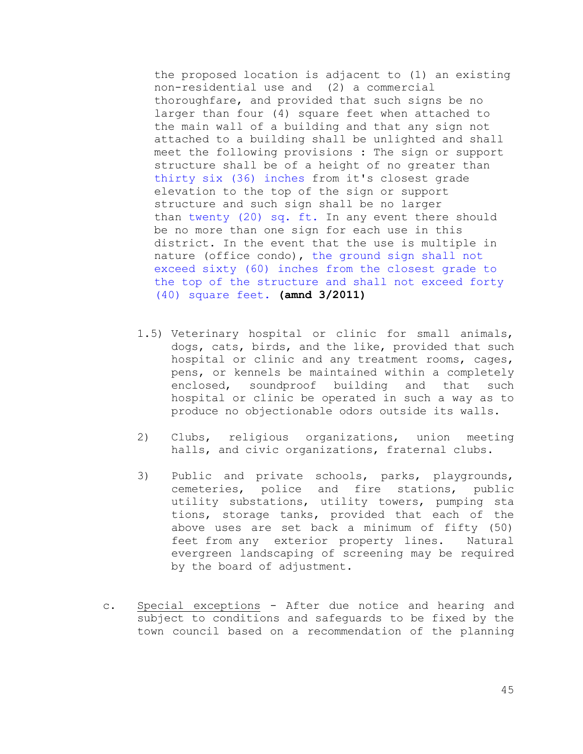the proposed location is adjacent to (1) an existing non-residential use and (2) a commercial thoroughfare, and provided that such signs be no larger than four (4) square feet when attached to the main wall of a building and that any sign not attached to a building shall be unlighted and shall meet the following provisions : The sign or support structure shall be of a height of no greater than thirty six (36) inches from it's closest grade elevation to the top of the sign or support structure and such sign shall be no larger than twenty (20) sq. ft. In any event there should be no more than one sign for each use in this district. In the event that the use is multiple in nature (office condo), the ground sign shall not exceed sixty (60) inches from the closest grade to the top of the structure and shall not exceed forty (40) square feet. **(amnd 3/2011)**

- 1.5) Veterinary hospital or clinic for small animals, dogs, cats, birds, and the like, provided that such hospital or clinic and any treatment rooms, cages, pens, or kennels be maintained within a completely enclosed, soundproof building and that such hospital or clinic be operated in such a way as to produce no objectionable odors outside its walls.
- 2) Clubs, religious organizations, union meeting halls, and civic organizations, fraternal clubs.
- 3) Public and private schools, parks, playgrounds, cemeteries, police and fire stations, public utility substations, utility towers, pumping sta tions, storage tanks, provided that each of the above uses are set back a minimum of fifty (50) feet from any exterior property lines. Natural evergreen landscaping of screening may be required by the board of adjustment.
- c. Special exceptions After due notice and hearing and subject to conditions and safeguards to be fixed by the town council based on a recommendation of the planning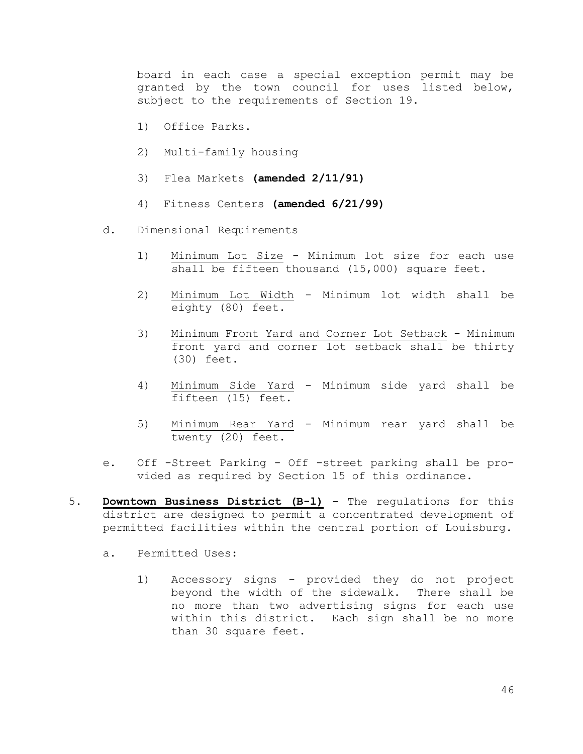board in each case a special exception permit may be granted by the town council for uses listed below, subject to the requirements of Section 19.

- 1) Office Parks.
- 2) Multi-family housing
- 3) Flea Markets **(amended 2/11/91)**
- 4) Fitness Centers **(amended 6/21/99)**
- d. Dimensional Requirements
	- 1) Minimum Lot Size Minimum lot size for each use shall be fifteen thousand (15,000) square feet.
	- 2) Minimum Lot Width Minimum lot width shall be eighty (80) feet.
	- 3) Minimum Front Yard and Corner Lot Setback Minimum front yard and corner lot setback shall be thirty (30) feet.
	- 4) Minimum Side Yard Minimum side yard shall be fifteen (15) feet.
	- 5) Minimum Rear Yard Minimum rear yard shall be twenty (20) feet.
- e. Off -Street Parking Off -street parking shall be provided as required by Section 15 of this ordinance.
- 5. **Downtown Business District (B-l)** The regulations for this district are designed to permit a concentrated development of permitted facilities within the central portion of Louisburg.
	- a. Permitted Uses:
		- 1) Accessory signs provided they do not project beyond the width of the sidewalk. There shall be no more than two advertising signs for each use within this district. Each sign shall be no more than 30 square feet.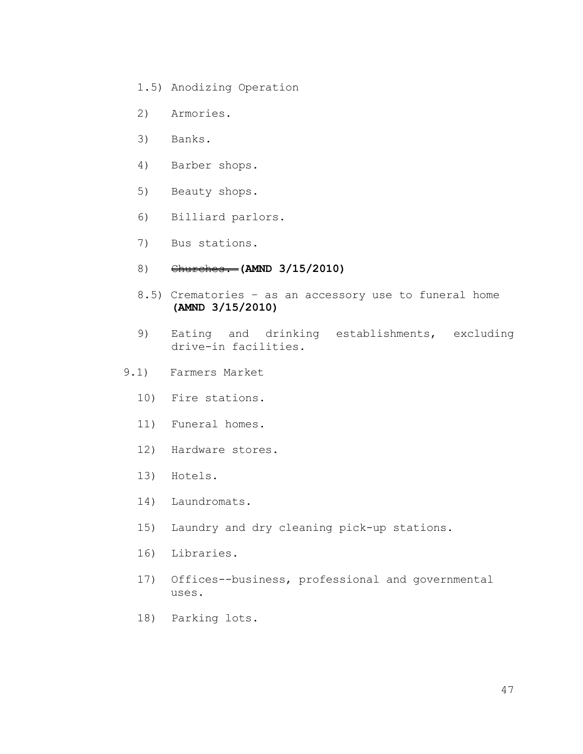- 1.5) Anodizing Operation
- 2) Armories.
- 3) Banks.
- 4) Barber shops.
- 5) Beauty shops.
- 6) Billiard parlors.
- 7) Bus stations.
- 8) Churches. **(AMND 3/15/2010)**
- 8.5) Crematories as an accessory use to funeral home **(AMND 3/15/2010)**
- 9) Eating and drinking establishments, excluding drive-in facilities.
- 9.1) Farmers Market
	- 10) Fire stations.
	- 11) Funeral homes.
	- 12) Hardware stores.
	- 13) Hotels.
	- 14) Laundromats.
	- 15) Laundry and dry cleaning pick-up stations.
	- 16) Libraries.
	- 17) Offices--business, professional and governmental uses.
	- 18) Parking lots.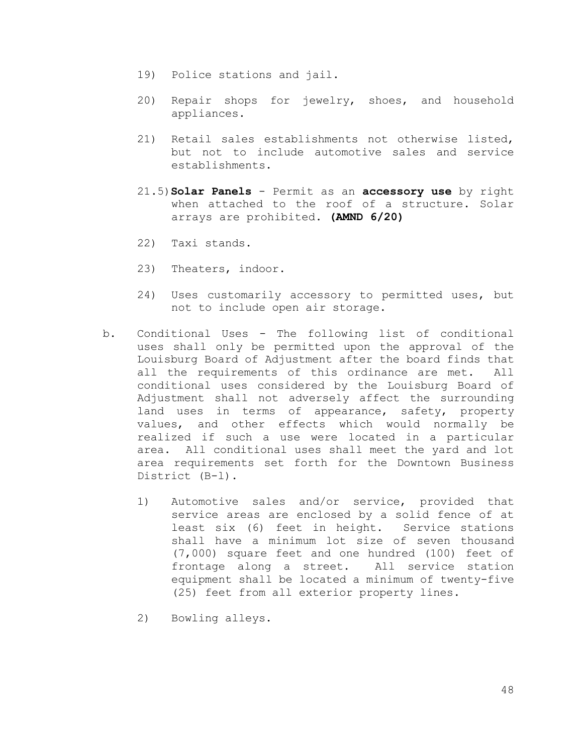- 19) Police stations and jail.
- 20) Repair shops for jewelry, shoes, and household appliances.
- 21) Retail sales establishments not otherwise listed, but not to include automotive sales and service establishments.
- 21.5)**Solar Panels** Permit as an **accessory use** by right when attached to the roof of a structure. Solar arrays are prohibited. **(AMND 6/20)**
- 22) Taxi stands.
- 23) Theaters, indoor.
- 24) Uses customarily accessory to permitted uses, but not to include open air storage.
- b. Conditional Uses The following list of conditional uses shall only be permitted upon the approval of the Louisburg Board of Adjustment after the board finds that all the requirements of this ordinance are met. All conditional uses considered by the Louisburg Board of Adjustment shall not adversely affect the surrounding land uses in terms of appearance, safety, property values, and other effects which would normally be realized if such a use were located in a particular area. All conditional uses shall meet the yard and lot area requirements set forth for the Downtown Business District (B-l).
	- 1) Automotive sales and/or service, provided that service areas are enclosed by a solid fence of at least six (6) feet in height. Service stations shall have a minimum lot size of seven thousand (7,000) square feet and one hundred (100) feet of frontage along a street. All service station equipment shall be located a minimum of twenty-five (25) feet from all exterior property lines.
	- 2) Bowling alleys.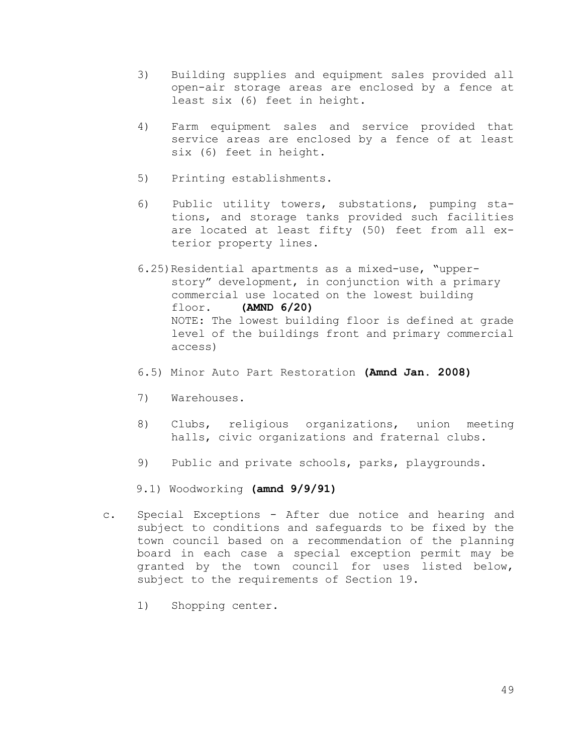- 3) Building supplies and equipment sales provided all open-air storage areas are enclosed by a fence at least six (6) feet in height.
- 4) Farm equipment sales and service provided that service areas are enclosed by a fence of at least six (6) feet in height.
- 5) Printing establishments.
- 6) Public utility towers, substations, pumping stations, and storage tanks provided such facilities are located at least fifty (50) feet from all exterior property lines.
- 6.25)Residential apartments as a mixed-use, "upperstory" development, in conjunction with a primary commercial use located on the lowest building floor. **(AMND 6/20)** NOTE: The lowest building floor is defined at grade level of the buildings front and primary commercial access)
- 6.5) Minor Auto Part Restoration **(Amnd Jan. 2008)**
- 7) Warehouses.
- 8) Clubs, religious organizations, union meeting halls, civic organizations and fraternal clubs.
- 9) Public and private schools, parks, playgrounds.

9.1) Woodworking **(amnd 9/9/91)**

- c. Special Exceptions After due notice and hearing and subject to conditions and safeguards to be fixed by the town council based on a recommendation of the planning board in each case a special exception permit may be granted by the town council for uses listed below, subject to the requirements of Section 19.
	- 1) Shopping center.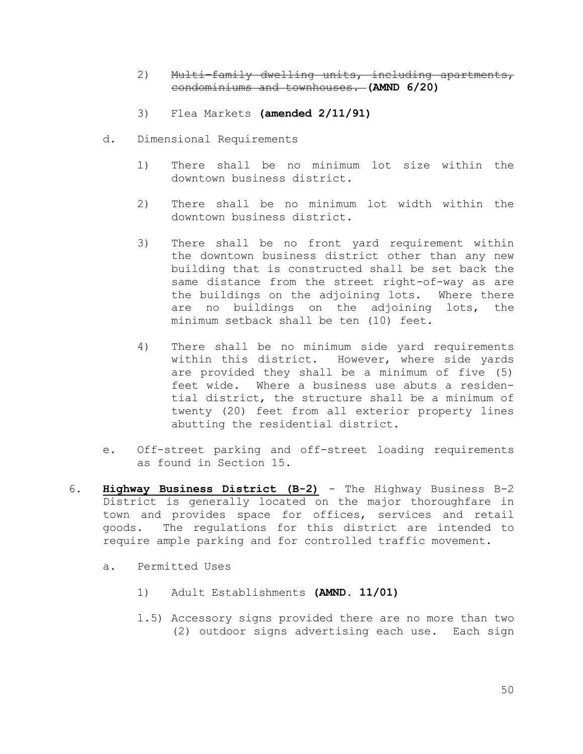- 2) Multi-family dwelling units, including apartments, condominiums and townhouses. **(AMND 6/20)**
- 3) Flea Markets **(amended 2/11/91)**
- d. Dimensional Requirements
	- 1) There shall be no minimum lot size within the downtown business district.
	- 2) There shall be no minimum lot width within the downtown business district.
	- 3) There shall be no front yard requirement within the downtown business district other than any new building that is constructed shall be set back the same distance from the street right-of-way as are the buildings on the adjoining lots. Where there are no buildings on the adjoining lots, the minimum setback shall be ten (10) feet.
	- 4) There shall be no minimum side yard requirements within this district. However, where side yards are provided they shall be a minimum of five (5) feet wide. Where a business use abuts a residential district, the structure shall be a minimum of twenty (20) feet from all exterior property lines abutting the residential district.
- e. Off-street parking and off-street loading requirements as found in Section 15.
- 6. **Highway Business District (B-2)** The Highway Business B-2 District is generally located on the major thoroughfare in town and provides space for offices, services and retail goods. The regulations for this district are intended to require ample parking and for controlled traffic movement.
	- a. Permitted Uses
		- 1) Adult Establishments **(AMND. 11/01)**
		- l.5) Accessory signs provided there are no more than two (2) outdoor signs advertising each use. Each sign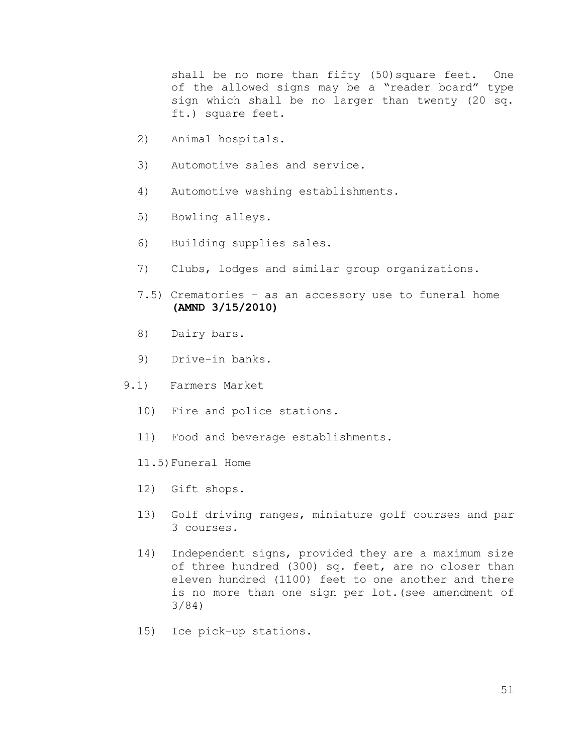shall be no more than fifty (50) square feet. One of the allowed signs may be a "reader board" type sign which shall be no larger than twenty (20 sq. ft.) square feet.

- 2) Animal hospitals.
- 3) Automotive sales and service.
- 4) Automotive washing establishments.
- 5) Bowling alleys.
- 6) Building supplies sales.
- 7) Clubs, lodges and similar group organizations.
- 7.5) Crematories as an accessory use to funeral home **(AMND 3/15/2010)**
- 8) Dairy bars.
- 9) Drive-in banks.
- 9.1) Farmers Market
	- 10) Fire and police stations.
	- 11) Food and beverage establishments.
	- 11.5)Funeral Home
	- 12) Gift shops.
	- 13) Golf driving ranges, miniature golf courses and par 3 courses.
	- 14) Independent signs, provided they are a maximum size of three hundred (300) sq. feet, are no closer than eleven hundred (1100) feet to one another and there is no more than one sign per lot.(see amendment of 3/84)
	- 15) Ice pick-up stations.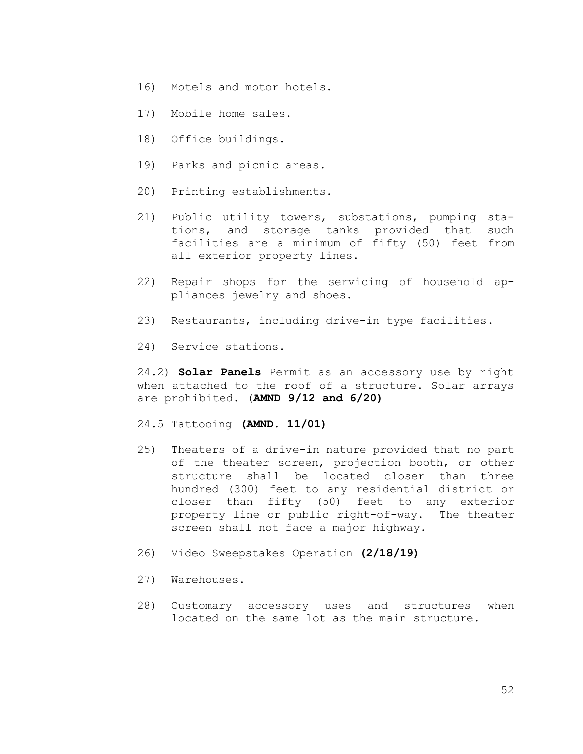- 16) Motels and motor hotels.
- 17) Mobile home sales.
- 18) Office buildings.
- 19) Parks and picnic areas.
- 20) Printing establishments.
- 21) Public utility towers, substations, pumping stations, and storage tanks provided that such facilities are a minimum of fifty (50) feet from all exterior property lines.
- 22) Repair shops for the servicing of household appliances jewelry and shoes.
- 23) Restaurants, including drive-in type facilities.
- 24) Service stations.

24.2) **Solar Panels** Permit as an accessory use by right when attached to the roof of a structure. Solar arrays are prohibited. (**AMND 9/12 and 6/20)**

- 24.5 Tattooing **(AMND. 11/01)**
- 25) Theaters of a drive-in nature provided that no part of the theater screen, projection booth, or other structure shall be located closer than three hundred (300) feet to any residential district or closer than fifty (50) feet to any exterior property line or public right-of-way. The theater screen shall not face a major highway.
- 26) Video Sweepstakes Operation **(2/18/19)**
- 27) Warehouses.
- 28) Customary accessory uses and structures when located on the same lot as the main structure.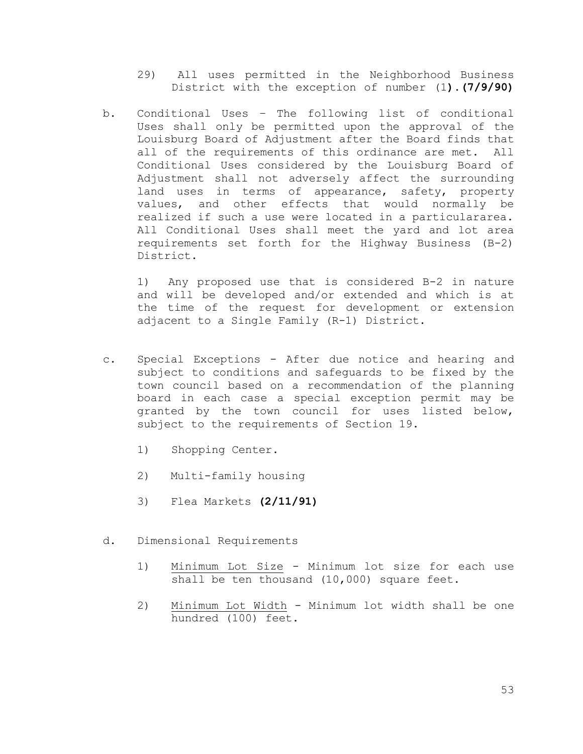- 29) All uses permitted in the Neighborhood Business District with the exception of number (1**).(7/9/90)**
- b. Conditional Uses The following list of conditional Uses shall only be permitted upon the approval of the Louisburg Board of Adjustment after the Board finds that all of the requirements of this ordinance are met. All Conditional Uses considered by the Louisburg Board of Adjustment shall not adversely affect the surrounding land uses in terms of appearance, safety, property values, and other effects that would normally be realized if such a use were located in a particulararea. All Conditional Uses shall meet the yard and lot area requirements set forth for the Highway Business (B-2) District.

1) Any proposed use that is considered B-2 in nature and will be developed and/or extended and which is at the time of the request for development or extension adjacent to a Single Family (R-1) District.

- c. Special Exceptions After due notice and hearing and subject to conditions and safeguards to be fixed by the town council based on a recommendation of the planning board in each case a special exception permit may be granted by the town council for uses listed below, subject to the requirements of Section 19.
	- 1) Shopping Center.
	- 2) Multi-family housing
	- 3) Flea Markets **(2/11/91)**
- d. Dimensional Requirements
	- 1) Minimum Lot Size Minimum lot size for each use shall be ten thousand (10,000) square feet.
	- 2) Minimum Lot Width Minimum lot width shall be one hundred (100) feet.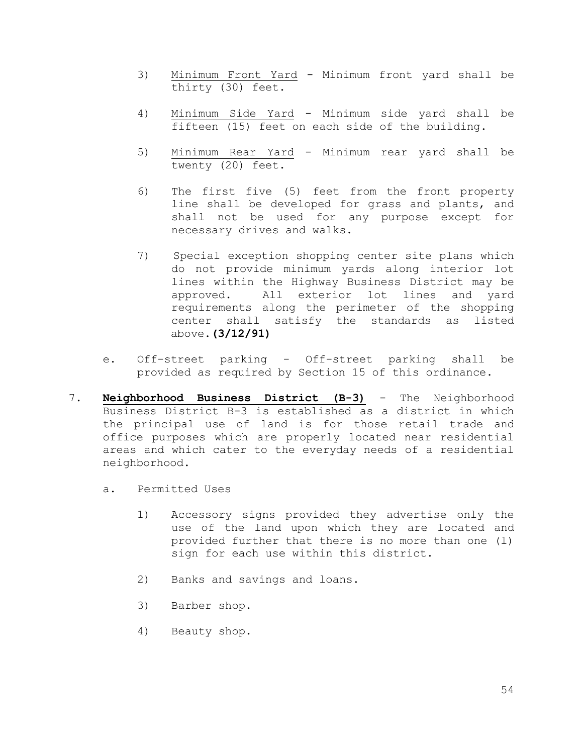- 3) Minimum Front Yard Minimum front yard shall be thirty (30) feet.
- 4) Minimum Side Yard Minimum side yard shall be fifteen (15) feet on each side of the building.
- 5) Minimum Rear Yard Minimum rear yard shall be twenty (20) feet.
- 6) The first five (5) feet from the front property line shall be developed for grass and plants, and shall not be used for any purpose except for necessary drives and walks.
- 7) Special exception shopping center site plans which do not provide minimum yards along interior lot lines within the Highway Business District may be approved. All exterior lot lines and yard requirements along the perimeter of the shopping center shall satisfy the standards as listed above.**(3/12/91)**
- e. Off-street parking Off-street parking shall be provided as required by Section 15 of this ordinance.
- 7. **Neighborhood Business District (B-3)** The Neighborhood Business District B-3 is established as a district in which the principal use of land is for those retail trade and office purposes which are properly located near residential areas and which cater to the everyday needs of a residential neighborhood.
	- a. Permitted Uses
		- 1) Accessory signs provided they advertise only the use of the land upon which they are located and provided further that there is no more than one (l) sign for each use within this district.
		- 2) Banks and savings and loans.
		- 3) Barber shop.
		- 4) Beauty shop.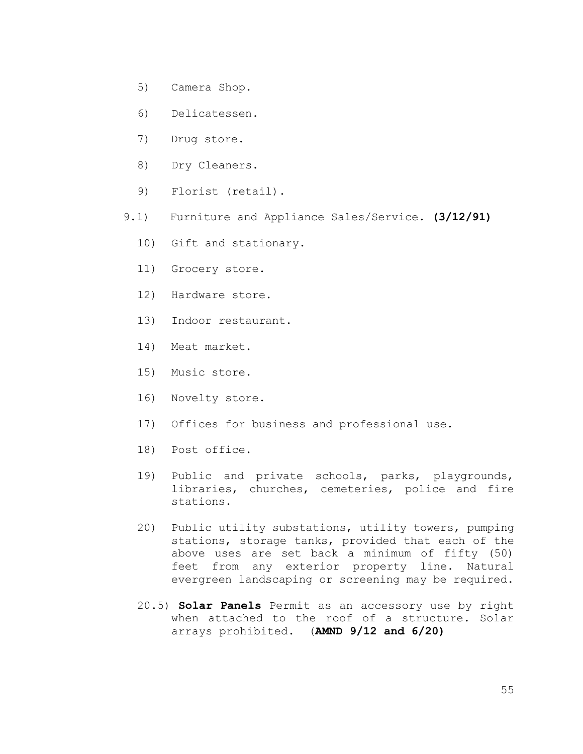- 5) Camera Shop.
- 6) Delicatessen.
- 7) Drug store.
- 8) Dry Cleaners.
- 9) Florist (retail).
- 9.1) Furniture and Appliance Sales/Service. **(3/12/91)**
	- 10) Gift and stationary.
	- 11) Grocery store.
	- 12) Hardware store.
	- 13) Indoor restaurant.
	- 14) Meat market.
	- 15) Music store.
	- 16) Novelty store.
	- 17) Offices for business and professional use.
	- 18) Post office.
	- 19) Public and private schools, parks, playgrounds, libraries, churches, cemeteries, police and fire stations.
	- 20) Public utility substations, utility towers, pumping stations, storage tanks, provided that each of the above uses are set back a minimum of fifty (50) feet from any exterior property line. Natural evergreen landscaping or screening may be required.
	- 20.5) **Solar Panels** Permit as an accessory use by right when attached to the roof of a structure. Solar arrays prohibited. (**AMND 9/12 and 6/20)**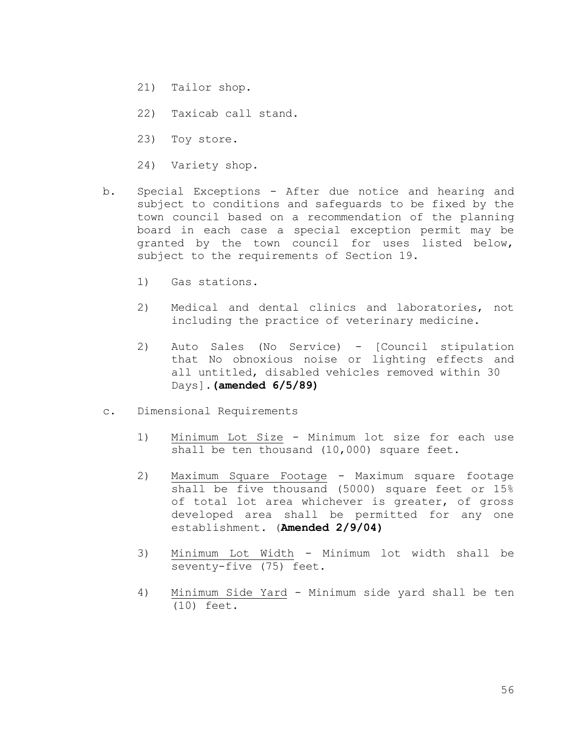- 21) Tailor shop.
- 22) Taxicab call stand.
- 23) Toy store.
- 24) Variety shop.
- b. Special Exceptions After due notice and hearing and subject to conditions and safeguards to be fixed by the town council based on a recommendation of the planning board in each case a special exception permit may be granted by the town council for uses listed below, subject to the requirements of Section 19.
	- 1) Gas stations.
	- 2) Medical and dental clinics and laboratories, not including the practice of veterinary medicine.
	- 2) Auto Sales (No Service) [Council stipulation that No obnoxious noise or lighting effects and all untitled, disabled vehicles removed within 30 Days].**(amended 6/5/89)**
- c. Dimensional Requirements
	- 1) Minimum Lot Size Minimum lot size for each use shall be ten thousand (10,000) square feet.
	- 2) Maximum Square Footage Maximum square footage shall be five thousand (5000) square feet or 15% of total lot area whichever is greater, of gross developed area shall be permitted for any one establishment. (**Amended 2/9/04)**
	- 3) Minimum Lot Width Minimum lot width shall be seventy-five (75) feet.
	- 4) Minimum Side Yard Minimum side yard shall be ten (10) feet.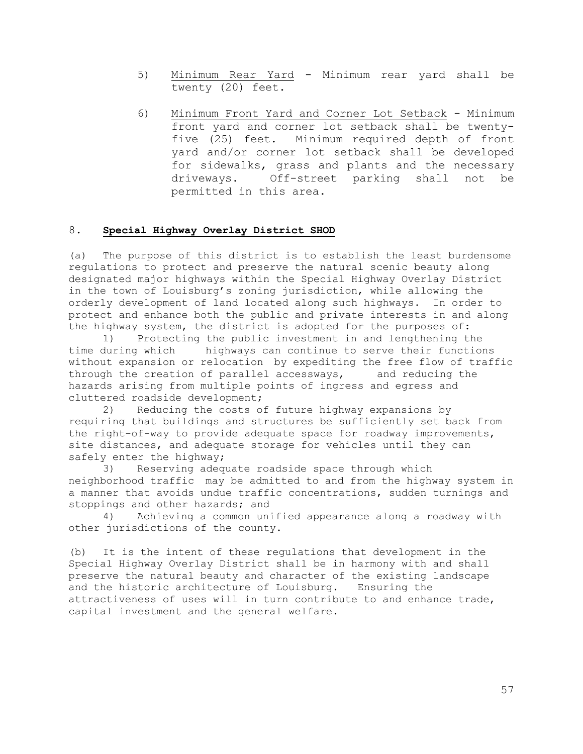- 5) Minimum Rear Yard Minimum rear yard shall be twenty (20) feet.
- 6) Minimum Front Yard and Corner Lot Setback Minimum front yard and corner lot setback shall be twentyfive (25) feet. Minimum required depth of front yard and/or corner lot setback shall be developed for sidewalks, grass and plants and the necessary driveways. Off-street parking shall not be permitted in this area.

# 8. **Special Highway Overlay District SHOD**

(a) The purpose of this district is to establish the least burdensome regulations to protect and preserve the natural scenic beauty along designated major highways within the Special Highway Overlay District in the town of Louisburg's zoning jurisdiction, while allowing the orderly development of land located along such highways. In order to protect and enhance both the public and private interests in and along the highway system, the district is adopted for the purposes of:

1) Protecting the public investment in and lengthening the time during which highways can continue to serve their functions without expansion or relocation by expediting the free flow of traffic through the creation of parallel accessways, and reducing the hazards arising from multiple points of ingress and egress and cluttered roadside development;

2) Reducing the costs of future highway expansions by requiring that buildings and structures be sufficiently set back from the right-of-way to provide adequate space for roadway improvements, site distances, and adequate storage for vehicles until they can safely enter the highway;

3) Reserving adequate roadside space through which neighborhood traffic may be admitted to and from the highway system in a manner that avoids undue traffic concentrations, sudden turnings and stoppings and other hazards; and

4) Achieving a common unified appearance along a roadway with other jurisdictions of the county.

(b) It is the intent of these regulations that development in the Special Highway Overlay District shall be in harmony with and shall preserve the natural beauty and character of the existing landscape and the historic architecture of Louisburg. Ensuring the attractiveness of uses will in turn contribute to and enhance trade, capital investment and the general welfare.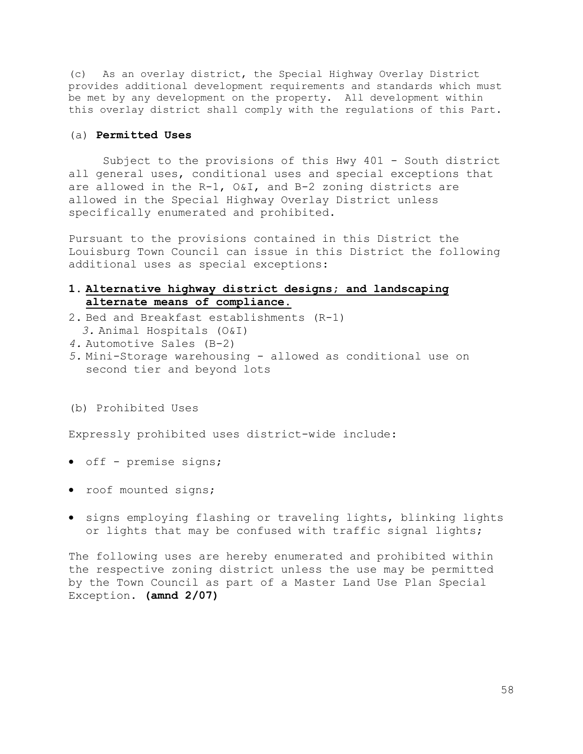(c) As an overlay district, the Special Highway Overlay District provides additional development requirements and standards which must be met by any development on the property. All development within this overlay district shall comply with the regulations of this Part.

#### (a) **Permitted Uses**

Subject to the provisions of this Hwy 401 - South district all general uses, conditional uses and special exceptions that are allowed in the R-1, O&I, and B-2 zoning districts are allowed in the Special Highway Overlay District unless specifically enumerated and prohibited.

Pursuant to the provisions contained in this District the Louisburg Town Council can issue in this District the following additional uses as special exceptions:

## **1. Alternative highway district designs; and landscaping alternate means of compliance.**

- 2. Bed and Breakfast establishments (R-1)
- *3.* Animal Hospitals (O&I)
- *4.* Automotive Sales (B-2)
- *5.* Mini-Storage warehousing allowed as conditional use on second tier and beyond lots
- (b) Prohibited Uses

Expressly prohibited uses district-wide include:

- off premise signs;
- roof mounted signs;
- signs employing flashing or traveling lights, blinking lights or lights that may be confused with traffic signal lights;

The following uses are hereby enumerated and prohibited within the respective zoning district unless the use may be permitted by the Town Council as part of a Master Land Use Plan Special Exception. **(amnd 2/07)**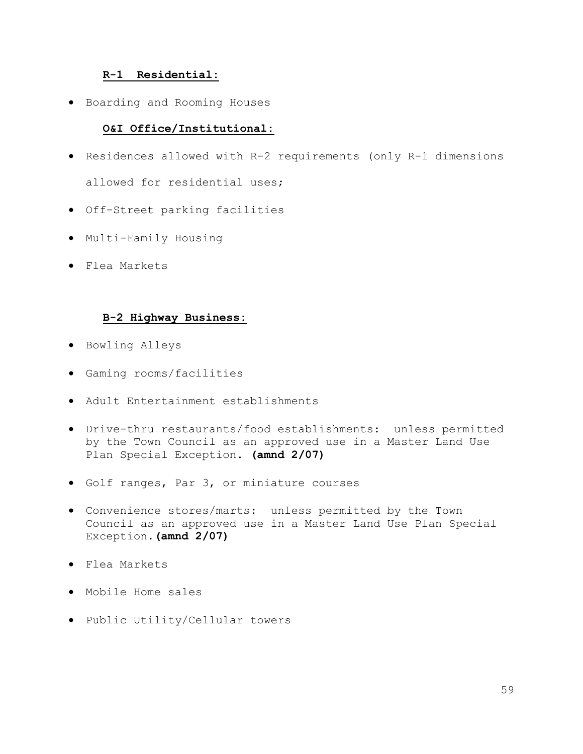#### **R-1 Residential:**

• Boarding and Rooming Houses

## **O&I Office/Institutional:**

- Residences allowed with R-2 requirements (only R-1 dimensions allowed for residential uses;
- Off-Street parking facilities
- Multi-Family Housing
- Flea Markets

#### **B-2 Highway Business:**

- Bowling Alleys
- Gaming rooms/facilities
- Adult Entertainment establishments
- Drive-thru restaurants/food establishments: unless permitted by the Town Council as an approved use in a Master Land Use Plan Special Exception. **(amnd 2/07)**
- Golf ranges, Par 3, or miniature courses
- Convenience stores/marts: unless permitted by the Town Council as an approved use in a Master Land Use Plan Special Exception.**(amnd 2/07)**
- Flea Markets
- Mobile Home sales
- Public Utility/Cellular towers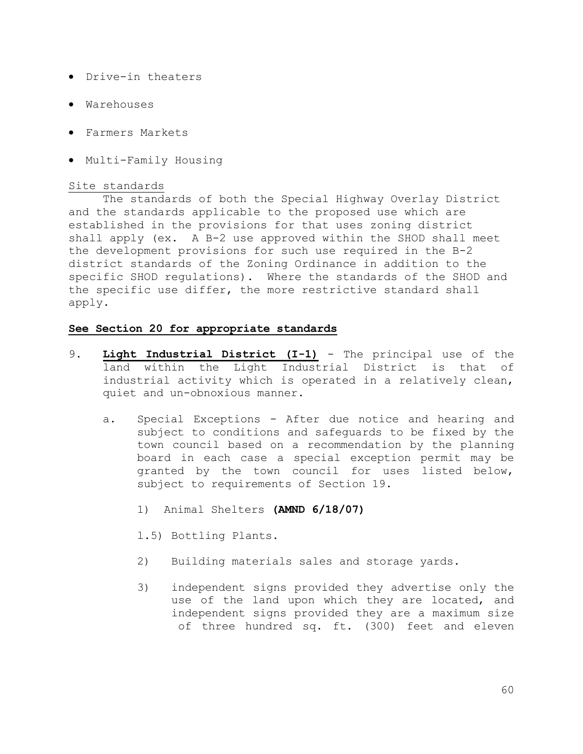- Drive-in theaters
- Warehouses
- Farmers Markets
- Multi-Family Housing

## Site standards

The standards of both the Special Highway Overlay District and the standards applicable to the proposed use which are established in the provisions for that uses zoning district shall apply (ex. A B-2 use approved within the SHOD shall meet the development provisions for such use required in the B-2 district standards of the Zoning Ordinance in addition to the specific SHOD regulations). Where the standards of the SHOD and the specific use differ, the more restrictive standard shall apply.

## **See Section 20 for appropriate standards**

- 9. **Light Industrial District (I-1)** The principal use of the land within the Light Industrial District is that of industrial activity which is operated in a relatively clean, quiet and un-obnoxious manner.
	- a. Special Exceptions After due notice and hearing and subject to conditions and safeguards to be fixed by the town council based on a recommendation by the planning board in each case a special exception permit may be granted by the town council for uses listed below, subject to requirements of Section 19.
		- 1) Animal Shelters **(AMND 6/18/07)**

l.5) Bottling Plants.

- 2) Building materials sales and storage yards.
- 3) independent signs provided they advertise only the use of the land upon which they are located, and independent signs provided they are a maximum size of three hundred sq. ft. (300) feet and eleven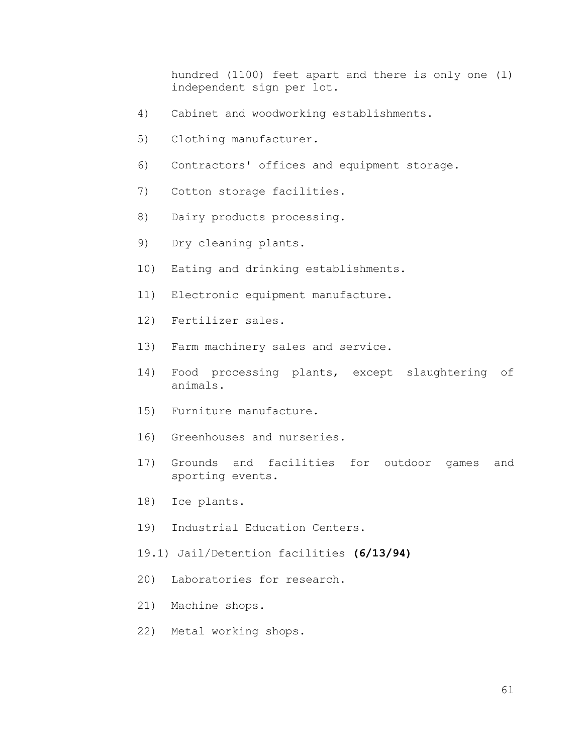hundred (1100) feet apart and there is only one (l) independent sign per lot.

- 4) Cabinet and woodworking establishments.
- 5) Clothing manufacturer.
- 6) Contractors' offices and equipment storage.
- 7) Cotton storage facilities.
- 8) Dairy products processing.
- 9) Dry cleaning plants.
- 10) Eating and drinking establishments.
- 11) Electronic equipment manufacture.
- 12) Fertilizer sales.
- 13) Farm machinery sales and service.
- 14) Food processing plants, except slaughtering of animals.
- 15) Furniture manufacture.
- 16) Greenhouses and nurseries.
- 17) Grounds and facilities for outdoor games and sporting events.
- 18) Ice plants.
- 19) Industrial Education Centers.
- 19.1) Jail/Detention facilities **(6/13/94)**
- 20) Laboratories for research.
- 21) Machine shops.
- 22) Metal working shops.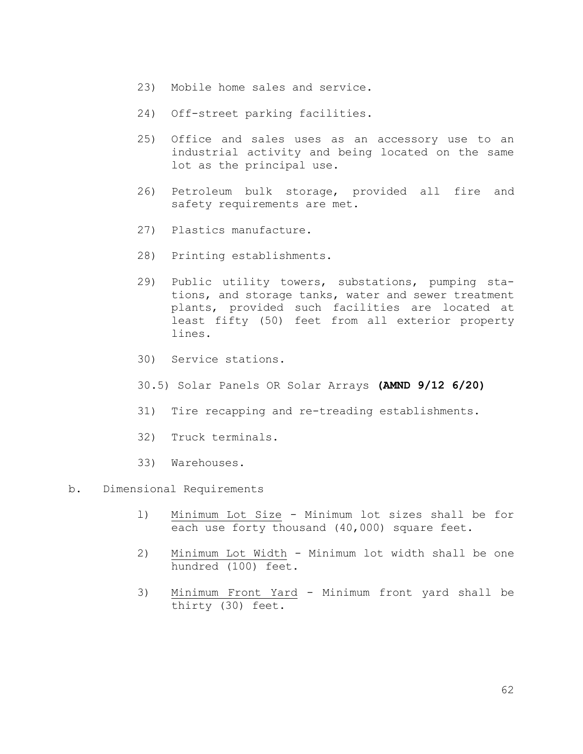- 23) Mobile home sales and service.
- 24) Off-street parking facilities.
- 25) Office and sales uses as an accessory use to an industrial activity and being located on the same lot as the principal use.
- 26) Petroleum bulk storage, provided all fire and safety requirements are met.
- 27) Plastics manufacture.
- 28) Printing establishments.
- 29) Public utility towers, substations, pumping stations, and storage tanks, water and sewer treatment plants, provided such facilities are located at least fifty (50) feet from all exterior property lines.
- 30) Service stations.
- 30.5) Solar Panels OR Solar Arrays **(AMND 9/12 6/20)**
- 31) Tire recapping and re-treading establishments.
- 32) Truck terminals.
- 33) Warehouses.

#### b. Dimensional Requirements

- l) Minimum Lot Size Minimum lot sizes shall be for each use forty thousand (40,000) square feet.
- 2) Minimum Lot Width Minimum lot width shall be one hundred (100) feet.
- 3) Minimum Front Yard Minimum front yard shall be thirty (30) feet.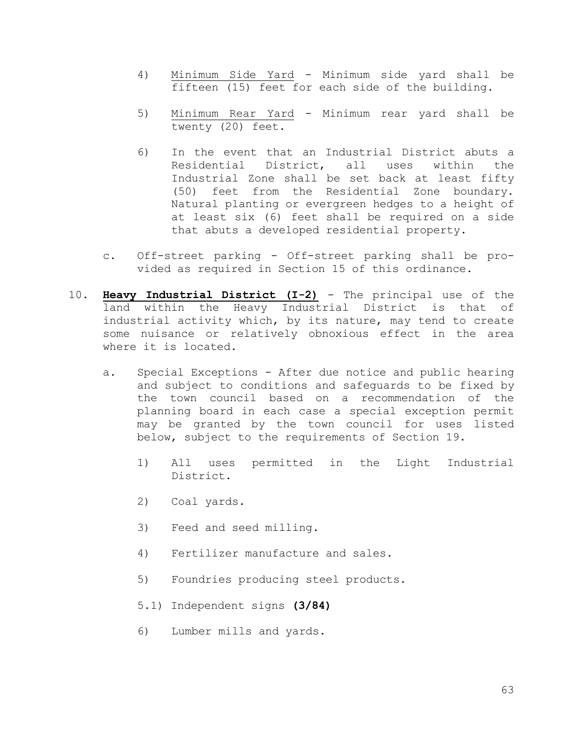- 4) Minimum Side Yard Minimum side yard shall be fifteen (15) feet for each side of the building.
- 5) Minimum Rear Yard Minimum rear yard shall be twenty (20) feet.
- 6) In the event that an Industrial District abuts a Residential District, all uses within the Industrial Zone shall be set back at least fifty (50) feet from the Residential Zone boundary. Natural planting or evergreen hedges to a height of at least six (6) feet shall be required on a side that abuts a developed residential property.
- c. Off-street parking Off-street parking shall be provided as required in Section 15 of this ordinance.
- 10. **Heavy Industrial District (I-2)** The principal use of the land within the Heavy Industrial District is that of industrial activity which, by its nature, may tend to create some nuisance or relatively obnoxious effect in the area where it is located.
	- a. Special Exceptions After due notice and public hearing and subject to conditions and safeguards to be fixed by the town council based on a recommendation of the planning board in each case a special exception permit may be granted by the town council for uses listed below, subject to the requirements of Section 19.
		- 1) All uses permitted in the Light Industrial District.
		- 2) Coal yards.
		- 3) Feed and seed milling.
		- 4) Fertilizer manufacture and sales.
		- 5) Foundries producing steel products.
		- 5.1) Independent signs **(3/84)**
		- 6) Lumber mills and yards.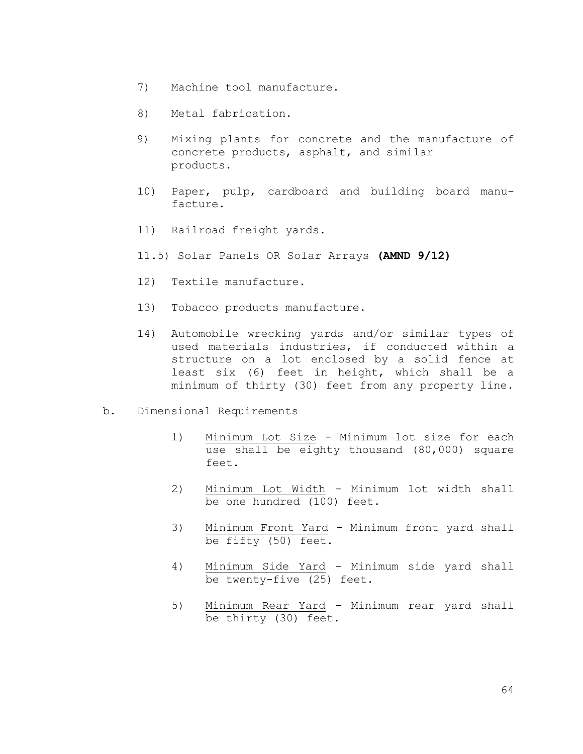- 7) Machine tool manufacture.
- 8) Metal fabrication.
- 9) Mixing plants for concrete and the manufacture of concrete products, asphalt, and similar products.
- 10) Paper, pulp, cardboard and building board manufacture.
- 11) Railroad freight yards.
- 11.5) Solar Panels OR Solar Arrays **(AMND 9/12)**
- 12) Textile manufacture.
- 13) Tobacco products manufacture.
- 14) Automobile wrecking yards and/or similar types of used materials industries, if conducted within a structure on a lot enclosed by a solid fence at least six (6) feet in height, which shall be a minimum of thirty (30) feet from any property line.
- b. Dimensional Requirements
	- 1) Minimum Lot Size Minimum lot size for each use shall be eighty thousand (80,000) square feet.
	- 2) Minimum Lot Width Minimum lot width shall be one hundred (100) feet.
	- 3) Minimum Front Yard Minimum front yard shall be fifty (50) feet.
	- 4) Minimum Side Yard Minimum side yard shall be twenty-five (25) feet.
	- 5) Minimum Rear Yard Minimum rear yard shall be thirty (30) feet.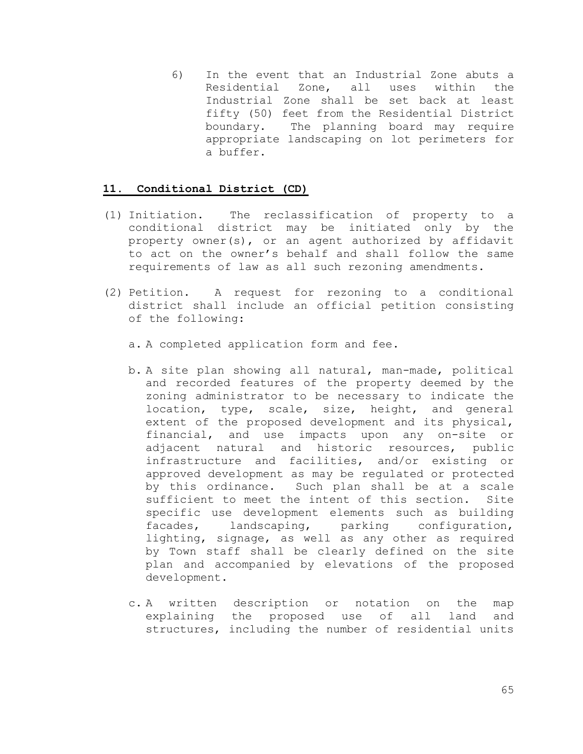6) In the event that an Industrial Zone abuts a Residential Zone, all uses within the Industrial Zone shall be set back at least fifty (50) feet from the Residential District boundary. The planning board may require appropriate landscaping on lot perimeters for a buffer.

#### **11. Conditional District (CD)**

- (1) Initiation. The reclassification of property to a conditional district may be initiated only by the property owner(s), or an agent authorized by affidavit to act on the owner's behalf and shall follow the same requirements of law as all such rezoning amendments.
- (2) Petition. A request for rezoning to a conditional district shall include an official petition consisting of the following:
	- a. A completed application form and fee.
	- b. A site plan showing all natural, man-made, political and recorded features of the property deemed by the zoning administrator to be necessary to indicate the location, type, scale, size, height, and general extent of the proposed development and its physical, financial, and use impacts upon any on-site or adjacent natural and historic resources, public infrastructure and facilities, and/or existing or approved development as may be regulated or protected by this ordinance. Such plan shall be at a scale sufficient to meet the intent of this section. Site specific use development elements such as building facades, landscaping, parking configuration, lighting, signage, as well as any other as required by Town staff shall be clearly defined on the site plan and accompanied by elevations of the proposed development.
	- c. A written description or notation on the map explaining the proposed use of all land and structures, including the number of residential units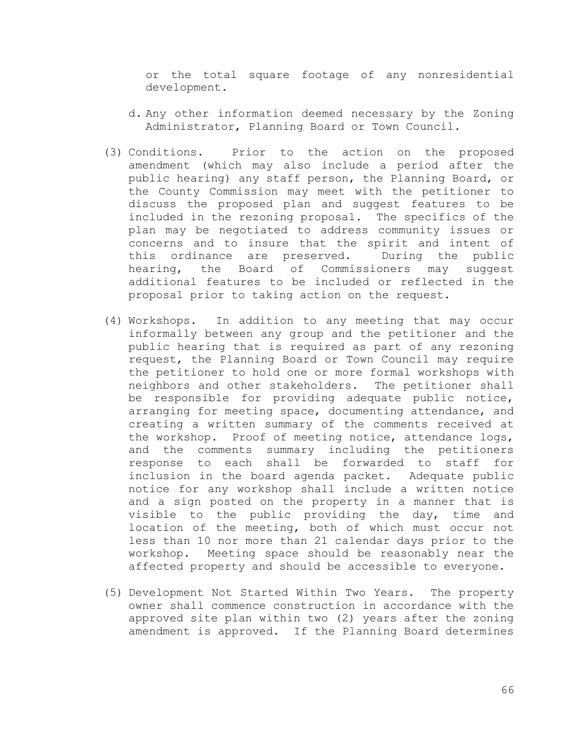or the total square footage of any nonresidential development.

- d. Any other information deemed necessary by the Zoning Administrator, Planning Board or Town Council.
- (3) Conditions. Prior to the action on the proposed amendment (which may also include a period after the public hearing) any staff person, the Planning Board, or the County Commission may meet with the petitioner to discuss the proposed plan and suggest features to be included in the rezoning proposal. The specifics of the plan may be negotiated to address community issues or concerns and to insure that the spirit and intent of this ordinance are preserved. During the public hearing, the Board of Commissioners may suggest additional features to be included or reflected in the proposal prior to taking action on the request.
- (4) Workshops. In addition to any meeting that may occur informally between any group and the petitioner and the public hearing that is required as part of any rezoning request, the Planning Board or Town Council may require the petitioner to hold one or more formal workshops with neighbors and other stakeholders. The petitioner shall be responsible for providing adequate public notice, arranging for meeting space, documenting attendance, and creating a written summary of the comments received at the workshop. Proof of meeting notice, attendance logs, and the comments summary including the petitioners response to each shall be forwarded to staff for inclusion in the board agenda packet. Adequate public notice for any workshop shall include a written notice and a sign posted on the property in a manner that is visible to the public providing the day, time and location of the meeting, both of which must occur not less than 10 nor more than 21 calendar days prior to the workshop. Meeting space should be reasonably near the affected property and should be accessible to everyone.
- (5) Development Not Started Within Two Years. The property owner shall commence construction in accordance with the approved site plan within two (2) years after the zoning amendment is approved. If the Planning Board determines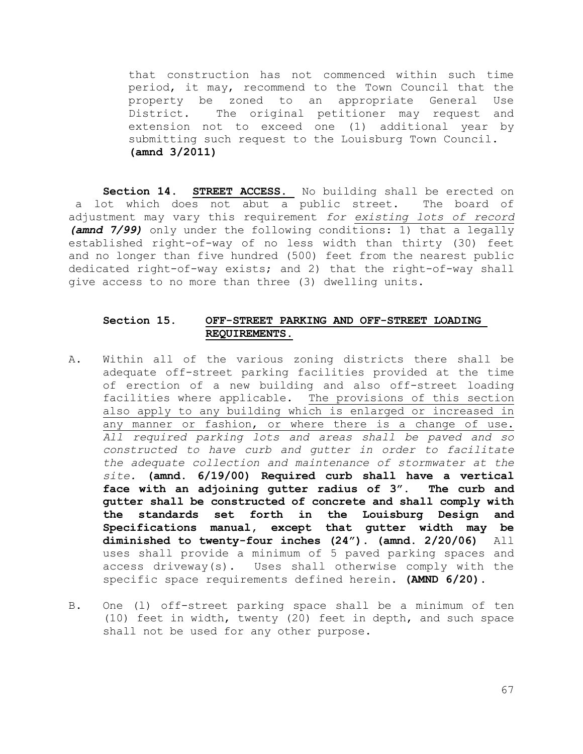that construction has not commenced within such time period, it may, recommend to the Town Council that the property be zoned to an appropriate General Use District. The original petitioner may request and extension not to exceed one (1) additional year by submitting such request to the Louisburg Town Council. **(amnd 3/2011)**

Section 14. STREET ACCESS. No building shall be erected on a lot which does not abut a public street. The board of adjustment may vary this requirement *for existing lots of record (amnd 7/99)* only under the following conditions: 1) that a legally established right-of-way of no less width than thirty (30) feet and no longer than five hundred (500) feet from the nearest public dedicated right-of-way exists; and 2) that the right-of-way shall give access to no more than three (3) dwelling units.

## **Section 15. OFF-STREET PARKING AND OFF-STREET LOADING REQUIREMENTS.**

- A. Within all of the various zoning districts there shall be adequate off-street parking facilities provided at the time of erection of a new building and also off-street loading facilities where applicable. The provisions of this section also apply to any building which is enlarged or increased in any manner or fashion, or where there is a change of use. *All required parking lots and areas shall be paved and so constructed to have curb and gutter in order to facilitate the adequate collection and maintenance of stormwater at the site.* **(amnd. 6/19/00) Required curb shall have a vertical face with an adjoining gutter radius of 3". The curb and gutter shall be constructed of concrete and shall comply with the standards set forth in the Louisburg Design and Specifications manual, except that gutter width may be diminished to twenty-four inches (24"). (amnd. 2/20/06)** All uses shall provide a minimum of 5 paved parking spaces and access driveway(s). Uses shall otherwise comply with the specific space requirements defined herein. **(AMND 6/20).**
- B. One (l) off-street parking space shall be a minimum of ten (10) feet in width, twenty (20) feet in depth, and such space shall not be used for any other purpose.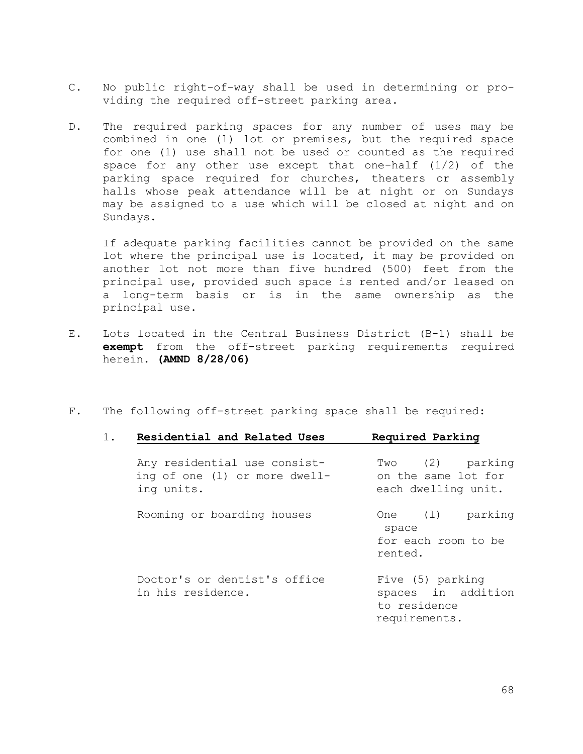- C. No public right-of-way shall be used in determining or providing the required off-street parking area.
- D. The required parking spaces for any number of uses may be combined in one (l) lot or premises, but the required space for one (1) use shall not be used or counted as the required space for any other use except that one-half (1/2) of the parking space required for churches, theaters or assembly halls whose peak attendance will be at night or on Sundays may be assigned to a use which will be closed at night and on Sundays.

If adequate parking facilities cannot be provided on the same lot where the principal use is located, it may be provided on another lot not more than five hundred (500) feet from the principal use, provided such space is rented and/or leased on a long-term basis or is in the same ownership as the principal use.

- E. Lots located in the Central Business District (B-1) shall be **exempt** from the off-street parking requirements required herein. **(AMND 8/28/06)**
- F. The following off-street parking space shall be required:

| $1$ . | Residential and Related Uses                                                | Required Parking                                                        |
|-------|-----------------------------------------------------------------------------|-------------------------------------------------------------------------|
|       | Any residential use consist-<br>ing of one (1) or more dwell-<br>ing units. | Two (2) parking<br>on the same lot for<br>each dwelling unit.           |
|       | Rooming or boarding houses                                                  | parking<br>One (1)<br>space<br>for each room to be<br>rented.           |
|       | Doctor's or dentist's office<br>in his residence.                           | Five (5) parking<br>spaces in addition<br>to residence<br>requirements. |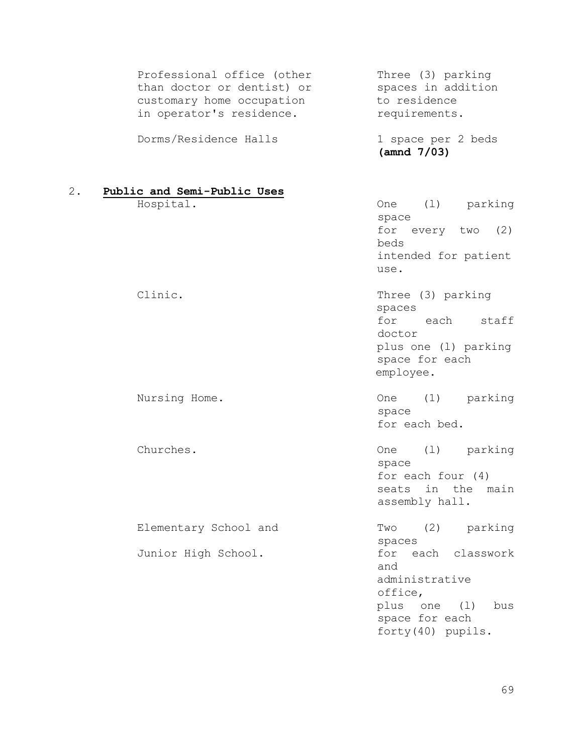| Professional office (other<br>than doctor or dentist) or<br>customary home occupation<br>in operator's residence. | Three (3) parking<br>spaces in addition<br>to residence<br>requirements.                                                       |
|-------------------------------------------------------------------------------------------------------------------|--------------------------------------------------------------------------------------------------------------------------------|
| Dorms/Residence Halls                                                                                             | 1 space per 2 beds<br>(amnd 7/03)                                                                                              |
| 2.<br>Public and Semi-Public Uses                                                                                 |                                                                                                                                |
| Hospital.                                                                                                         | (1)<br>parking<br>One<br>space<br>for<br>every $two$ (2)<br>beds                                                               |
|                                                                                                                   | intended for patient<br>use.                                                                                                   |
| Clinic.                                                                                                           | Three (3) parking<br>spaces<br>for<br>each<br>staff<br>doctor<br>plus one (1) parking<br>space for each<br>employee.           |
| Nursing Home.                                                                                                     | (1)<br>parking<br><b>One</b><br>space<br>for each bed.                                                                         |
| Churches.                                                                                                         | (1)<br>parking<br>One<br>space<br>for each four $(4)$<br>in the main<br>seats<br>assembly hall.                                |
| Elementary School and                                                                                             | (2)<br>parking<br>Two<br>spaces                                                                                                |
| Junior High School.                                                                                               | each classwork<br>for<br>and<br>administrative<br>office,<br>plus<br>bus<br>one<br>(1)<br>space for each<br>forty (40) pupils. |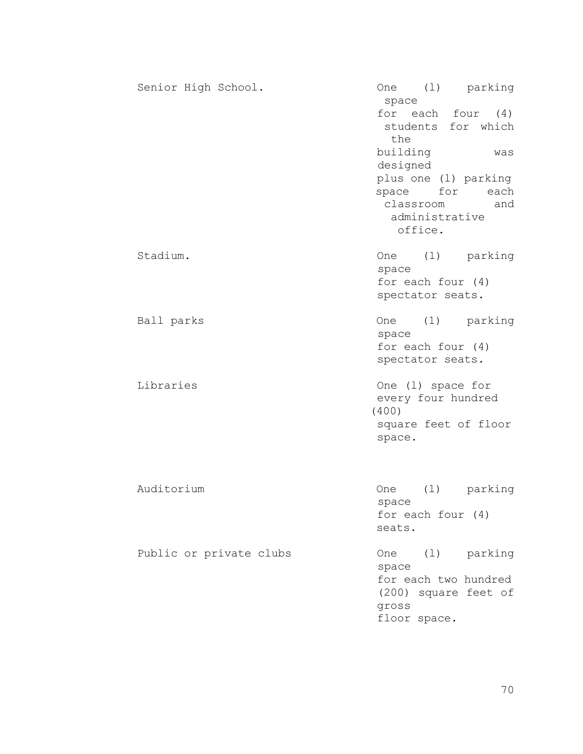| Senior High School.     | (1) parking<br>One<br>space<br>for each four<br>(4)<br>students for which<br>the<br>building<br>was<br>designed<br>plus one (1) parking<br>space<br>for<br>each<br>classroom<br>and<br>administrative<br>office. |
|-------------------------|------------------------------------------------------------------------------------------------------------------------------------------------------------------------------------------------------------------|
| Stadium.                | (1)<br>parking<br>One<br>space<br>for each four $(4)$<br>spectator seats.                                                                                                                                        |
| Ball parks              | (1)<br>parking<br>One<br>space<br>for each four $(4)$<br>spectator seats.                                                                                                                                        |
| Libraries               | One (1) space for<br>every four hundred<br>(400)<br>square feet of floor<br>space.                                                                                                                               |
| Auditorium              | (1)<br>parking<br><b>One</b><br>space<br>for each four (4)<br>seats.                                                                                                                                             |
| Public or private clubs | (1) parking<br>One<br>space<br>for each two hundred<br>(200) square feet of<br>gross<br>floor space.                                                                                                             |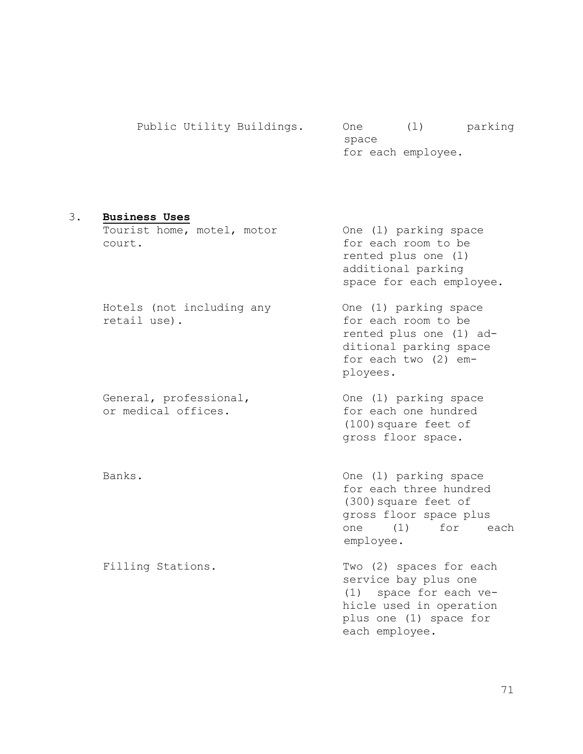|  | Public Utility Buildings. | One   |                    | parking |
|--|---------------------------|-------|--------------------|---------|
|  |                           | space |                    |         |
|  |                           |       | for each employee. |         |

### 3. **Business Uses**

Tourist home, motel, motor One (l) parking space court. for each room to be

Hotels (not including any One (1) parking space retail use). The same of the set of the set of the set of the set of the set of the set of the set of the set of the set of the set of the set of the set of the set of the set of the set of the set of the set of the set of

or medical offices. The same of the same hundred

rented plus one (l) additional parking space for each employee.

rented plus one (1) additional parking space for each two (2) employees.

General, professional,  $One (1)$  parking space (100)square feet of gross floor space.

Banks. Banks and the set of the Cone (1) parking space for each three hundred (300)square feet of gross floor space plus one (1) for each employee.

Filling Stations. Two (2) spaces for each service bay plus one (1) space for each vehicle used in operation plus one (1) space for each employee.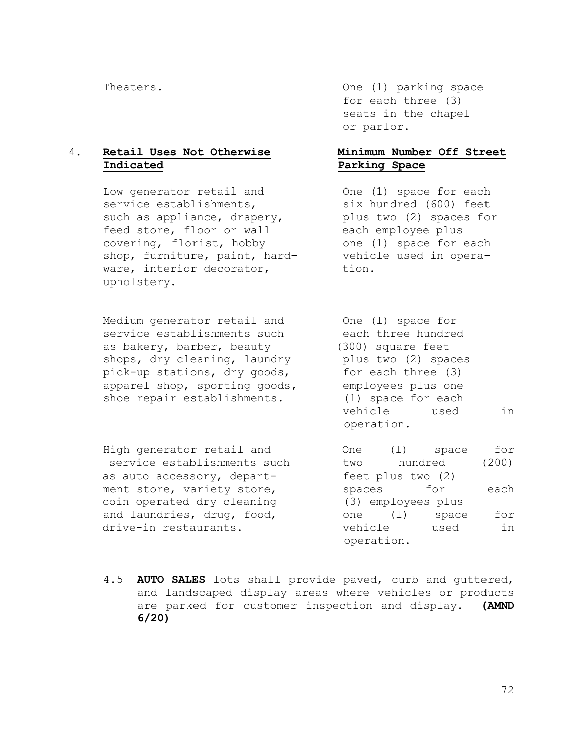# 4. **Retail Uses Not Otherwise Minimum Number Off Street Indicated Parking Space**

Low generator retail and One (1) space for each service establishments, six hundred (600) feet such as appliance, drapery, blus two (2) spaces for feed store, floor or wall each employee plus covering, florist, hobby one (1) space for each shop, furniture, paint, hard- vehicle used in operaware, interior decorator, tion. upholstery.

Medium generator retail and  $\rho$  One (1) space for service establishments such each three hundred as bakery, barber, beauty (300) square feet shops, dry cleaning, laundry blus two (2) spaces pick-up stations, dry goods, for each three (3) apparel shop, sporting goods, employees plus one shoe repair establishments. (1) space for each

High generator retail and  $\rho$  One (1) space for service establishments such two hundred (200) as auto accessory, depart-<br>
feet plus two (2) ment store, variety store, spaces for each coin operated dry cleaning (3) employees plus and laundries, drug, food,  $one$  (1) space for drive-in restaurants. vehicle used in

Theaters. Theaters one (1) parking space for each three (3) seats in the chapel or parlor.

vehicle used in operation.

operation.

4.5 **AUTO SALES** lots shall provide paved, curb and guttered, and landscaped display areas where vehicles or products are parked for customer inspection and display. **(AMND 6/20)**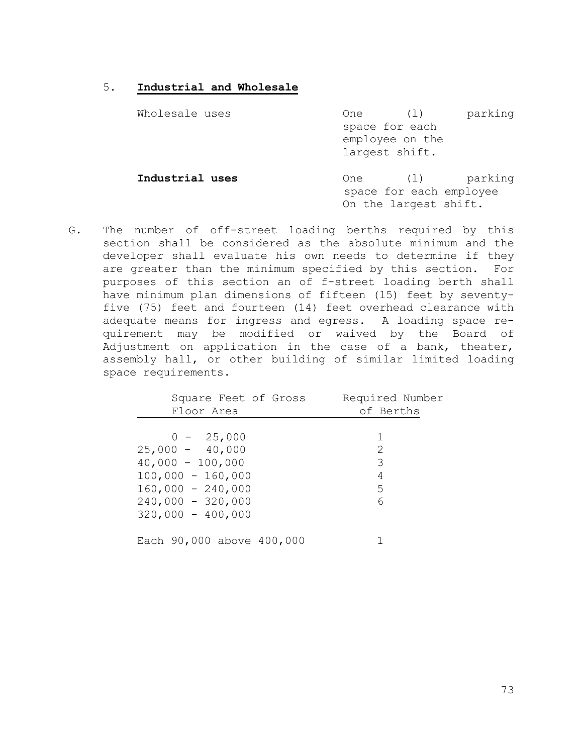# 5. **Industrial and Wholesale**

| Wholesale uses  | parking<br>One<br>$(\perp)$<br>space for each<br>employee on the<br>largest shift. |
|-----------------|------------------------------------------------------------------------------------|
| Industrial uses | parking<br>One<br>(1)<br>space for each employee<br>On the largest shift.          |

G. The number of off-street loading berths required by this section shall be considered as the absolute minimum and the developer shall evaluate his own needs to determine if they are greater than the minimum specified by this section. For purposes of this section an of f-street loading berth shall have minimum plan dimensions of fifteen (15) feet by seventyfive (75) feet and fourteen (14) feet overhead clearance with adequate means for ingress and egress. A loading space requirement may be modified or waived by the Board of Adjustment on application in the case of a bank, theater, assembly hall, or other building of similar limited loading space requirements.

| Square Feet of Gross      | Required Number |
|---------------------------|-----------------|
| Floor Area                | of Berths       |
|                           |                 |
| $0 - 25,000$              | 1               |
| $25,000 - 40,000$         | 2               |
| $40,000 - 100,000$        | 3               |
| $100,000 - 160,000$       | 4               |
| $160,000 - 240,000$       | 5               |
| $240,000 - 320,000$       | 6               |
| $320,000 - 400,000$       |                 |
|                           |                 |
| Each 90,000 above 400,000 |                 |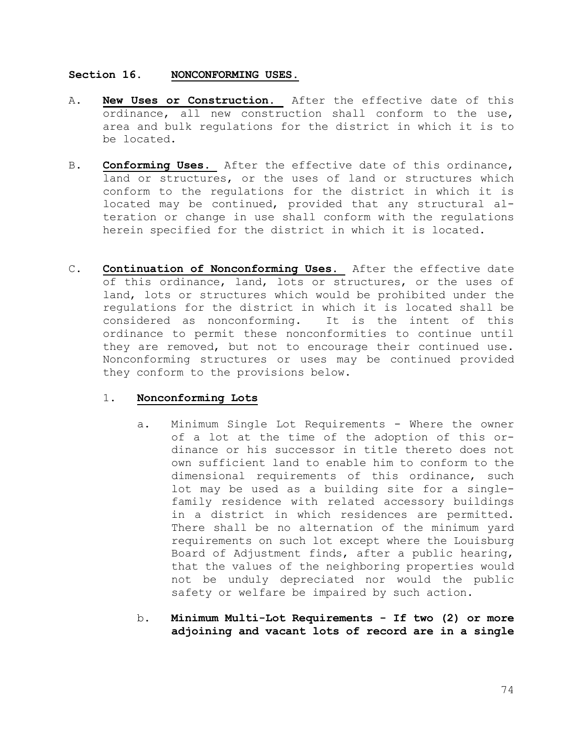# **Section 16. NONCONFORMING USES.**

- A. **New Uses or Construction.** After the effective date of this ordinance, all new construction shall conform to the use, area and bulk regulations for the district in which it is to be located.
- B. **Conforming Uses.** After the effective date of this ordinance, land or structures, or the uses of land or structures which conform to the regulations for the district in which it is located may be continued, provided that any structural alteration or change in use shall conform with the regulations herein specified for the district in which it is located.
- C. **Continuation of Nonconforming Uses.** After the effective date of this ordinance, land, lots or structures, or the uses of land, lots or structures which would be prohibited under the regulations for the district in which it is located shall be considered as nonconforming. It is the intent of this ordinance to permit these nonconformities to continue until they are removed, but not to encourage their continued use. Nonconforming structures or uses may be continued provided they conform to the provisions below.

# 1. **Nonconforming Lots**

- a. Minimum Single Lot Requirements Where the owner of a lot at the time of the adoption of this ordinance or his successor in title thereto does not own sufficient land to enable him to conform to the dimensional requirements of this ordinance, such lot may be used as a building site for a singlefamily residence with related accessory buildings in a district in which residences are permitted. There shall be no alternation of the minimum yard requirements on such lot except where the Louisburg Board of Adjustment finds, after a public hearing, that the values of the neighboring properties would not be unduly depreciated nor would the public safety or welfare be impaired by such action.
- b. **Minimum Multi-Lot Requirements - If two (2) or more adjoining and vacant lots of record are in a single**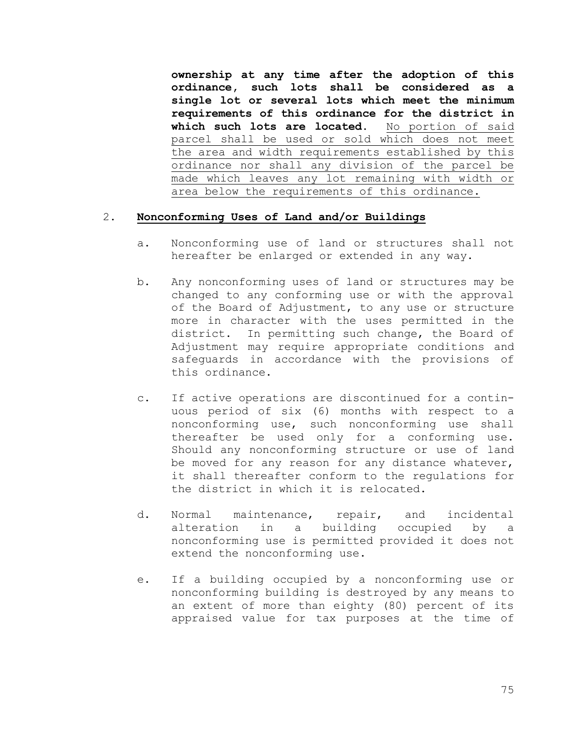**ownership at any time after the adoption of this ordinance, such lots shall be considered as a single lot or several lots which meet the minimum requirements of this ordinance for the district in which such lots are located.** No portion of said parcel shall be used or sold which does not meet the area and width requirements established by this ordinance nor shall any division of the parcel be made which leaves any lot remaining with width or area below the requirements of this ordinance.

# 2. **Nonconforming Uses of Land and/or Buildings**

- a. Nonconforming use of land or structures shall not hereafter be enlarged or extended in any way.
- b. Any nonconforming uses of land or structures may be changed to any conforming use or with the approval of the Board of Adjustment, to any use or structure more in character with the uses permitted in the district. In permitting such change, the Board of Adjustment may require appropriate conditions and safeguards in accordance with the provisions of this ordinance.
- c. If active operations are discontinued for a continuous period of six (6) months with respect to a nonconforming use, such nonconforming use shall thereafter be used only for a conforming use. Should any nonconforming structure or use of land be moved for any reason for any distance whatever, it shall thereafter conform to the regulations for the district in which it is relocated.
- d. Normal maintenance, repair, and incidental alteration in a building occupied by a nonconforming use is permitted provided it does not extend the nonconforming use.
- e. If a building occupied by a nonconforming use or nonconforming building is destroyed by any means to an extent of more than eighty (80) percent of its appraised value for tax purposes at the time of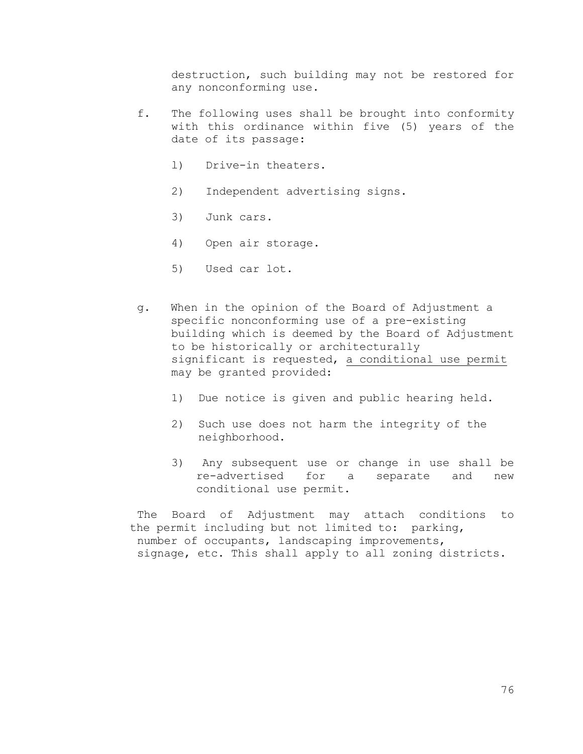destruction, such building may not be restored for any nonconforming use.

- f. The following uses shall be brought into conformity with this ordinance within five (5) years of the date of its passage:
	- l) Drive-in theaters.
	- 2) Independent advertising signs.
	- 3) Junk cars.
	- 4) Open air storage.
	- 5) Used car lot.
- g. When in the opinion of the Board of Adjustment a specific nonconforming use of a pre-existing building which is deemed by the Board of Adjustment to be historically or architecturally significant is requested, a conditional use permit may be granted provided:
	- 1) Due notice is given and public hearing held.
	- 2) Such use does not harm the integrity of the neighborhood.
	- 3) Any subsequent use or change in use shall be re-advertised for a separate and new conditional use permit.

The Board of Adjustment may attach conditions to the permit including but not limited to: parking, number of occupants, landscaping improvements, signage, etc. This shall apply to all zoning districts.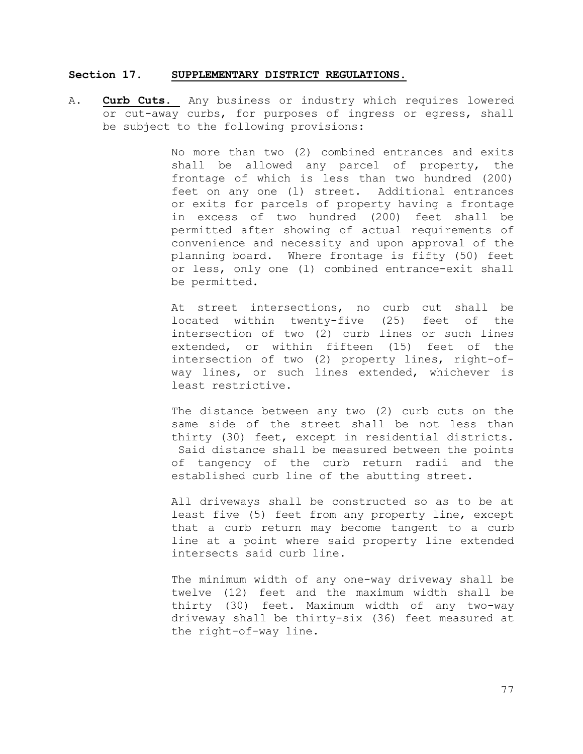### **Section 17. SUPPLEMENTARY DISTRICT REGULATIONS.**

A. **Curb Cuts.** Any business or industry which requires lowered or cut-away curbs, for purposes of ingress or egress, shall be subject to the following provisions:

> No more than two (2) combined entrances and exits shall be allowed any parcel of property, the frontage of which is less than two hundred (200) feet on any one (l) street. Additional entrances or exits for parcels of property having a frontage in excess of two hundred (200) feet shall be permitted after showing of actual requirements of convenience and necessity and upon approval of the planning board. Where frontage is fifty (50) feet or less, only one (l) combined entrance-exit shall be permitted.

> At street intersections, no curb cut shall be located within twenty-five (25) feet of the intersection of two (2) curb lines or such lines extended, or within fifteen (15) feet of the intersection of two (2) property lines, right-ofway lines, or such lines extended, whichever is least restrictive.

> The distance between any two (2) curb cuts on the same side of the street shall be not less than thirty (30) feet, except in residential districts. Said distance shall be measured between the points of tangency of the curb return radii and the established curb line of the abutting street.

> All driveways shall be constructed so as to be at least five (5) feet from any property line, except that a curb return may become tangent to a curb line at a point where said property line extended intersects said curb line.

> The minimum width of any one-way driveway shall be twelve (12) feet and the maximum width shall be thirty (30) feet. Maximum width of any two-way driveway shall be thirty-six (36) feet measured at the right-of-way line.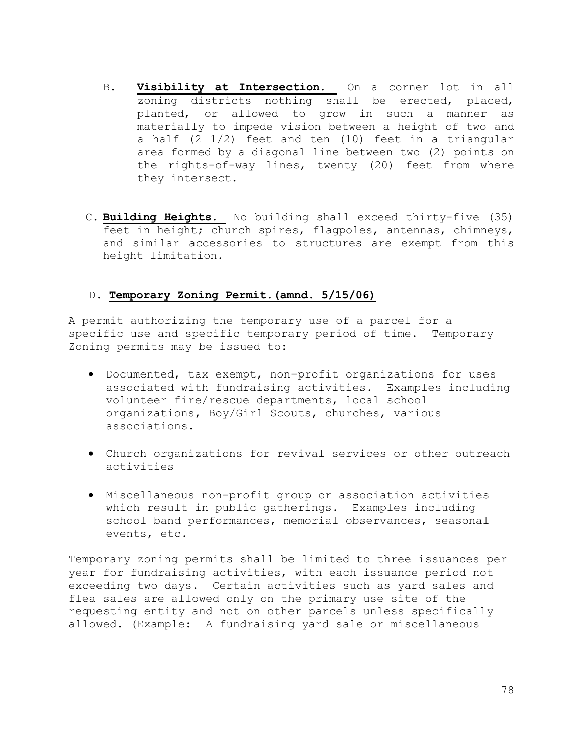- B. **Visibility at Intersection.** On a corner lot in all zoning districts nothing shall be erected, placed, planted, or allowed to grow in such a manner as materially to impede vision between a height of two and a half (2 1/2) feet and ten (10) feet in a triangular area formed by a diagonal line between two (2) points on the rights-of-way lines, twenty (20) feet from where they intersect.
- C. **Building Heights.** No building shall exceed thirty-five (35) feet in height; church spires, flagpoles, antennas, chimneys, and similar accessories to structures are exempt from this height limitation.

# D. **Temporary Zoning Permit.(amnd. 5/15/06)**

A permit authorizing the temporary use of a parcel for a specific use and specific temporary period of time. Temporary Zoning permits may be issued to:

- Documented, tax exempt, non-profit organizations for uses associated with fundraising activities. Examples including volunteer fire/rescue departments, local school organizations, Boy/Girl Scouts, churches, various associations.
- Church organizations for revival services or other outreach activities
- Miscellaneous non-profit group or association activities which result in public gatherings. Examples including school band performances, memorial observances, seasonal events, etc.

Temporary zoning permits shall be limited to three issuances per year for fundraising activities, with each issuance period not exceeding two days. Certain activities such as yard sales and flea sales are allowed only on the primary use site of the requesting entity and not on other parcels unless specifically allowed. (Example: A fundraising yard sale or miscellaneous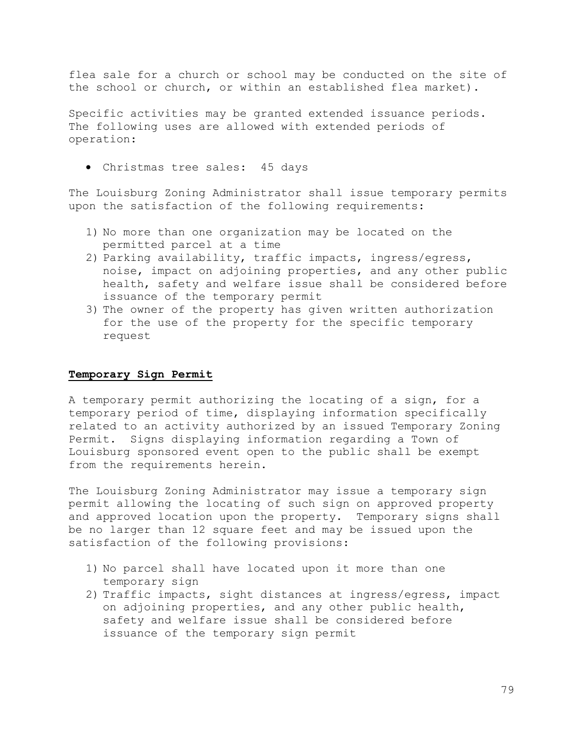flea sale for a church or school may be conducted on the site of the school or church, or within an established flea market).

Specific activities may be granted extended issuance periods. The following uses are allowed with extended periods of operation:

• Christmas tree sales: 45 days

The Louisburg Zoning Administrator shall issue temporary permits upon the satisfaction of the following requirements:

- 1) No more than one organization may be located on the permitted parcel at a time
- 2) Parking availability, traffic impacts, ingress/egress, noise, impact on adjoining properties, and any other public health, safety and welfare issue shall be considered before issuance of the temporary permit
- 3) The owner of the property has given written authorization for the use of the property for the specific temporary request

### **Temporary Sign Permit**

A temporary permit authorizing the locating of a sign, for a temporary period of time, displaying information specifically related to an activity authorized by an issued Temporary Zoning Permit. Signs displaying information regarding a Town of Louisburg sponsored event open to the public shall be exempt from the requirements herein.

The Louisburg Zoning Administrator may issue a temporary sign permit allowing the locating of such sign on approved property and approved location upon the property. Temporary signs shall be no larger than 12 square feet and may be issued upon the satisfaction of the following provisions:

- 1) No parcel shall have located upon it more than one temporary sign
- 2) Traffic impacts, sight distances at ingress/egress, impact on adjoining properties, and any other public health, safety and welfare issue shall be considered before issuance of the temporary sign permit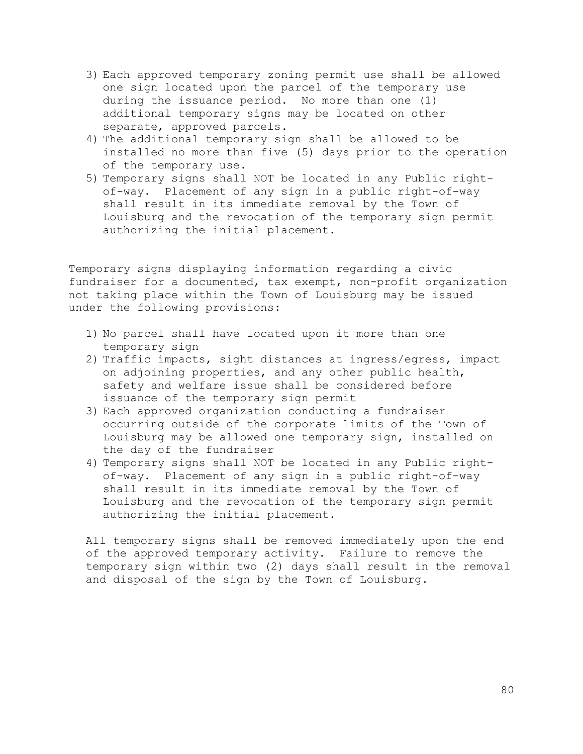- 3) Each approved temporary zoning permit use shall be allowed one sign located upon the parcel of the temporary use during the issuance period. No more than one (1) additional temporary signs may be located on other separate, approved parcels.
- 4) The additional temporary sign shall be allowed to be installed no more than five (5) days prior to the operation of the temporary use.
- 5) Temporary signs shall NOT be located in any Public rightof-way. Placement of any sign in a public right-of-way shall result in its immediate removal by the Town of Louisburg and the revocation of the temporary sign permit authorizing the initial placement.

Temporary signs displaying information regarding a civic fundraiser for a documented, tax exempt, non-profit organization not taking place within the Town of Louisburg may be issued under the following provisions:

- 1) No parcel shall have located upon it more than one temporary sign
- 2) Traffic impacts, sight distances at ingress/egress, impact on adjoining properties, and any other public health, safety and welfare issue shall be considered before issuance of the temporary sign permit
- 3) Each approved organization conducting a fundraiser occurring outside of the corporate limits of the Town of Louisburg may be allowed one temporary sign, installed on the day of the fundraiser
- 4) Temporary signs shall NOT be located in any Public rightof-way. Placement of any sign in a public right-of-way shall result in its immediate removal by the Town of Louisburg and the revocation of the temporary sign permit authorizing the initial placement.

All temporary signs shall be removed immediately upon the end of the approved temporary activity. Failure to remove the temporary sign within two (2) days shall result in the removal and disposal of the sign by the Town of Louisburg.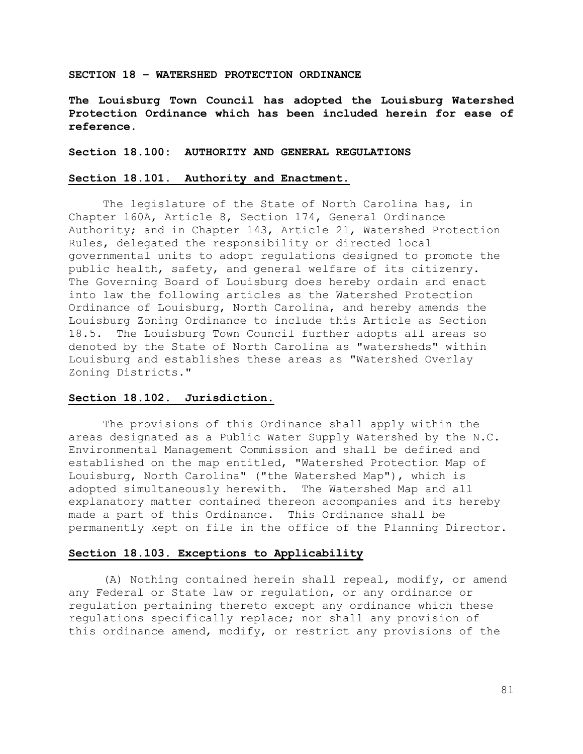#### **SECTION 18 – WATERSHED PROTECTION ORDINANCE**

**The Louisburg Town Council has adopted the Louisburg Watershed Protection Ordinance which has been included herein for ease of reference.**

**Section 18.100: AUTHORITY AND GENERAL REGULATIONS**

# **Section 18.101. Authority and Enactment.**

The legislature of the State of North Carolina has, in Chapter 160A, Article 8, Section 174, General Ordinance Authority; and in Chapter 143, Article 21, Watershed Protection Rules, delegated the responsibility or directed local governmental units to adopt regulations designed to promote the public health, safety, and general welfare of its citizenry. The Governing Board of Louisburg does hereby ordain and enact into law the following articles as the Watershed Protection Ordinance of Louisburg, North Carolina, and hereby amends the Louisburg Zoning Ordinance to include this Article as Section 18.5. The Louisburg Town Council further adopts all areas so denoted by the State of North Carolina as "watersheds" within Louisburg and establishes these areas as "Watershed Overlay Zoning Districts."

### **Section 18.102. Jurisdiction.**

The provisions of this Ordinance shall apply within the areas designated as a Public Water Supply Watershed by the N.C. Environmental Management Commission and shall be defined and established on the map entitled, "Watershed Protection Map of Louisburg, North Carolina" ("the Watershed Map"), which is adopted simultaneously herewith. The Watershed Map and all explanatory matter contained thereon accompanies and its hereby made a part of this Ordinance. This Ordinance shall be permanently kept on file in the office of the Planning Director.

#### **Section 18.103. Exceptions to Applicability**

(A) Nothing contained herein shall repeal, modify, or amend any Federal or State law or regulation, or any ordinance or regulation pertaining thereto except any ordinance which these regulations specifically replace; nor shall any provision of this ordinance amend, modify, or restrict any provisions of the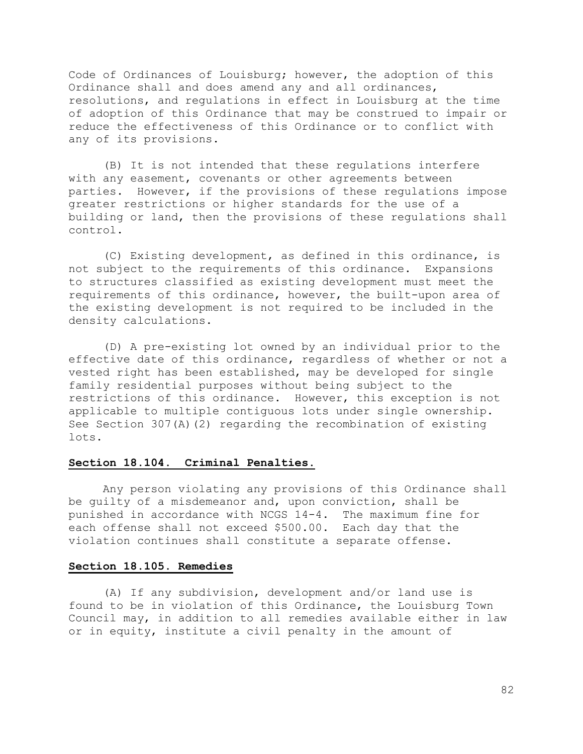Code of Ordinances of Louisburg; however, the adoption of this Ordinance shall and does amend any and all ordinances, resolutions, and regulations in effect in Louisburg at the time of adoption of this Ordinance that may be construed to impair or reduce the effectiveness of this Ordinance or to conflict with any of its provisions.

(B) It is not intended that these regulations interfere with any easement, covenants or other agreements between parties. However, if the provisions of these regulations impose greater restrictions or higher standards for the use of a building or land, then the provisions of these regulations shall control.

(C) Existing development, as defined in this ordinance, is not subject to the requirements of this ordinance. Expansions to structures classified as existing development must meet the requirements of this ordinance, however, the built-upon area of the existing development is not required to be included in the density calculations.

(D) A pre-existing lot owned by an individual prior to the effective date of this ordinance, regardless of whether or not a vested right has been established, may be developed for single family residential purposes without being subject to the restrictions of this ordinance. However, this exception is not applicable to multiple contiguous lots under single ownership. See Section 307(A)(2) regarding the recombination of existing lots.

# **Section 18.104. Criminal Penalties.**

Any person violating any provisions of this Ordinance shall be guilty of a misdemeanor and, upon conviction, shall be punished in accordance with NCGS 14-4. The maximum fine for each offense shall not exceed \$500.00. Each day that the violation continues shall constitute a separate offense.

# **Section 18.105. Remedies**

(A) If any subdivision, development and/or land use is found to be in violation of this Ordinance, the Louisburg Town Council may, in addition to all remedies available either in law or in equity, institute a civil penalty in the amount of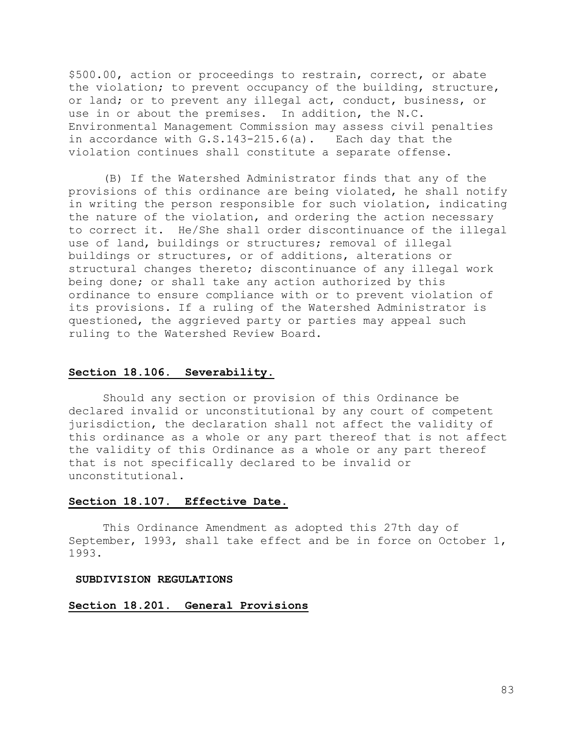\$500.00, action or proceedings to restrain, correct, or abate the violation; to prevent occupancy of the building, structure, or land; or to prevent any illegal act, conduct, business, or use in or about the premises. In addition, the N.C. Environmental Management Commission may assess civil penalties in accordance with G.S.143-215.6(a). Each day that the violation continues shall constitute a separate offense.

(B) If the Watershed Administrator finds that any of the provisions of this ordinance are being violated, he shall notify in writing the person responsible for such violation, indicating the nature of the violation, and ordering the action necessary to correct it. He/She shall order discontinuance of the illegal use of land, buildings or structures; removal of illegal buildings or structures, or of additions, alterations or structural changes thereto; discontinuance of any illegal work being done; or shall take any action authorized by this ordinance to ensure compliance with or to prevent violation of its provisions. If a ruling of the Watershed Administrator is questioned, the aggrieved party or parties may appeal such ruling to the Watershed Review Board.

# **Section 18.106. Severability.**

Should any section or provision of this Ordinance be declared invalid or unconstitutional by any court of competent jurisdiction, the declaration shall not affect the validity of this ordinance as a whole or any part thereof that is not affect the validity of this Ordinance as a whole or any part thereof that is not specifically declared to be invalid or unconstitutional.

# **Section 18.107. Effective Date.**

This Ordinance Amendment as adopted this 27th day of September, 1993, shall take effect and be in force on October 1, 1993.

#### **SUBDIVISION REGULATIONS**

#### **Section 18.201. General Provisions**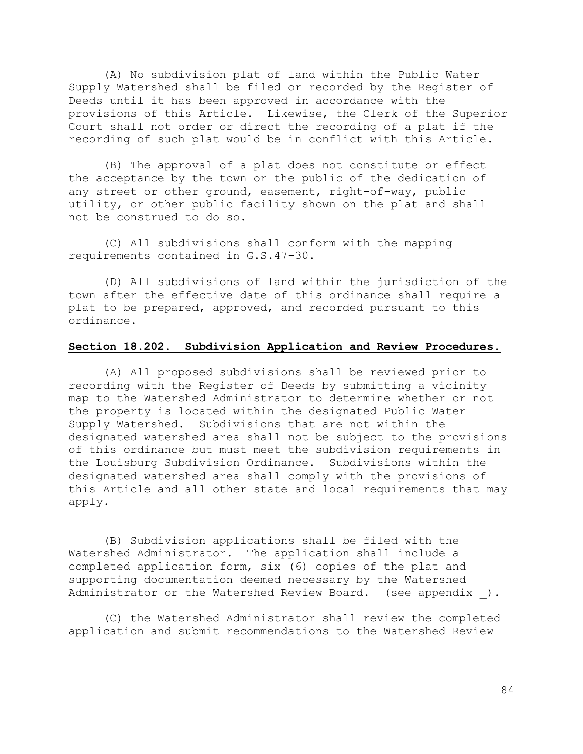(A) No subdivision plat of land within the Public Water Supply Watershed shall be filed or recorded by the Register of Deeds until it has been approved in accordance with the provisions of this Article. Likewise, the Clerk of the Superior Court shall not order or direct the recording of a plat if the recording of such plat would be in conflict with this Article.

(B) The approval of a plat does not constitute or effect the acceptance by the town or the public of the dedication of any street or other ground, easement, right-of-way, public utility, or other public facility shown on the plat and shall not be construed to do so.

(C) All subdivisions shall conform with the mapping requirements contained in G.S.47-30.

(D) All subdivisions of land within the jurisdiction of the town after the effective date of this ordinance shall require a plat to be prepared, approved, and recorded pursuant to this ordinance.

# **Section 18.202. Subdivision Application and Review Procedures.**

(A) All proposed subdivisions shall be reviewed prior to recording with the Register of Deeds by submitting a vicinity map to the Watershed Administrator to determine whether or not the property is located within the designated Public Water Supply Watershed. Subdivisions that are not within the designated watershed area shall not be subject to the provisions of this ordinance but must meet the subdivision requirements in the Louisburg Subdivision Ordinance. Subdivisions within the designated watershed area shall comply with the provisions of this Article and all other state and local requirements that may apply.

(B) Subdivision applications shall be filed with the Watershed Administrator. The application shall include a completed application form, six (6) copies of the plat and supporting documentation deemed necessary by the Watershed Administrator or the Watershed Review Board. (see appendix ).

(C) the Watershed Administrator shall review the completed application and submit recommendations to the Watershed Review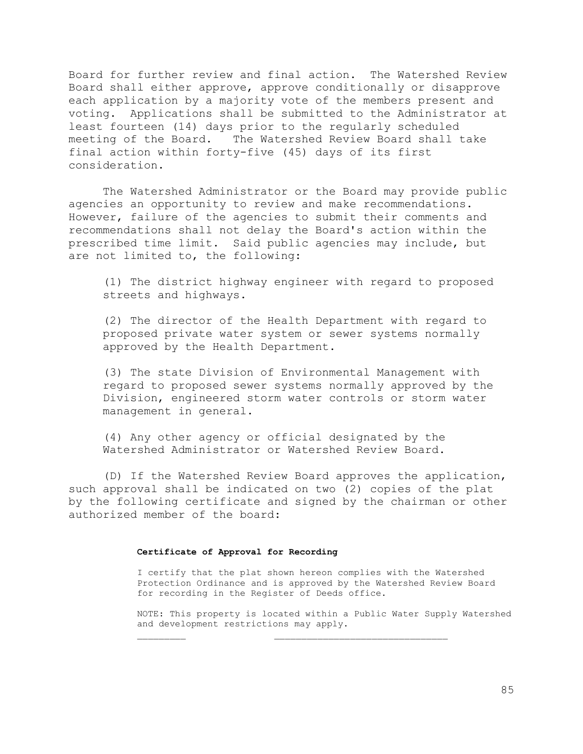Board for further review and final action. The Watershed Review Board shall either approve, approve conditionally or disapprove each application by a majority vote of the members present and voting. Applications shall be submitted to the Administrator at least fourteen (14) days prior to the regularly scheduled meeting of the Board. The Watershed Review Board shall take final action within forty-five (45) days of its first consideration.

The Watershed Administrator or the Board may provide public agencies an opportunity to review and make recommendations. However, failure of the agencies to submit their comments and recommendations shall not delay the Board's action within the prescribed time limit. Said public agencies may include, but are not limited to, the following:

(1) The district highway engineer with regard to proposed streets and highways.

(2) The director of the Health Department with regard to proposed private water system or sewer systems normally approved by the Health Department.

(3) The state Division of Environmental Management with regard to proposed sewer systems normally approved by the Division, engineered storm water controls or storm water management in general.

(4) Any other agency or official designated by the Watershed Administrator or Watershed Review Board.

(D) If the Watershed Review Board approves the application, such approval shall be indicated on two (2) copies of the plat by the following certificate and signed by the chairman or other authorized member of the board:

#### **Certificate of Approval for Recording**

I certify that the plat shown hereon complies with the Watershed Protection Ordinance and is approved by the Watershed Review Board for recording in the Register of Deeds office.

NOTE: This property is located within a Public Water Supply Watershed and development restrictions may apply.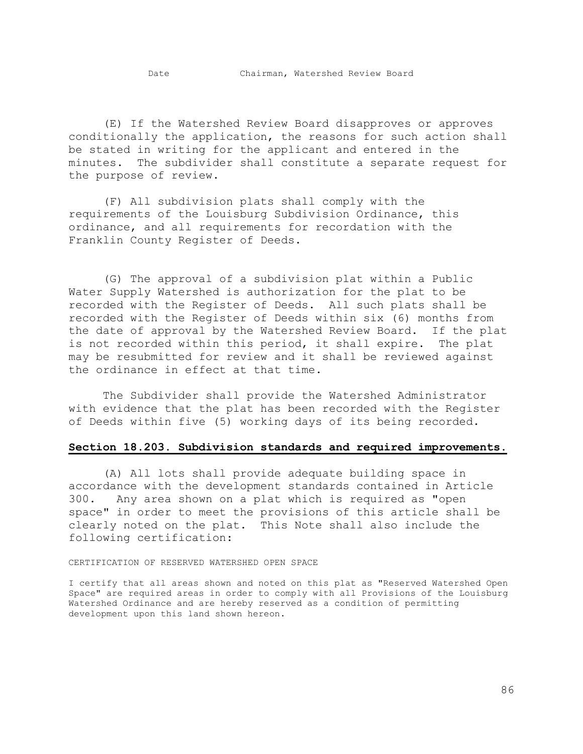(E) If the Watershed Review Board disapproves or approves conditionally the application, the reasons for such action shall be stated in writing for the applicant and entered in the minutes. The subdivider shall constitute a separate request for the purpose of review.

(F) All subdivision plats shall comply with the requirements of the Louisburg Subdivision Ordinance, this ordinance, and all requirements for recordation with the Franklin County Register of Deeds.

(G) The approval of a subdivision plat within a Public Water Supply Watershed is authorization for the plat to be recorded with the Register of Deeds. All such plats shall be recorded with the Register of Deeds within six (6) months from the date of approval by the Watershed Review Board. If the plat is not recorded within this period, it shall expire. The plat may be resubmitted for review and it shall be reviewed against the ordinance in effect at that time.

The Subdivider shall provide the Watershed Administrator with evidence that the plat has been recorded with the Register of Deeds within five (5) working days of its being recorded.

### **Section 18.203. Subdivision standards and required improvements.**

(A) All lots shall provide adequate building space in accordance with the development standards contained in Article 300. Any area shown on a plat which is required as "open space" in order to meet the provisions of this article shall be clearly noted on the plat. This Note shall also include the following certification:

#### CERTIFICATION OF RESERVED WATERSHED OPEN SPACE

I certify that all areas shown and noted on this plat as "Reserved Watershed Open Space" are required areas in order to comply with all Provisions of the Louisburg Watershed Ordinance and are hereby reserved as a condition of permitting development upon this land shown hereon.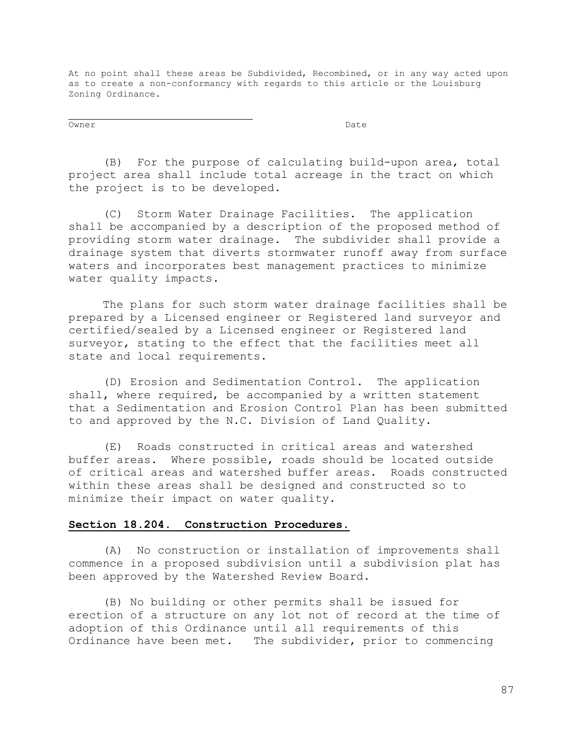At no point shall these areas be Subdivided, Recombined, or in any way acted upon as to create a non-conformancy with regards to this article or the Louisburg Zoning Ordinance.

Owner Date

(B) For the purpose of calculating build-upon area, total project area shall include total acreage in the tract on which the project is to be developed.

(C) Storm Water Drainage Facilities. The application shall be accompanied by a description of the proposed method of providing storm water drainage. The subdivider shall provide a drainage system that diverts stormwater runoff away from surface waters and incorporates best management practices to minimize water quality impacts.

The plans for such storm water drainage facilities shall be prepared by a Licensed engineer or Registered land surveyor and certified/sealed by a Licensed engineer or Registered land surveyor, stating to the effect that the facilities meet all state and local requirements.

(D) Erosion and Sedimentation Control. The application shall, where required, be accompanied by a written statement that a Sedimentation and Erosion Control Plan has been submitted to and approved by the N.C. Division of Land Quality.

(E) Roads constructed in critical areas and watershed buffer areas. Where possible, roads should be located outside of critical areas and watershed buffer areas. Roads constructed within these areas shall be designed and constructed so to minimize their impact on water quality.

### **Section 18.204. Construction Procedures.**

(A) No construction or installation of improvements shall commence in a proposed subdivision until a subdivision plat has been approved by the Watershed Review Board.

(B) No building or other permits shall be issued for erection of a structure on any lot not of record at the time of adoption of this Ordinance until all requirements of this Ordinance have been met. The subdivider, prior to commencing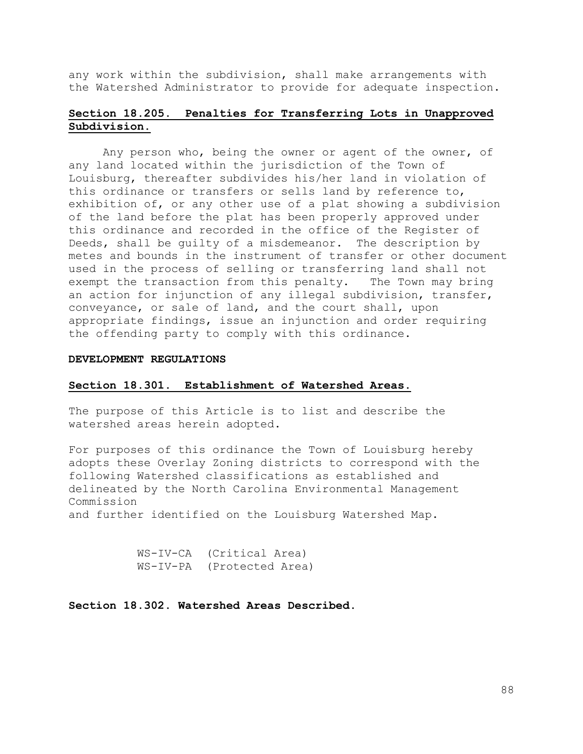any work within the subdivision, shall make arrangements with the Watershed Administrator to provide for adequate inspection.

# **Section 18.205. Penalties for Transferring Lots in Unapproved Subdivision.**

Any person who, being the owner or agent of the owner, of any land located within the jurisdiction of the Town of Louisburg, thereafter subdivides his/her land in violation of this ordinance or transfers or sells land by reference to, exhibition of, or any other use of a plat showing a subdivision of the land before the plat has been properly approved under this ordinance and recorded in the office of the Register of Deeds, shall be guilty of a misdemeanor. The description by metes and bounds in the instrument of transfer or other document used in the process of selling or transferring land shall not exempt the transaction from this penalty. The Town may bring an action for injunction of any illegal subdivision, transfer, conveyance, or sale of land, and the court shall, upon appropriate findings, issue an injunction and order requiring the offending party to comply with this ordinance.

#### **DEVELOPMENT REGULATIONS**

#### **Section 18.301. Establishment of Watershed Areas.**

The purpose of this Article is to list and describe the watershed areas herein adopted.

For purposes of this ordinance the Town of Louisburg hereby adopts these Overlay Zoning districts to correspond with the following Watershed classifications as established and delineated by the North Carolina Environmental Management Commission

and further identified on the Louisburg Watershed Map.

WS-IV-CA (Critical Area) WS-IV-PA (Protected Area)

**Section 18.302. Watershed Areas Described.**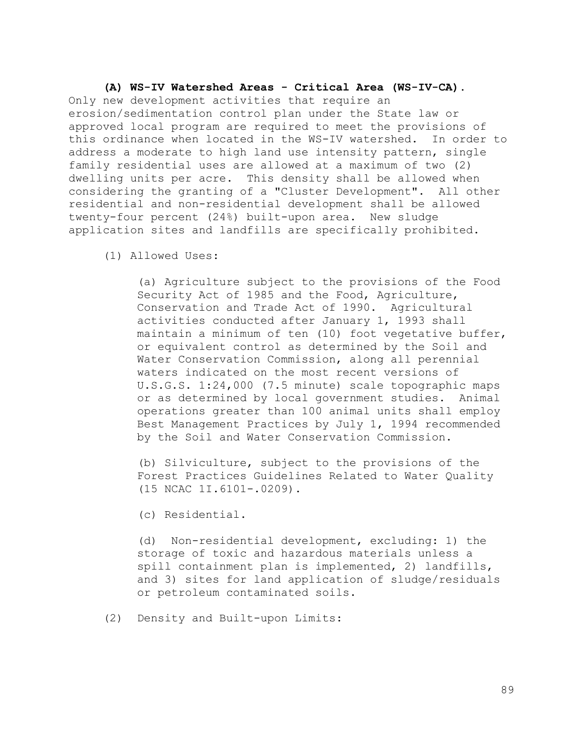# **(A) WS-IV Watershed Areas - Critical Area (WS-IV-CA).**

Only new development activities that require an erosion/sedimentation control plan under the State law or approved local program are required to meet the provisions of this ordinance when located in the WS-IV watershed. In order to address a moderate to high land use intensity pattern, single family residential uses are allowed at a maximum of two (2) dwelling units per acre. This density shall be allowed when considering the granting of a "Cluster Development". All other residential and non-residential development shall be allowed twenty-four percent (24%) built-upon area. New sludge application sites and landfills are specifically prohibited.

(1) Allowed Uses:

(a) Agriculture subject to the provisions of the Food Security Act of 1985 and the Food, Agriculture, Conservation and Trade Act of 1990. Agricultural activities conducted after January 1, 1993 shall maintain a minimum of ten (10) foot vegetative buffer, or equivalent control as determined by the Soil and Water Conservation Commission, along all perennial waters indicated on the most recent versions of U.S.G.S. 1:24,000 (7.5 minute) scale topographic maps or as determined by local government studies. Animal operations greater than 100 animal units shall employ Best Management Practices by July 1, 1994 recommended by the Soil and Water Conservation Commission.

(b) Silviculture, subject to the provisions of the Forest Practices Guidelines Related to Water Quality (15 NCAC 1I.6101-.0209).

(c) Residential.

(d) Non-residential development, excluding: 1) the storage of toxic and hazardous materials unless a spill containment plan is implemented, 2) landfills, and 3) sites for land application of sludge/residuals or petroleum contaminated soils.

(2) Density and Built-upon Limits: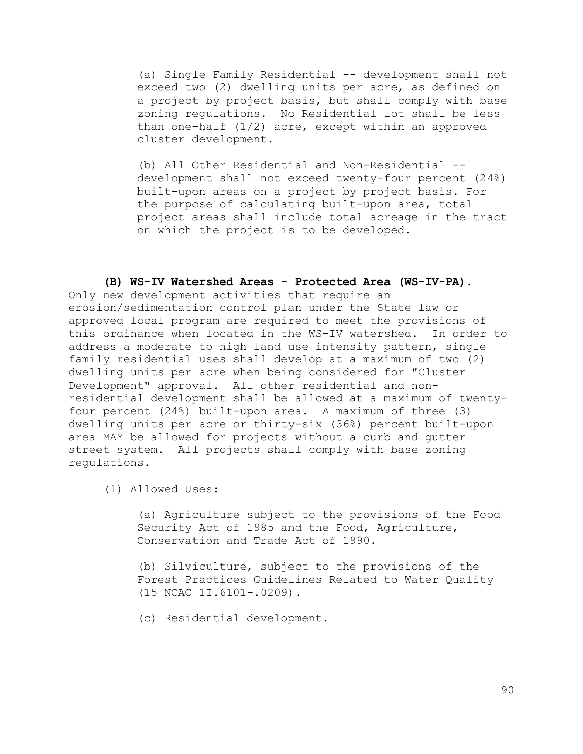(a) Single Family Residential -- development shall not exceed two (2) dwelling units per acre, as defined on a project by project basis, but shall comply with base zoning regulations. No Residential lot shall be less than one-half  $(1/2)$  acre, except within an approved cluster development.

(b) All Other Residential and Non-Residential - development shall not exceed twenty-four percent (24%) built-upon areas on a project by project basis. For the purpose of calculating built-upon area, total project areas shall include total acreage in the tract on which the project is to be developed.

### **(B) WS-IV Watershed Areas - Protected Area (WS-IV-PA)**.

Only new development activities that require an erosion/sedimentation control plan under the State law or approved local program are required to meet the provisions of this ordinance when located in the WS-IV watershed. In order to address a moderate to high land use intensity pattern, single family residential uses shall develop at a maximum of two (2) dwelling units per acre when being considered for "Cluster Development" approval. All other residential and nonresidential development shall be allowed at a maximum of twentyfour percent (24%) built-upon area. A maximum of three (3) dwelling units per acre or thirty-six (36%) percent built-upon area MAY be allowed for projects without a curb and gutter street system. All projects shall comply with base zoning regulations.

(1) Allowed Uses:

(a) Agriculture subject to the provisions of the Food Security Act of 1985 and the Food, Agriculture, Conservation and Trade Act of 1990.

(b) Silviculture, subject to the provisions of the Forest Practices Guidelines Related to Water Quality (15 NCAC 1I.6101-.0209).

(c) Residential development.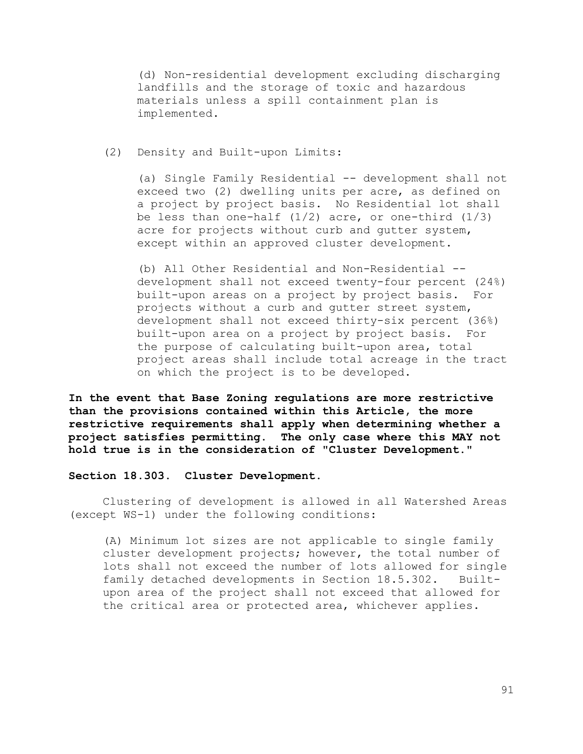(d) Non-residential development excluding discharging landfills and the storage of toxic and hazardous materials unless a spill containment plan is implemented.

## (2) Density and Built-upon Limits:

(a) Single Family Residential -- development shall not exceed two (2) dwelling units per acre, as defined on a project by project basis. No Residential lot shall be less than one-half  $(1/2)$  acre, or one-third  $(1/3)$ acre for projects without curb and gutter system, except within an approved cluster development.

(b) All Other Residential and Non-Residential - development shall not exceed twenty-four percent (24%) built-upon areas on a project by project basis. For projects without a curb and gutter street system, development shall not exceed thirty-six percent (36%) built-upon area on a project by project basis. For the purpose of calculating built-upon area, total project areas shall include total acreage in the tract on which the project is to be developed.

**In the event that Base Zoning regulations are more restrictive than the provisions contained within this Article, the more restrictive requirements shall apply when determining whether a project satisfies permitting. The only case where this MAY not hold true is in the consideration of "Cluster Development."**

**Section 18.303. Cluster Development.**

Clustering of development is allowed in all Watershed Areas (except WS-1) under the following conditions:

(A) Minimum lot sizes are not applicable to single family cluster development projects; however, the total number of lots shall not exceed the number of lots allowed for single family detached developments in Section 18.5.302. Builtupon area of the project shall not exceed that allowed for the critical area or protected area, whichever applies.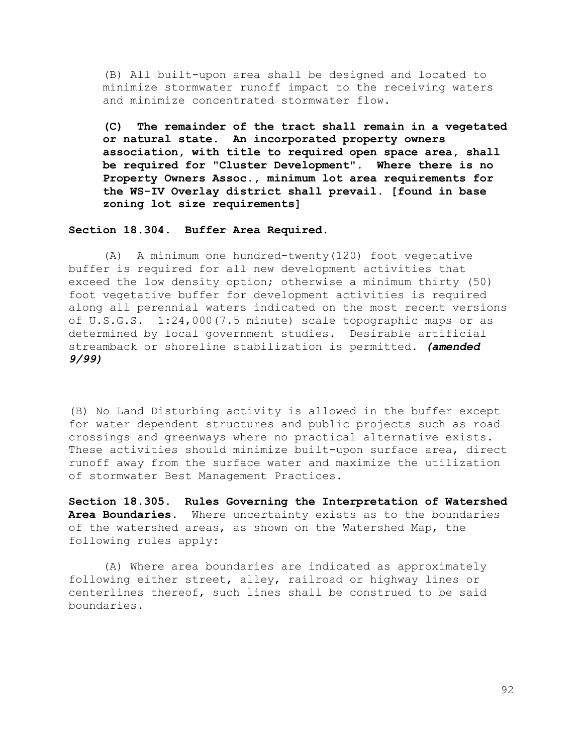(B) All built-upon area shall be designed and located to minimize stormwater runoff impact to the receiving waters and minimize concentrated stormwater flow.

**(C) The remainder of the tract shall remain in a vegetated or natural state. An incorporated property owners association, with title to required open space area, shall be required for "Cluster Development". Where there is no Property Owners Assoc., minimum lot area requirements for the WS-IV Overlay district shall prevail. [found in base zoning lot size requirements]** 

### **Section 18.304. Buffer Area Required.**

(A) A minimum one hundred-twenty(120) foot vegetative buffer is required for all new development activities that exceed the low density option; otherwise a minimum thirty (50) foot vegetative buffer for development activities is required along all perennial waters indicated on the most recent versions of U.S.G.S. 1:24,000(7.5 minute) scale topographic maps or as determined by local government studies. Desirable artificial streamback or shoreline stabilization is permitted. *(amended 9/99)*

(B) No Land Disturbing activity is allowed in the buffer except for water dependent structures and public projects such as road crossings and greenways where no practical alternative exists. These activities should minimize built-upon surface area, direct runoff away from the surface water and maximize the utilization of stormwater Best Management Practices.

**Section 18.305. Rules Governing the Interpretation of Watershed Area Boundaries.** Where uncertainty exists as to the boundaries of the watershed areas, as shown on the Watershed Map, the following rules apply:

(A) Where area boundaries are indicated as approximately following either street, alley, railroad or highway lines or centerlines thereof, such lines shall be construed to be said boundaries.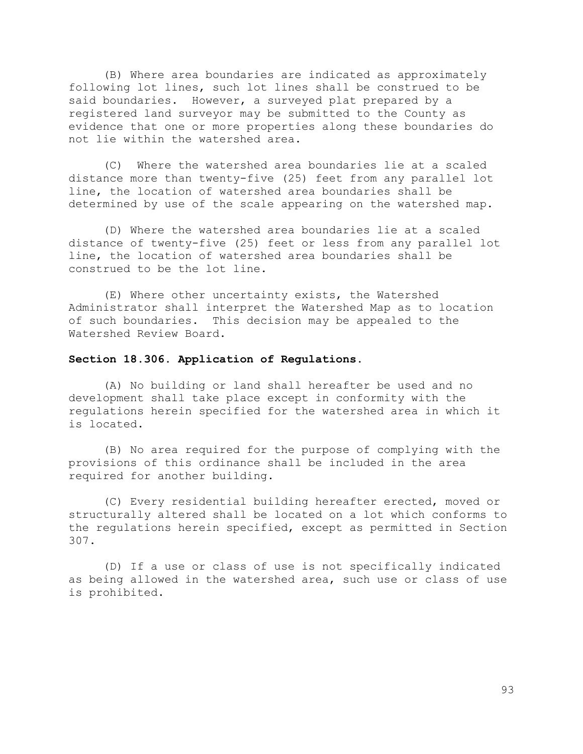(B) Where area boundaries are indicated as approximately following lot lines, such lot lines shall be construed to be said boundaries. However, a surveyed plat prepared by a registered land surveyor may be submitted to the County as evidence that one or more properties along these boundaries do not lie within the watershed area.

(C) Where the watershed area boundaries lie at a scaled distance more than twenty-five (25) feet from any parallel lot line, the location of watershed area boundaries shall be determined by use of the scale appearing on the watershed map.

(D) Where the watershed area boundaries lie at a scaled distance of twenty-five (25) feet or less from any parallel lot line, the location of watershed area boundaries shall be construed to be the lot line.

(E) Where other uncertainty exists, the Watershed Administrator shall interpret the Watershed Map as to location of such boundaries. This decision may be appealed to the Watershed Review Board.

# **Section 18.306. Application of Regulations.**

(A) No building or land shall hereafter be used and no development shall take place except in conformity with the regulations herein specified for the watershed area in which it is located.

(B) No area required for the purpose of complying with the provisions of this ordinance shall be included in the area required for another building.

(C) Every residential building hereafter erected, moved or structurally altered shall be located on a lot which conforms to the regulations herein specified, except as permitted in Section 307.

(D) If a use or class of use is not specifically indicated as being allowed in the watershed area, such use or class of use is prohibited.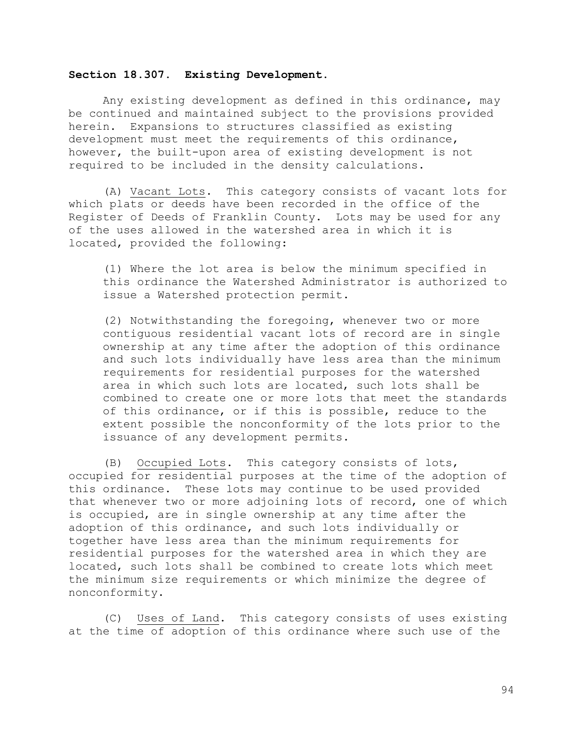# **Section 18.307. Existing Development.**

Any existing development as defined in this ordinance, may be continued and maintained subject to the provisions provided herein. Expansions to structures classified as existing development must meet the requirements of this ordinance, however, the built-upon area of existing development is not required to be included in the density calculations.

(A) Vacant Lots. This category consists of vacant lots for which plats or deeds have been recorded in the office of the Register of Deeds of Franklin County. Lots may be used for any of the uses allowed in the watershed area in which it is located, provided the following:

(1) Where the lot area is below the minimum specified in this ordinance the Watershed Administrator is authorized to issue a Watershed protection permit.

(2) Notwithstanding the foregoing, whenever two or more contiguous residential vacant lots of record are in single ownership at any time after the adoption of this ordinance and such lots individually have less area than the minimum requirements for residential purposes for the watershed area in which such lots are located, such lots shall be combined to create one or more lots that meet the standards of this ordinance, or if this is possible, reduce to the extent possible the nonconformity of the lots prior to the issuance of any development permits.

(B) Occupied Lots. This category consists of lots, occupied for residential purposes at the time of the adoption of this ordinance. These lots may continue to be used provided that whenever two or more adjoining lots of record, one of which is occupied, are in single ownership at any time after the adoption of this ordinance, and such lots individually or together have less area than the minimum requirements for residential purposes for the watershed area in which they are located, such lots shall be combined to create lots which meet the minimum size requirements or which minimize the degree of nonconformity.

(C) Uses of Land. This category consists of uses existing at the time of adoption of this ordinance where such use of the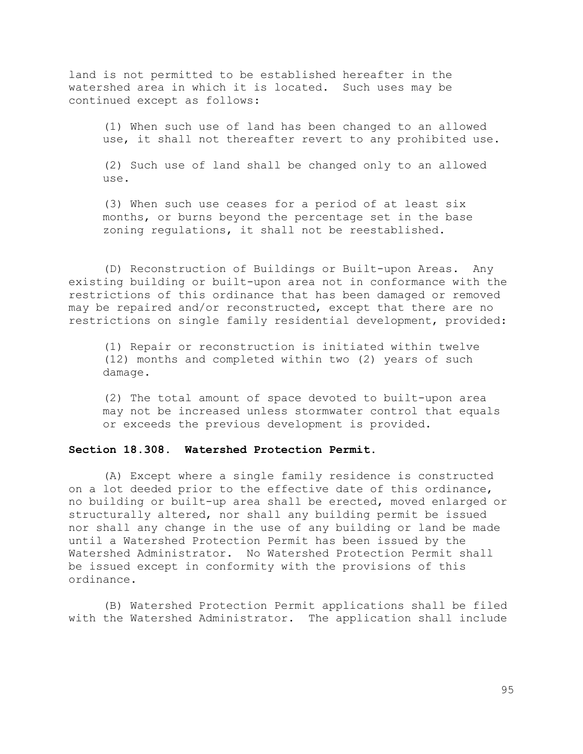land is not permitted to be established hereafter in the watershed area in which it is located. Such uses may be continued except as follows:

(1) When such use of land has been changed to an allowed use, it shall not thereafter revert to any prohibited use.

(2) Such use of land shall be changed only to an allowed use.

(3) When such use ceases for a period of at least six months, or burns beyond the percentage set in the base zoning regulations, it shall not be reestablished.

(D) Reconstruction of Buildings or Built-upon Areas. Any existing building or built-upon area not in conformance with the restrictions of this ordinance that has been damaged or removed may be repaired and/or reconstructed, except that there are no restrictions on single family residential development, provided:

(1) Repair or reconstruction is initiated within twelve (12) months and completed within two (2) years of such damage.

(2) The total amount of space devoted to built-upon area may not be increased unless stormwater control that equals or exceeds the previous development is provided.

# **Section 18.308. Watershed Protection Permit.**

(A) Except where a single family residence is constructed on a lot deeded prior to the effective date of this ordinance, no building or built-up area shall be erected, moved enlarged or structurally altered, nor shall any building permit be issued nor shall any change in the use of any building or land be made until a Watershed Protection Permit has been issued by the Watershed Administrator. No Watershed Protection Permit shall be issued except in conformity with the provisions of this ordinance.

(B) Watershed Protection Permit applications shall be filed with the Watershed Administrator. The application shall include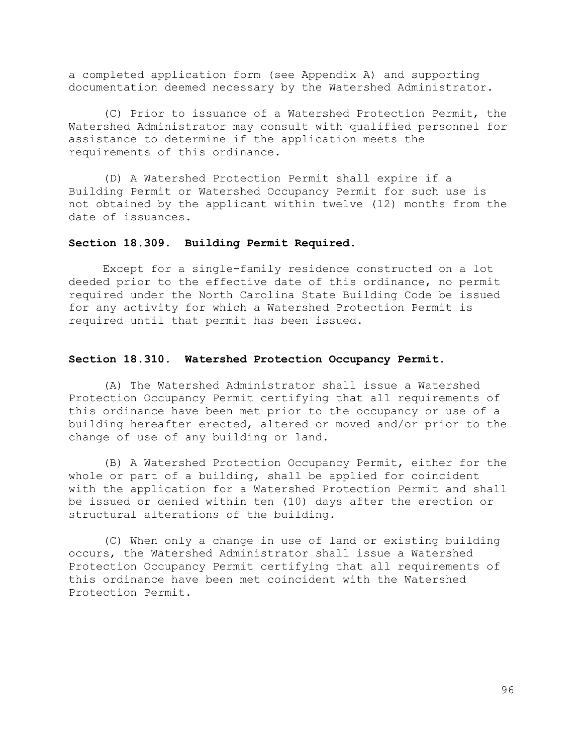a completed application form (see Appendix A) and supporting documentation deemed necessary by the Watershed Administrator.

(C) Prior to issuance of a Watershed Protection Permit, the Watershed Administrator may consult with qualified personnel for assistance to determine if the application meets the requirements of this ordinance.

(D) A Watershed Protection Permit shall expire if a Building Permit or Watershed Occupancy Permit for such use is not obtained by the applicant within twelve (12) months from the date of issuances.

### **Section 18.309. Building Permit Required.**

Except for a single-family residence constructed on a lot deeded prior to the effective date of this ordinance, no permit required under the North Carolina State Building Code be issued for any activity for which a Watershed Protection Permit is required until that permit has been issued.

### **Section 18.310. Watershed Protection Occupancy Permit.**

(A) The Watershed Administrator shall issue a Watershed Protection Occupancy Permit certifying that all requirements of this ordinance have been met prior to the occupancy or use of a building hereafter erected, altered or moved and/or prior to the change of use of any building or land.

(B) A Watershed Protection Occupancy Permit, either for the whole or part of a building, shall be applied for coincident with the application for a Watershed Protection Permit and shall be issued or denied within ten (10) days after the erection or structural alterations of the building.

(C) When only a change in use of land or existing building occurs, the Watershed Administrator shall issue a Watershed Protection Occupancy Permit certifying that all requirements of this ordinance have been met coincident with the Watershed Protection Permit.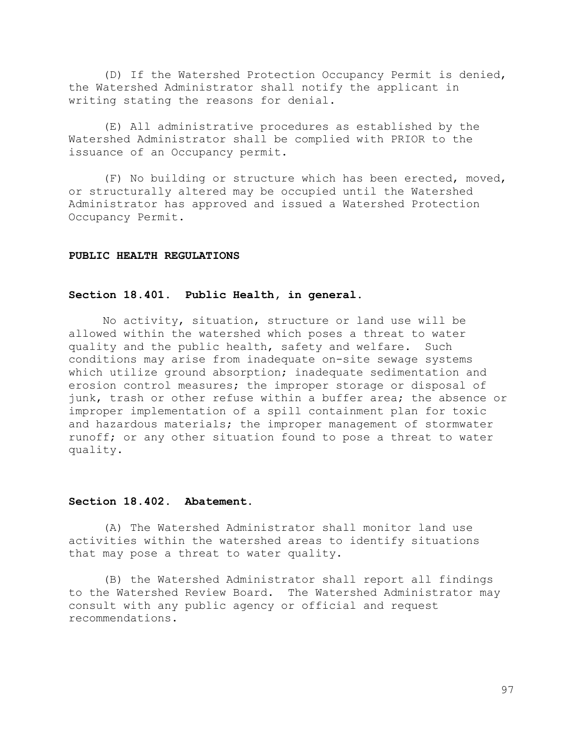(D) If the Watershed Protection Occupancy Permit is denied, the Watershed Administrator shall notify the applicant in writing stating the reasons for denial.

(E) All administrative procedures as established by the Watershed Administrator shall be complied with PRIOR to the issuance of an Occupancy permit.

(F) No building or structure which has been erected, moved, or structurally altered may be occupied until the Watershed Administrator has approved and issued a Watershed Protection Occupancy Permit.

#### **PUBLIC HEALTH REGULATIONS**

# **Section 18.401. Public Health, in general.**

No activity, situation, structure or land use will be allowed within the watershed which poses a threat to water quality and the public health, safety and welfare. Such conditions may arise from inadequate on-site sewage systems which utilize ground absorption; inadequate sedimentation and erosion control measures; the improper storage or disposal of junk, trash or other refuse within a buffer area; the absence or improper implementation of a spill containment plan for toxic and hazardous materials; the improper management of stormwater runoff; or any other situation found to pose a threat to water quality.

### **Section 18.402. Abatement.**

(A) The Watershed Administrator shall monitor land use activities within the watershed areas to identify situations that may pose a threat to water quality.

(B) the Watershed Administrator shall report all findings to the Watershed Review Board. The Watershed Administrator may consult with any public agency or official and request recommendations.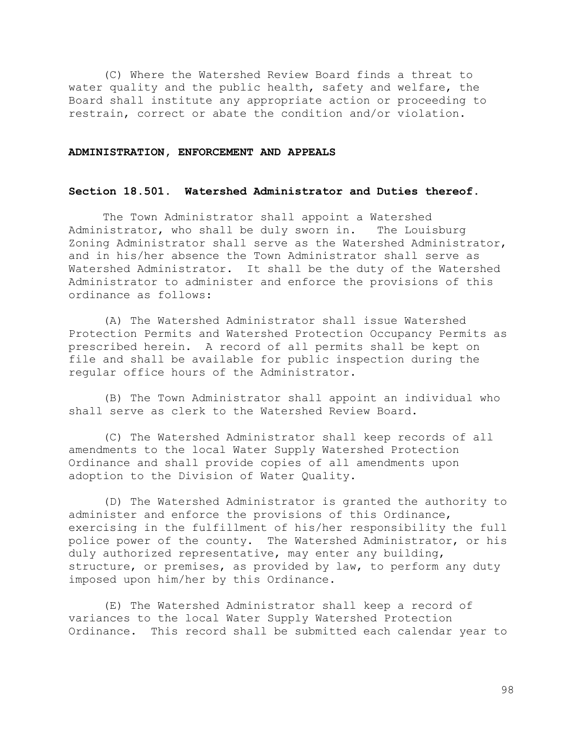(C) Where the Watershed Review Board finds a threat to water quality and the public health, safety and welfare, the Board shall institute any appropriate action or proceeding to restrain, correct or abate the condition and/or violation.

# **ADMINISTRATION, ENFORCEMENT AND APPEALS**

#### **Section 18.501. Watershed Administrator and Duties thereof.**

The Town Administrator shall appoint a Watershed Administrator, who shall be duly sworn in. The Louisburg Zoning Administrator shall serve as the Watershed Administrator, and in his/her absence the Town Administrator shall serve as Watershed Administrator. It shall be the duty of the Watershed Administrator to administer and enforce the provisions of this ordinance as follows:

(A) The Watershed Administrator shall issue Watershed Protection Permits and Watershed Protection Occupancy Permits as prescribed herein. A record of all permits shall be kept on file and shall be available for public inspection during the regular office hours of the Administrator.

(B) The Town Administrator shall appoint an individual who shall serve as clerk to the Watershed Review Board.

(C) The Watershed Administrator shall keep records of all amendments to the local Water Supply Watershed Protection Ordinance and shall provide copies of all amendments upon adoption to the Division of Water Quality.

(D) The Watershed Administrator is granted the authority to administer and enforce the provisions of this Ordinance, exercising in the fulfillment of his/her responsibility the full police power of the county. The Watershed Administrator, or his duly authorized representative, may enter any building, structure, or premises, as provided by law, to perform any duty imposed upon him/her by this Ordinance.

(E) The Watershed Administrator shall keep a record of variances to the local Water Supply Watershed Protection Ordinance. This record shall be submitted each calendar year to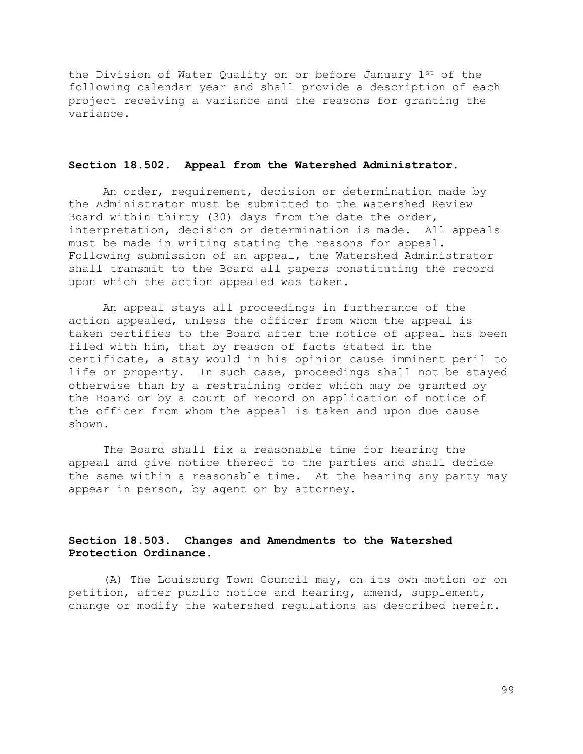the Division of Water Quality on or before January 1st of the following calendar year and shall provide a description of each project receiving a variance and the reasons for granting the variance.

# **Section 18.502. Appeal from the Watershed Administrator.**

An order, requirement, decision or determination made by the Administrator must be submitted to the Watershed Review Board within thirty (30) days from the date the order, interpretation, decision or determination is made. All appeals must be made in writing stating the reasons for appeal. Following submission of an appeal, the Watershed Administrator shall transmit to the Board all papers constituting the record upon which the action appealed was taken.

An appeal stays all proceedings in furtherance of the action appealed, unless the officer from whom the appeal is taken certifies to the Board after the notice of appeal has been filed with him, that by reason of facts stated in the certificate, a stay would in his opinion cause imminent peril to life or property. In such case, proceedings shall not be stayed otherwise than by a restraining order which may be granted by the Board or by a court of record on application of notice of the officer from whom the appeal is taken and upon due cause shown.

The Board shall fix a reasonable time for hearing the appeal and give notice thereof to the parties and shall decide the same within a reasonable time. At the hearing any party may appear in person, by agent or by attorney.

# **Section 18.503. Changes and Amendments to the Watershed Protection Ordinance.**

(A) The Louisburg Town Council may, on its own motion or on petition, after public notice and hearing, amend, supplement, change or modify the watershed regulations as described herein.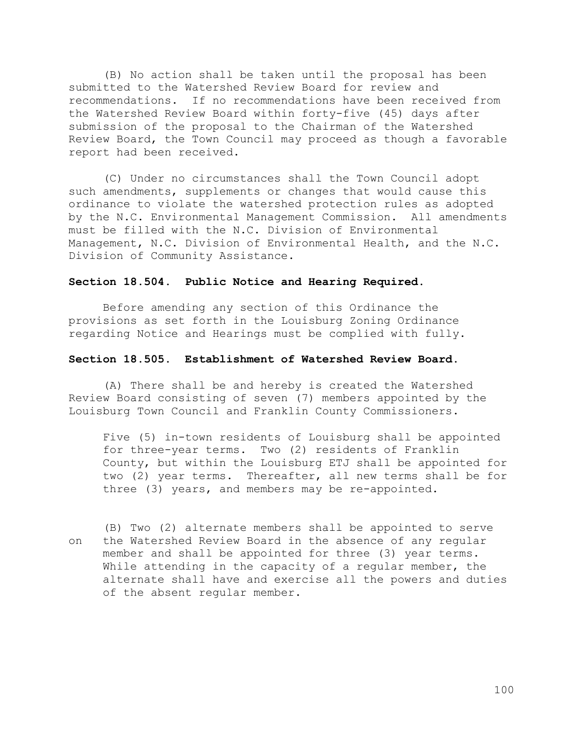(B) No action shall be taken until the proposal has been submitted to the Watershed Review Board for review and recommendations. If no recommendations have been received from the Watershed Review Board within forty-five (45) days after submission of the proposal to the Chairman of the Watershed Review Board, the Town Council may proceed as though a favorable report had been received.

(C) Under no circumstances shall the Town Council adopt such amendments, supplements or changes that would cause this ordinance to violate the watershed protection rules as adopted by the N.C. Environmental Management Commission. All amendments must be filled with the N.C. Division of Environmental Management, N.C. Division of Environmental Health, and the N.C. Division of Community Assistance.

### **Section 18.504. Public Notice and Hearing Required.**

Before amending any section of this Ordinance the provisions as set forth in the Louisburg Zoning Ordinance regarding Notice and Hearings must be complied with fully.

### **Section 18.505. Establishment of Watershed Review Board.**

(A) There shall be and hereby is created the Watershed Review Board consisting of seven (7) members appointed by the Louisburg Town Council and Franklin County Commissioners.

Five (5) in-town residents of Louisburg shall be appointed for three-year terms. Two (2) residents of Franklin County, but within the Louisburg ETJ shall be appointed for two (2) year terms. Thereafter, all new terms shall be for three (3) years, and members may be re-appointed.

(B) Two (2) alternate members shall be appointed to serve on the Watershed Review Board in the absence of any regular member and shall be appointed for three (3) year terms. While attending in the capacity of a regular member, the alternate shall have and exercise all the powers and duties of the absent regular member.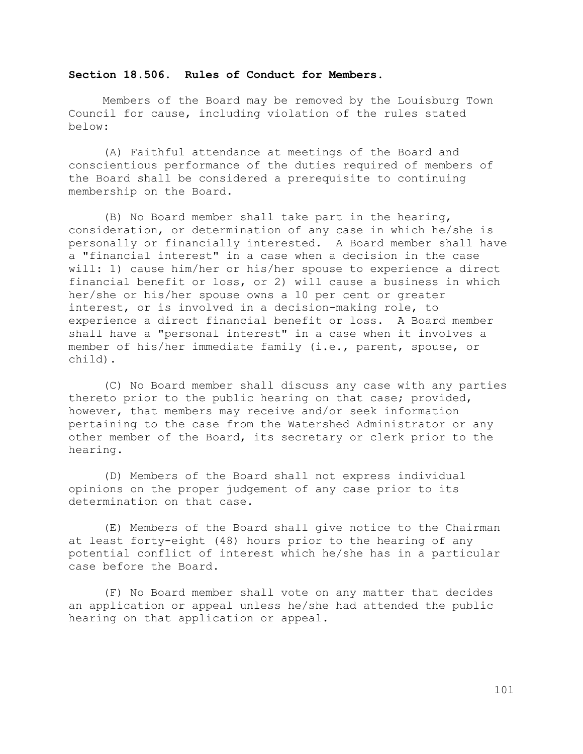### **Section 18.506. Rules of Conduct for Members.**

Members of the Board may be removed by the Louisburg Town Council for cause, including violation of the rules stated below:

(A) Faithful attendance at meetings of the Board and conscientious performance of the duties required of members of the Board shall be considered a prerequisite to continuing membership on the Board.

(B) No Board member shall take part in the hearing, consideration, or determination of any case in which he/she is personally or financially interested. A Board member shall have a "financial interest" in a case when a decision in the case will: 1) cause him/her or his/her spouse to experience a direct financial benefit or loss, or 2) will cause a business in which her/she or his/her spouse owns a 10 per cent or greater interest, or is involved in a decision-making role, to experience a direct financial benefit or loss. A Board member shall have a "personal interest" in a case when it involves a member of his/her immediate family (i.e., parent, spouse, or child).

(C) No Board member shall discuss any case with any parties thereto prior to the public hearing on that case; provided, however, that members may receive and/or seek information pertaining to the case from the Watershed Administrator or any other member of the Board, its secretary or clerk prior to the hearing.

(D) Members of the Board shall not express individual opinions on the proper judgement of any case prior to its determination on that case.

(E) Members of the Board shall give notice to the Chairman at least forty-eight (48) hours prior to the hearing of any potential conflict of interest which he/she has in a particular case before the Board.

(F) No Board member shall vote on any matter that decides an application or appeal unless he/she had attended the public hearing on that application or appeal.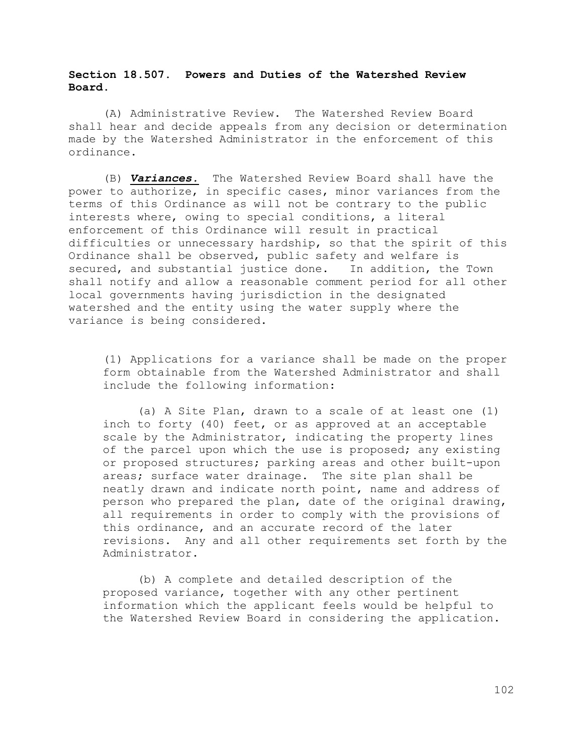# **Section 18.507. Powers and Duties of the Watershed Review Board.**

(A) Administrative Review. The Watershed Review Board shall hear and decide appeals from any decision or determination made by the Watershed Administrator in the enforcement of this ordinance.

(B) *Variances.* The Watershed Review Board shall have the power to authorize, in specific cases, minor variances from the terms of this Ordinance as will not be contrary to the public interests where, owing to special conditions, a literal enforcement of this Ordinance will result in practical difficulties or unnecessary hardship, so that the spirit of this Ordinance shall be observed, public safety and welfare is secured, and substantial justice done. In addition, the Town shall notify and allow a reasonable comment period for all other local governments having jurisdiction in the designated watershed and the entity using the water supply where the variance is being considered.

(1) Applications for a variance shall be made on the proper form obtainable from the Watershed Administrator and shall include the following information:

(a) A Site Plan, drawn to a scale of at least one (1) inch to forty (40) feet, or as approved at an acceptable scale by the Administrator, indicating the property lines of the parcel upon which the use is proposed; any existing or proposed structures; parking areas and other built-upon areas; surface water drainage. The site plan shall be neatly drawn and indicate north point, name and address of person who prepared the plan, date of the original drawing, all requirements in order to comply with the provisions of this ordinance, and an accurate record of the later revisions. Any and all other requirements set forth by the Administrator.

(b) A complete and detailed description of the proposed variance, together with any other pertinent information which the applicant feels would be helpful to the Watershed Review Board in considering the application.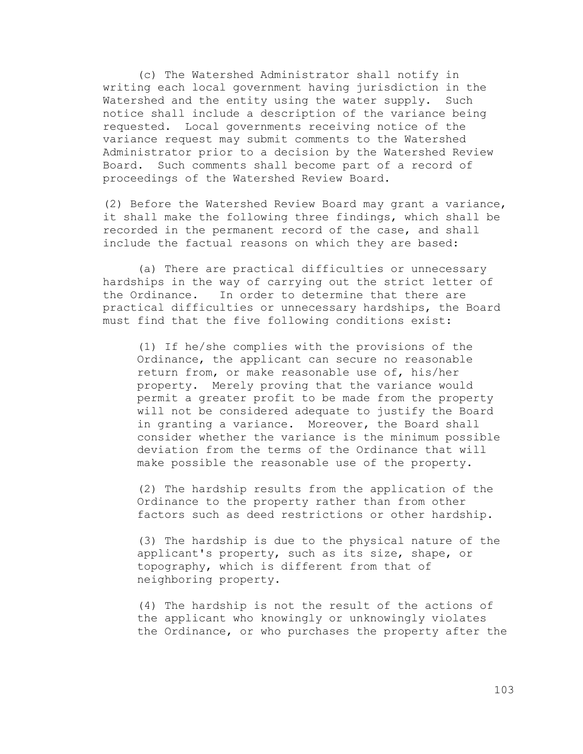(c) The Watershed Administrator shall notify in writing each local government having jurisdiction in the Watershed and the entity using the water supply. Such notice shall include a description of the variance being requested. Local governments receiving notice of the variance request may submit comments to the Watershed Administrator prior to a decision by the Watershed Review Board. Such comments shall become part of a record of proceedings of the Watershed Review Board.

(2) Before the Watershed Review Board may grant a variance, it shall make the following three findings, which shall be recorded in the permanent record of the case, and shall include the factual reasons on which they are based:

(a) There are practical difficulties or unnecessary hardships in the way of carrying out the strict letter of the Ordinance. In order to determine that there are practical difficulties or unnecessary hardships, the Board must find that the five following conditions exist:

(1) If he/she complies with the provisions of the Ordinance, the applicant can secure no reasonable return from, or make reasonable use of, his/her property. Merely proving that the variance would permit a greater profit to be made from the property will not be considered adequate to justify the Board in granting a variance. Moreover, the Board shall consider whether the variance is the minimum possible deviation from the terms of the Ordinance that will make possible the reasonable use of the property.

(2) The hardship results from the application of the Ordinance to the property rather than from other factors such as deed restrictions or other hardship.

(3) The hardship is due to the physical nature of the applicant's property, such as its size, shape, or topography, which is different from that of neighboring property.

(4) The hardship is not the result of the actions of the applicant who knowingly or unknowingly violates the Ordinance, or who purchases the property after the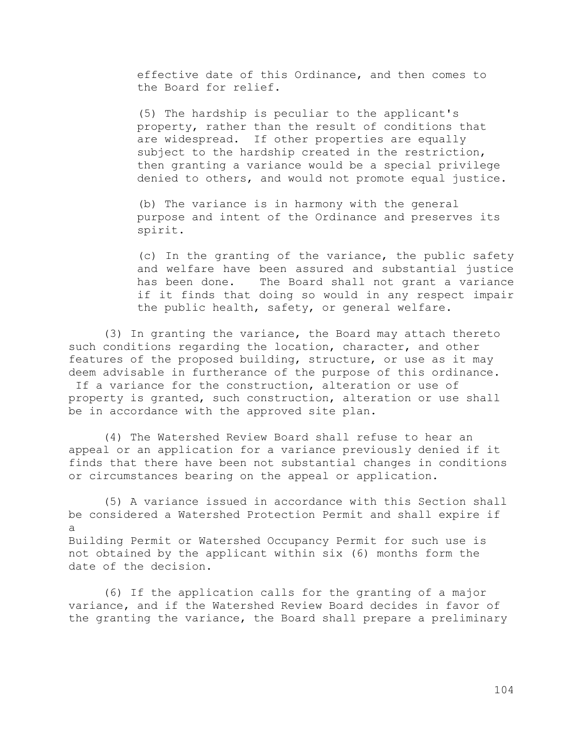effective date of this Ordinance, and then comes to the Board for relief.

(5) The hardship is peculiar to the applicant's property, rather than the result of conditions that are widespread. If other properties are equally subject to the hardship created in the restriction, then granting a variance would be a special privilege denied to others, and would not promote equal justice.

(b) The variance is in harmony with the general purpose and intent of the Ordinance and preserves its spirit.

(c) In the granting of the variance, the public safety and welfare have been assured and substantial justice has been done. The Board shall not grant a variance if it finds that doing so would in any respect impair the public health, safety, or general welfare.

(3) In granting the variance, the Board may attach thereto such conditions regarding the location, character, and other features of the proposed building, structure, or use as it may deem advisable in furtherance of the purpose of this ordinance.

If a variance for the construction, alteration or use of property is granted, such construction, alteration or use shall be in accordance with the approved site plan.

(4) The Watershed Review Board shall refuse to hear an appeal or an application for a variance previously denied if it finds that there have been not substantial changes in conditions or circumstances bearing on the appeal or application.

(5) A variance issued in accordance with this Section shall be considered a Watershed Protection Permit and shall expire if a Building Permit or Watershed Occupancy Permit for such use is not obtained by the applicant within six (6) months form the date of the decision.

(6) If the application calls for the granting of a major variance, and if the Watershed Review Board decides in favor of the granting the variance, the Board shall prepare a preliminary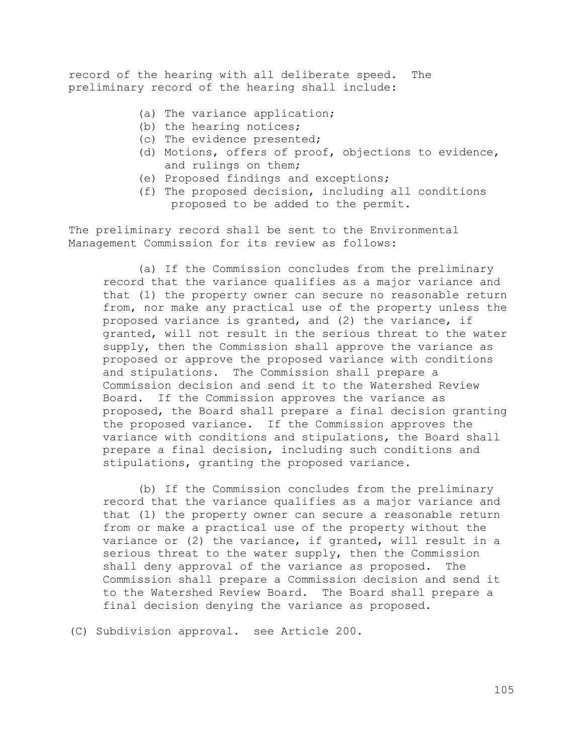record of the hearing with all deliberate speed. The preliminary record of the hearing shall include:

- (a) The variance application;
- (b) the hearing notices;
- (c) The evidence presented;
- (d) Motions, offers of proof, objections to evidence, and rulings on them;
- (e) Proposed findings and exceptions;
- (f) The proposed decision, including all conditions proposed to be added to the permit.

The preliminary record shall be sent to the Environmental Management Commission for its review as follows:

(a) If the Commission concludes from the preliminary record that the variance qualifies as a major variance and that (1) the property owner can secure no reasonable return from, nor make any practical use of the property unless the proposed variance is granted, and (2) the variance, if granted, will not result in the serious threat to the water supply, then the Commission shall approve the variance as proposed or approve the proposed variance with conditions and stipulations. The Commission shall prepare a Commission decision and send it to the Watershed Review Board. If the Commission approves the variance as proposed, the Board shall prepare a final decision granting the proposed variance. If the Commission approves the variance with conditions and stipulations, the Board shall prepare a final decision, including such conditions and stipulations, granting the proposed variance.

(b) If the Commission concludes from the preliminary record that the variance qualifies as a major variance and that (1) the property owner can secure a reasonable return from or make a practical use of the property without the variance or (2) the variance, if granted, will result in a serious threat to the water supply, then the Commission shall deny approval of the variance as proposed. The Commission shall prepare a Commission decision and send it to the Watershed Review Board. The Board shall prepare a final decision denying the variance as proposed.

(C) Subdivision approval. see Article 200.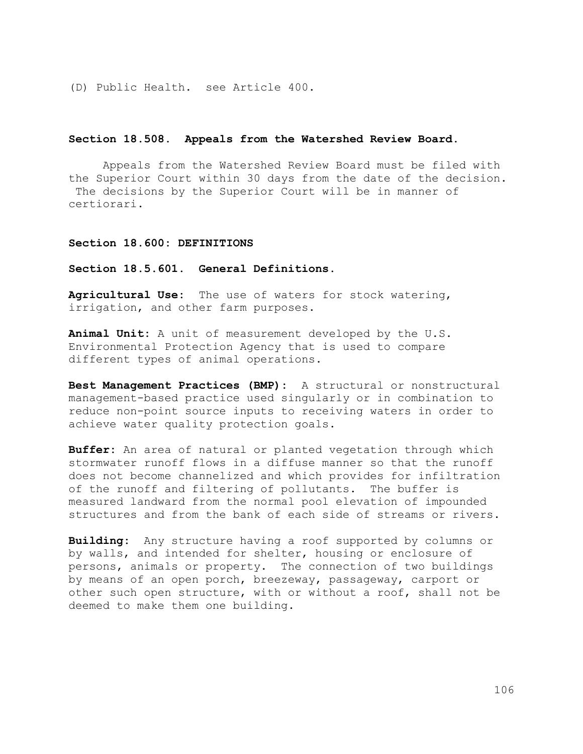(D) Public Health. see Article 400.

#### **Section 18.508. Appeals from the Watershed Review Board.**

Appeals from the Watershed Review Board must be filed with the Superior Court within 30 days from the date of the decision. The decisions by the Superior Court will be in manner of certiorari.

#### **Section 18.600: DEFINITIONS**

**Section 18.5.601. General Definitions.**

**Agricultural Use:** The use of waters for stock watering, irrigation, and other farm purposes.

**Animal Unit:** A unit of measurement developed by the U.S. Environmental Protection Agency that is used to compare different types of animal operations.

**Best Management Practices (BMP):** A structural or nonstructural management-based practice used singularly or in combination to reduce non-point source inputs to receiving waters in order to achieve water quality protection goals.

**Buffer:** An area of natural or planted vegetation through which stormwater runoff flows in a diffuse manner so that the runoff does not become channelized and which provides for infiltration of the runoff and filtering of pollutants. The buffer is measured landward from the normal pool elevation of impounded structures and from the bank of each side of streams or rivers.

**Building:** Any structure having a roof supported by columns or by walls, and intended for shelter, housing or enclosure of persons, animals or property. The connection of two buildings by means of an open porch, breezeway, passageway, carport or other such open structure, with or without a roof, shall not be deemed to make them one building.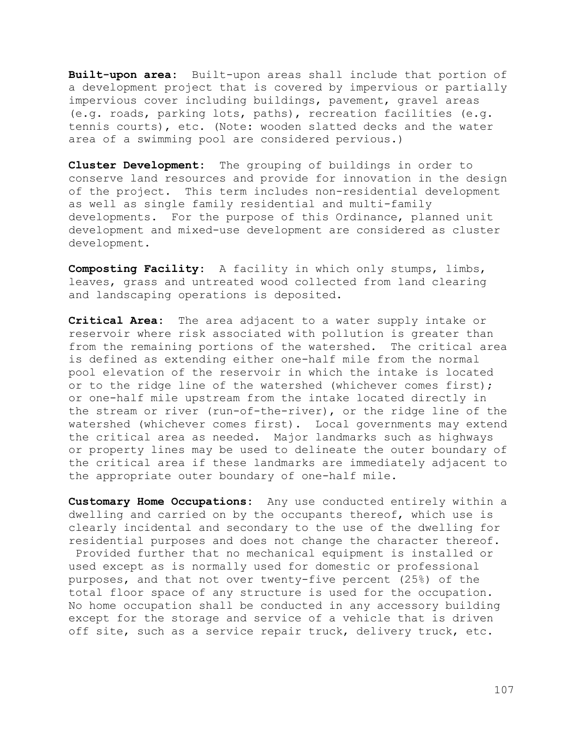**Built-upon area:** Built-upon areas shall include that portion of a development project that is covered by impervious or partially impervious cover including buildings, pavement, gravel areas (e.g. roads, parking lots, paths), recreation facilities (e.g. tennis courts), etc. (Note: wooden slatted decks and the water area of a swimming pool are considered pervious.)

**Cluster Development:** The grouping of buildings in order to conserve land resources and provide for innovation in the design of the project. This term includes non-residential development as well as single family residential and multi-family developments. For the purpose of this Ordinance, planned unit development and mixed-use development are considered as cluster development.

**Composting Facility:** A facility in which only stumps, limbs, leaves, grass and untreated wood collected from land clearing and landscaping operations is deposited.

**Critical Area:** The area adjacent to a water supply intake or reservoir where risk associated with pollution is greater than from the remaining portions of the watershed. The critical area is defined as extending either one-half mile from the normal pool elevation of the reservoir in which the intake is located or to the ridge line of the watershed (whichever comes first); or one-half mile upstream from the intake located directly in the stream or river (run-of-the-river), or the ridge line of the watershed (whichever comes first). Local governments may extend the critical area as needed. Major landmarks such as highways or property lines may be used to delineate the outer boundary of the critical area if these landmarks are immediately adjacent to the appropriate outer boundary of one-half mile.

**Customary Home Occupations:** Any use conducted entirely within a dwelling and carried on by the occupants thereof, which use is clearly incidental and secondary to the use of the dwelling for residential purposes and does not change the character thereof. Provided further that no mechanical equipment is installed or used except as is normally used for domestic or professional purposes, and that not over twenty-five percent (25%) of the total floor space of any structure is used for the occupation. No home occupation shall be conducted in any accessory building except for the storage and service of a vehicle that is driven off site, such as a service repair truck, delivery truck, etc.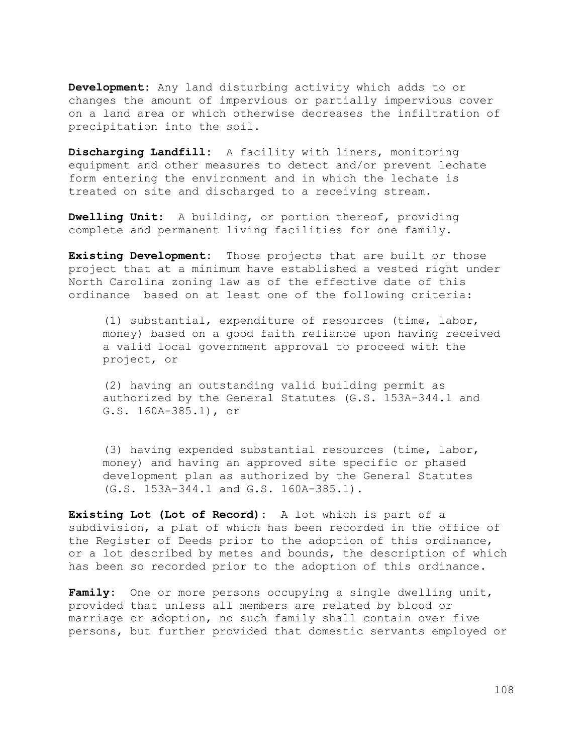**Development:** Any land disturbing activity which adds to or changes the amount of impervious or partially impervious cover on a land area or which otherwise decreases the infiltration of precipitation into the soil.

**Discharging Landfill:** A facility with liners, monitoring equipment and other measures to detect and/or prevent lechate form entering the environment and in which the lechate is treated on site and discharged to a receiving stream.

**Dwelling Unit:** A building, or portion thereof, providing complete and permanent living facilities for one family.

**Existing Development:** Those projects that are built or those project that at a minimum have established a vested right under North Carolina zoning law as of the effective date of this ordinance based on at least one of the following criteria:

(1) substantial, expenditure of resources (time, labor, money) based on a good faith reliance upon having received a valid local government approval to proceed with the project, or

(2) having an outstanding valid building permit as authorized by the General Statutes (G.S. 153A-344.1 and G.S. 160A-385.1), or

(3) having expended substantial resources (time, labor, money) and having an approved site specific or phased development plan as authorized by the General Statutes (G.S. 153A-344.1 and G.S. 160A-385.1).

**Existing Lot (Lot of Record):** A lot which is part of a subdivision, a plat of which has been recorded in the office of the Register of Deeds prior to the adoption of this ordinance, or a lot described by metes and bounds, the description of which has been so recorded prior to the adoption of this ordinance.

**Family:** One or more persons occupying a single dwelling unit, provided that unless all members are related by blood or marriage or adoption, no such family shall contain over five persons, but further provided that domestic servants employed or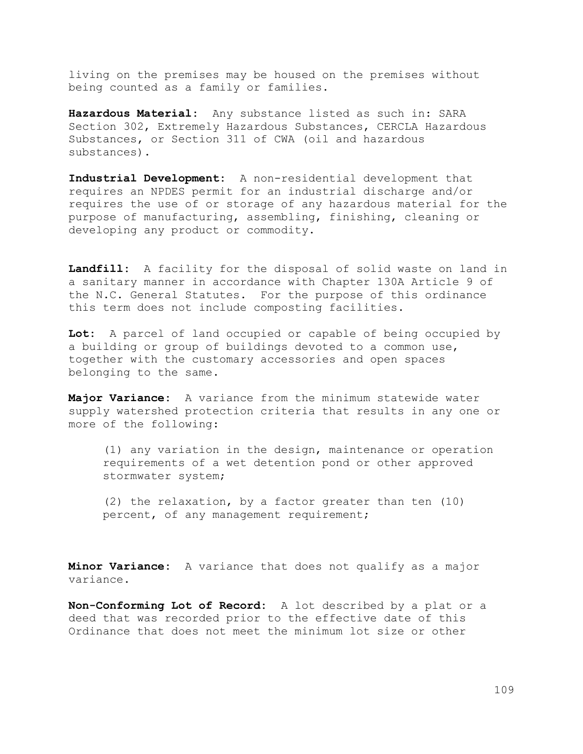living on the premises may be housed on the premises without being counted as a family or families.

**Hazardous Material:** Any substance listed as such in: SARA Section 302, Extremely Hazardous Substances, CERCLA Hazardous Substances, or Section 311 of CWA (oil and hazardous substances).

**Industrial Development:** A non-residential development that requires an NPDES permit for an industrial discharge and/or requires the use of or storage of any hazardous material for the purpose of manufacturing, assembling, finishing, cleaning or developing any product or commodity.

**Landfill:** A facility for the disposal of solid waste on land in a sanitary manner in accordance with Chapter 130A Article 9 of the N.C. General Statutes. For the purpose of this ordinance this term does not include composting facilities.

**Lot:** A parcel of land occupied or capable of being occupied by a building or group of buildings devoted to a common use, together with the customary accessories and open spaces belonging to the same.

**Major Variance:** A variance from the minimum statewide water supply watershed protection criteria that results in any one or more of the following:

(1) any variation in the design, maintenance or operation requirements of a wet detention pond or other approved stormwater system;

(2) the relaxation, by a factor greater than ten (10) percent, of any management requirement;

**Minor Variance:** A variance that does not qualify as a major variance.

**Non-Conforming Lot of Record:** A lot described by a plat or a deed that was recorded prior to the effective date of this Ordinance that does not meet the minimum lot size or other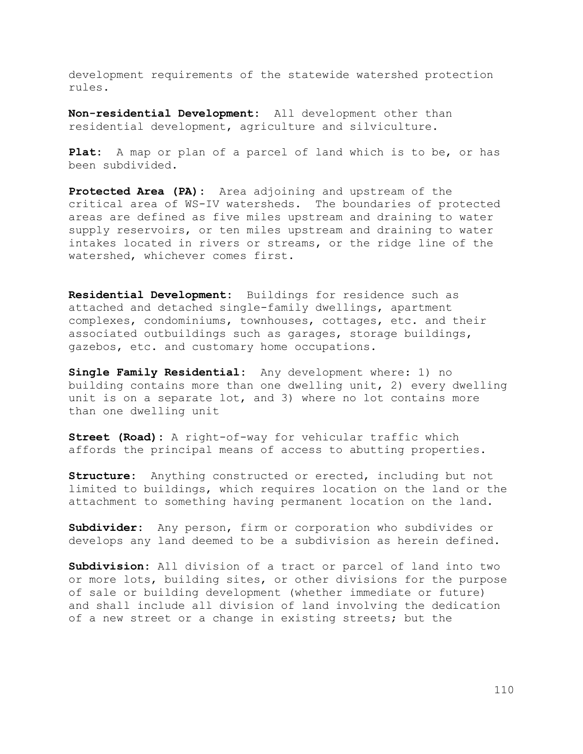development requirements of the statewide watershed protection rules.

**Non-residential Development:** All development other than residential development, agriculture and silviculture.

**Plat:** A map or plan of a parcel of land which is to be, or has been subdivided.

**Protected Area (PA):** Area adjoining and upstream of the critical area of WS-IV watersheds. The boundaries of protected areas are defined as five miles upstream and draining to water supply reservoirs, or ten miles upstream and draining to water intakes located in rivers or streams, or the ridge line of the watershed, whichever comes first.

**Residential Development:** Buildings for residence such as attached and detached single-family dwellings, apartment complexes, condominiums, townhouses, cottages, etc. and their associated outbuildings such as garages, storage buildings, gazebos, etc. and customary home occupations.

**Single Family Residential:** Any development where: 1) no building contains more than one dwelling unit, 2) every dwelling unit is on a separate lot, and 3) where no lot contains more than one dwelling unit

**Street (Road):** A right-of-way for vehicular traffic which affords the principal means of access to abutting properties.

**Structure:** Anything constructed or erected, including but not limited to buildings, which requires location on the land or the attachment to something having permanent location on the land.

**Subdivider:** Any person, firm or corporation who subdivides or develops any land deemed to be a subdivision as herein defined.

**Subdivision:** All division of a tract or parcel of land into two or more lots, building sites, or other divisions for the purpose of sale or building development (whether immediate or future) and shall include all division of land involving the dedication of a new street or a change in existing streets; but the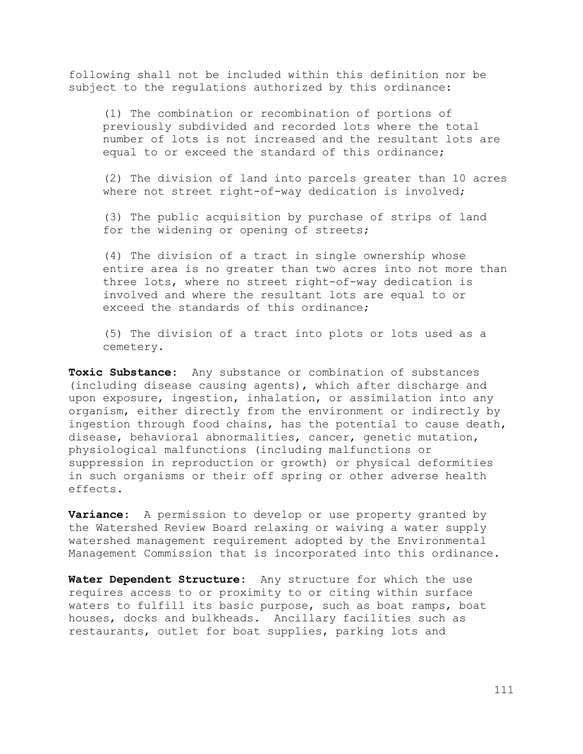following shall not be included within this definition nor be subject to the regulations authorized by this ordinance:

(1) The combination or recombination of portions of previously subdivided and recorded lots where the total number of lots is not increased and the resultant lots are equal to or exceed the standard of this ordinance;

(2) The division of land into parcels greater than 10 acres where not street right-of-way dedication is involved;

(3) The public acquisition by purchase of strips of land for the widening or opening of streets;

(4) The division of a tract in single ownership whose entire area is no greater than two acres into not more than three lots, where no street right-of-way dedication is involved and where the resultant lots are equal to or exceed the standards of this ordinance;

(5) The division of a tract into plots or lots used as a cemetery.

**Toxic Substance:** Any substance or combination of substances (including disease causing agents), which after discharge and upon exposure, ingestion, inhalation, or assimilation into any organism, either directly from the environment or indirectly by ingestion through food chains, has the potential to cause death, disease, behavioral abnormalities, cancer, genetic mutation, physiological malfunctions (including malfunctions or suppression in reproduction or growth) or physical deformities in such organisms or their off spring or other adverse health effects.

**Variance:** A permission to develop or use property granted by the Watershed Review Board relaxing or waiving a water supply watershed management requirement adopted by the Environmental Management Commission that is incorporated into this ordinance.

**Water Dependent Structure:** Any structure for which the use requires access to or proximity to or citing within surface waters to fulfill its basic purpose, such as boat ramps, boat houses, docks and bulkheads. Ancillary facilities such as restaurants, outlet for boat supplies, parking lots and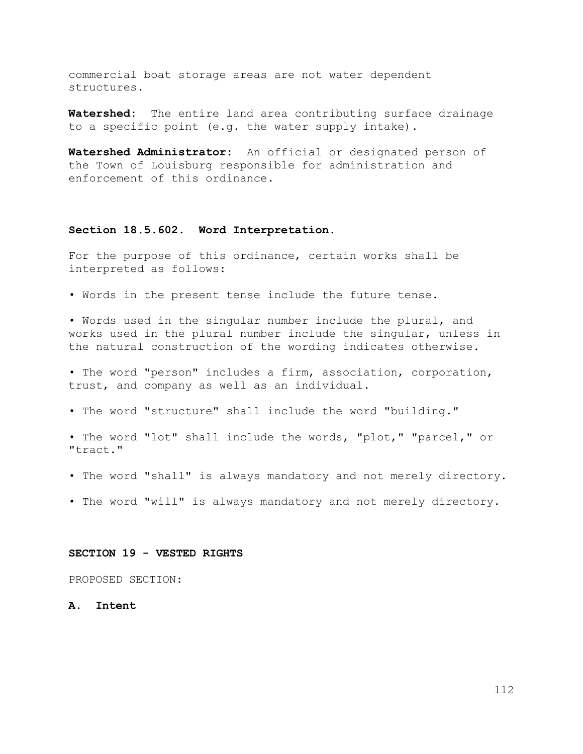commercial boat storage areas are not water dependent structures.

**Watershed:** The entire land area contributing surface drainage to a specific point (e.g. the water supply intake).

**Watershed Administrator:** An official or designated person of the Town of Louisburg responsible for administration and enforcement of this ordinance.

### **Section 18.5.602. Word Interpretation.**

For the purpose of this ordinance, certain works shall be interpreted as follows:

• Words in the present tense include the future tense.

• Words used in the singular number include the plural, and works used in the plural number include the singular, unless in the natural construction of the wording indicates otherwise.

• The word "person" includes a firm, association, corporation, trust, and company as well as an individual.

• The word "structure" shall include the word "building."

• The word "lot" shall include the words, "plot," "parcel," or "tract."

- The word "shall" is always mandatory and not merely directory.
- The word "will" is always mandatory and not merely directory.

#### **SECTION 19 - VESTED RIGHTS**

PROPOSED SECTION:

**A. Intent**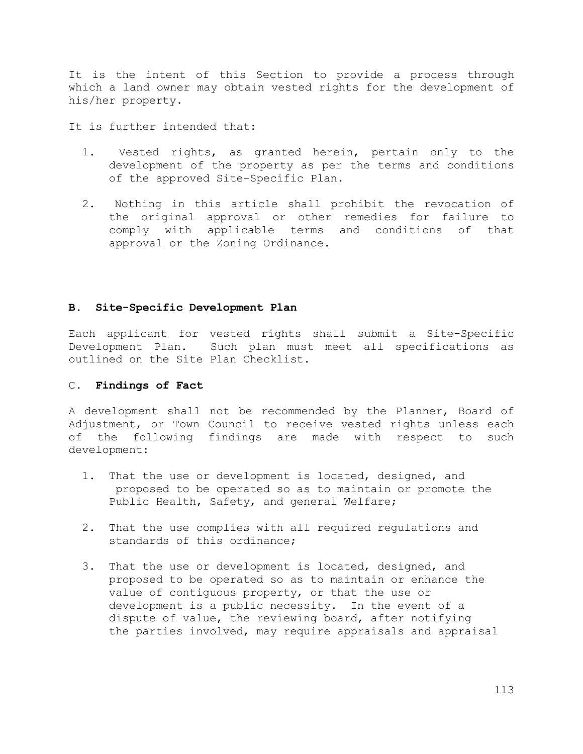It is the intent of this Section to provide a process through which a land owner may obtain vested rights for the development of his/her property.

It is further intended that:

- 1. Vested rights, as granted herein, pertain only to the development of the property as per the terms and conditions of the approved Site-Specific Plan.
- 2. Nothing in this article shall prohibit the revocation of the original approval or other remedies for failure to comply with applicable terms and conditions of that approval or the Zoning Ordinance.

# **B. Site-Specific Development Plan**

Each applicant for vested rights shall submit a Site-Specific Development Plan. Such plan must meet all specifications as outlined on the Site Plan Checklist.

# C. **Findings of Fact**

A development shall not be recommended by the Planner, Board of Adjustment, or Town Council to receive vested rights unless each of the following findings are made with respect to such development:

- 1. That the use or development is located, designed, and proposed to be operated so as to maintain or promote the Public Health, Safety, and general Welfare;
- 2. That the use complies with all required regulations and standards of this ordinance;
- 3. That the use or development is located, designed, and proposed to be operated so as to maintain or enhance the value of contiguous property, or that the use or development is a public necessity. In the event of a dispute of value, the reviewing board, after notifying the parties involved, may require appraisals and appraisal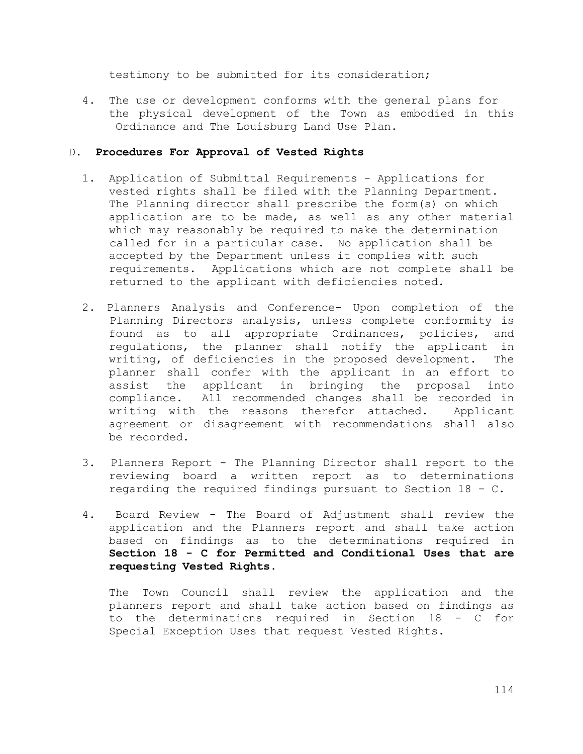testimony to be submitted for its consideration;

 4. The use or development conforms with the general plans for the physical development of the Town as embodied in this Ordinance and The Louisburg Land Use Plan.

# D. **Procedures For Approval of Vested Rights**

- 1. Application of Submittal Requirements Applications for vested rights shall be filed with the Planning Department. The Planning director shall prescribe the form(s) on which application are to be made, as well as any other material which may reasonably be required to make the determination called for in a particular case. No application shall be accepted by the Department unless it complies with such requirements. Applications which are not complete shall be returned to the applicant with deficiencies noted.
- 2. Planners Analysis and Conference- Upon completion of the Planning Directors analysis, unless complete conformity is found as to all appropriate Ordinances, policies, and regulations, the planner shall notify the applicant in writing, of deficiencies in the proposed development. The planner shall confer with the applicant in an effort to assist the applicant in bringing the proposal into compliance. All recommended changes shall be recorded in writing with the reasons therefor attached. Applicant agreement or disagreement with recommendations shall also be recorded.
- 3. Planners Report The Planning Director shall report to the reviewing board a written report as to determinations regarding the required findings pursuant to Section 18 - C.
- 4. Board Review The Board of Adjustment shall review the application and the Planners report and shall take action based on findings as to the determinations required in **Section 18 - C for Permitted and Conditional Uses that are requesting Vested Rights.**

 The Town Council shall review the application and the planners report and shall take action based on findings as to the determinations required in Section 18 - C for Special Exception Uses that request Vested Rights.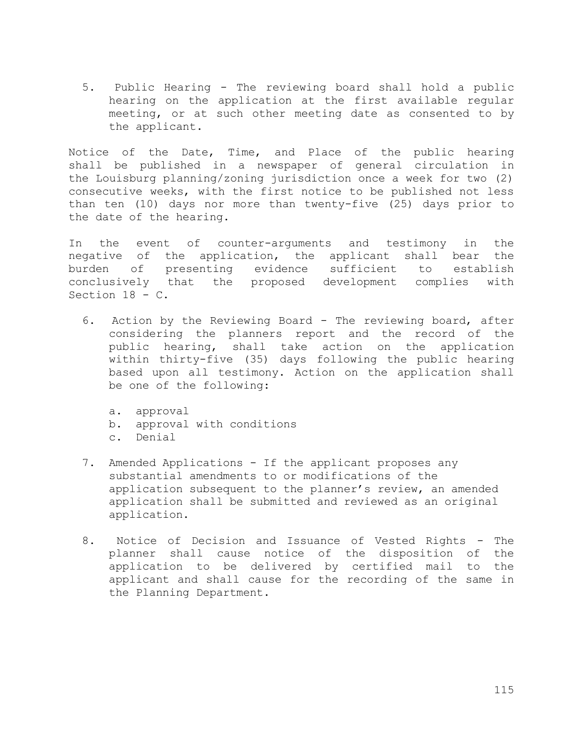5. Public Hearing - The reviewing board shall hold a public hearing on the application at the first available regular meeting, or at such other meeting date as consented to by the applicant.

Notice of the Date, Time, and Place of the public hearing shall be published in a newspaper of general circulation in the Louisburg planning/zoning jurisdiction once a week for two (2) consecutive weeks, with the first notice to be published not less than ten (10) days nor more than twenty-five (25) days prior to the date of the hearing.

In the event of counter-arguments and testimony in the negative of the application, the applicant shall bear the burden of presenting evidence sufficient to establish conclusively that the proposed development complies with Section 18 - C.

 6. Action by the Reviewing Board - The reviewing board, after considering the planners report and the record of the public hearing, shall take action on the application within thirty-five (35) days following the public hearing based upon all testimony. Action on the application shall be one of the following:

 a. approval b. approval with conditions c. Denial

- 7. Amended Applications If the applicant proposes any substantial amendments to or modifications of the application subsequent to the planner's review, an amended application shall be submitted and reviewed as an original application.
- 8. Notice of Decision and Issuance of Vested Rights The planner shall cause notice of the disposition of the application to be delivered by certified mail to the applicant and shall cause for the recording of the same in the Planning Department.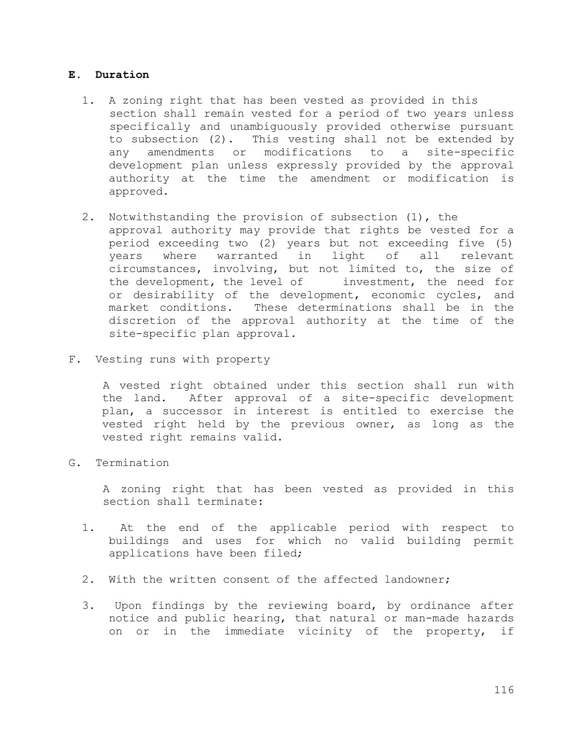### **E. Duration**

- 1. A zoning right that has been vested as provided in this section shall remain vested for a period of two years unless specifically and unambiguously provided otherwise pursuant to subsection (2). This vesting shall not be extended by any amendments or modifications to a site-specific development plan unless expressly provided by the approval authority at the time the amendment or modification is approved.
- 2. Notwithstanding the provision of subsection (1), the approval authority may provide that rights be vested for a period exceeding two (2) years but not exceeding five (5) years where warranted in light of all relevant circumstances, involving, but not limited to, the size of the development, the level of investment, the need for or desirability of the development, economic cycles, and market conditions. These determinations shall be in the discretion of the approval authority at the time of the site-specific plan approval.
- F. Vesting runs with property

A vested right obtained under this section shall run with the land. After approval of a site-specific development plan, a successor in interest is entitled to exercise the vested right held by the previous owner, as long as the vested right remains valid.

G. Termination

A zoning right that has been vested as provided in this section shall terminate:

- 1. At the end of the applicable period with respect to buildings and uses for which no valid building permit applications have been filed;
- 2. With the written consent of the affected landowner;
- 3. Upon findings by the reviewing board, by ordinance after notice and public hearing, that natural or man-made hazards on or in the immediate vicinity of the property, if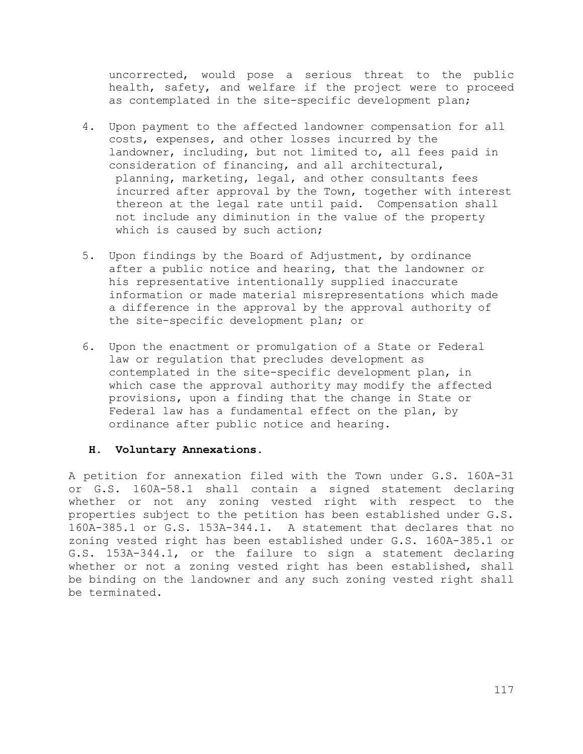uncorrected, would pose a serious threat to the public health, safety, and welfare if the project were to proceed as contemplated in the site-specific development plan;

- 4. Upon payment to the affected landowner compensation for all costs, expenses, and other losses incurred by the landowner, including, but not limited to, all fees paid in consideration of financing, and all architectural, planning, marketing, legal, and other consultants fees incurred after approval by the Town, together with interest thereon at the legal rate until paid. Compensation shall not include any diminution in the value of the property which is caused by such action;
- 5. Upon findings by the Board of Adjustment, by ordinance after a public notice and hearing, that the landowner or his representative intentionally supplied inaccurate information or made material misrepresentations which made a difference in the approval by the approval authority of the site-specific development plan; or
- 6. Upon the enactment or promulgation of a State or Federal law or regulation that precludes development as contemplated in the site-specific development plan, in which case the approval authority may modify the affected provisions, upon a finding that the change in State or Federal law has a fundamental effect on the plan, by ordinance after public notice and hearing.

# **H. Voluntary Annexations.**

A petition for annexation filed with the Town under G.S. 160A-31 or G.S. 160A-58.1 shall contain a signed statement declaring whether or not any zoning vested right with respect to the properties subject to the petition has been established under G.S. 160A-385.1 or G.S. 153A-344.1. A statement that declares that no zoning vested right has been established under G.S. 160A-385.1 or G.S. 153A-344.1, or the failure to sign a statement declaring whether or not a zoning vested right has been established, shall be binding on the landowner and any such zoning vested right shall be terminated.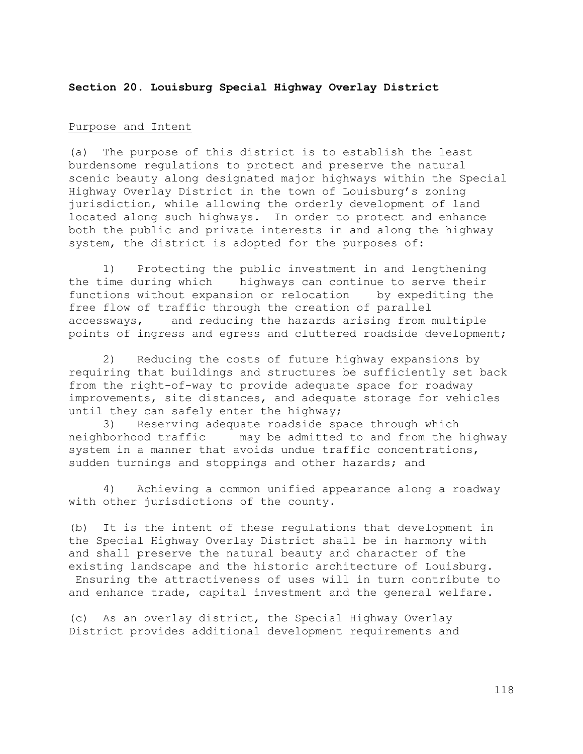## **Section 20. Louisburg Special Highway Overlay District**

### Purpose and Intent

(a) The purpose of this district is to establish the least burdensome regulations to protect and preserve the natural scenic beauty along designated major highways within the Special Highway Overlay District in the town of Louisburg's zoning jurisdiction, while allowing the orderly development of land located along such highways. In order to protect and enhance both the public and private interests in and along the highway system, the district is adopted for the purposes of:

1) Protecting the public investment in and lengthening the time during which highways can continue to serve their functions without expansion or relocation by expediting the free flow of traffic through the creation of parallel accessways, and reducing the hazards arising from multiple points of ingress and egress and cluttered roadside development;

2) Reducing the costs of future highway expansions by requiring that buildings and structures be sufficiently set back from the right-of-way to provide adequate space for roadway improvements, site distances, and adequate storage for vehicles until they can safely enter the highway;

3) Reserving adequate roadside space through which neighborhood traffic may be admitted to and from the highway system in a manner that avoids undue traffic concentrations, sudden turnings and stoppings and other hazards; and

4) Achieving a common unified appearance along a roadway with other jurisdictions of the county.

(b) It is the intent of these regulations that development in the Special Highway Overlay District shall be in harmony with and shall preserve the natural beauty and character of the existing landscape and the historic architecture of Louisburg. Ensuring the attractiveness of uses will in turn contribute to and enhance trade, capital investment and the general welfare.

(c) As an overlay district, the Special Highway Overlay District provides additional development requirements and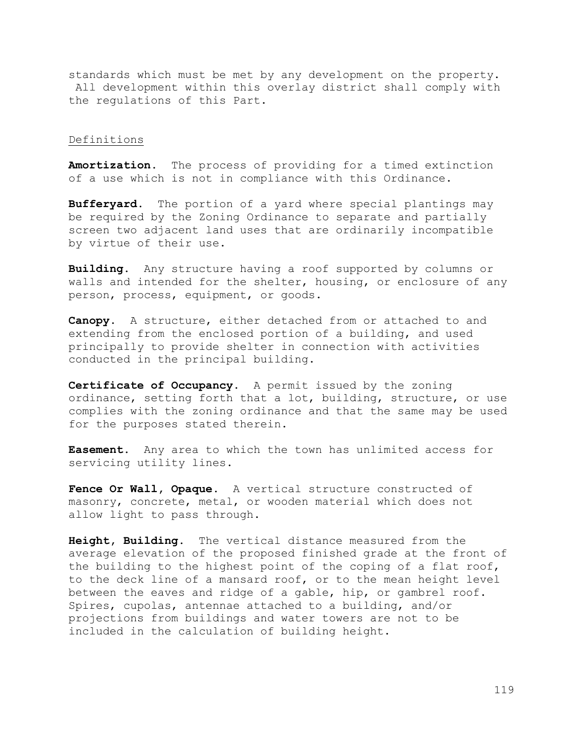standards which must be met by any development on the property. All development within this overlay district shall comply with the regulations of this Part.

#### Definitions

**Amortization**. The process of providing for a timed extinction of a use which is not in compliance with this Ordinance.

**Bufferyard**. The portion of a yard where special plantings may be required by the Zoning Ordinance to separate and partially screen two adjacent land uses that are ordinarily incompatible by virtue of their use.

**Building**. Any structure having a roof supported by columns or walls and intended for the shelter, housing, or enclosure of any person, process, equipment, or goods.

**Canopy**. A structure, either detached from or attached to and extending from the enclosed portion of a building, and used principally to provide shelter in connection with activities conducted in the principal building.

**Certificate of Occupancy**. A permit issued by the zoning ordinance, setting forth that a lot, building, structure, or use complies with the zoning ordinance and that the same may be used for the purposes stated therein.

**Easement**. Any area to which the town has unlimited access for servicing utility lines.

**Fence Or Wall, Opaque**. A vertical structure constructed of masonry, concrete, metal, or wooden material which does not allow light to pass through.

**Height, Building**. The vertical distance measured from the average elevation of the proposed finished grade at the front of the building to the highest point of the coping of a flat roof, to the deck line of a mansard roof, or to the mean height level between the eaves and ridge of a gable, hip, or gambrel roof. Spires, cupolas, antennae attached to a building, and/or projections from buildings and water towers are not to be included in the calculation of building height.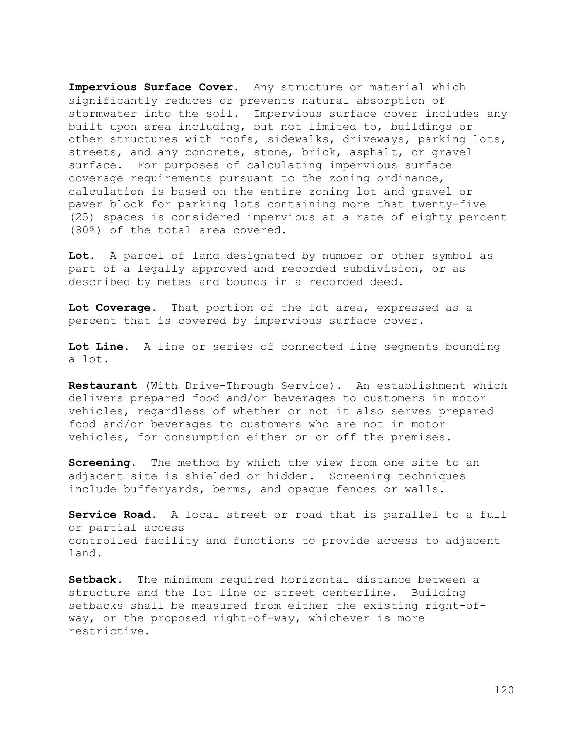**Impervious Surface Cover**. Any structure or material which significantly reduces or prevents natural absorption of stormwater into the soil. Impervious surface cover includes any built upon area including, but not limited to, buildings or other structures with roofs, sidewalks, driveways, parking lots, streets, and any concrete, stone, brick, asphalt, or gravel surface. For purposes of calculating impervious surface coverage requirements pursuant to the zoning ordinance, calculation is based on the entire zoning lot and gravel or paver block for parking lots containing more that twenty-five (25) spaces is considered impervious at a rate of eighty percent (80%) of the total area covered.

**Lot**. A parcel of land designated by number or other symbol as part of a legally approved and recorded subdivision, or as described by metes and bounds in a recorded deed.

**Lot Coverage**. That portion of the lot area, expressed as a percent that is covered by impervious surface cover.

**Lot Line**. A line or series of connected line segments bounding a lot.

**Restaurant** (With Drive-Through Service). An establishment which delivers prepared food and/or beverages to customers in motor vehicles, regardless of whether or not it also serves prepared food and/or beverages to customers who are not in motor vehicles, for consumption either on or off the premises.

**Screening**. The method by which the view from one site to an adjacent site is shielded or hidden. Screening techniques include bufferyards, berms, and opaque fences or walls.

**Service Road**. A local street or road that is parallel to a full or partial access controlled facility and functions to provide access to adjacent land.

**Setback**. The minimum required horizontal distance between a structure and the lot line or street centerline. Building setbacks shall be measured from either the existing right-ofway, or the proposed right-of-way, whichever is more restrictive.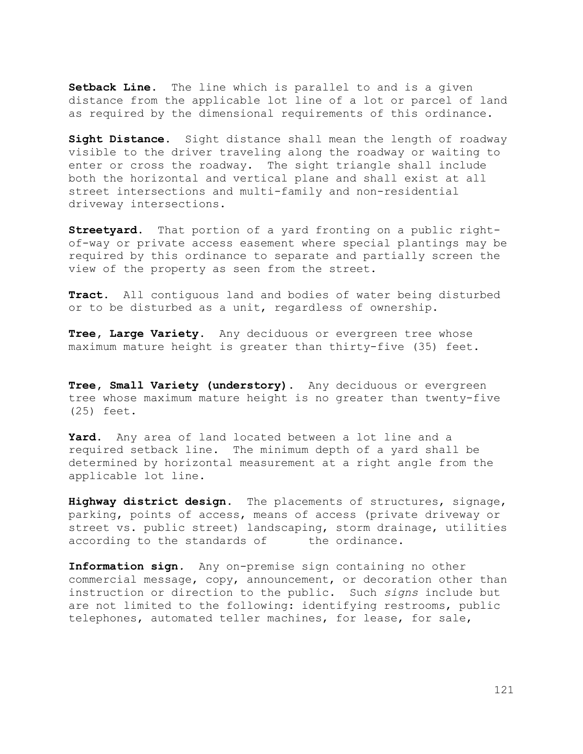**Setback Line**. The line which is parallel to and is a given distance from the applicable lot line of a lot or parcel of land as required by the dimensional requirements of this ordinance.

**Sight Distance**. Sight distance shall mean the length of roadway visible to the driver traveling along the roadway or waiting to enter or cross the roadway. The sight triangle shall include both the horizontal and vertical plane and shall exist at all street intersections and multi-family and non-residential driveway intersections.

**Streetyard**. That portion of a yard fronting on a public rightof-way or private access easement where special plantings may be required by this ordinance to separate and partially screen the view of the property as seen from the street.

**Tract**. All contiguous land and bodies of water being disturbed or to be disturbed as a unit, regardless of ownership.

**Tree, Large Variety**. Any deciduous or evergreen tree whose maximum mature height is greater than thirty-five (35) feet.

**Tree, Small Variety (understory)**. Any deciduous or evergreen tree whose maximum mature height is no greater than twenty-five (25) feet.

**Yard**. Any area of land located between a lot line and a required setback line. The minimum depth of a yard shall be determined by horizontal measurement at a right angle from the applicable lot line.

**Highway district design**. The placements of structures, signage, parking, points of access, means of access (private driveway or street vs. public street) landscaping, storm drainage, utilities according to the standards of the ordinance.

**Information sign***.* Any on-premise sign containing no other commercial message, copy, announcement, or decoration other than instruction or direction to the public. Such *signs* include but are not limited to the following: identifying restrooms, public telephones, automated teller machines, for lease, for sale,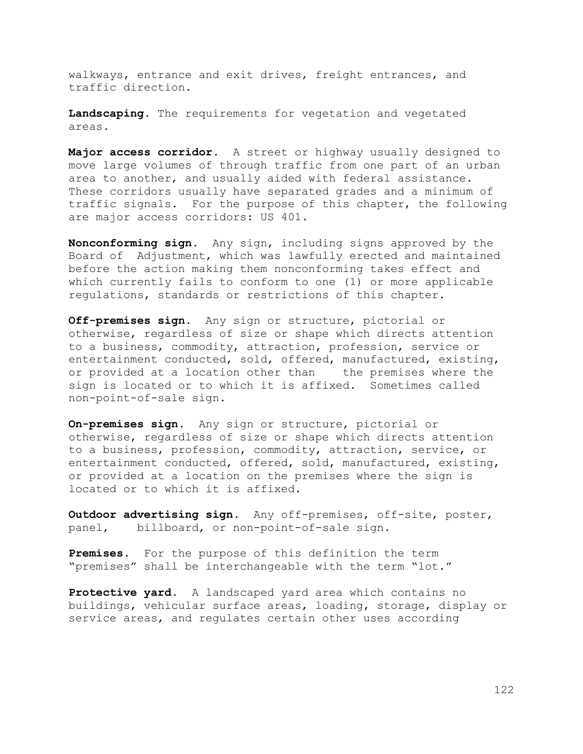walkways, entrance and exit drives, freight entrances, and traffic direction.

**Landscaping**. The requirements for vegetation and vegetated areas.

**Major access corridor***.* A street or highway usually designed to move large volumes of through traffic from one part of an urban area to another, and usually aided with federal assistance. These corridors usually have separated grades and a minimum of traffic signals. For the purpose of this chapter, the following are major access corridors: US 401.

**Nonconforming sign***.* Any sign, including signs approved by the Board of Adjustment, which was lawfully erected and maintained before the action making them nonconforming takes effect and which currently fails to conform to one (1) or more applicable regulations, standards or restrictions of this chapter.

**Off-premises sign***.* Any sign or structure, pictorial or otherwise, regardless of size or shape which directs attention to a business, commodity, attraction, profession, service or entertainment conducted, sold, offered, manufactured, existing, or provided at a location other than the premises where the sign is located or to which it is affixed. Sometimes called non-point-of-sale sign.

**On-premises sign***.* Any sign or structure, pictorial or otherwise, regardless of size or shape which directs attention to a business, profession, commodity, attraction, service, or entertainment conducted, offered, sold, manufactured, existing, or provided at a location on the premises where the sign is located or to which it is affixed.

**Outdoor advertising sign***.* Any off-premises, off-site, poster, panel, billboard, or non-point-of-sale sign.

**Premises***.* For the purpose of this definition the term "premises" shall be interchangeable with the term "lot."

**Protective yard***.* A landscaped yard area which contains no buildings, vehicular surface areas, loading, storage, display or service areas, and regulates certain other uses according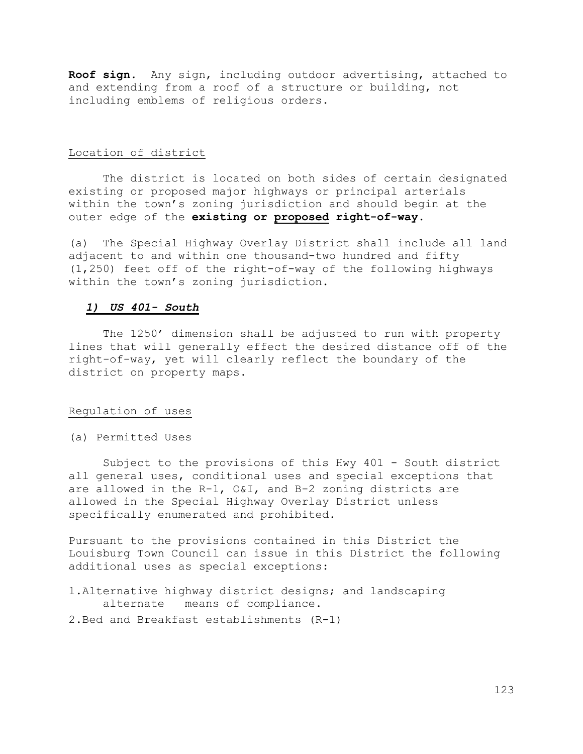**Roof sign***.* Any sign, including outdoor advertising, attached to and extending from a roof of a structure or building, not including emblems of religious orders.

#### Location of district

The district is located on both sides of certain designated existing or proposed major highways or principal arterials within the town's zoning jurisdiction and should begin at the outer edge of the **existing or proposed right-of-way**.

(a) The Special Highway Overlay District shall include all land adjacent to and within one thousand-two hundred and fifty (1,250) feet off of the right-of-way of the following highways within the town's zoning jurisdiction.

### *1) US 401- South*

The 1250' dimension shall be adjusted to run with property lines that will generally effect the desired distance off of the right-of-way, yet will clearly reflect the boundary of the district on property maps.

#### Regulation of uses

(a) Permitted Uses

Subject to the provisions of this Hwy 401 - South district all general uses, conditional uses and special exceptions that are allowed in the R-1, O&I, and B-2 zoning districts are allowed in the Special Highway Overlay District unless specifically enumerated and prohibited.

Pursuant to the provisions contained in this District the Louisburg Town Council can issue in this District the following additional uses as special exceptions:

- 1.Alternative highway district designs; and landscaping alternate means of compliance.
- 2.Bed and Breakfast establishments (R-1)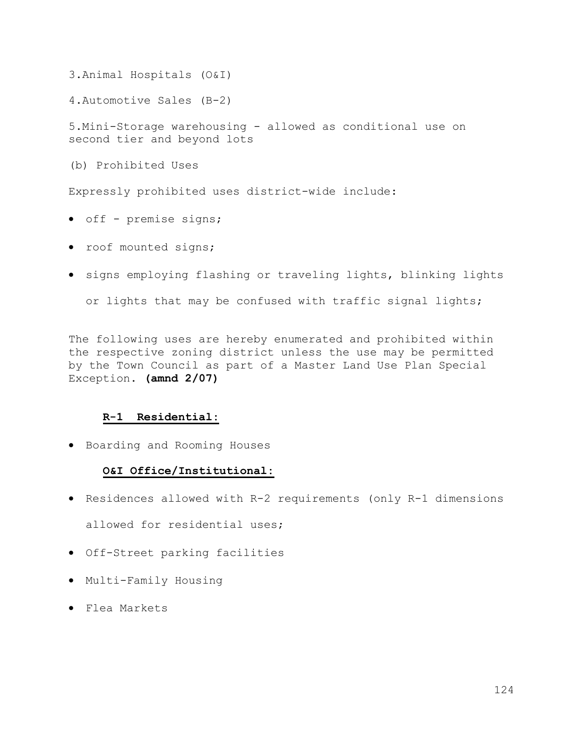3.Animal Hospitals (O&I)

4.Automotive Sales (B-2)

5.Mini-Storage warehousing - allowed as conditional use on second tier and beyond lots

(b) Prohibited Uses

Expressly prohibited uses district-wide include:

- off premise signs;
- roof mounted signs;
- signs employing flashing or traveling lights, blinking lights

or lights that may be confused with traffic signal lights;

The following uses are hereby enumerated and prohibited within the respective zoning district unless the use may be permitted by the Town Council as part of a Master Land Use Plan Special Exception. **(amnd 2/07)**

# **R-1 Residential:**

• Boarding and Rooming Houses

# **O&I Office/Institutional:**

- Residences allowed with R-2 requirements (only R-1 dimensions allowed for residential uses;
- Off-Street parking facilities
- Multi-Family Housing
- Flea Markets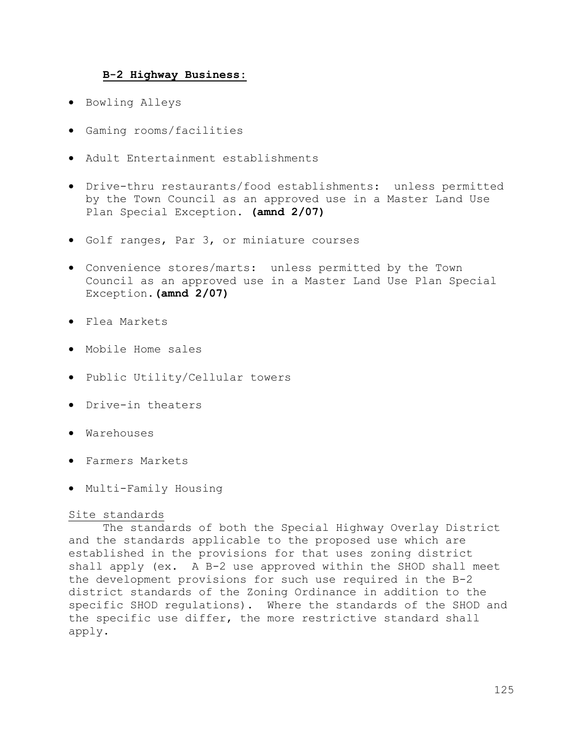## **B-2 Highway Business:**

- Bowling Alleys
- Gaming rooms/facilities
- Adult Entertainment establishments
- Drive-thru restaurants/food establishments: unless permitted by the Town Council as an approved use in a Master Land Use Plan Special Exception. **(amnd 2/07)**
- Golf ranges, Par 3, or miniature courses
- Convenience stores/marts: unless permitted by the Town Council as an approved use in a Master Land Use Plan Special Exception.**(amnd 2/07)**
- Flea Markets
- Mobile Home sales
- Public Utility/Cellular towers
- Drive-in theaters
- Warehouses
- Farmers Markets
- Multi-Family Housing

## Site standards

The standards of both the Special Highway Overlay District and the standards applicable to the proposed use which are established in the provisions for that uses zoning district shall apply (ex. A B-2 use approved within the SHOD shall meet the development provisions for such use required in the B-2 district standards of the Zoning Ordinance in addition to the specific SHOD regulations). Where the standards of the SHOD and the specific use differ, the more restrictive standard shall apply.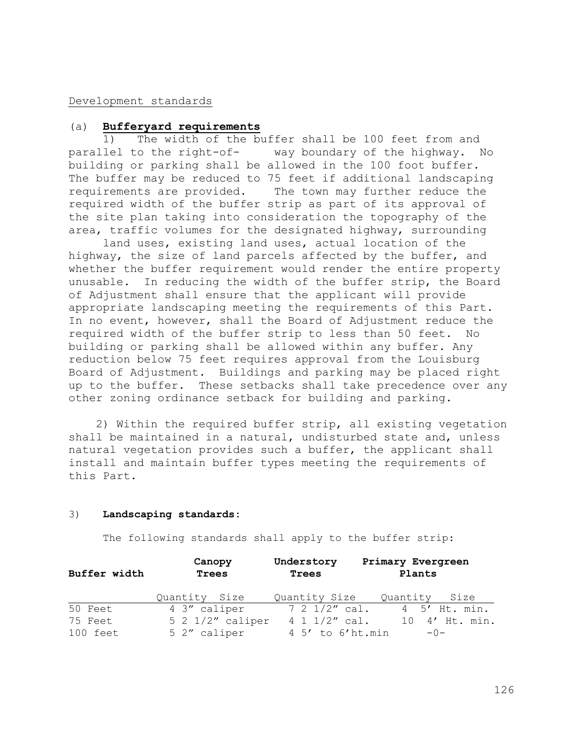### Development standards

# (a) **Bufferyard requirements**

1) The width of the buffer shall be 100 feet from and parallel to the right-of- way boundary of the highway. No building or parking shall be allowed in the 100 foot buffer. The buffer may be reduced to 75 feet if additional landscaping requirements are provided. The town may further reduce the required width of the buffer strip as part of its approval of the site plan taking into consideration the topography of the area, traffic volumes for the designated highway, surrounding

land uses, existing land uses, actual location of the highway, the size of land parcels affected by the buffer, and whether the buffer requirement would render the entire property unusable. In reducing the width of the buffer strip, the Board of Adjustment shall ensure that the applicant will provide appropriate landscaping meeting the requirements of this Part. In no event, however, shall the Board of Adjustment reduce the required width of the buffer strip to less than 50 feet. No building or parking shall be allowed within any buffer. Any reduction below 75 feet requires approval from the Louisburg Board of Adjustment. Buildings and parking may be placed right up to the buffer. These setbacks shall take precedence over any other zoning ordinance setback for building and parking.

 2) Within the required buffer strip, all existing vegetation shall be maintained in a natural, undisturbed state and, unless natural vegetation provides such a buffer, the applicant shall install and maintain buffer types meeting the requirements of this Part.

#### 3) **Landscaping standards:**

The following standards shall apply to the buffer strip:

| Buffer width | Canopy<br>Trees    | Understory<br>Trees | Primary Evergreen<br>Plants |
|--------------|--------------------|---------------------|-----------------------------|
|              | Quantity Size      | Quantity Size       | Quantity Size               |
| 50 Feet      | 4 3" caliper       | 7 2 1/2" cal.       | 4 5' Ht. min.               |
| 75 Feet      | $5$ 2 1/2" caliper | $4 1 1/2''$ cal.    | 10 4' Ht. min.              |
| 100 feet     | 5 2" caliper       | 4 5' to 6'ht.min    | $-0-$                       |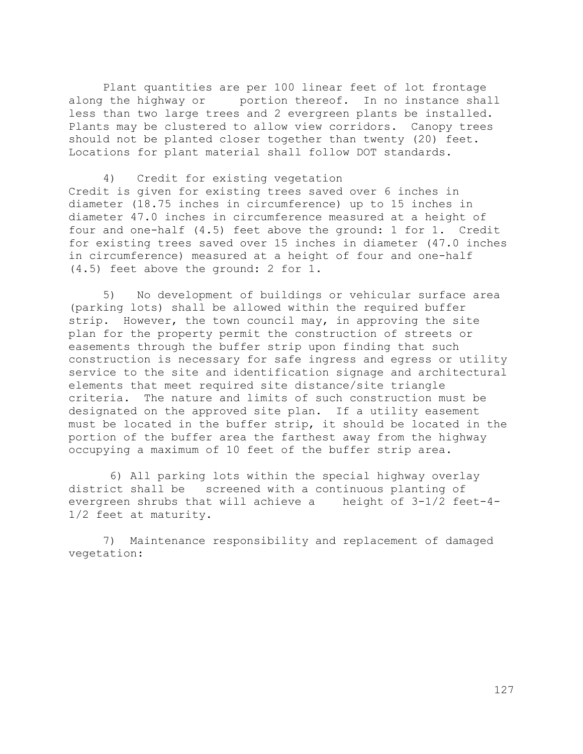Plant quantities are per 100 linear feet of lot frontage along the highway or portion thereof. In no instance shall less than two large trees and 2 evergreen plants be installed. Plants may be clustered to allow view corridors. Canopy trees should not be planted closer together than twenty (20) feet. Locations for plant material shall follow DOT standards.

4) Credit for existing vegetation Credit is given for existing trees saved over 6 inches in diameter (18.75 inches in circumference) up to 15 inches in diameter 47.0 inches in circumference measured at a height of four and one-half (4.5) feet above the ground: 1 for 1. Credit for existing trees saved over 15 inches in diameter (47.0 inches in circumference) measured at a height of four and one-half (4.5) feet above the ground: 2 for 1.

5) No development of buildings or vehicular surface area (parking lots) shall be allowed within the required buffer strip. However, the town council may, in approving the site plan for the property permit the construction of streets or easements through the buffer strip upon finding that such construction is necessary for safe ingress and egress or utility service to the site and identification signage and architectural elements that meet required site distance/site triangle criteria. The nature and limits of such construction must be designated on the approved site plan. If a utility easement must be located in the buffer strip, it should be located in the portion of the buffer area the farthest away from the highway occupying a maximum of 10 feet of the buffer strip area.

 6) All parking lots within the special highway overlay district shall be screened with a continuous planting of evergreen shrubs that will achieve a height of 3-1/2 feet-4- 1/2 feet at maturity.

 7) Maintenance responsibility and replacement of damaged vegetation: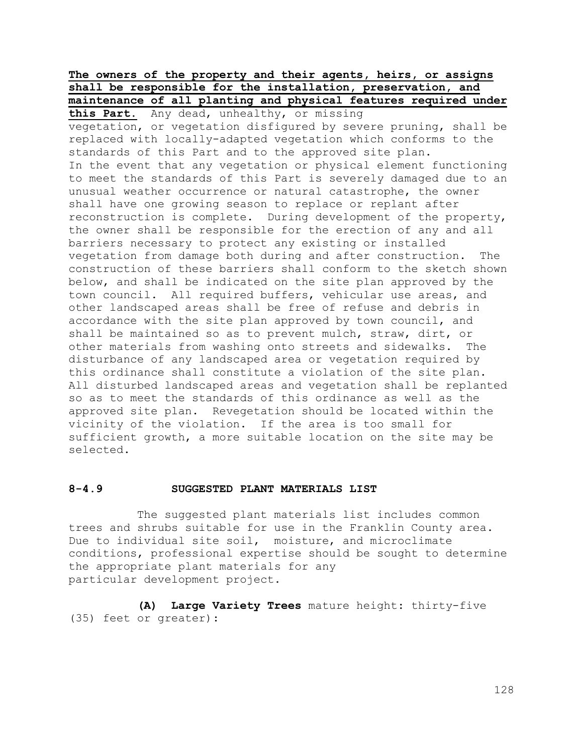# **The owners of the property and their agents, heirs, or assigns shall be responsible for the installation, preservation, and maintenance of all planting and physical features required under**

**this Part.** Any dead, unhealthy, or missing vegetation, or vegetation disfigured by severe pruning, shall be replaced with locally-adapted vegetation which conforms to the standards of this Part and to the approved site plan. In the event that any vegetation or physical element functioning to meet the standards of this Part is severely damaged due to an unusual weather occurrence or natural catastrophe, the owner shall have one growing season to replace or replant after reconstruction is complete. During development of the property, the owner shall be responsible for the erection of any and all barriers necessary to protect any existing or installed vegetation from damage both during and after construction. The construction of these barriers shall conform to the sketch shown below, and shall be indicated on the site plan approved by the town council. All required buffers, vehicular use areas, and other landscaped areas shall be free of refuse and debris in accordance with the site plan approved by town council, and shall be maintained so as to prevent mulch, straw, dirt, or other materials from washing onto streets and sidewalks. The disturbance of any landscaped area or vegetation required by this ordinance shall constitute a violation of the site plan. All disturbed landscaped areas and vegetation shall be replanted so as to meet the standards of this ordinance as well as the approved site plan. Revegetation should be located within the vicinity of the violation. If the area is too small for sufficient growth, a more suitable location on the site may be selected.

#### **8-4.9 SUGGESTED PLANT MATERIALS LIST**

The suggested plant materials list includes common trees and shrubs suitable for use in the Franklin County area. Due to individual site soil, moisture, and microclimate conditions, professional expertise should be sought to determine the appropriate plant materials for any particular development project.

**(A) Large Variety Trees** mature height: thirty-five (35) feet or greater):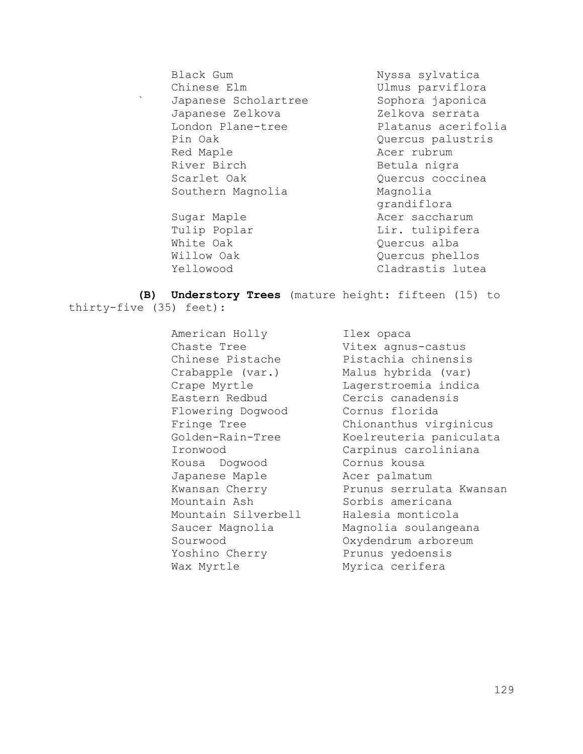Black Gum Nyssa sylvatica Chinese Elm Ulmus parviflora Japanese Scholartree Sophora japonica Japanese Zelkova **Zelkova** Zelkova serrata London Plane-tree Platanus acerifolia Pin Oak Quercus palustris Red Maple **Acer** rubrum River Birch Betula nigra Scarlet Oak Quercus coccinea Southern Magnolia Magnolia Sugar Maple **Acer saccharum** 

grandiflora Tulip Poplar **Lir.** tulipifera White Oak **Quercus** alba Willow Oak **Quercus** phellos Yellowood Cladrastis lutea

**(B) Understory Trees** (mature height: fifteen (15) to thirty-five (35) feet):

> American Holly **Ilex** opaca Chaste Tree **Vitex agnus-castus** Eastern Redbud Cercis canadensis Flowering Dogwood Cornus florida Kousa Dogwood Cornus kousa Japanese Maple **Acer** palmatum Mountain Ash Sorbis americana Mountain Silverbell Halesia monticola Yoshino Cherry Prunus yedoensis Wax Myrtle Myrica cerifera

Chinese Pistache Pistachia chinensis Crabapple (var.) Malus hybrida (var) Crape Myrtle Lagerstroemia indica Fringe Tree Chionanthus virginicus Golden-Rain-Tree Koelreuteria paniculata Ironwood Carpinus caroliniana Kwansan Cherry Prunus serrulata Kwansan Saucer Magnolia Magnolia soulangeana Sourwood Oxydendrum arboreum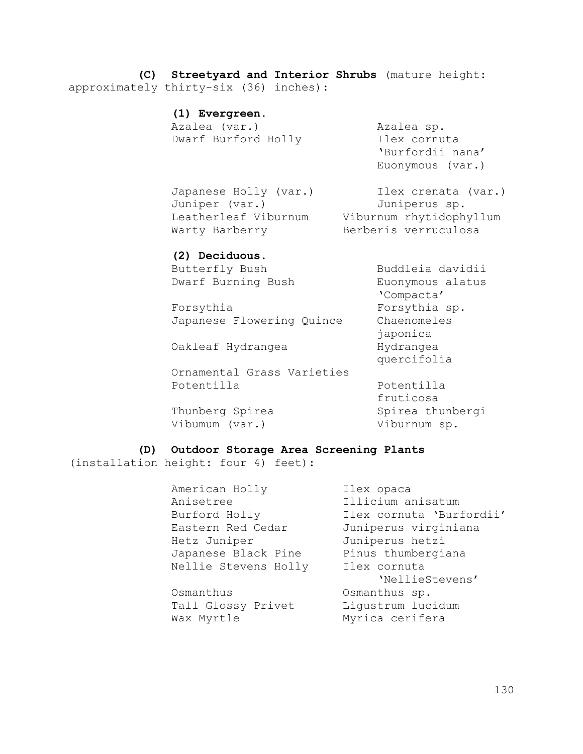**(C) Streetyard and Interior Shrubs** (mature height: approximately thirty-six (36) inches):

## **(1) Evergreen.**

Azalea (var.) Azalea sp. Dwarf Burford Holly **Ilex cornuta** 

'Burfordii nana' Euonymous (var.)

Juniper (var.) Juniperus sp. Warty Barberry Berberis verruculosa

Japanese Holly (var.) Ilex crenata (var.) Leatherleaf Viburnum Viburnum rhytidophyllum

## **(2) Deciduous.**

Butterfly Bush Buddleia davidii Dwarf Burning Bush Euonymous alatus

'Compacta' Forsythia Forsythia sp. Japanese Flowering Quince Chaenomeles japonica Oakleaf Hydrangea Mydrangea quercifolia

Ornamental Grass Varieties Potentilla Potentilla

fruticosa Thunberg Spirea Spirea thunbergi

Vibumum (var.) Viburnum sp.

**(D) Outdoor Storage Area Screening Plants** 

(installation height: four 4) feet):

American Holly **Ilex opaca** Anisetree Illicium anisatum Eastern Red Cedar Juniperus virginiana Hetz Juniper Juniperus hetzi Japanese Black Pine Pinus thumbergiana Nellie Stevens Holly Ilex cornuta

Osmanthus Osmanthus sp. Tall Glossy Privet Ligustrum lucidum Wax Myrtle Myrica cerifera

Burford Holly Ilex cornuta 'Burfordii' 'NellieStevens'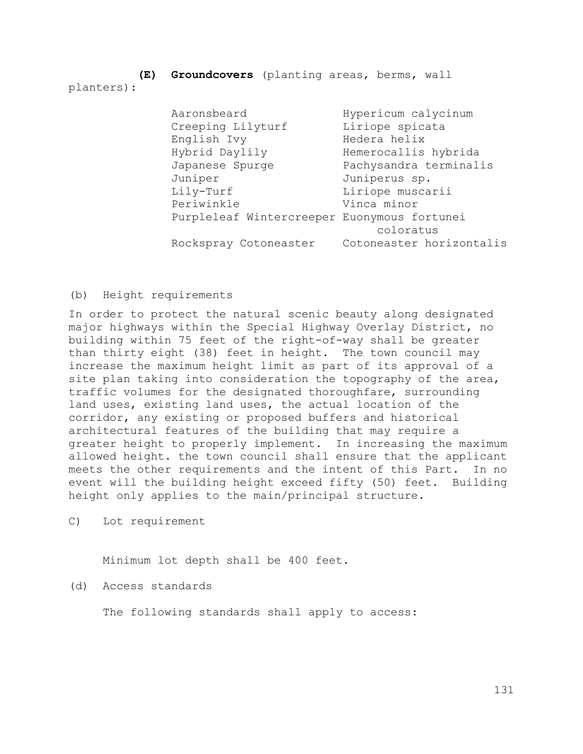**(E) Groundcovers** (planting areas, berms, wall planters):

> Aaronsbeard Hypericum calycinum Creeping Lilyturf Liriope spicata English Ivy Medera helix Hybrid Daylily Hemerocallis hybrida Japanese Spurge Pachysandra terminalis Juniper Juniperus sp. Lily-Turf Liriope muscarii Periwinkle Vinca minor Purpleleaf Wintercreeper Euonymous fortunei coloratus Rockspray Cotoneaster Cotoneaster horizontalis

#### (b) Height requirements

In order to protect the natural scenic beauty along designated major highways within the Special Highway Overlay District, no building within 75 feet of the right-of-way shall be greater than thirty eight (38) feet in height. The town council may increase the maximum height limit as part of its approval of a site plan taking into consideration the topography of the area, traffic volumes for the designated thoroughfare, surrounding land uses, existing land uses, the actual location of the corridor, any existing or proposed buffers and historical architectural features of the building that may require a greater height to properly implement. In increasing the maximum allowed height. the town council shall ensure that the applicant meets the other requirements and the intent of this Part. In no event will the building height exceed fifty (50) feet. Building height only applies to the main/principal structure.

C) Lot requirement

Minimum lot depth shall be 400 feet.

(d) Access standards

The following standards shall apply to access: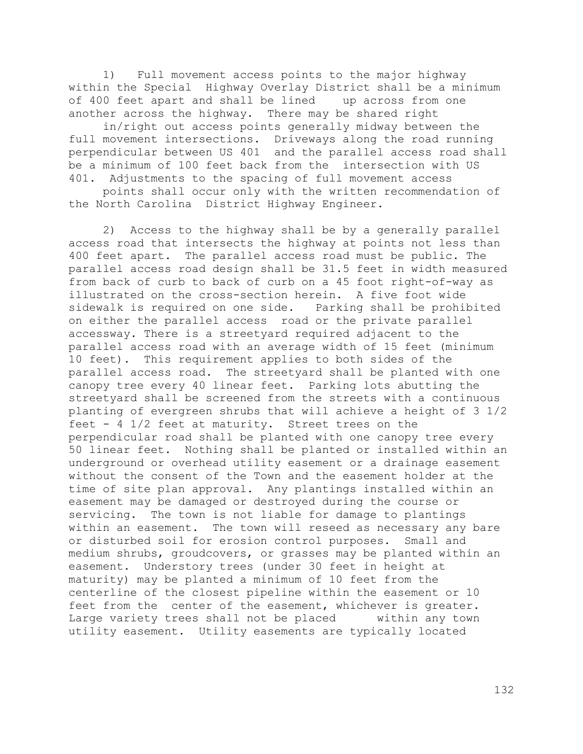1) Full movement access points to the major highway within the Special Highway Overlay District shall be a minimum of 400 feet apart and shall be lined up across from one another across the highway. There may be shared right

in/right out access points generally midway between the full movement intersections. Driveways along the road running perpendicular between US 401 and the parallel access road shall be a minimum of 100 feet back from the intersection with US 401. Adjustments to the spacing of full movement access

points shall occur only with the written recommendation of the North Carolina District Highway Engineer.

2) Access to the highway shall be by a generally parallel access road that intersects the highway at points not less than 400 feet apart. The parallel access road must be public. The parallel access road design shall be 31.5 feet in width measured from back of curb to back of curb on a 45 foot right-of-way as illustrated on the cross-section herein. A five foot wide sidewalk is required on one side. Parking shall be prohibited on either the parallel access road or the private parallel accessway. There is a streetyard required adjacent to the parallel access road with an average width of 15 feet (minimum 10 feet). This requirement applies to both sides of the parallel access road. The streetyard shall be planted with one canopy tree every 40 linear feet. Parking lots abutting the streetyard shall be screened from the streets with a continuous planting of evergreen shrubs that will achieve a height of 3 1/2 feet - 4 1/2 feet at maturity. Street trees on the perpendicular road shall be planted with one canopy tree every 50 linear feet. Nothing shall be planted or installed within an underground or overhead utility easement or a drainage easement without the consent of the Town and the easement holder at the time of site plan approval. Any plantings installed within an easement may be damaged or destroyed during the course or servicing. The town is not liable for damage to plantings within an easement. The town will reseed as necessary any bare or disturbed soil for erosion control purposes. Small and medium shrubs, groudcovers, or grasses may be planted within an easement. Understory trees (under 30 feet in height at maturity) may be planted a minimum of 10 feet from the centerline of the closest pipeline within the easement or 10 feet from the center of the easement, whichever is greater. Large variety trees shall not be placed within any town utility easement. Utility easements are typically located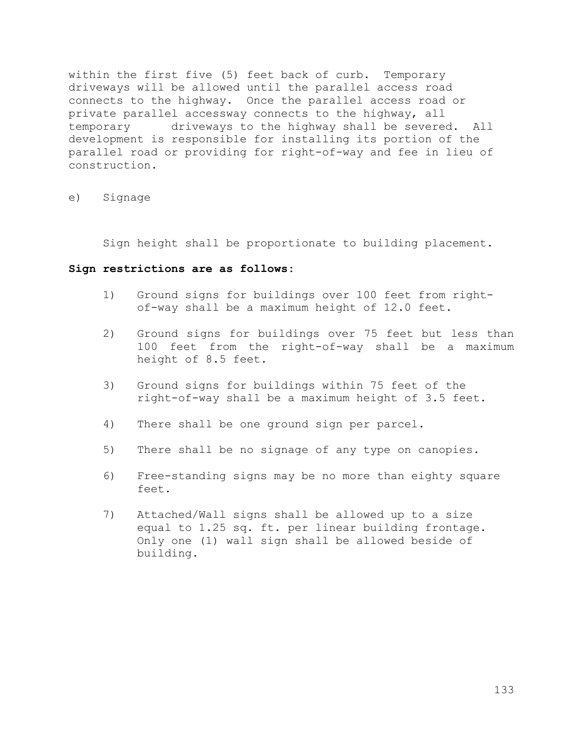within the first five (5) feet back of curb. Temporary driveways will be allowed until the parallel access road connects to the highway. Once the parallel access road or private parallel accessway connects to the highway, all temporary driveways to the highway shall be severed. All development is responsible for installing its portion of the parallel road or providing for right-of-way and fee in lieu of construction.

### e) Signage

Sign height shall be proportionate to building placement.

#### **Sign restrictions are as follows:**

- 1) Ground signs for buildings over 100 feet from rightof-way shall be a maximum height of 12.0 feet.
- 2) Ground signs for buildings over 75 feet but less than 100 feet from the right-of-way shall be a maximum height of 8.5 feet.
- 3) Ground signs for buildings within 75 feet of the right-of-way shall be a maximum height of 3.5 feet.
- 4) There shall be one ground sign per parcel.
- 5) There shall be no signage of any type on canopies.
- 6) Free-standing signs may be no more than eighty square feet.
- 7) Attached/Wall signs shall be allowed up to a size equal to 1.25 sq. ft. per linear building frontage. Only one (1) wall sign shall be allowed beside of building.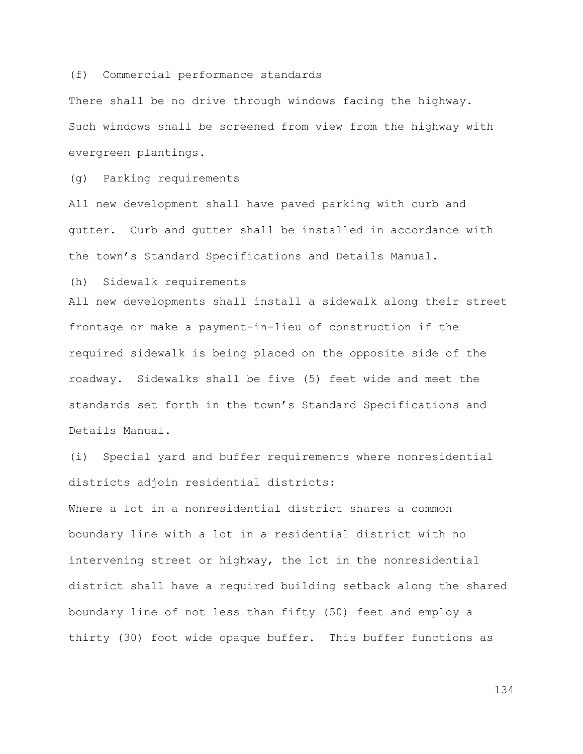#### (f) Commercial performance standards

There shall be no drive through windows facing the highway. Such windows shall be screened from view from the highway with evergreen plantings.

(g) Parking requirements

All new development shall have paved parking with curb and gutter. Curb and gutter shall be installed in accordance with the town's Standard Specifications and Details Manual.

(h) Sidewalk requirements

All new developments shall install a sidewalk along their street frontage or make a payment-in-lieu of construction if the required sidewalk is being placed on the opposite side of the roadway. Sidewalks shall be five (5) feet wide and meet the standards set forth in the town's Standard Specifications and Details Manual.

(i) Special yard and buffer requirements where nonresidential districts adjoin residential districts:

Where a lot in a nonresidential district shares a common boundary line with a lot in a residential district with no intervening street or highway, the lot in the nonresidential district shall have a required building setback along the shared boundary line of not less than fifty (50) feet and employ a thirty (30) foot wide opaque buffer. This buffer functions as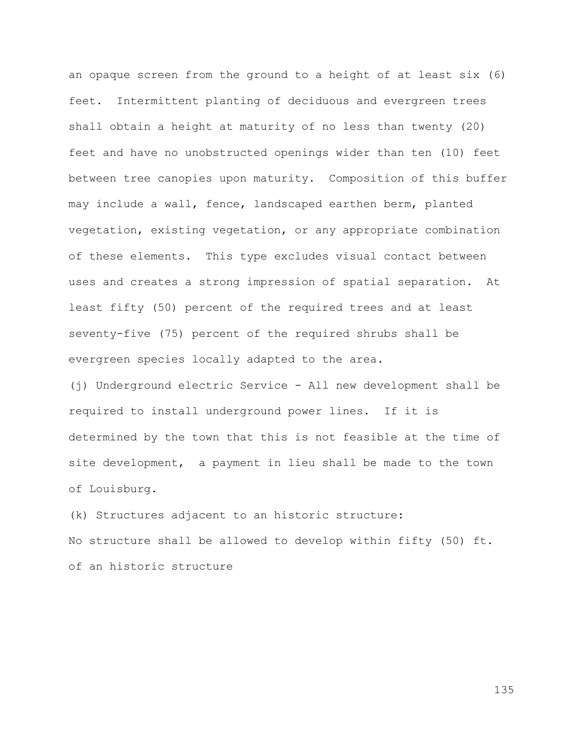an opaque screen from the ground to a height of at least six (6) feet. Intermittent planting of deciduous and evergreen trees shall obtain a height at maturity of no less than twenty (20) feet and have no unobstructed openings wider than ten (10) feet between tree canopies upon maturity. Composition of this buffer may include a wall, fence, landscaped earthen berm, planted vegetation, existing vegetation, or any appropriate combination of these elements. This type excludes visual contact between uses and creates a strong impression of spatial separation. At least fifty (50) percent of the required trees and at least seventy-five (75) percent of the required shrubs shall be evergreen species locally adapted to the area.

(j) Underground electric Service - All new development shall be required to install underground power lines. If it is determined by the town that this is not feasible at the time of site development, a payment in lieu shall be made to the town of Louisburg.

(k) Structures adjacent to an historic structure: No structure shall be allowed to develop within fifty (50) ft. of an historic structure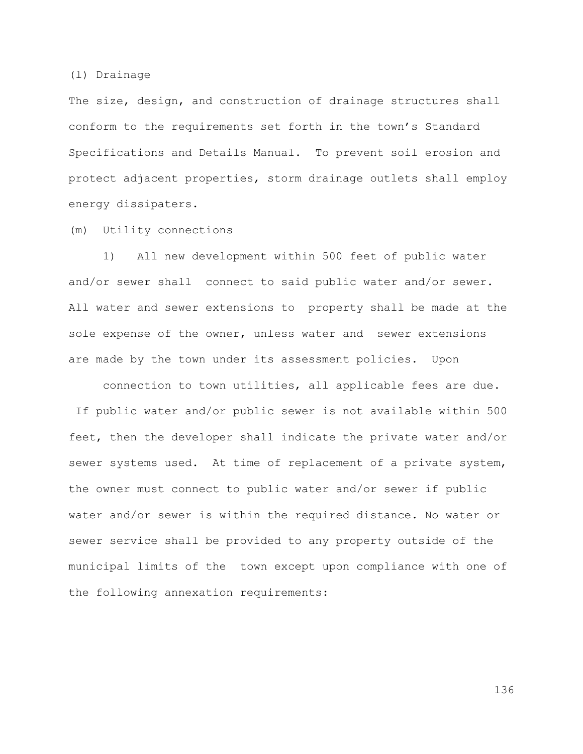#### (l) Drainage

The size, design, and construction of drainage structures shall conform to the requirements set forth in the town's Standard Specifications and Details Manual. To prevent soil erosion and protect adjacent properties, storm drainage outlets shall employ energy dissipaters.

(m) Utility connections

1) All new development within 500 feet of public water and/or sewer shall connect to said public water and/or sewer. All water and sewer extensions to property shall be made at the sole expense of the owner, unless water and sewer extensions are made by the town under its assessment policies. Upon

connection to town utilities, all applicable fees are due. If public water and/or public sewer is not available within 500 feet, then the developer shall indicate the private water and/or sewer systems used. At time of replacement of a private system, the owner must connect to public water and/or sewer if public water and/or sewer is within the required distance. No water or sewer service shall be provided to any property outside of the municipal limits of the town except upon compliance with one of the following annexation requirements: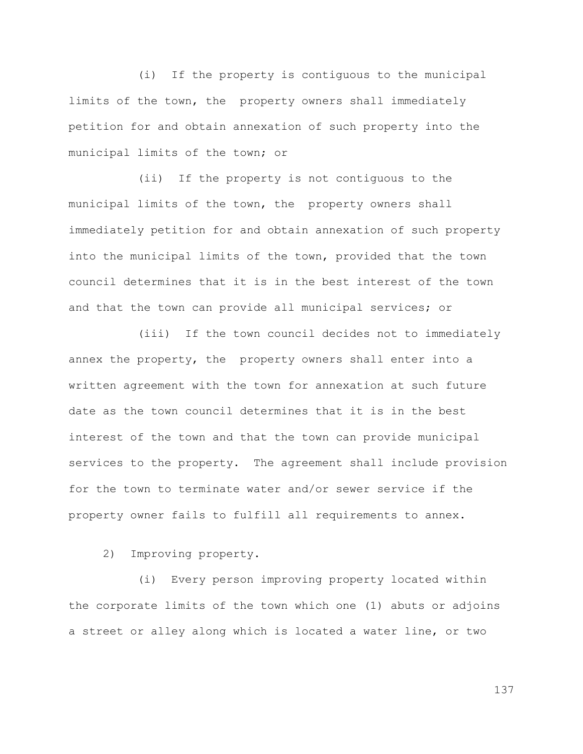(i) If the property is contiguous to the municipal limits of the town, the property owners shall immediately petition for and obtain annexation of such property into the municipal limits of the town; or

(ii) If the property is not contiguous to the municipal limits of the town, the property owners shall immediately petition for and obtain annexation of such property into the municipal limits of the town, provided that the town council determines that it is in the best interest of the town and that the town can provide all municipal services; or

(iii) If the town council decides not to immediately annex the property, the property owners shall enter into a written agreement with the town for annexation at such future date as the town council determines that it is in the best interest of the town and that the town can provide municipal services to the property. The agreement shall include provision for the town to terminate water and/or sewer service if the property owner fails to fulfill all requirements to annex.

2) Improving property.

(i) Every person improving property located within the corporate limits of the town which one (1) abuts or adjoins a street or alley along which is located a water line, or two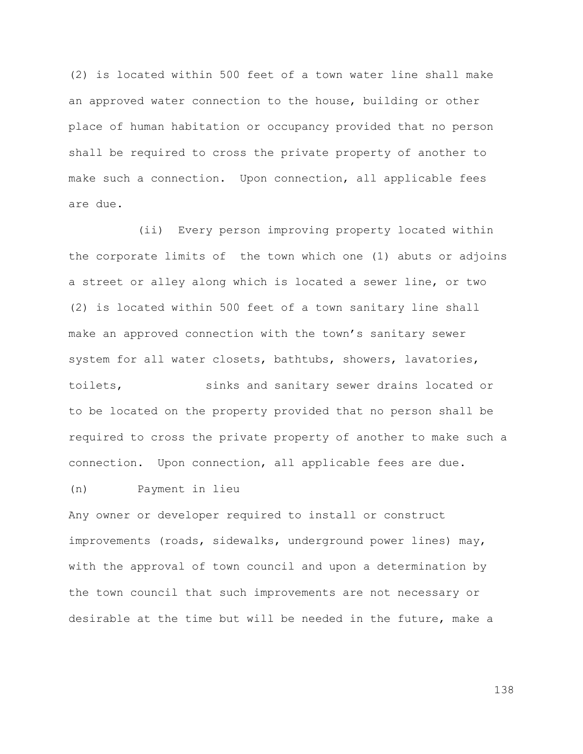(2) is located within 500 feet of a town water line shall make an approved water connection to the house, building or other place of human habitation or occupancy provided that no person shall be required to cross the private property of another to make such a connection. Upon connection, all applicable fees are due.

(ii) Every person improving property located within the corporate limits of the town which one (1) abuts or adjoins a street or alley along which is located a sewer line, or two (2) is located within 500 feet of a town sanitary line shall make an approved connection with the town's sanitary sewer system for all water closets, bathtubs, showers, lavatories, toilets, sinks and sanitary sewer drains located or to be located on the property provided that no person shall be required to cross the private property of another to make such a connection. Upon connection, all applicable fees are due.

## (n) Payment in lieu

Any owner or developer required to install or construct improvements (roads, sidewalks, underground power lines) may, with the approval of town council and upon a determination by the town council that such improvements are not necessary or desirable at the time but will be needed in the future, make a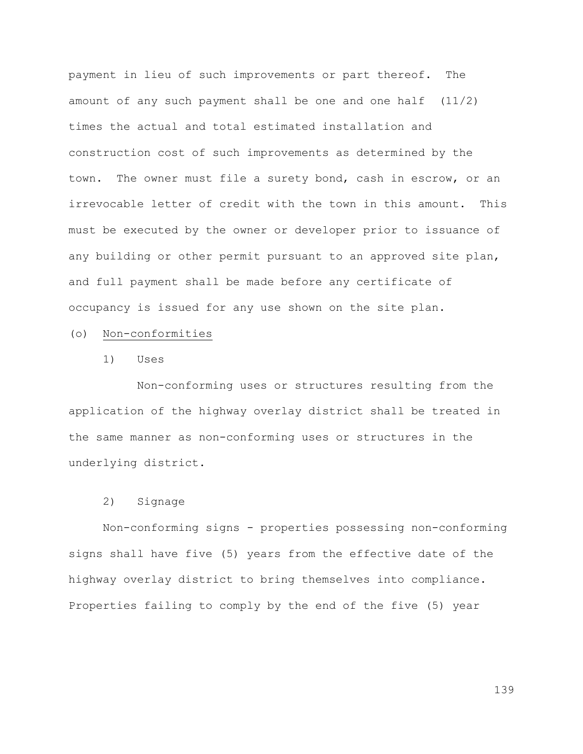payment in lieu of such improvements or part thereof. The amount of any such payment shall be one and one half  $(11/2)$ times the actual and total estimated installation and construction cost of such improvements as determined by the town. The owner must file a surety bond, cash in escrow, or an irrevocable letter of credit with the town in this amount. This must be executed by the owner or developer prior to issuance of any building or other permit pursuant to an approved site plan, and full payment shall be made before any certificate of occupancy is issued for any use shown on the site plan.

#### (o) Non-conformities

1) Uses

Non-conforming uses or structures resulting from the application of the highway overlay district shall be treated in the same manner as non-conforming uses or structures in the underlying district.

## 2) Signage

Non-conforming signs - properties possessing non-conforming signs shall have five (5) years from the effective date of the highway overlay district to bring themselves into compliance. Properties failing to comply by the end of the five (5) year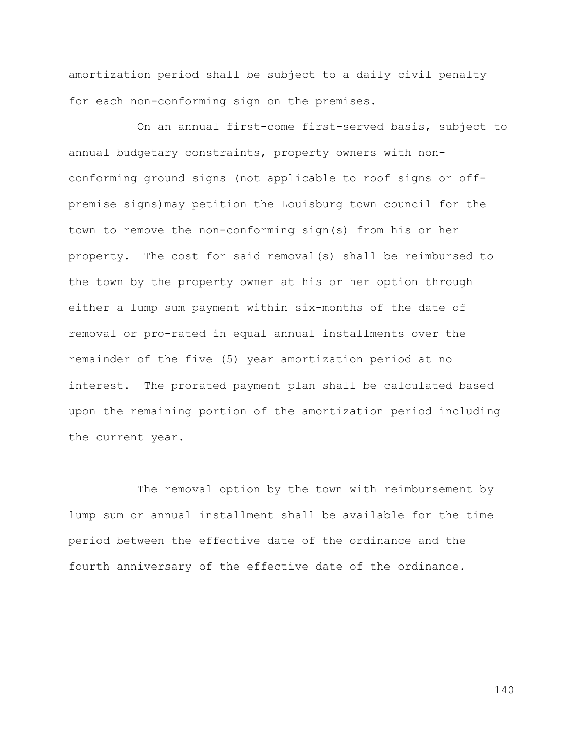amortization period shall be subject to a daily civil penalty for each non-conforming sign on the premises.

On an annual first-come first-served basis, subject to annual budgetary constraints, property owners with nonconforming ground signs (not applicable to roof signs or offpremise signs)may petition the Louisburg town council for the town to remove the non-conforming sign(s) from his or her property. The cost for said removal(s) shall be reimbursed to the town by the property owner at his or her option through either a lump sum payment within six-months of the date of removal or pro-rated in equal annual installments over the remainder of the five (5) year amortization period at no interest. The prorated payment plan shall be calculated based upon the remaining portion of the amortization period including the current year.

The removal option by the town with reimbursement by lump sum or annual installment shall be available for the time period between the effective date of the ordinance and the fourth anniversary of the effective date of the ordinance.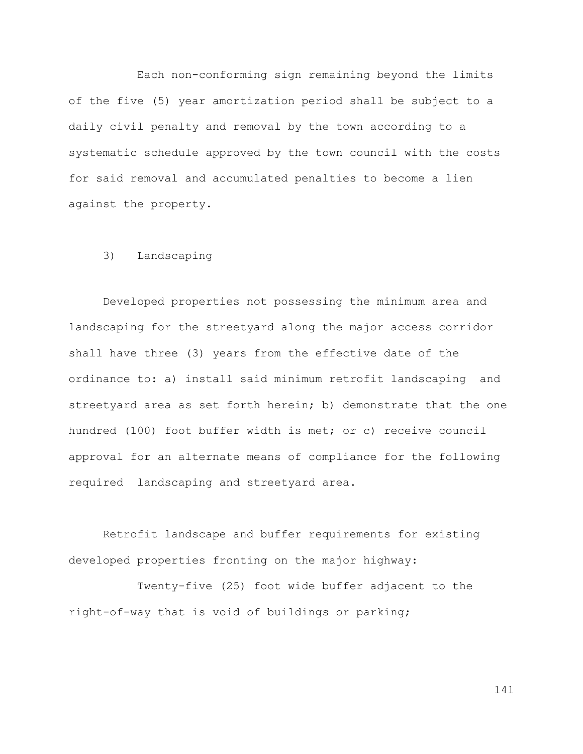Each non-conforming sign remaining beyond the limits of the five (5) year amortization period shall be subject to a daily civil penalty and removal by the town according to a systematic schedule approved by the town council with the costs for said removal and accumulated penalties to become a lien against the property.

## 3) Landscaping

Developed properties not possessing the minimum area and landscaping for the streetyard along the major access corridor shall have three (3) years from the effective date of the ordinance to: a) install said minimum retrofit landscaping and streetyard area as set forth herein; b) demonstrate that the one hundred (100) foot buffer width is met; or c) receive council approval for an alternate means of compliance for the following required landscaping and streetyard area.

Retrofit landscape and buffer requirements for existing developed properties fronting on the major highway:

Twenty-five (25) foot wide buffer adjacent to the right-of-way that is void of buildings or parking;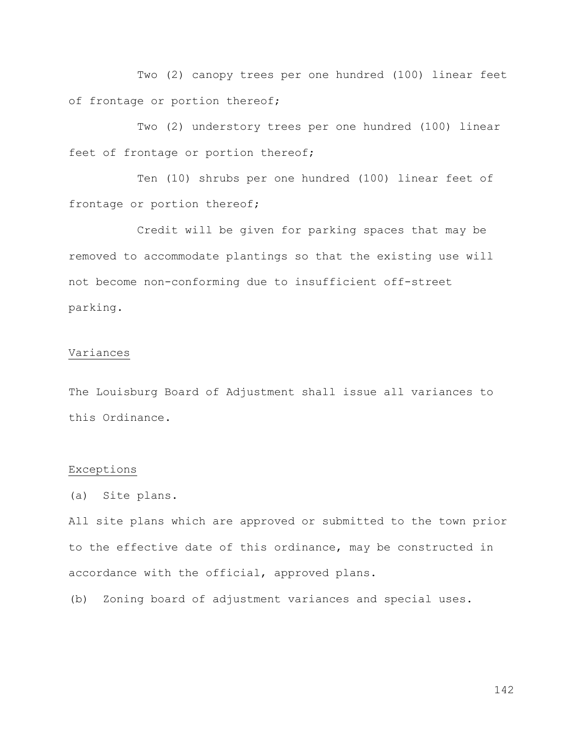Two (2) canopy trees per one hundred (100) linear feet of frontage or portion thereof;

Two (2) understory trees per one hundred (100) linear feet of frontage or portion thereof;

Ten (10) shrubs per one hundred (100) linear feet of frontage or portion thereof;

Credit will be given for parking spaces that may be removed to accommodate plantings so that the existing use will not become non-conforming due to insufficient off-street parking.

#### Variances

The Louisburg Board of Adjustment shall issue all variances to this Ordinance.

### Exceptions

(a) Site plans.

All site plans which are approved or submitted to the town prior to the effective date of this ordinance, may be constructed in accordance with the official, approved plans.

(b) Zoning board of adjustment variances and special uses.

142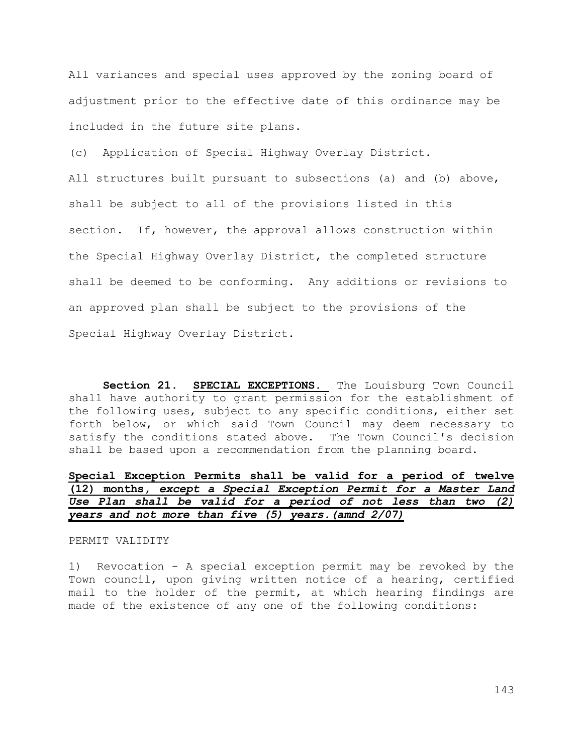All variances and special uses approved by the zoning board of adjustment prior to the effective date of this ordinance may be included in the future site plans.

(c) Application of Special Highway Overlay District.

All structures built pursuant to subsections (a) and (b) above, shall be subject to all of the provisions listed in this section. If, however, the approval allows construction within the Special Highway Overlay District, the completed structure shall be deemed to be conforming. Any additions or revisions to an approved plan shall be subject to the provisions of the Special Highway Overlay District.

**Section 21. SPECIAL EXCEPTIONS.** The Louisburg Town Council shall have authority to grant permission for the establishment of the following uses, subject to any specific conditions, either set forth below, or which said Town Council may deem necessary to satisfy the conditions stated above. The Town Council's decision shall be based upon a recommendation from the planning board.

# **Special Exception Permits shall be valid for a period of twelve (12) months,** *except a Special Exception Permit for a Master Land Use Plan shall be valid for a period of not less than two (2) years and not more than five (5) years.(amnd 2/07)*

#### PERMIT VALIDITY

1) Revocation - A special exception permit may be revoked by the Town council, upon giving written notice of a hearing, certified mail to the holder of the permit, at which hearing findings are made of the existence of any one of the following conditions:

143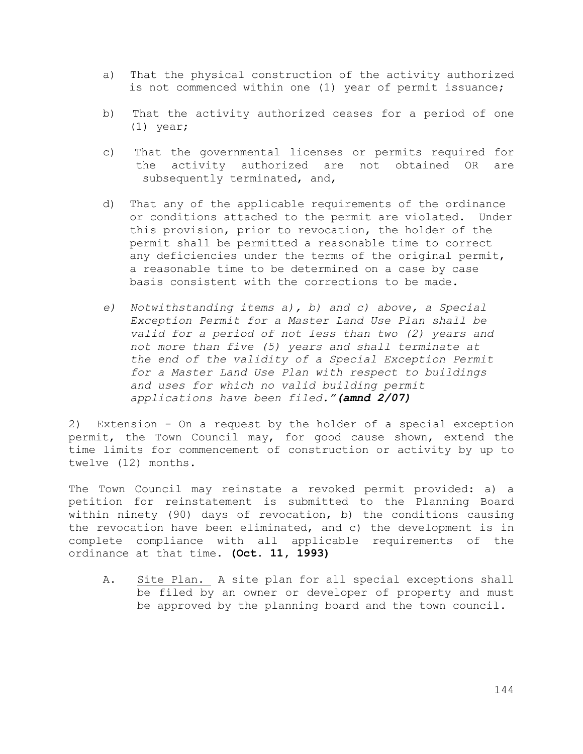- a) That the physical construction of the activity authorized is not commenced within one (1) year of permit issuance;
- b) That the activity authorized ceases for a period of one (1) year;
- c) That the governmental licenses or permits required for the activity authorized are not obtained OR are subsequently terminated, and,
- d) That any of the applicable requirements of the ordinance or conditions attached to the permit are violated. Under this provision, prior to revocation, the holder of the permit shall be permitted a reasonable time to correct any deficiencies under the terms of the original permit, a reasonable time to be determined on a case by case basis consistent with the corrections to be made.
- *e) Notwithstanding items a), b) and c) above, a Special Exception Permit for a Master Land Use Plan shall be valid for a period of not less than two (2) years and not more than five (5) years and shall terminate at the end of the validity of a Special Exception Permit for a Master Land Use Plan with respect to buildings and uses for which no valid building permit applications have been filed."(amnd 2/07)*

2) Extension - On a request by the holder of a special exception permit, the Town Council may, for good cause shown, extend the time limits for commencement of construction or activity by up to twelve (12) months.

The Town Council may reinstate a revoked permit provided: a) a petition for reinstatement is submitted to the Planning Board within ninety (90) days of revocation, b) the conditions causing the revocation have been eliminated, and c) the development is in complete compliance with all applicable requirements of the ordinance at that time. **(Oct. 11, 1993)**

A. Site Plan. A site plan for all special exceptions shall be filed by an owner or developer of property and must be approved by the planning board and the town council.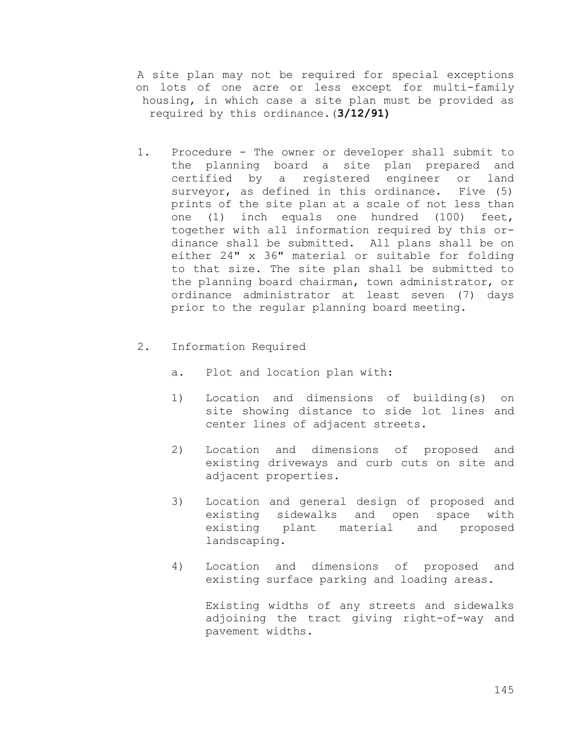A site plan may not be required for special exceptions on lots of one acre or less except for multi-family housing, in which case a site plan must be provided as required by this ordinance.(**3/12/91)**

- 1. Procedure The owner or developer shall submit to the planning board a site plan prepared and certified by a registered engineer or land surveyor, as defined in this ordinance. Five (5) prints of the site plan at a scale of not less than one (1) inch equals one hundred (100) feet, together with all information required by this ordinance shall be submitted. All plans shall be on either 24" x 36" material or suitable for folding to that size. The site plan shall be submitted to the planning board chairman, town administrator, or ordinance administrator at least seven (7) days prior to the regular planning board meeting.
- 2. Information Required
	- a. Plot and location plan with:
	- 1) Location and dimensions of building(s) on site showing distance to side lot lines and center lines of adjacent streets.
	- 2) Location and dimensions of proposed and existing driveways and curb cuts on site and adjacent properties.
	- 3) Location and general design of proposed and existing sidewalks and open space with existing plant material and proposed landscaping.
	- 4) Location and dimensions of proposed and existing surface parking and loading areas.

Existing widths of any streets and sidewalks adjoining the tract giving right-of-way and pavement widths.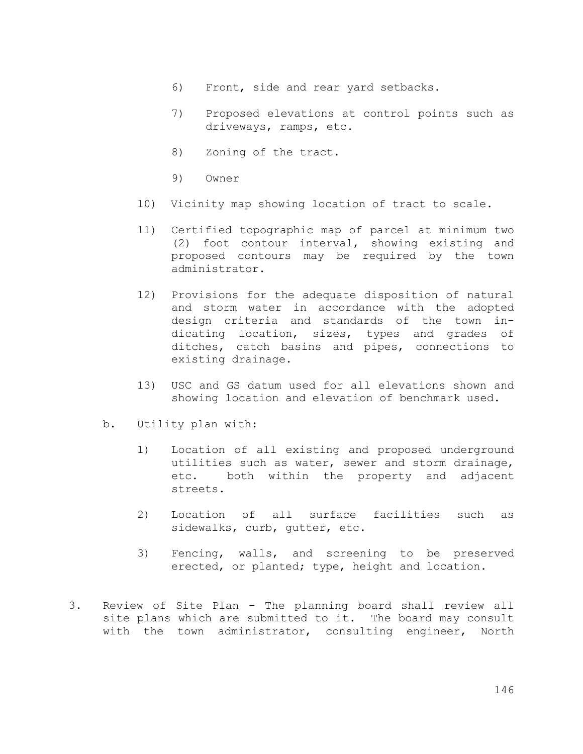- 6) Front, side and rear yard setbacks.
- 7) Proposed elevations at control points such as driveways, ramps, etc.
- 8) Zoning of the tract.
- 9) Owner
- 10) Vicinity map showing location of tract to scale.
- 11) Certified topographic map of parcel at minimum two (2) foot contour interval, showing existing and proposed contours may be required by the town administrator.
- 12) Provisions for the adequate disposition of natural and storm water in accordance with the adopted design criteria and standards of the town indicating location, sizes, types and grades of ditches, catch basins and pipes, connections to existing drainage.
- 13) USC and GS datum used for all elevations shown and showing location and elevation of benchmark used.
- b. Utility plan with:
	- 1) Location of all existing and proposed underground utilities such as water, sewer and storm drainage, etc. both within the property and adjacent streets.
	- 2) Location of all surface facilities such as sidewalks, curb, gutter, etc.
	- 3) Fencing, walls, and screening to be preserved erected, or planted; type, height and location.
- 3. Review of Site Plan The planning board shall review all site plans which are submitted to it. The board may consult with the town administrator, consulting engineer, North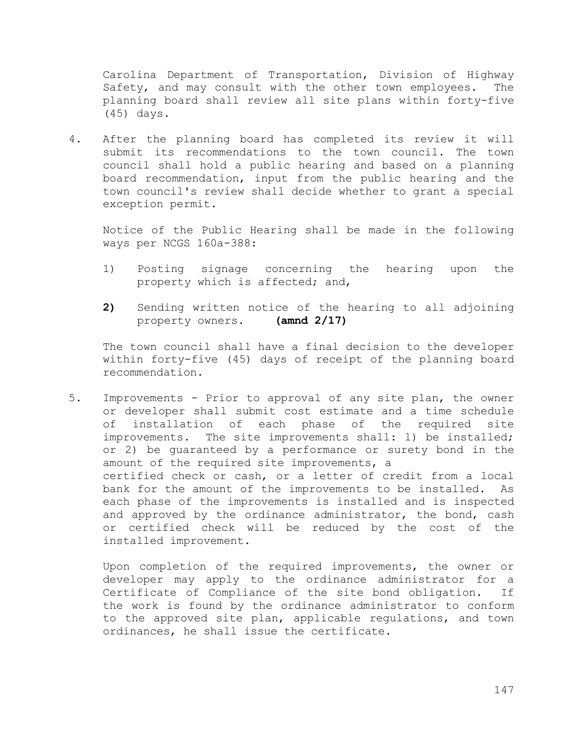Carolina Department of Transportation, Division of Highway Safety, and may consult with the other town employees. The planning board shall review all site plans within forty-five (45) days.

4. After the planning board has completed its review it will submit its recommendations to the town council. The town council shall hold a public hearing and based on a planning board recommendation, input from the public hearing and the town council's review shall decide whether to grant a special exception permit.

Notice of the Public Hearing shall be made in the following ways per NCGS 160a-388:

- 1) Posting signage concerning the hearing upon the property which is affected; and,
- **2)** Sending written notice of the hearing to all adjoining property owners. **(amnd 2/17)**

The town council shall have a final decision to the developer within forty-five (45) days of receipt of the planning board recommendation.

5. Improvements - Prior to approval of any site plan, the owner or developer shall submit cost estimate and a time schedule of installation of each phase of the required site improvements. The site improvements shall: l) be installed; or 2) be guaranteed by a performance or surety bond in the amount of the required site improvements, a certified check or cash, or a letter of credit from a local bank for the amount of the improvements to be installed. As each phase of the improvements is installed and is inspected and approved by the ordinance administrator, the bond, cash or certified check will be reduced by the cost of the installed improvement.

Upon completion of the required improvements, the owner or developer may apply to the ordinance administrator for a Certificate of Compliance of the site bond obligation. If the work is found by the ordinance administrator to conform to the approved site plan, applicable regulations, and town ordinances, he shall issue the certificate.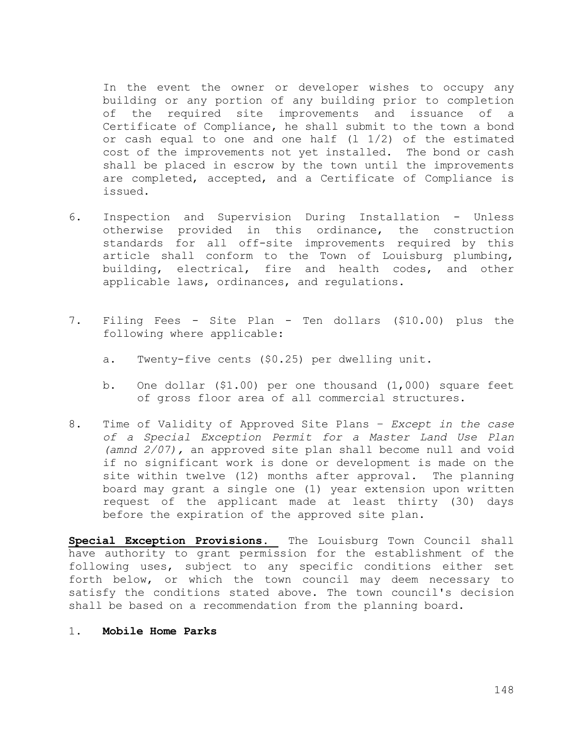In the event the owner or developer wishes to occupy any building or any portion of any building prior to completion of the required site improvements and issuance of a Certificate of Compliance, he shall submit to the town a bond or cash equal to one and one half  $(1\ 1/2)$  of the estimated cost of the improvements not yet installed. The bond or cash shall be placed in escrow by the town until the improvements are completed, accepted, and a Certificate of Compliance is issued.

- 6. Inspection and Supervision During Installation Unless otherwise provided in this ordinance, the construction standards for all off-site improvements required by this article shall conform to the Town of Louisburg plumbing, building, electrical, fire and health codes, and other applicable laws, ordinances, and regulations.
- 7. Filing Fees Site Plan Ten dollars (\$10.00) plus the following where applicable:
	- a. Twenty-five cents (\$0.25) per dwelling unit.
	- b. One dollar (\$1.00) per one thousand (1,000) square feet of gross floor area of all commercial structures.
- 8. Time of Validity of Approved Site Plans *Except in the case of a Special Exception Permit for a Master Land Use Plan (amnd 2/07),* an approved site plan shall become null and void if no significant work is done or development is made on the site within twelve (12) months after approval. The planning board may grant a single one (1) year extension upon written request of the applicant made at least thirty (30) days before the expiration of the approved site plan.

**Special Exception Provisions.** The Louisburg Town Council shall have authority to grant permission for the establishment of the following uses, subject to any specific conditions either set forth below, or which the town council may deem necessary to satisfy the conditions stated above. The town council's decision shall be based on a recommendation from the planning board.

1. **Mobile Home Parks**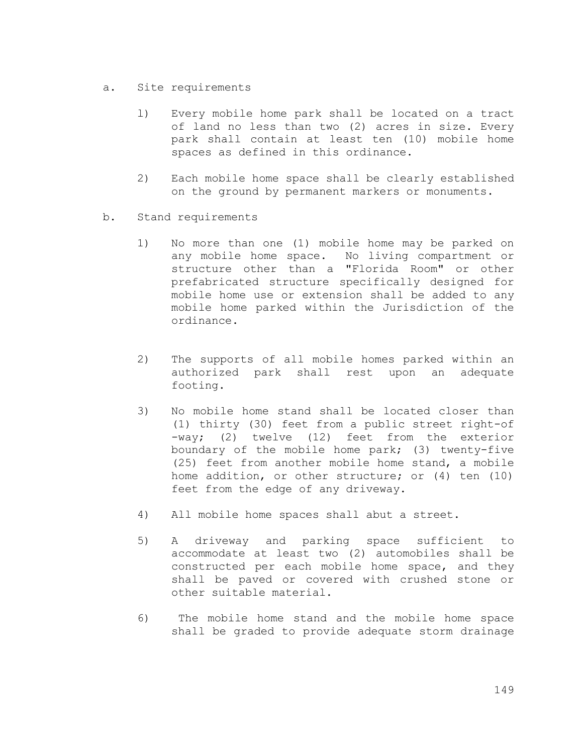- a. Site requirements
	- l) Every mobile home park shall be located on a tract of land no less than two (2) acres in size. Every park shall contain at least ten (10) mobile home spaces as defined in this ordinance.
	- 2) Each mobile home space shall be clearly established on the ground by permanent markers or monuments.
- b. Stand requirements
	- 1) No more than one (1) mobile home may be parked on any mobile home space. No living compartment or structure other than a "Florida Room" or other prefabricated structure specifically designed for mobile home use or extension shall be added to any mobile home parked within the Jurisdiction of the ordinance.
	- 2) The supports of all mobile homes parked within an authorized park shall rest upon an adequate footing.
	- 3) No mobile home stand shall be located closer than (1) thirty (30) feet from a public street right-of -way; (2) twelve (12) feet from the exterior boundary of the mobile home park; (3) twenty-five (25) feet from another mobile home stand, a mobile home addition, or other structure; or (4) ten (10) feet from the edge of any driveway.
	- 4) All mobile home spaces shall abut a street.
	- 5) A driveway and parking space sufficient to accommodate at least two (2) automobiles shall be constructed per each mobile home space, and they shall be paved or covered with crushed stone or other suitable material.
	- 6) The mobile home stand and the mobile home space shall be graded to provide adequate storm drainage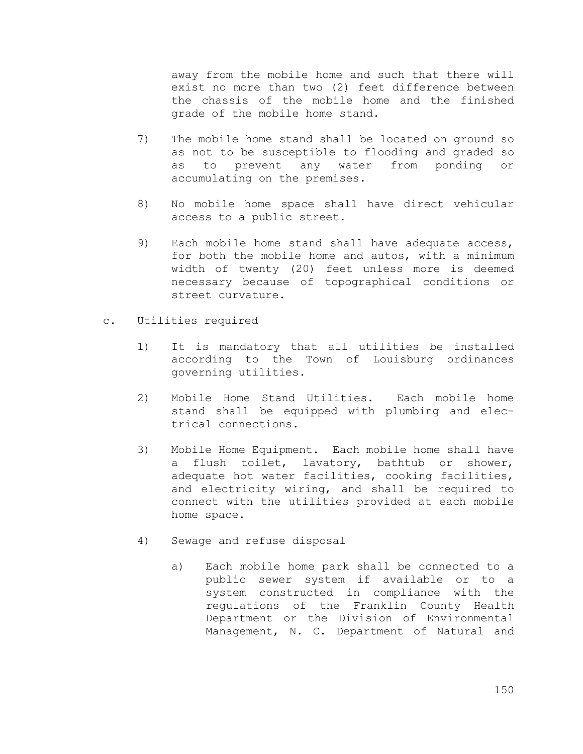away from the mobile home and such that there will exist no more than two (2) feet difference between the chassis of the mobile home and the finished grade of the mobile home stand.

- 7) The mobile home stand shall be located on ground so as not to be susceptible to flooding and graded so as to prevent any water from ponding or accumulating on the premises.
- 8) No mobile home space shall have direct vehicular access to a public street.
- 9) Each mobile home stand shall have adequate access, for both the mobile home and autos, with a minimum width of twenty (20) feet unless more is deemed necessary because of topographical conditions or street curvature.
- c. Utilities required
	- 1) It is mandatory that all utilities be installed according to the Town of Louisburg ordinances governing utilities.
	- 2) Mobile Home Stand Utilities. Each mobile home stand shall be equipped with plumbing and electrical connections.
	- 3) Mobile Home Equipment. Each mobile home shall have a flush toilet, lavatory, bathtub or shower, adequate hot water facilities, cooking facilities, and electricity wiring, and shall be required to connect with the utilities provided at each mobile home space.
	- 4) Sewage and refuse disposal
		- a) Each mobile home park shall be connected to a public sewer system if available or to a system constructed in compliance with the regulations of the Franklin County Health Department or the Division of Environmental Management, N. C. Department of Natural and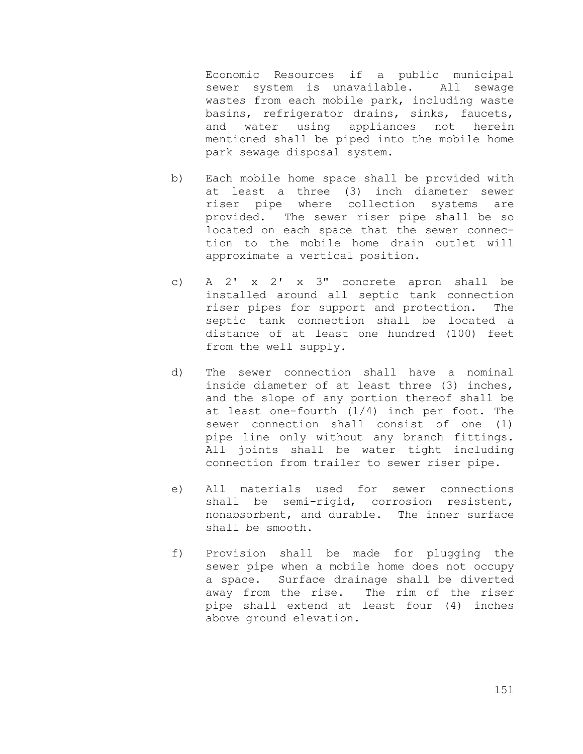Economic Resources if a public municipal sewer system is unavailable. All sewage wastes from each mobile park, including waste basins, refrigerator drains, sinks, faucets, and water using appliances not herein mentioned shall be piped into the mobile home park sewage disposal system.

- b) Each mobile home space shall be provided with at least a three (3) inch diameter sewer riser pipe where collection systems are provided. The sewer riser pipe shall be so located on each space that the sewer connection to the mobile home drain outlet will approximate a vertical position.
- c) A 2' x 2' x 3" concrete apron shall be installed around all septic tank connection riser pipes for support and protection. The septic tank connection shall be located a distance of at least one hundred (100) feet from the well supply.
- d) The sewer connection shall have a nominal inside diameter of at least three (3) inches, and the slope of any portion thereof shall be at least one-fourth (1/4) inch per foot. The sewer connection shall consist of one (1) pipe line only without any branch fittings. All joints shall be water tight including connection from trailer to sewer riser pipe.
- e) All materials used for sewer connections shall be semi-rigid, corrosion resistent, nonabsorbent, and durable. The inner surface shall be smooth.
- f) Provision shall be made for plugging the sewer pipe when a mobile home does not occupy a space. Surface drainage shall be diverted away from the rise. The rim of the riser pipe shall extend at least four (4) inches above ground elevation.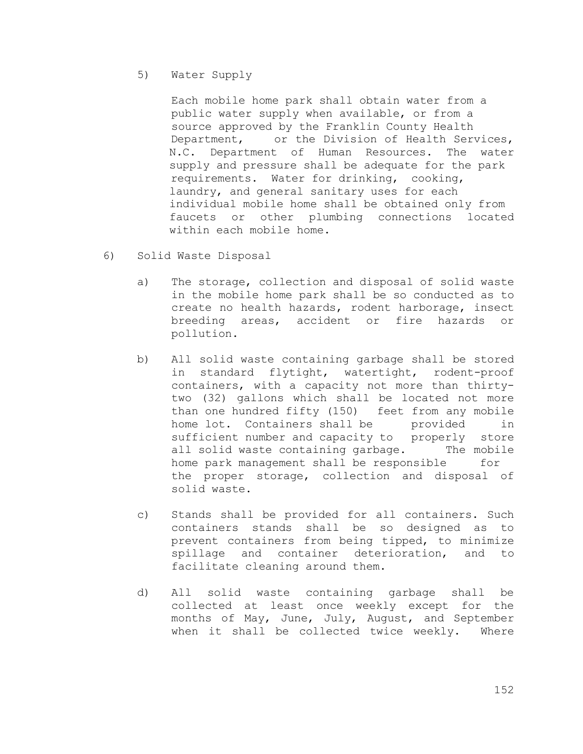### 5) Water Supply

Each mobile home park shall obtain water from a public water supply when available, or from a source approved by the Franklin County Health Department, or the Division of Health Services, N.C. Department of Human Resources. The water supply and pressure shall be adequate for the park requirements. Water for drinking, cooking, laundry, and general sanitary uses for each individual mobile home shall be obtained only from faucets or other plumbing connections located within each mobile home.

- 6) Solid Waste Disposal
	- a) The storage, collection and disposal of solid waste in the mobile home park shall be so conducted as to create no health hazards, rodent harborage, insect breeding areas, accident or fire hazards or pollution.
	- b) All solid waste containing garbage shall be stored in standard flytight, watertight, rodent-proof containers, with a capacity not more than thirtytwo (32) gallons which shall be located not more than one hundred fifty (150) feet from any mobile home lot. Containers shall be provided in sufficient number and capacity to properly store all solid waste containing garbage. The mobile home park management shall be responsible for the proper storage, collection and disposal of solid waste.
	- c) Stands shall be provided for all containers. Such containers stands shall be so designed as to prevent containers from being tipped, to minimize spillage and container deterioration, and to facilitate cleaning around them.
	- d) All solid waste containing garbage shall be collected at least once weekly except for the months of May, June, July, August, and September when it shall be collected twice weekly. Where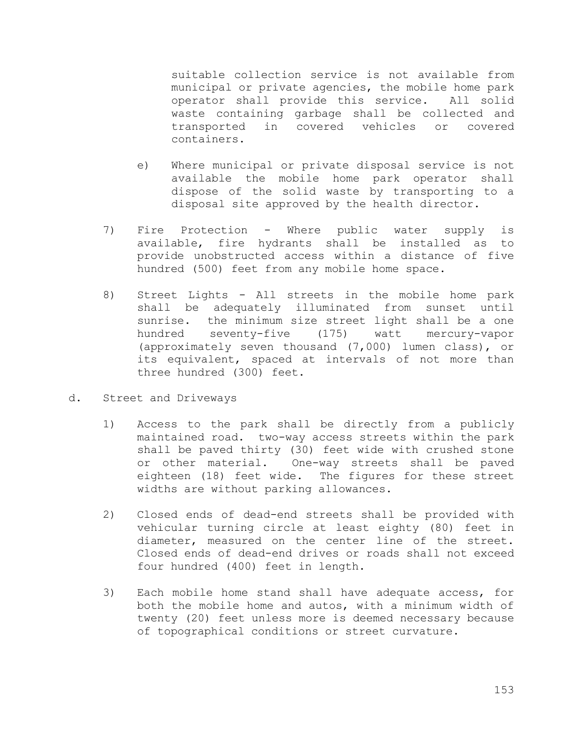suitable collection service is not available from municipal or private agencies, the mobile home park operator shall provide this service. All solid waste containing garbage shall be collected and transported in covered vehicles or covered containers.

- e) Where municipal or private disposal service is not available the mobile home park operator shall dispose of the solid waste by transporting to a disposal site approved by the health director.
- 7) Fire Protection Where public water supply is available, fire hydrants shall be installed as to provide unobstructed access within a distance of five hundred (500) feet from any mobile home space.
- 8) Street Lights All streets in the mobile home park shall be adequately illuminated from sunset until sunrise. the minimum size street light shall be a one hundred seventy-five (175) watt mercury-vapor (approximately seven thousand (7,000) lumen class), or its equivalent, spaced at intervals of not more than three hundred (300) feet.
- d. Street and Driveways
	- 1) Access to the park shall be directly from a publicly maintained road. two-way access streets within the park shall be paved thirty (30) feet wide with crushed stone or other material. One-way streets shall be paved eighteen (18) feet wide. The figures for these street widths are without parking allowances.
	- 2) Closed ends of dead-end streets shall be provided with vehicular turning circle at least eighty (80) feet in diameter, measured on the center line of the street. Closed ends of dead-end drives or roads shall not exceed four hundred (400) feet in length.
	- 3) Each mobile home stand shall have adequate access, for both the mobile home and autos, with a minimum width of twenty (20) feet unless more is deemed necessary because of topographical conditions or street curvature.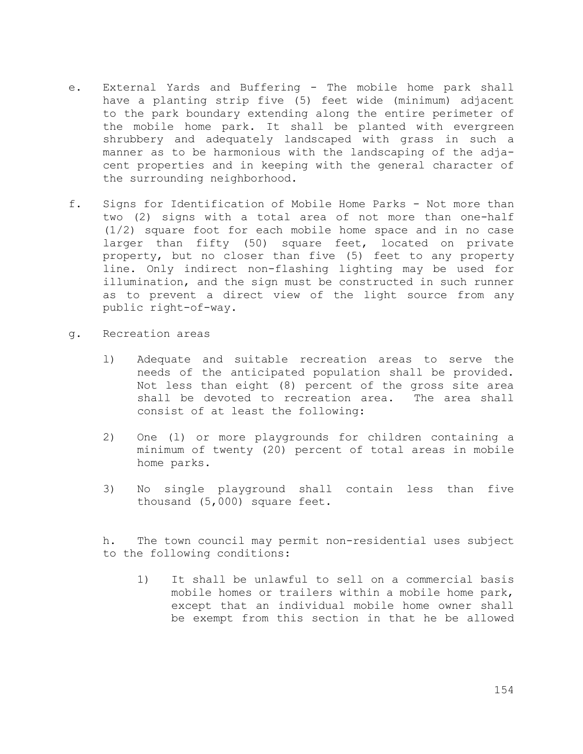- e. External Yards and Buffering The mobile home park shall have a planting strip five (5) feet wide (minimum) adjacent to the park boundary extending along the entire perimeter of the mobile home park. It shall be planted with evergreen shrubbery and adequately landscaped with grass in such a manner as to be harmonious with the landscaping of the adjacent properties and in keeping with the general character of the surrounding neighborhood.
- f. Signs for Identification of Mobile Home Parks Not more than two (2) signs with a total area of not more than one-half (1/2) square foot for each mobile home space and in no case larger than fifty (50) square feet, located on private property, but no closer than five (5) feet to any property line. Only indirect non-flashing lighting may be used for illumination, and the sign must be constructed in such runner as to prevent a direct view of the light source from any public right-of-way.
- g. Recreation areas
	- l) Adequate and suitable recreation areas to serve the needs of the anticipated population shall be provided. Not less than eight (8) percent of the gross site area shall be devoted to recreation area. The area shall consist of at least the following:
	- 2) One (l) or more playgrounds for children containing a minimum of twenty (20) percent of total areas in mobile home parks.
	- 3) No single playground shall contain less than five thousand (5,000) square feet.

h. The town council may permit non-residential uses subject to the following conditions:

1) It shall be unlawful to sell on a commercial basis mobile homes or trailers within a mobile home park, except that an individual mobile home owner shall be exempt from this section in that he be allowed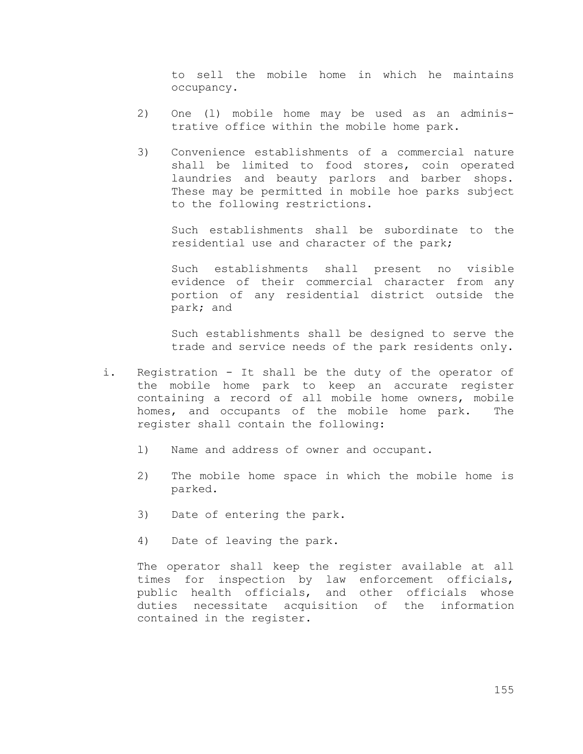to sell the mobile home in which he maintains occupancy.

- 2) One (l) mobile home may be used as an administrative office within the mobile home park.
- 3) Convenience establishments of a commercial nature shall be limited to food stores, coin operated laundries and beauty parlors and barber shops. These may be permitted in mobile hoe parks subject to the following restrictions.

Such establishments shall be subordinate to the residential use and character of the park;

Such establishments shall present no visible evidence of their commercial character from any portion of any residential district outside the park; and

Such establishments shall be designed to serve the trade and service needs of the park residents only.

- i. Registration It shall be the duty of the operator of the mobile home park to keep an accurate register containing a record of all mobile home owners, mobile homes, and occupants of the mobile home park. The register shall contain the following:
	- l) Name and address of owner and occupant.
	- 2) The mobile home space in which the mobile home is parked.
	- 3) Date of entering the park.
	- 4) Date of leaving the park.

The operator shall keep the register available at all times for inspection by law enforcement officials, public health officials, and other officials whose duties necessitate acquisition of the information contained in the register.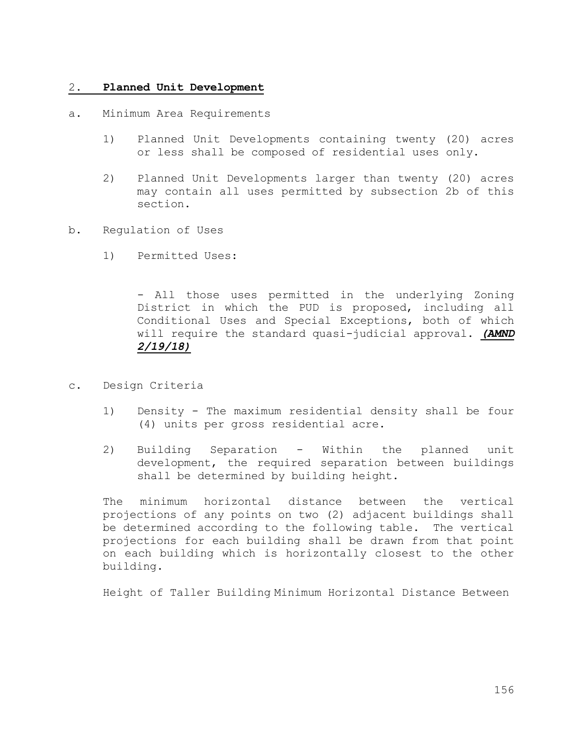### 2. **Planned Unit Development**

- a. Minimum Area Requirements
	- 1) Planned Unit Developments containing twenty (20) acres or less shall be composed of residential uses only.
	- 2) Planned Unit Developments larger than twenty (20) acres may contain all uses permitted by subsection 2b of this section.
- b. Regulation of Uses
	- 1) Permitted Uses:

- All those uses permitted in the underlying Zoning District in which the PUD is proposed, including all Conditional Uses and Special Exceptions, both of which will require the standard quasi-judicial approval. *(AMND 2/19/18)*

- c. Design Criteria
	- 1) Density The maximum residential density shall be four (4) units per gross residential acre.
	- 2) Building Separation Within the planned unit development, the required separation between buildings shall be determined by building height.

The minimum horizontal distance between the vertical projections of any points on two (2) adjacent buildings shall be determined according to the following table. The vertical projections for each building shall be drawn from that point on each building which is horizontally closest to the other building.

Height of Taller Building Minimum Horizontal Distance Between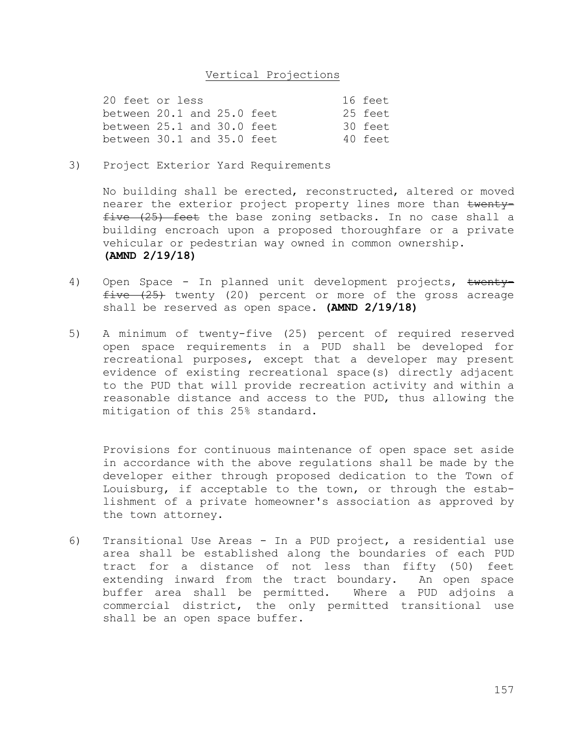### Vertical Projections

| 20 feet or less                |  |  |  | 16 feet |
|--------------------------------|--|--|--|---------|
| between $20.1$ and $25.0$ feet |  |  |  | 25 feet |
| between $25.1$ and $30.0$ feet |  |  |  | 30 feet |
| between $30.1$ and $35.0$ feet |  |  |  | 40 feet |

3) Project Exterior Yard Requirements

No building shall be erected, reconstructed, altered or moved nearer the exterior project property lines more than twenty $five (25)$  feet the base zoning setbacks. In no case shall a building encroach upon a proposed thoroughfare or a private vehicular or pedestrian way owned in common ownership. **(AMND 2/19/18)**

- 4) Open Space In planned unit development projects, twenty $five$   $(25)$  twenty (20) percent or more of the gross acreage shall be reserved as open space. **(AMND 2/19/18)**
- 5) A minimum of twenty-five (25) percent of required reserved open space requirements in a PUD shall be developed for recreational purposes, except that a developer may present evidence of existing recreational space(s) directly adjacent to the PUD that will provide recreation activity and within a reasonable distance and access to the PUD, thus allowing the mitigation of this 25% standard.

Provisions for continuous maintenance of open space set aside in accordance with the above regulations shall be made by the developer either through proposed dedication to the Town of Louisburg, if acceptable to the town, or through the establishment of a private homeowner's association as approved by the town attorney.

6) Transitional Use Areas - In a PUD project, a residential use area shall be established along the boundaries of each PUD tract for a distance of not less than fifty (50) feet extending inward from the tract boundary. An open space buffer area shall be permitted. Where a PUD adjoins a commercial district, the only permitted transitional use shall be an open space buffer.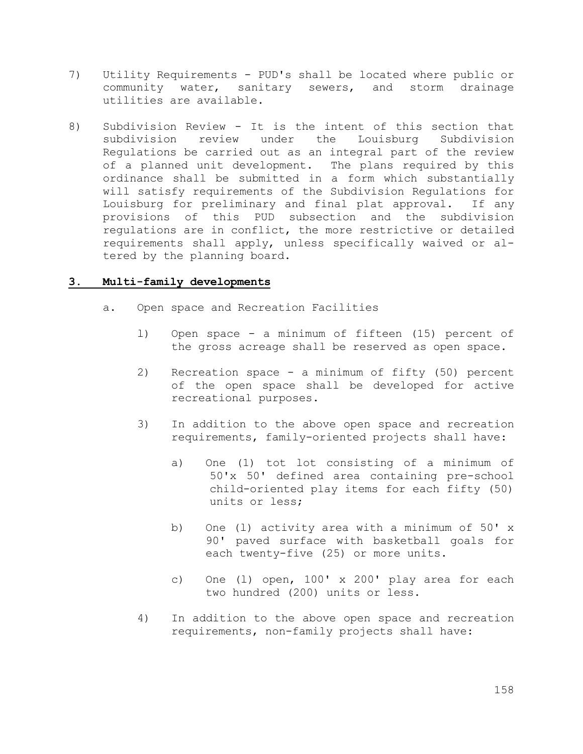- 7) Utility Requirements PUD's shall be located where public or community water, sanitary sewers, and storm drainage utilities are available.
- 8) Subdivision Review It is the intent of this section that subdivision review under the Louisburg Subdivision Regulations be carried out as an integral part of the review of a planned unit development. The plans required by this ordinance shall be submitted in a form which substantially will satisfy requirements of the Subdivision Regulations for Louisburg for preliminary and final plat approval. If any provisions of this PUD subsection and the subdivision regulations are in conflict, the more restrictive or detailed requirements shall apply, unless specifically waived or altered by the planning board.

## **3. Multi-family developments**

- a. Open space and Recreation Facilities
	- l) Open space a minimum of fifteen (15) percent of the gross acreage shall be reserved as open space.
	- 2) Recreation space a minimum of fifty (50) percent of the open space shall be developed for active recreational purposes.
	- 3) In addition to the above open space and recreation requirements, family-oriented projects shall have:
		- a) One (1) tot lot consisting of a minimum of 50'x 50' defined area containing pre-school child-oriented play items for each fifty (50) units or less;
		- b) One (l) activity area with a minimum of 50' x 90' paved surface with basketball goals for each twenty-five (25) or more units.
		- c) One (l) open, 100' x 200' play area for each two hundred (200) units or less.
	- 4) In addition to the above open space and recreation requirements, non-family projects shall have: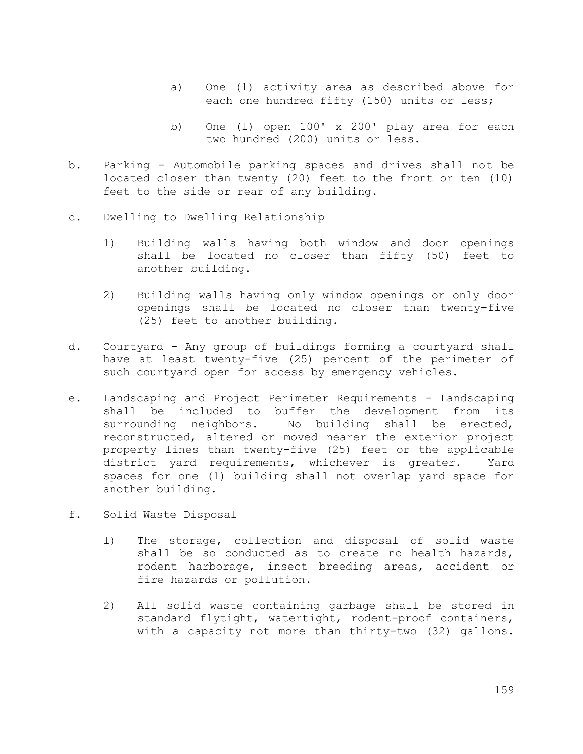- a) One (1) activity area as described above for each one hundred fifty (150) units or less;
- b) One (l) open 100' x 200' play area for each two hundred (200) units or less.
- b. Parking Automobile parking spaces and drives shall not be located closer than twenty (20) feet to the front or ten (10) feet to the side or rear of any building.
- c. Dwelling to Dwelling Relationship
	- 1) Building walls having both window and door openings shall be located no closer than fifty (50) feet to another building.
	- 2) Building walls having only window openings or only door openings shall be located no closer than twenty-five (25) feet to another building.
- d. Courtyard Any group of buildings forming a courtyard shall have at least twenty-five (25) percent of the perimeter of such courtyard open for access by emergency vehicles.
- e. Landscaping and Project Perimeter Requirements Landscaping shall be included to buffer the development from its surrounding neighbors. No building shall be erected, reconstructed, altered or moved nearer the exterior project property lines than twenty-five (25) feet or the applicable district yard requirements, whichever is greater. Yard spaces for one (1) building shall not overlap yard space for another building.
- f. Solid Waste Disposal
	- l) The storage, collection and disposal of solid waste shall be so conducted as to create no health hazards, rodent harborage, insect breeding areas, accident or fire hazards or pollution.
	- 2) All solid waste containing garbage shall be stored in standard flytight, watertight, rodent-proof containers, with a capacity not more than thirty-two (32) gallons.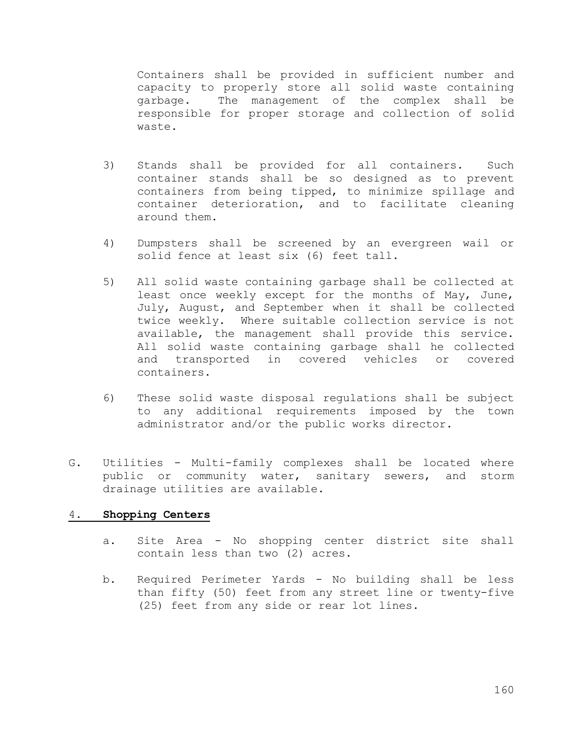Containers shall be provided in sufficient number and capacity to properly store all solid waste containing garbage. The management of the complex shall be responsible for proper storage and collection of solid waste.

- 3) Stands shall be provided for all containers. Such container stands shall be so designed as to prevent containers from being tipped, to minimize spillage and container deterioration, and to facilitate cleaning around them.
- 4) Dumpsters shall be screened by an evergreen wail or solid fence at least six (6) feet tall.
- 5) All solid waste containing garbage shall be collected at least once weekly except for the months of May, June, July, August, and September when it shall be collected twice weekly. Where suitable collection service is not available, the management shall provide this service. All solid waste containing garbage shall he collected and transported in covered vehicles or covered containers.
- 6) These solid waste disposal regulations shall be subject to any additional requirements imposed by the town administrator and/or the public works director.
- G. Utilities Multi-family complexes shall be located where public or community water, sanitary sewers, and storm drainage utilities are available.

### 4. **Shopping Centers**

- a. Site Area No shopping center district site shall contain less than two (2) acres.
- b. Required Perimeter Yards No building shall be less than fifty (50) feet from any street line or twenty-five (25) feet from any side or rear lot lines.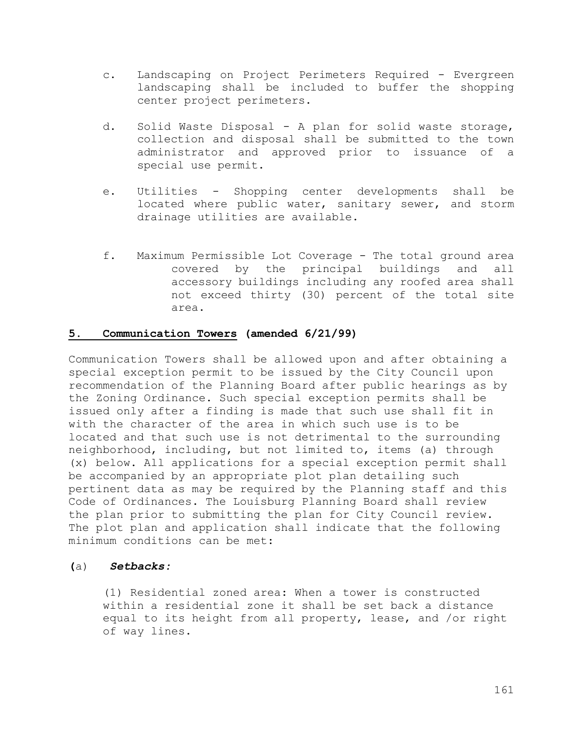- c. Landscaping on Project Perimeters Required Evergreen landscaping shall be included to buffer the shopping center project perimeters.
- d. Solid Waste Disposal A plan for solid waste storage, collection and disposal shall be submitted to the town administrator and approved prior to issuance of a special use permit.
- e. Utilities Shopping center developments shall be located where public water, sanitary sewer, and storm drainage utilities are available.
- f. Maximum Permissible Lot Coverage The total ground area covered by the principal buildings and all accessory buildings including any roofed area shall not exceed thirty (30) percent of the total site area.

### **5. Communication Towers (amended 6/21/99)**

Communication Towers shall be allowed upon and after obtaining a special exception permit to be issued by the City Council upon recommendation of the Planning Board after public hearings as by the Zoning Ordinance. Such special exception permits shall be issued only after a finding is made that such use shall fit in with the character of the area in which such use is to be located and that such use is not detrimental to the surrounding neighborhood, including, but not limited to, items (a) through (x) below. All applications for a special exception permit shall be accompanied by an appropriate plot plan detailing such pertinent data as may be required by the Planning staff and this Code of Ordinances. The Louisburg Planning Board shall review the plan prior to submitting the plan for City Council review. The plot plan and application shall indicate that the following minimum conditions can be met:

### **(**a) *Setbacks:*

(1) Residential zoned area: When a tower is constructed within a residential zone it shall be set back a distance equal to its height from all property, lease, and /or right of way lines.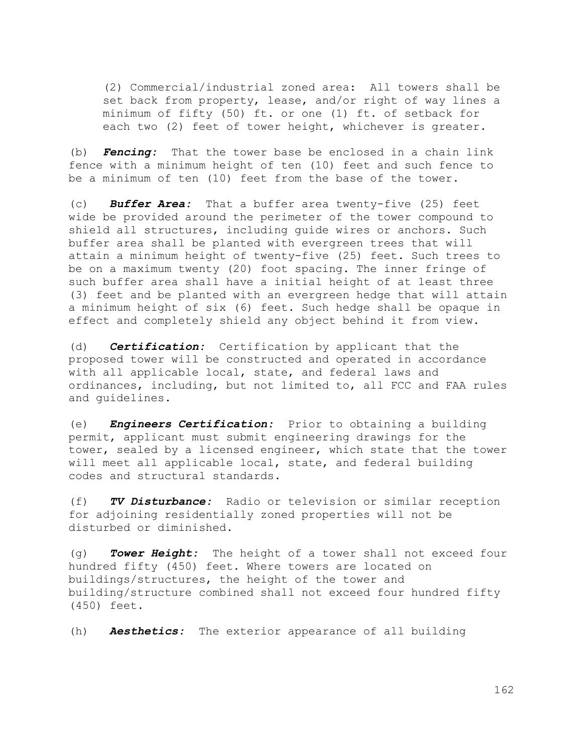(2) Commercial/industrial zoned area: All towers shall be set back from property, lease, and/or right of way lines a minimum of fifty (50) ft. or one (1) ft. of setback for each two (2) feet of tower height, whichever is greater.

(b) *Fencing:* That the tower base be enclosed in a chain link fence with a minimum height of ten (10) feet and such fence to be a minimum of ten (10) feet from the base of the tower.

(c) *Buffer Area:* That a buffer area twenty-five (25) feet wide be provided around the perimeter of the tower compound to shield all structures, including guide wires or anchors. Such buffer area shall be planted with evergreen trees that will attain a minimum height of twenty-five (25) feet. Such trees to be on a maximum twenty (20) foot spacing. The inner fringe of such buffer area shall have a initial height of at least three (3) feet and be planted with an evergreen hedge that will attain a minimum height of six (6) feet. Such hedge shall be opaque in effect and completely shield any object behind it from view.

(d) *Certification:* Certification by applicant that the proposed tower will be constructed and operated in accordance with all applicable local, state, and federal laws and ordinances, including, but not limited to, all FCC and FAA rules and guidelines.

(e) *Engineers Certification:* Prior to obtaining a building permit, applicant must submit engineering drawings for the tower, sealed by a licensed engineer, which state that the tower will meet all applicable local, state, and federal building codes and structural standards.

(f) *TV Disturbance:* Radio or television or similar reception for adjoining residentially zoned properties will not be disturbed or diminished.

(g) *Tower Height:* The height of a tower shall not exceed four hundred fifty (450) feet. Where towers are located on buildings/structures, the height of the tower and building/structure combined shall not exceed four hundred fifty (450) feet.

(h) *Aesthetics:* The exterior appearance of all building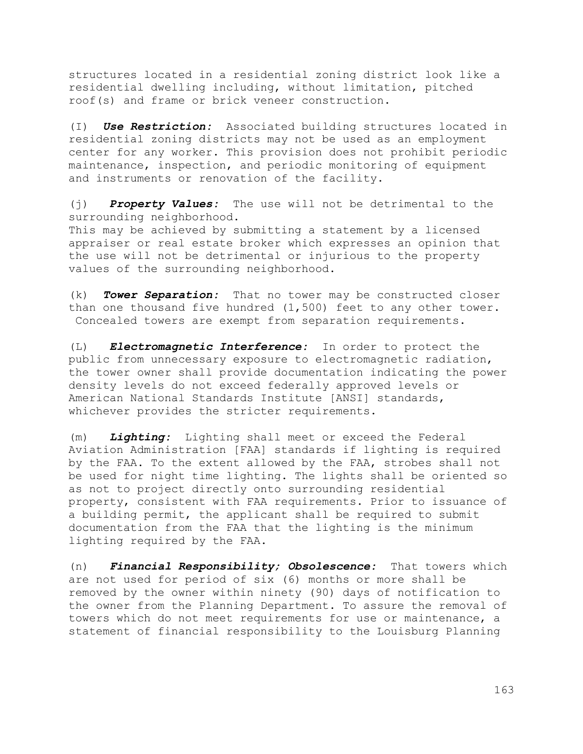structures located in a residential zoning district look like a residential dwelling including, without limitation, pitched roof(s) and frame or brick veneer construction.

(I) *Use Restriction:* Associated building structures located in residential zoning districts may not be used as an employment center for any worker. This provision does not prohibit periodic maintenance, inspection, and periodic monitoring of equipment and instruments or renovation of the facility.

(j) *Property Values:* The use will not be detrimental to the surrounding neighborhood. This may be achieved by submitting a statement by a licensed appraiser or real estate broker which expresses an opinion that the use will not be detrimental or injurious to the property values of the surrounding neighborhood.

(k) *Tower Separation:* That no tower may be constructed closer than one thousand five hundred (1,500) feet to any other tower. Concealed towers are exempt from separation requirements.

(L) *Electromagnetic Interference:* In order to protect the public from unnecessary exposure to electromagnetic radiation, the tower owner shall provide documentation indicating the power density levels do not exceed federally approved levels or American National Standards Institute [ANSI] standards, whichever provides the stricter requirements.

(m) *Lighting:* Lighting shall meet or exceed the Federal Aviation Administration [FAA] standards if lighting is required by the FAA. To the extent allowed by the FAA, strobes shall not be used for night time lighting. The lights shall be oriented so as not to project directly onto surrounding residential property, consistent with FAA requirements. Prior to issuance of a building permit, the applicant shall be required to submit documentation from the FAA that the lighting is the minimum lighting required by the FAA.

(n) *Financial Responsibility; Obsolescence:* That towers which are not used for period of six (6) months or more shall be removed by the owner within ninety (90) days of notification to the owner from the Planning Department. To assure the removal of towers which do not meet requirements for use or maintenance, a statement of financial responsibility to the Louisburg Planning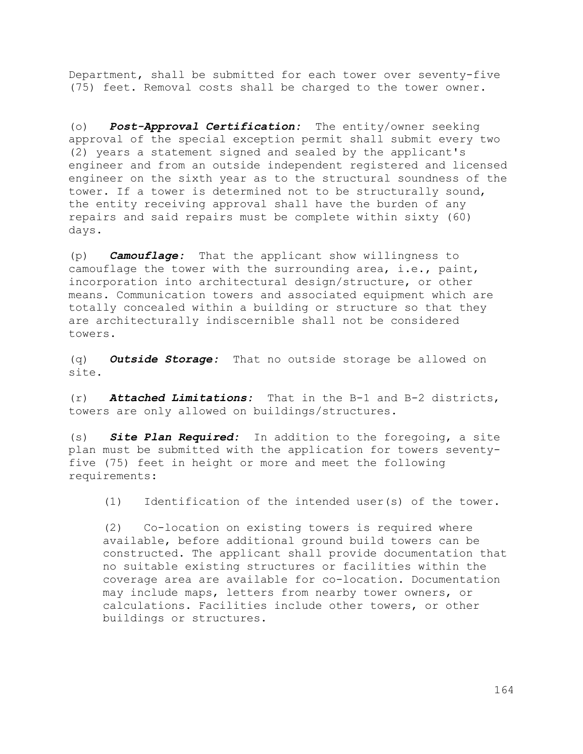Department, shall be submitted for each tower over seventy-five (75) feet. Removal costs shall be charged to the tower owner.

(o) *Post-Approval Certification:* The entity/owner seeking approval of the special exception permit shall submit every two (2) years a statement signed and sealed by the applicant's engineer and from an outside independent registered and licensed engineer on the sixth year as to the structural soundness of the tower. If a tower is determined not to be structurally sound, the entity receiving approval shall have the burden of any repairs and said repairs must be complete within sixty (60) days.

(p) *Camouflage:* That the applicant show willingness to camouflage the tower with the surrounding area, i.e., paint, incorporation into architectural design/structure, or other means. Communication towers and associated equipment which are totally concealed within a building or structure so that they are architecturally indiscernible shall not be considered towers.

(q) *Outside Storage:* That no outside storage be allowed on site.

(r) *Attached Limitations:* That in the B-1 and B-2 districts, towers are only allowed on buildings/structures.

(s) *Site Plan Required:* In addition to the foregoing, a site plan must be submitted with the application for towers seventyfive (75) feet in height or more and meet the following requirements:

(1) Identification of the intended user(s) of the tower.

(2) Co-location on existing towers is required where available, before additional ground build towers can be constructed. The applicant shall provide documentation that no suitable existing structures or facilities within the coverage area are available for co-location. Documentation may include maps, letters from nearby tower owners, or calculations. Facilities include other towers, or other buildings or structures.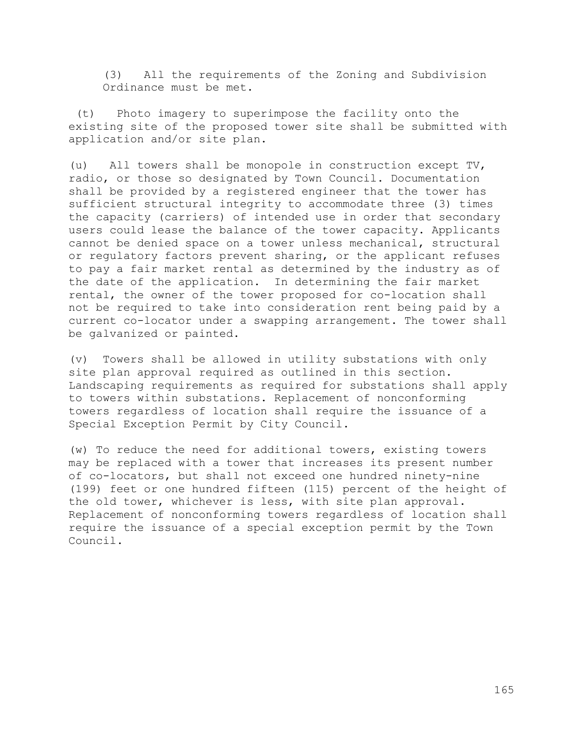(3) All the requirements of the Zoning and Subdivision Ordinance must be met.

(t) Photo imagery to superimpose the facility onto the existing site of the proposed tower site shall be submitted with application and/or site plan.

(u) All towers shall be monopole in construction except TV, radio, or those so designated by Town Council. Documentation shall be provided by a registered engineer that the tower has sufficient structural integrity to accommodate three (3) times the capacity (carriers) of intended use in order that secondary users could lease the balance of the tower capacity. Applicants cannot be denied space on a tower unless mechanical, structural or regulatory factors prevent sharing, or the applicant refuses to pay a fair market rental as determined by the industry as of the date of the application. In determining the fair market rental, the owner of the tower proposed for co-location shall not be required to take into consideration rent being paid by a current co-locator under a swapping arrangement. The tower shall be galvanized or painted.

(v) Towers shall be allowed in utility substations with only site plan approval required as outlined in this section. Landscaping requirements as required for substations shall apply to towers within substations. Replacement of nonconforming towers regardless of location shall require the issuance of a Special Exception Permit by City Council.

(w) To reduce the need for additional towers, existing towers may be replaced with a tower that increases its present number of co-locators, but shall not exceed one hundred ninety-nine (199) feet or one hundred fifteen (115) percent of the height of the old tower, whichever is less, with site plan approval. Replacement of nonconforming towers regardless of location shall require the issuance of a special exception permit by the Town Council.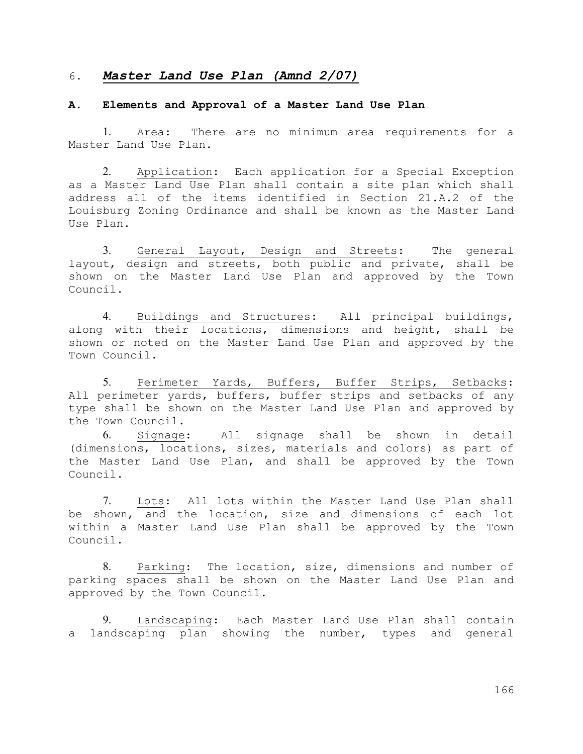### 6. *Master Land Use Plan (Amnd 2/07)*

### **A. Elements and Approval of a Master Land Use Plan**

1. Area: There are no minimum area requirements for a Master Land Use Plan.

2. Application: Each application for a Special Exception as a Master Land Use Plan shall contain a site plan which shall address all of the items identified in Section 21.A.2 of the Louisburg Zoning Ordinance and shall be known as the Master Land Use Plan.

3. General Layout, Design and Streets: The general layout, design and streets, both public and private, shall be shown on the Master Land Use Plan and approved by the Town Council.

4. Buildings and Structures: All principal buildings, along with their locations, dimensions and height, shall be shown or noted on the Master Land Use Plan and approved by the Town Council.

5. Perimeter Yards, Buffers, Buffer Strips, Setbacks: All perimeter yards, buffers, buffer strips and setbacks of any type shall be shown on the Master Land Use Plan and approved by the Town Council.

6. Signage: All signage shall be shown in detail (dimensions, locations, sizes, materials and colors) as part of the Master Land Use Plan, and shall be approved by the Town Council.

7. Lots: All lots within the Master Land Use Plan shall be shown, and the location, size and dimensions of each lot within a Master Land Use Plan shall be approved by the Town Council.

8. Parking: The location, size, dimensions and number of parking spaces shall be shown on the Master Land Use Plan and approved by the Town Council.

9. Landscaping: Each Master Land Use Plan shall contain a landscaping plan showing the number, types and general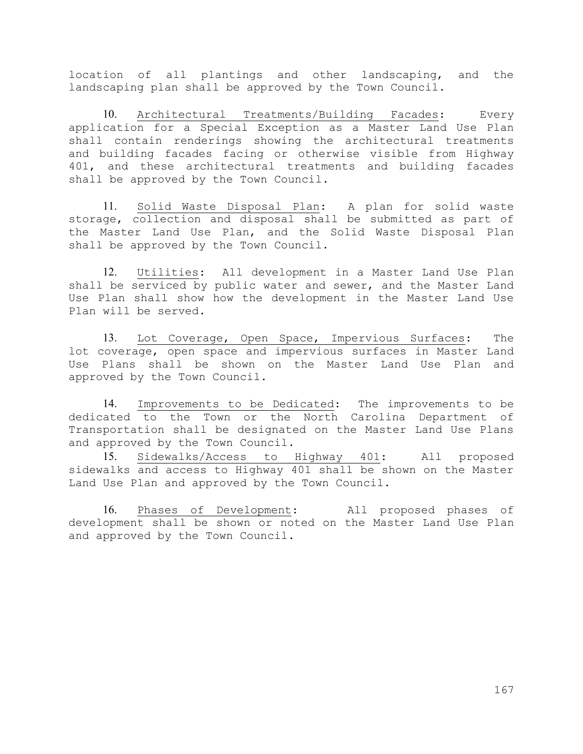location of all plantings and other landscaping, and the landscaping plan shall be approved by the Town Council.

10. Architectural Treatments/Building Facades: Every application for a Special Exception as a Master Land Use Plan shall contain renderings showing the architectural treatments and building facades facing or otherwise visible from Highway 401, and these architectural treatments and building facades shall be approved by the Town Council.

11. Solid Waste Disposal Plan: A plan for solid waste storage, collection and disposal shall be submitted as part of the Master Land Use Plan, and the Solid Waste Disposal Plan shall be approved by the Town Council.

12. Utilities: All development in a Master Land Use Plan shall be serviced by public water and sewer, and the Master Land Use Plan shall show how the development in the Master Land Use Plan will be served.

13. Lot Coverage, Open Space, Impervious Surfaces: The lot coverage, open space and impervious surfaces in Master Land Use Plans shall be shown on the Master Land Use Plan and approved by the Town Council.

14. Improvements to be Dedicated: The improvements to be dedicated to the Town or the North Carolina Department of Transportation shall be designated on the Master Land Use Plans and approved by the Town Council.

15. Sidewalks/Access to Highway 401: All proposed sidewalks and access to Highway 401 shall be shown on the Master Land Use Plan and approved by the Town Council.

16. Phases of Development: All proposed phases of development shall be shown or noted on the Master Land Use Plan and approved by the Town Council.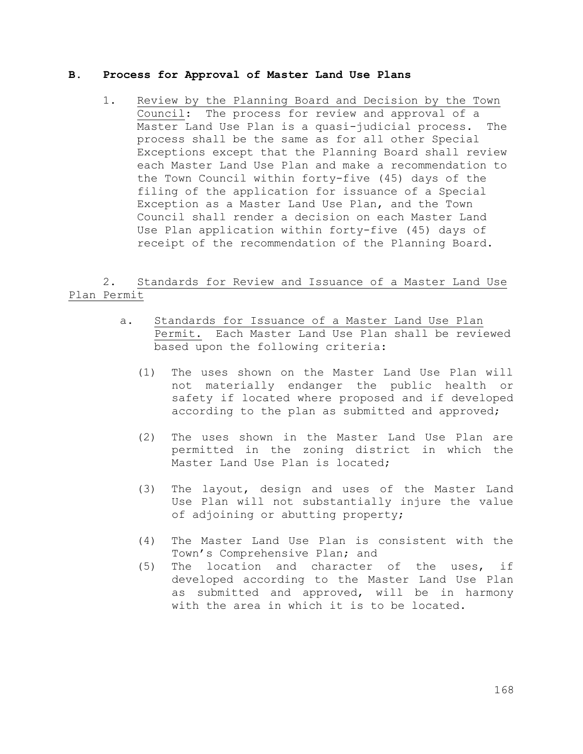### **B. Process for Approval of Master Land Use Plans**

1. Review by the Planning Board and Decision by the Town Council: The process for review and approval of a Master Land Use Plan is a quasi-judicial process. The process shall be the same as for all other Special Exceptions except that the Planning Board shall review each Master Land Use Plan and make a recommendation to the Town Council within forty-five (45) days of the filing of the application for issuance of a Special Exception as a Master Land Use Plan, and the Town Council shall render a decision on each Master Land Use Plan application within forty-five (45) days of receipt of the recommendation of the Planning Board.

# 2. Standards for Review and Issuance of a Master Land Use Plan Permit

- a. Standards for Issuance of a Master Land Use Plan Permit. Each Master Land Use Plan shall be reviewed based upon the following criteria:
	- (1) The uses shown on the Master Land Use Plan will not materially endanger the public health or safety if located where proposed and if developed according to the plan as submitted and approved;
	- (2) The uses shown in the Master Land Use Plan are permitted in the zoning district in which the Master Land Use Plan is located;
	- (3) The layout, design and uses of the Master Land Use Plan will not substantially injure the value of adjoining or abutting property;
	- (4) The Master Land Use Plan is consistent with the Town's Comprehensive Plan; and
	- (5) The location and character of the uses, if developed according to the Master Land Use Plan as submitted and approved, will be in harmony with the area in which it is to be located.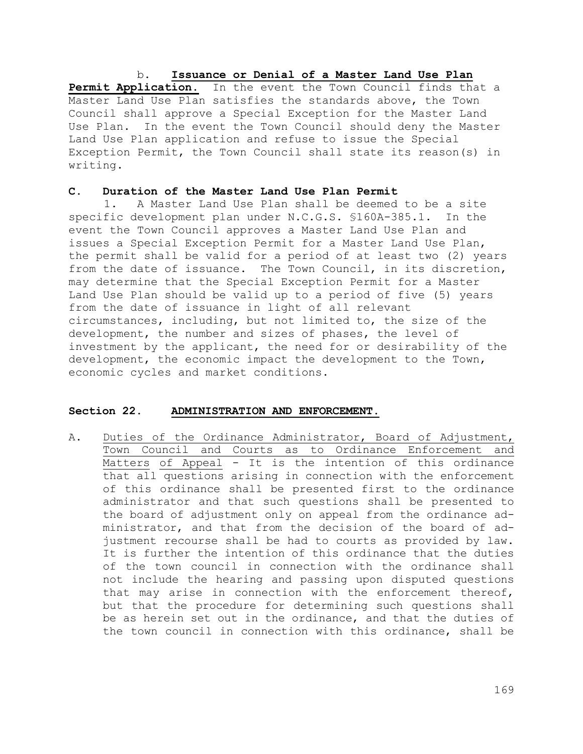b. **Issuance or Denial of a Master Land Use Plan**  Permit Application. In the event the Town Council finds that a Master Land Use Plan satisfies the standards above, the Town Council shall approve a Special Exception for the Master Land Use Plan. In the event the Town Council should deny the Master Land Use Plan application and refuse to issue the Special Exception Permit, the Town Council shall state its reason(s) in writing.

#### **C. Duration of the Master Land Use Plan Permit**

1. A Master Land Use Plan shall be deemed to be a site specific development plan under N.C.G.S. §160A-385.1. In the event the Town Council approves a Master Land Use Plan and issues a Special Exception Permit for a Master Land Use Plan, the permit shall be valid for a period of at least two (2) years from the date of issuance. The Town Council, in its discretion, may determine that the Special Exception Permit for a Master Land Use Plan should be valid up to a period of five (5) years from the date of issuance in light of all relevant circumstances, including, but not limited to, the size of the development, the number and sizes of phases, the level of investment by the applicant, the need for or desirability of the development, the economic impact the development to the Town, economic cycles and market conditions.

### **Section 22. ADMINISTRATION AND ENFORCEMENT.**

A. Duties of the Ordinance Administrator, Board of Adjustment, Town Council and Courts as to Ordinance Enforcement and Matters of Appeal - It is the intention of this ordinance that all questions arising in connection with the enforcement of this ordinance shall be presented first to the ordinance administrator and that such questions shall be presented to the board of adjustment only on appeal from the ordinance administrator, and that from the decision of the board of adjustment recourse shall be had to courts as provided by law. It is further the intention of this ordinance that the duties of the town council in connection with the ordinance shall not include the hearing and passing upon disputed questions that may arise in connection with the enforcement thereof, but that the procedure for determining such questions shall be as herein set out in the ordinance, and that the duties of the town council in connection with this ordinance, shall be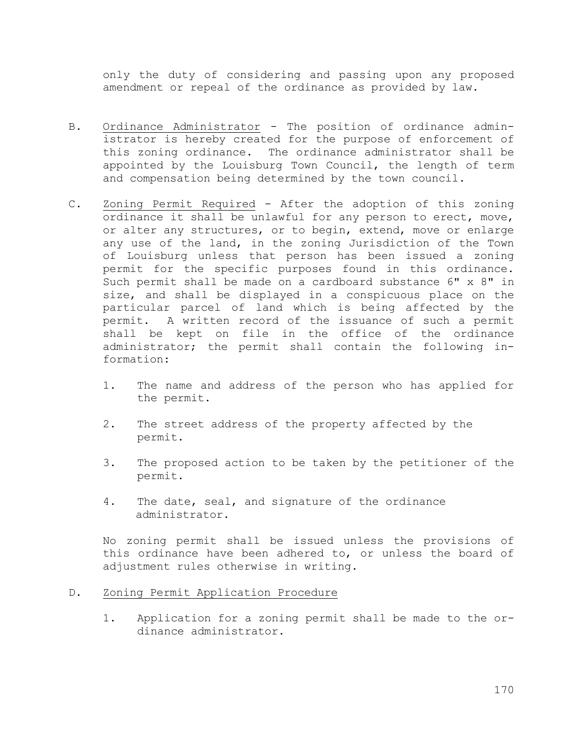only the duty of considering and passing upon any proposed amendment or repeal of the ordinance as provided by law.

- B. Ordinance Administrator The position of ordinance administrator is hereby created for the purpose of enforcement of this zoning ordinance. The ordinance administrator shall be appointed by the Louisburg Town Council, the length of term and compensation being determined by the town council.
- C. Zoning Permit Required After the adoption of this zoning ordinance it shall be unlawful for any person to erect, move, or alter any structures, or to begin, extend, move or enlarge any use of the land, in the zoning Jurisdiction of the Town of Louisburg unless that person has been issued a zoning permit for the specific purposes found in this ordinance. Such permit shall be made on a cardboard substance 6" x 8" in size, and shall be displayed in a conspicuous place on the particular parcel of land which is being affected by the permit. A written record of the issuance of such a permit shall be kept on file in the office of the ordinance administrator; the permit shall contain the following information:
	- 1. The name and address of the person who has applied for the permit.
	- 2. The street address of the property affected by the permit.
	- 3. The proposed action to be taken by the petitioner of the permit.
	- 4. The date, seal, and signature of the ordinance administrator.

No zoning permit shall be issued unless the provisions of this ordinance have been adhered to, or unless the board of adjustment rules otherwise in writing.

# D. Zoning Permit Application Procedure

1. Application for a zoning permit shall be made to the ordinance administrator.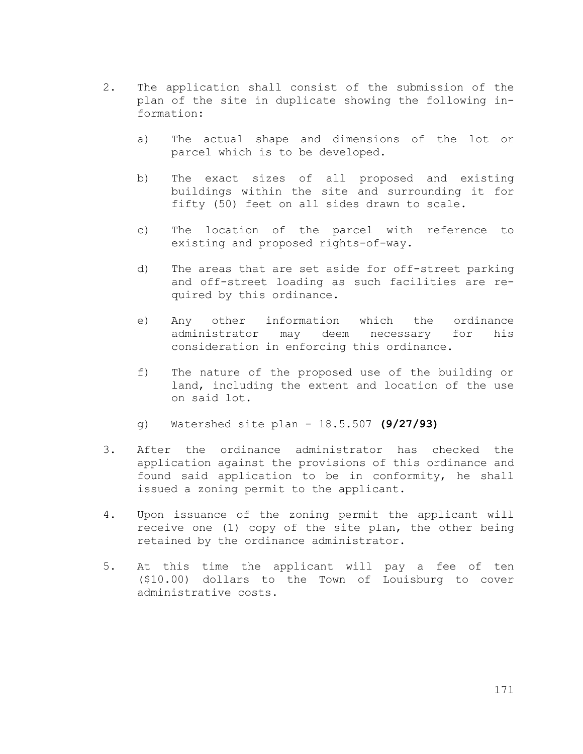- 2. The application shall consist of the submission of the plan of the site in duplicate showing the following information:
	- a) The actual shape and dimensions of the lot or parcel which is to be developed.
	- b) The exact sizes of all proposed and existing buildings within the site and surrounding it for fifty (50) feet on all sides drawn to scale.
	- c) The location of the parcel with reference to existing and proposed rights-of-way.
	- d) The areas that are set aside for off-street parking and off-street loading as such facilities are required by this ordinance.
	- e) Any other information which the ordinance administrator may deem necessary for his consideration in enforcing this ordinance.
	- f) The nature of the proposed use of the building or land, including the extent and location of the use on said lot.
	- g) Watershed site plan 18.5.507 **(9/27/93)**
- 3. After the ordinance administrator has checked the application against the provisions of this ordinance and found said application to be in conformity, he shall issued a zoning permit to the applicant.
- 4. Upon issuance of the zoning permit the applicant will receive one (1) copy of the site plan, the other being retained by the ordinance administrator.
- 5. At this time the applicant will pay a fee of ten (\$10.00) dollars to the Town of Louisburg to cover administrative costs.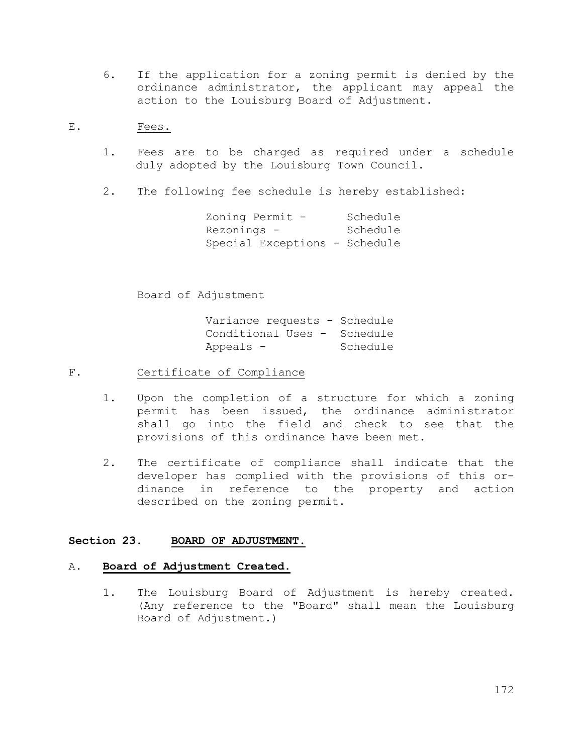- 6. If the application for a zoning permit is denied by the ordinance administrator, the applicant may appeal the action to the Louisburg Board of Adjustment.
- E. Fees.
	- 1. Fees are to be charged as required under a schedule duly adopted by the Louisburg Town Council.
	- 2. The following fee schedule is hereby established:

| Zoning Permit -               | Schedule |
|-------------------------------|----------|
| Rezonings -                   | Schedule |
| Special Exceptions - Schedule |          |

Board of Adjustment

Variance requests - Schedule Conditional Uses - Schedule Appeals - Schedule

- F. Certificate of Compliance
	- 1. Upon the completion of a structure for which a zoning permit has been issued, the ordinance administrator shall go into the field and check to see that the provisions of this ordinance have been met.
	- 2. The certificate of compliance shall indicate that the developer has complied with the provisions of this ordinance in reference to the property and action described on the zoning permit.

## **Section 23. BOARD OF ADJUSTMENT.**

### A. **Board of Adjustment Created.**

1. The Louisburg Board of Adjustment is hereby created. (Any reference to the "Board" shall mean the Louisburg Board of Adjustment.)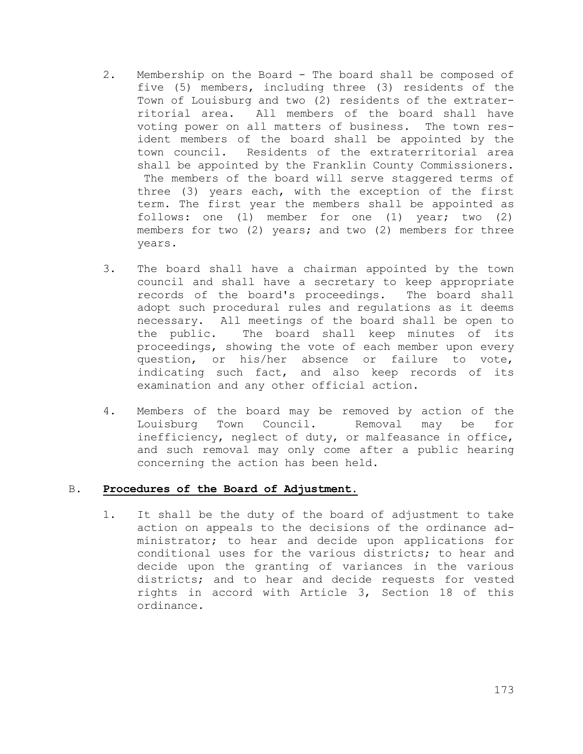- 2. Membership on the Board The board shall be composed of five (5) members, including three (3) residents of the Town of Louisburg and two (2) residents of the extraterritorial area. All members of the board shall have voting power on all matters of business. The town resident members of the board shall be appointed by the town council. Residents of the extraterritorial area shall be appointed by the Franklin County Commissioners. The members of the board will serve staggered terms of three (3) years each, with the exception of the first term. The first year the members shall be appointed as follows: one (l) member for one (1) year; two (2) members for two (2) years; and two (2) members for three years.
- 3. The board shall have a chairman appointed by the town council and shall have a secretary to keep appropriate records of the board's proceedings. The board shall adopt such procedural rules and regulations as it deems necessary. All meetings of the board shall be open to the public. The board shall keep minutes of its proceedings, showing the vote of each member upon every question, or his/her absence or failure to vote, indicating such fact, and also keep records of its examination and any other official action.
- 4. Members of the board may be removed by action of the Louisburg Town Council. Removal may be for inefficiency, neglect of duty, or malfeasance in office, and such removal may only come after a public hearing concerning the action has been held.

## B. **Procedures of the Board of Adjustment.**

1. It shall be the duty of the board of adjustment to take action on appeals to the decisions of the ordinance administrator; to hear and decide upon applications for conditional uses for the various districts; to hear and decide upon the granting of variances in the various districts; and to hear and decide requests for vested rights in accord with Article 3, Section 18 of this ordinance.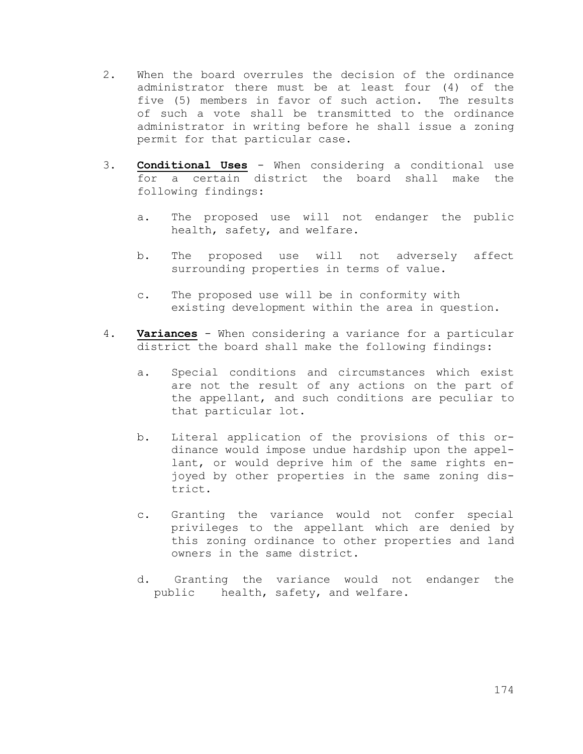- 2. When the board overrules the decision of the ordinance administrator there must be at least four (4) of the five (5) members in favor of such action. The results of such a vote shall be transmitted to the ordinance administrator in writing before he shall issue a zoning permit for that particular case.
- 3. **Conditional Uses** When considering a conditional use for a certain district the board shall make the following findings:
	- a. The proposed use will not endanger the public health, safety, and welfare.
	- b. The proposed use will not adversely affect surrounding properties in terms of value.
	- c. The proposed use will be in conformity with existing development within the area in question.
- 4. **Variances** When considering a variance for a particular district the board shall make the following findings:
	- a. Special conditions and circumstances which exist are not the result of any actions on the part of the appellant, and such conditions are peculiar to that particular lot.
	- b. Literal application of the provisions of this ordinance would impose undue hardship upon the appellant, or would deprive him of the same rights enjoyed by other properties in the same zoning district.
	- c. Granting the variance would not confer special privileges to the appellant which are denied by this zoning ordinance to other properties and land owners in the same district.
	- d. Granting the variance would not endanger the public health, safety, and welfare.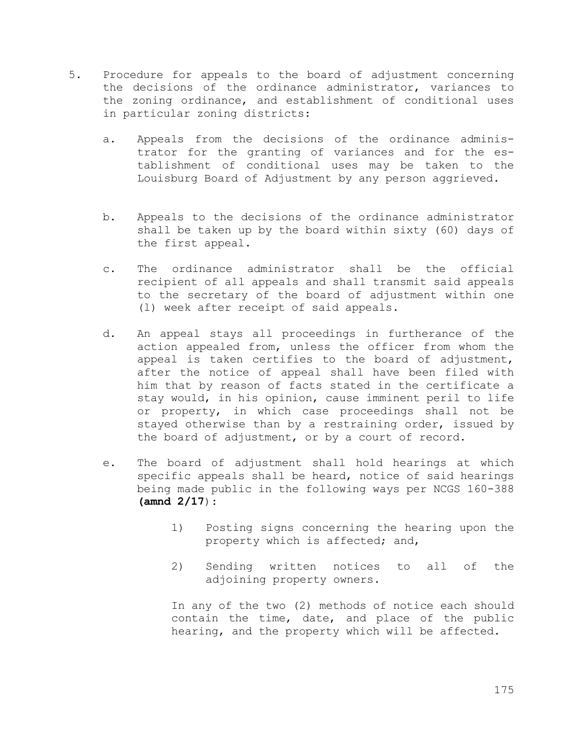- 5. Procedure for appeals to the board of adjustment concerning the decisions of the ordinance administrator, variances to the zoning ordinance, and establishment of conditional uses in particular zoning districts:
	- a. Appeals from the decisions of the ordinance administrator for the granting of variances and for the establishment of conditional uses may be taken to the Louisburg Board of Adjustment by any person aggrieved.
	- b. Appeals to the decisions of the ordinance administrator shall be taken up by the board within sixty (60) days of the first appeal.
	- c. The ordinance administrator shall be the official recipient of all appeals and shall transmit said appeals to the secretary of the board of adjustment within one (l) week after receipt of said appeals.
	- d. An appeal stays all proceedings in furtherance of the action appealed from, unless the officer from whom the appeal is taken certifies to the board of adjustment, after the notice of appeal shall have been filed with him that by reason of facts stated in the certificate a stay would, in his opinion, cause imminent peril to life or property, in which case proceedings shall not be stayed otherwise than by a restraining order, issued by the board of adjustment, or by a court of record.
	- e. The board of adjustment shall hold hearings at which specific appeals shall be heard, notice of said hearings being made public in the following ways per NCGS 160-388 **(amnd 2/17**):
		- 1) Posting signs concerning the hearing upon the property which is affected; and,
		- 2) Sending written notices to all of the adjoining property owners.

In any of the two (2) methods of notice each should contain the time, date, and place of the public hearing, and the property which will be affected.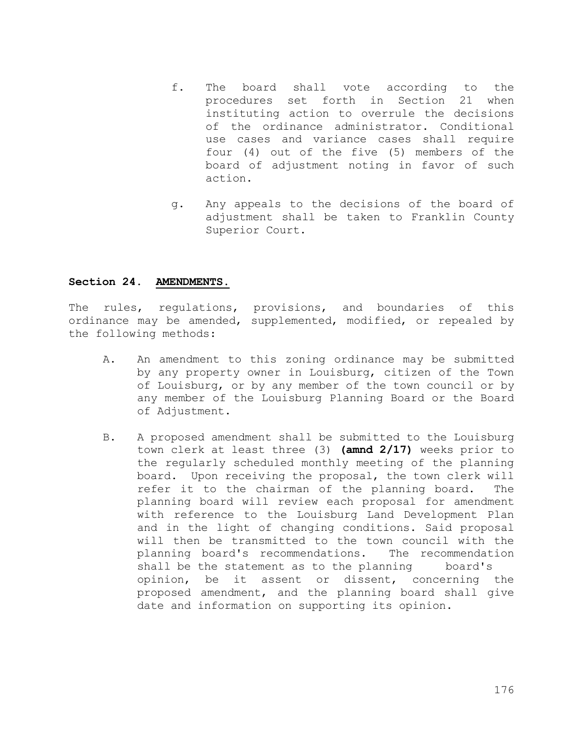- f. The board shall vote according to the procedures set forth in Section 21 when instituting action to overrule the decisions of the ordinance administrator. Conditional use cases and variance cases shall require four (4) out of the five (5) members of the board of adjustment noting in favor of such action.
- g. Any appeals to the decisions of the board of adjustment shall be taken to Franklin County Superior Court.

### **Section 24. AMENDMENTS.**

The rules, regulations, provisions, and boundaries of this ordinance may be amended, supplemented, modified, or repealed by the following methods:

- A. An amendment to this zoning ordinance may be submitted by any property owner in Louisburg, citizen of the Town of Louisburg, or by any member of the town council or by any member of the Louisburg Planning Board or the Board of Adjustment.
- B. A proposed amendment shall be submitted to the Louisburg town clerk at least three (3) **(amnd 2/17)** weeks prior to the regularly scheduled monthly meeting of the planning board. Upon receiving the proposal, the town clerk will refer it to the chairman of the planning board. The planning board will review each proposal for amendment with reference to the Louisburg Land Development Plan and in the light of changing conditions. Said proposal will then be transmitted to the town council with the planning board's recommendations. The recommendation shall be the statement as to the planning board's opinion, be it assent or dissent, concerning the proposed amendment, and the planning board shall give date and information on supporting its opinion.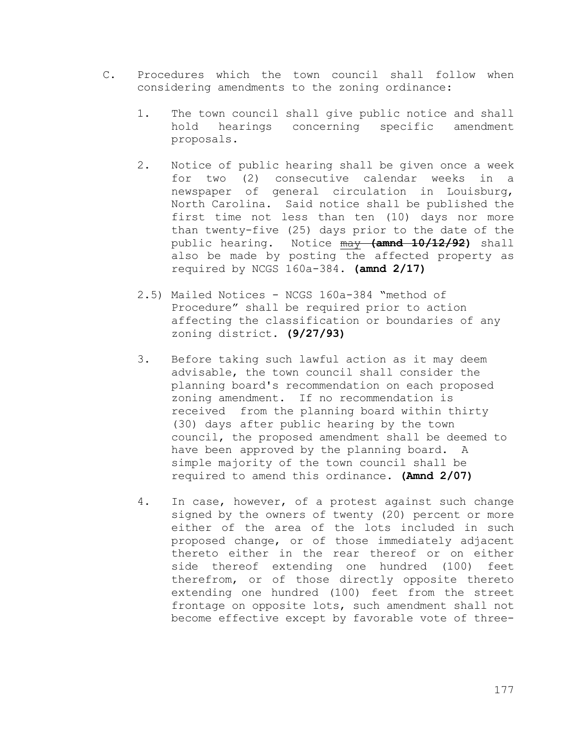- C. Procedures which the town council shall follow when considering amendments to the zoning ordinance:
	- 1. The town council shall give public notice and shall hold hearings concerning specific amendment proposals.
	- 2. Notice of public hearing shall be given once a week for two (2) consecutive calendar weeks in a newspaper of general circulation in Louisburg, North Carolina. Said notice shall be published the first time not less than ten (10) days nor more than twenty-five (25) days prior to the date of the public hearing. Notice may **(amnd 10/12/92)** shall also be made by posting the affected property as required by NCGS 160a-384. **(amnd 2/17)**
	- 2.5) Mailed Notices NCGS 160a-384 "method of Procedure" shall be required prior to action affecting the classification or boundaries of any zoning district. **(9/27/93)**
	- 3. Before taking such lawful action as it may deem advisable, the town council shall consider the planning board's recommendation on each proposed zoning amendment. If no recommendation is received from the planning board within thirty (30) days after public hearing by the town council, the proposed amendment shall be deemed to have been approved by the planning board. A simple majority of the town council shall be required to amend this ordinance. **(Amnd 2/07)**
	- 4. In case, however, of a protest against such change signed by the owners of twenty (20) percent or more either of the area of the lots included in such proposed change, or of those immediately adjacent thereto either in the rear thereof or on either side thereof extending one hundred (100) feet therefrom, or of those directly opposite thereto extending one hundred (100) feet from the street frontage on opposite lots, such amendment shall not become effective except by favorable vote of three-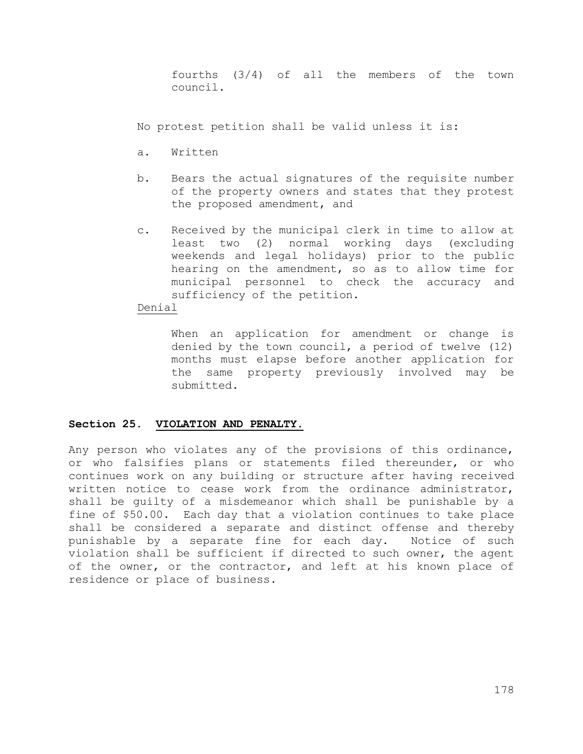fourths (3/4) of all the members of the town council.

No protest petition shall be valid unless it is:

- a. Written
- b. Bears the actual signatures of the requisite number of the property owners and states that they protest the proposed amendment, and
- c. Received by the municipal clerk in time to allow at least two (2) normal working days (excluding weekends and legal holidays) prior to the public hearing on the amendment, so as to allow time for municipal personnel to check the accuracy and sufficiency of the petition.

## Denial

When an application for amendment or change is denied by the town council, a period of twelve (12) months must elapse before another application for the same property previously involved may be submitted.

## **Section 25. VIOLATION AND PENALTY.**

Any person who violates any of the provisions of this ordinance, or who falsifies plans or statements filed thereunder, or who continues work on any building or structure after having received written notice to cease work from the ordinance administrator, shall be guilty of a misdemeanor which shall be punishable by a fine of \$50.00. Each day that a violation continues to take place shall be considered a separate and distinct offense and thereby punishable by a separate fine for each day. Notice of such violation shall be sufficient if directed to such owner, the agent of the owner, or the contractor, and left at his known place of residence or place of business.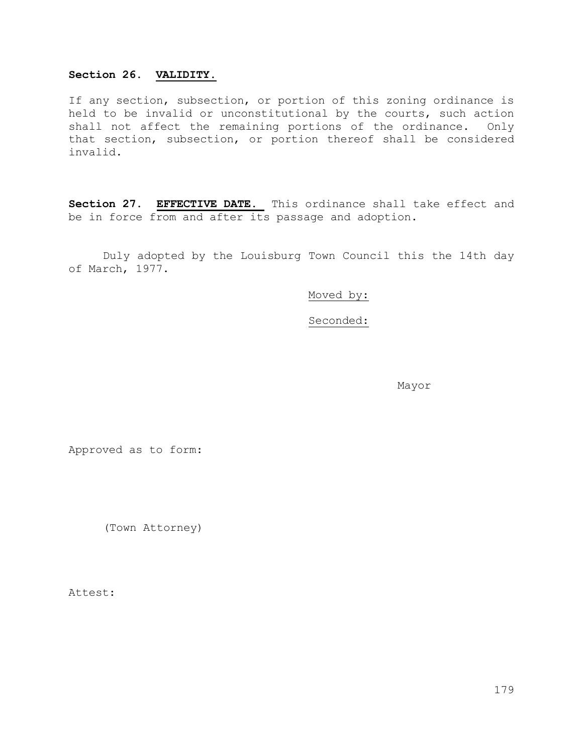## **Section 26. VALIDITY.**

If any section, subsection, or portion of this zoning ordinance is held to be invalid or unconstitutional by the courts, such action shall not affect the remaining portions of the ordinance. Only that section, subsection, or portion thereof shall be considered invalid.

**Section 27. EFFECTIVE DATE.** This ordinance shall take effect and be in force from and after its passage and adoption.

Duly adopted by the Louisburg Town Council this the 14th day of March, 1977.

Moved by:

Seconded:

Mayor

Approved as to form:

(Town Attorney)

Attest: